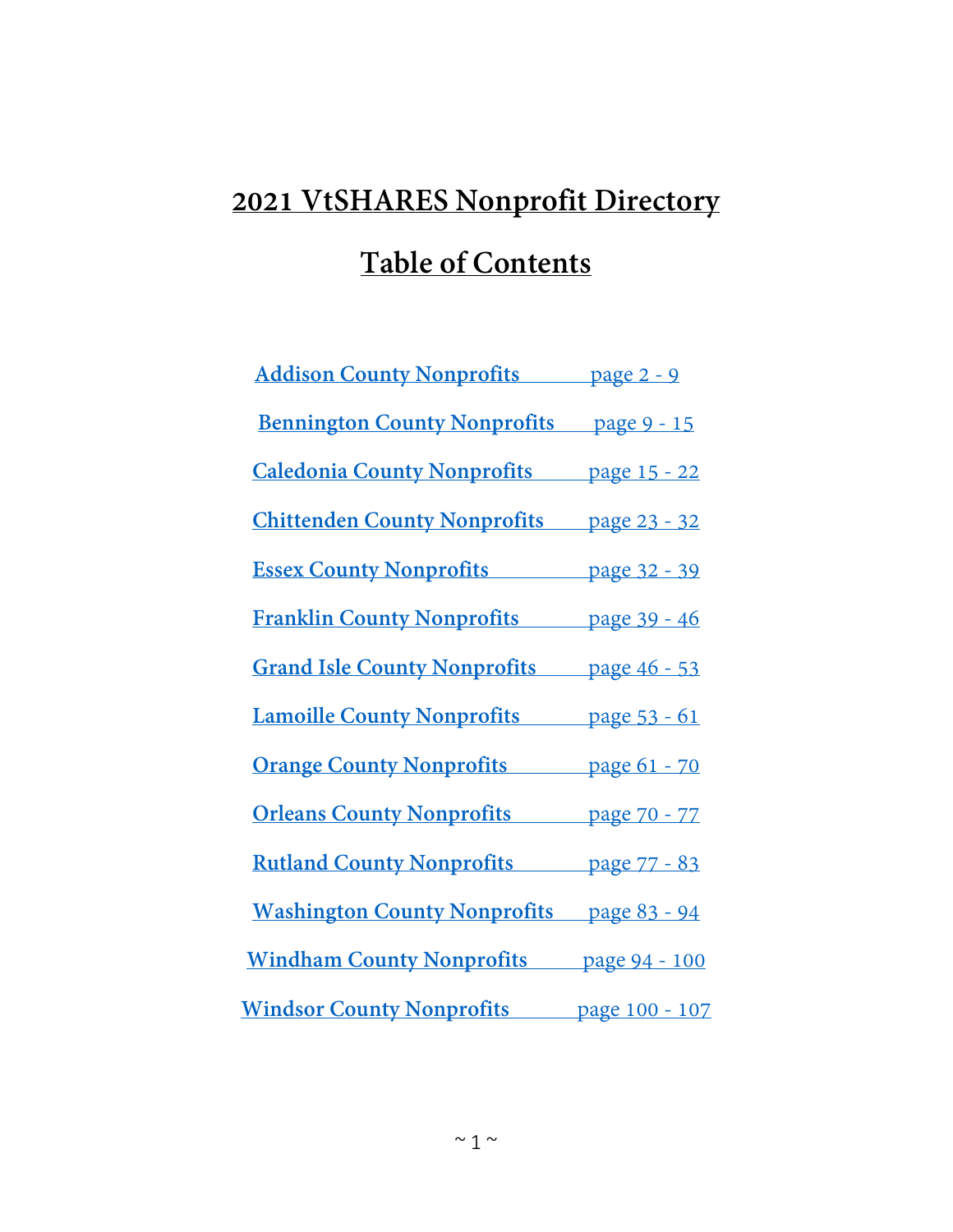# **2021 VtSHARES Nonprofit Directory Table of Contents**

| <b>Addison County Nonprofits</b> page 2 - 9      |  |
|--------------------------------------------------|--|
| <b>Bennington County Nonprofits</b> page 9 - 15  |  |
| <b>Caledonia County Nonprofits</b> page 15 - 22  |  |
| <b>Chittenden County Nonprofits</b> page 23 - 32 |  |
| <b>Essex County Nonprofits</b> page 32 - 39      |  |
| <b>Franklin County Nonprofits</b> page 39 - 46   |  |
| <b>Grand Isle County Nonprofits</b> page 46 - 53 |  |
| <b>Lamoille County Nonprofits</b> page 53 - 61   |  |
| <b>Orange County Nonprofits</b> page 61 - 70     |  |
| <b>Orleans County Nonprofits</b> page 70 - 77    |  |
| <b>Rutland County Nonprofits</b> page 77 - 83    |  |
| <b>Washington County Nonprofits</b> page 83 - 94 |  |
| <b>Windham County Nonprofits</b> page 94 - 100   |  |
| <b>Windsor County Nonprofits</b> page 100 - 107  |  |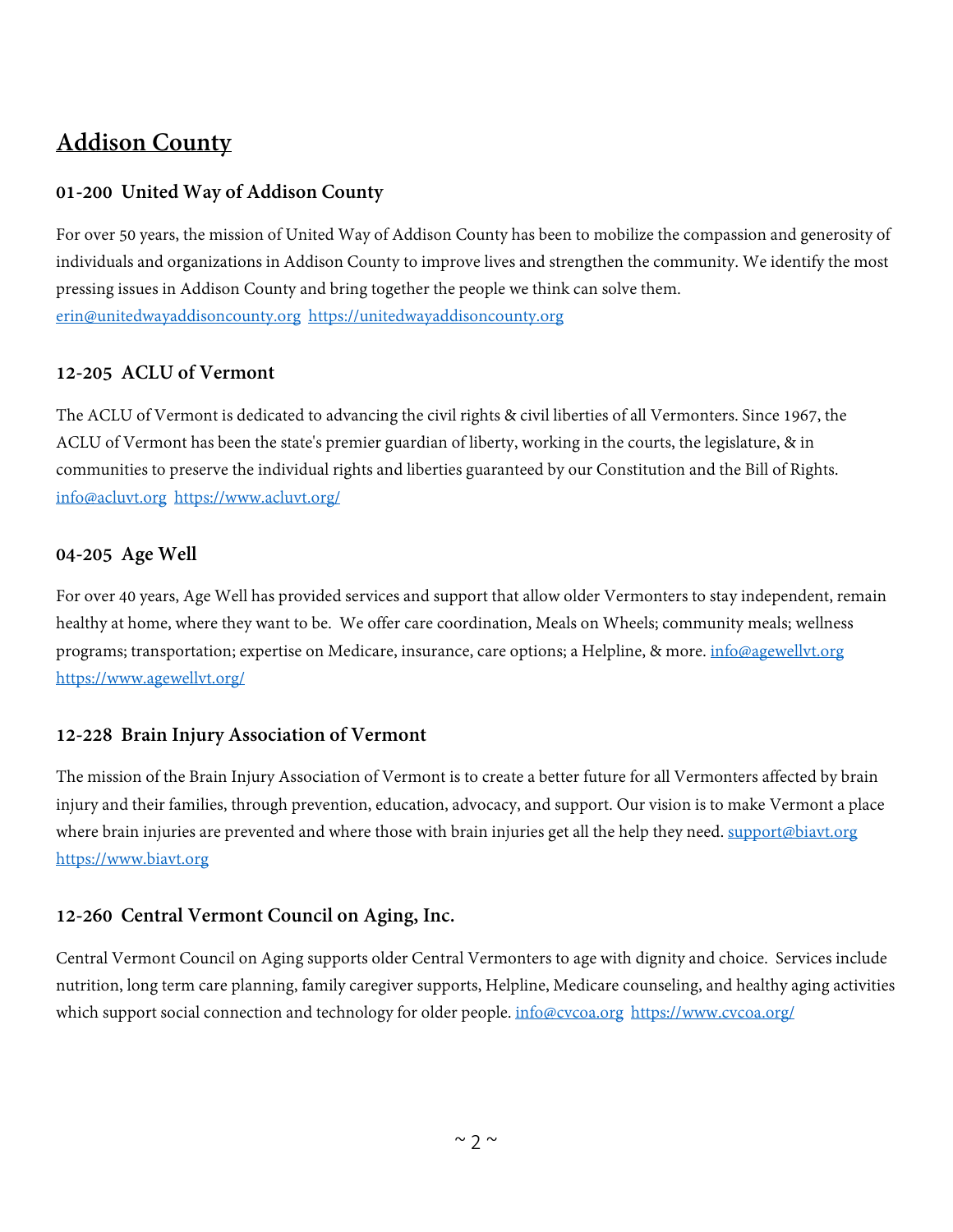# <span id="page-1-0"></span>**Addison County**

# **01-200 United Way of Addison County**

For over 50 years, the mission of United Way of Addison County has been to mobilize the compassion and generosity of individuals and organizations in Addison County to improve lives and strengthen the community. We identify the most pressing issues in Addison County and bring together the people we think can solve them. [erin@unitedwayaddisoncounty.org](mailto:erin@unitedwayaddisoncounty.org) [https://unitedwayaddisoncounty.org](https://unitedwayaddisoncounty.org/)

# **12-205 ACLU of Vermont**

The ACLU of Vermont is dedicated to advancing the civil rights & civil liberties of all Vermonters. Since 1967, the ACLU of Vermont has been the state's premier guardian of liberty, working in the courts, the legislature, & in communities to preserve the individual rights and liberties guaranteed by our Constitution and the Bill of Rights. [info@acluvt.org](mailto:info@acluvt.org) <https://www.acluvt.org/>

#### **04-205 Age Well**

For over 40 years, Age Well has provided services and support that allow older Vermonters to stay independent, remain healthy at home, where they want to be. We offer care coordination, Meals on Wheels; community meals; wellness programs; transportation; expertise on Medicare, insurance, care options; a Helpline, & more. [info@agewellvt.org](mailto:info@agewellvt.org) <https://www.agewellvt.org/>

# **12-228 Brain Injury Association of Vermont**

The mission of the Brain Injury Association of Vermont is to create a better future for all Vermonters affected by brain injury and their families, through prevention, education, advocacy, and support. Our vision is to make Vermont a place where brain injuries are prevented and where those with brain injuries get all the help they need. [support@biavt.org](mailto:support@biavt.org) [https://www.biavt.org](https://www.biavt.org/)

#### **12-260 Central Vermont Council on Aging, Inc.**

Central Vermont Council on Aging supports older Central Vermonters to age with dignity and choice. Services include nutrition, long term care planning, family caregiver supports, Helpline, Medicare counseling, and healthy aging activities which support social connection and technology for older people. [info@cvcoa.org](mailto:info@cvcoa.org) <https://www.cvcoa.org/>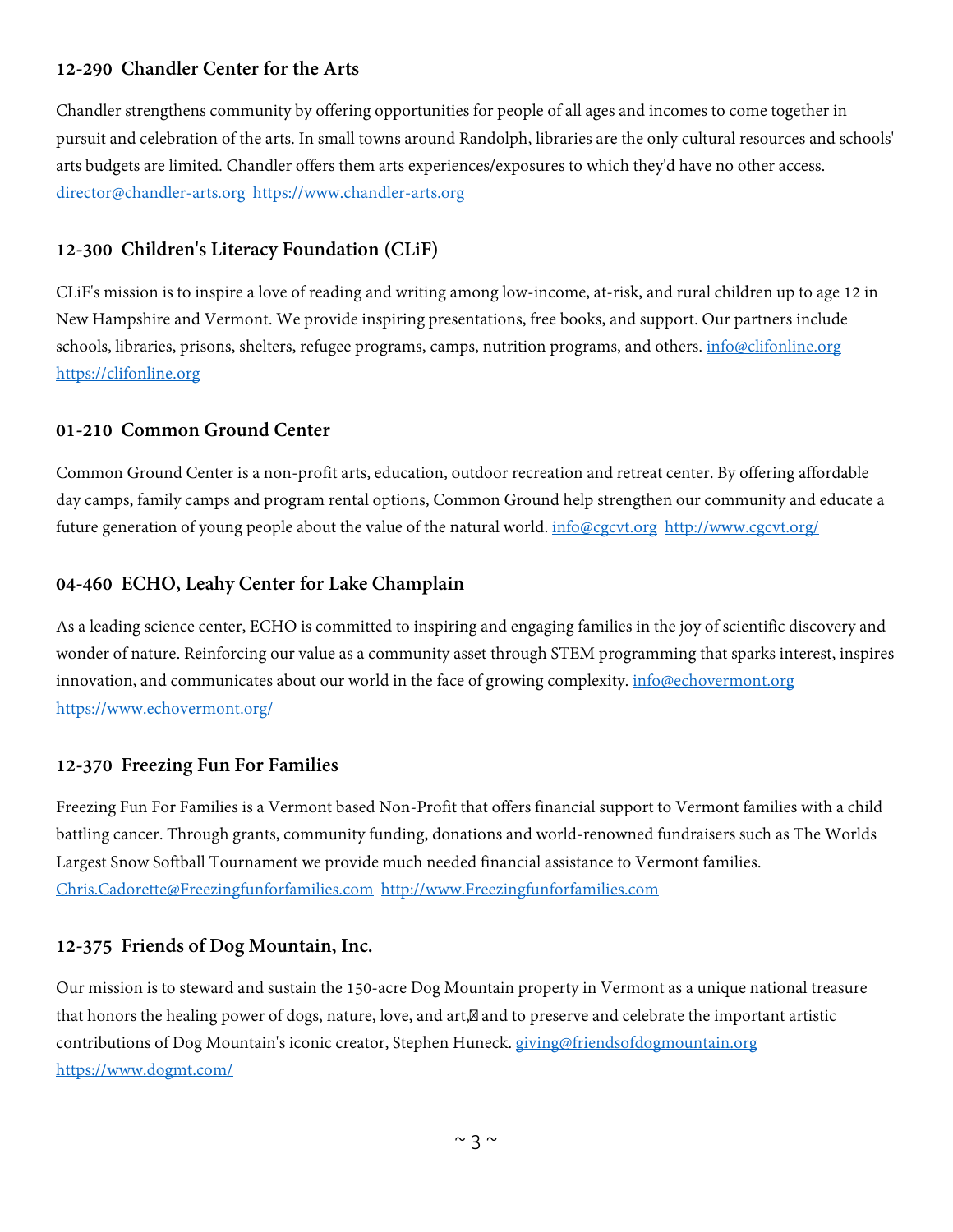#### **12-290 Chandler Center for the Arts**

Chandler strengthens community by offering opportunities for people of all ages and incomes to come together in pursuit and celebration of the arts. In small towns around Randolph, libraries are the only cultural resources and schools' arts budgets are limited. Chandler offers them arts experiences/exposures to which they'd have no other access. [director@chandler-arts.org](mailto:director@chandler-arts.org) [https://www.chandler-arts.org](https://www.chandler-arts.org/)

# **12-300 Children's Literacy Foundation (CLiF)**

CLiF's mission is to inspire a love of reading and writing among low-income, at-risk, and rural children up to age 12 in New Hampshire and Vermont. We provide inspiring presentations, free books, and support. Our partners include schools, libraries, prisons, shelters, refugee programs, camps, nutrition programs, and others. [info@clifonline.org](mailto:info@clifonline.org) [https://clifonline.org](https://clifonline.org/)

#### **01-210 Common Ground Center**

Common Ground Center is a non-profit arts, education, outdoor recreation and retreat center. By offering affordable day camps, family camps and program rental options, Common Ground help strengthen our community and educate a future generation of young people about the value of the natural world. [info@cgcvt.org](mailto:info@cgcvt.org) <http://www.cgcvt.org/>

#### **04-460 ECHO, Leahy Center for Lake Champlain**

As a leading science center, ECHO is committed to inspiring and engaging families in the joy of scientific discovery and wonder of nature. Reinforcing our value as a community asset through STEM programming that sparks interest, inspires innovation, and communicates about our world in the face of growing complexity. [info@echovermont.org](mailto:info@echovermont.org) <https://www.echovermont.org/>

#### **12-370 Freezing Fun For Families**

Freezing Fun For Families is a Vermont based Non-Profit that offers financial support to Vermont families with a child battling cancer. Through grants, community funding, donations and world-renowned fundraisers such as The Worlds Largest Snow Softball Tournament we provide much needed financial assistance to Vermont families. [Chris.Cadorette@Freezingfunforfamilies.com](mailto:Chris.Cadorette@Freezingfunforfamilies.com) [http://www.Freezingfunforfamilies.com](http://www.freezingfunforfamilies.com/)

#### **12-375 Friends of Dog Mountain, Inc.**

Our mission is to steward and sustain the 150-acre Dog Mountain property in Vermont as a unique national treasure that honors the healing power of dogs, nature, love, and art, and to preserve and celebrate the important artistic contributions of Dog Mountain's iconic creator, Stephen Huneck. [giving@friendsofdogmountain.org](mailto:giving@friendsofdogmountain.org) <https://www.dogmt.com/>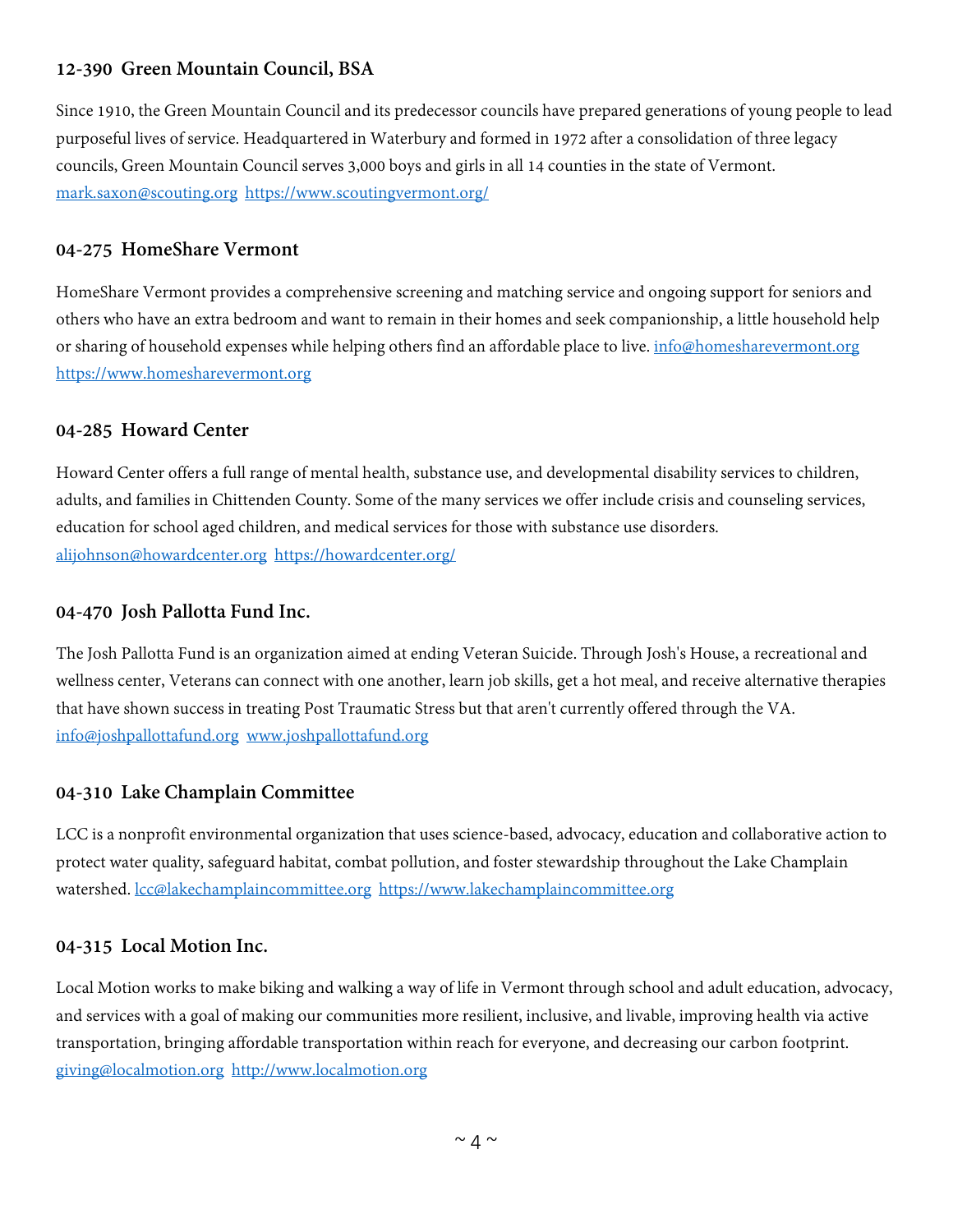#### **12-390 Green Mountain Council, BSA**

Since 1910, the Green Mountain Council and its predecessor councils have prepared generations of young people to lead purposeful lives of service. Headquartered in Waterbury and formed in 1972 after a consolidation of three legacy councils, Green Mountain Council serves 3,000 boys and girls in all 14 counties in the state of Vermont. [mark.saxon@scouting.org](mailto:mark.saxon@scouting.org) <https://www.scoutingvermont.org/>

#### **04-275 HomeShare Vermont**

HomeShare Vermont provides a comprehensive screening and matching service and ongoing support for seniors and others who have an extra bedroom and want to remain in their homes and seek companionship, a little household help or sharing of household expenses while helping others find an affordable place to live. [info@homesharevermont.org](mailto:info@homesharevermont.org) [https://www.homesharevermont.org](https://www.homesharevermont.org/)

#### **04-285 Howard Center**

Howard Center offers a full range of mental health, substance use, and developmental disability services to children, adults, and families in Chittenden County. Some of the many services we offer include crisis and counseling services, education for school aged children, and medical services for those with substance use disorders. [alijohnson@howardcenter.org](mailto:alijohnson@howardcenter.org) <https://howardcenter.org/>

#### **04-470 Josh Pallotta Fund Inc.**

The Josh Pallotta Fund is an organization aimed at ending Veteran Suicide. Through Josh's House, a recreational and wellness center, Veterans can connect with one another, learn job skills, get a hot meal, and receive alternative therapies that have shown success in treating Post Traumatic Stress but that aren't currently offered through the VA. [info@joshpallottafund.org](mailto:info@joshpallottafund.org) [www.joshpallottafund.org](http://www.joshpallottafund.org/)

#### **04-310 Lake Champlain Committee**

LCC is a nonprofit environmental organization that uses science-based, advocacy, education and collaborative action to protect water quality, safeguard habitat, combat pollution, and foster stewardship throughout the Lake Champlain watershed. [lcc@lakechamplaincommittee.org](mailto:lcc@lakechamplaincommittee.org) [https://www.lakechamplaincommittee.org](https://www.lakechamplaincommittee.org/)

#### **04-315 Local Motion Inc.**

Local Motion works to make biking and walking a way of life in Vermont through school and adult education, advocacy, and services with a goal of making our communities more resilient, inclusive, and livable, improving health via active transportation, bringing affordable transportation within reach for everyone, and decreasing our carbon footprint. [giving@localmotion.org](mailto:giving@localmotion.org) [http://www.localmotion.org](http://www.localmotion.org/)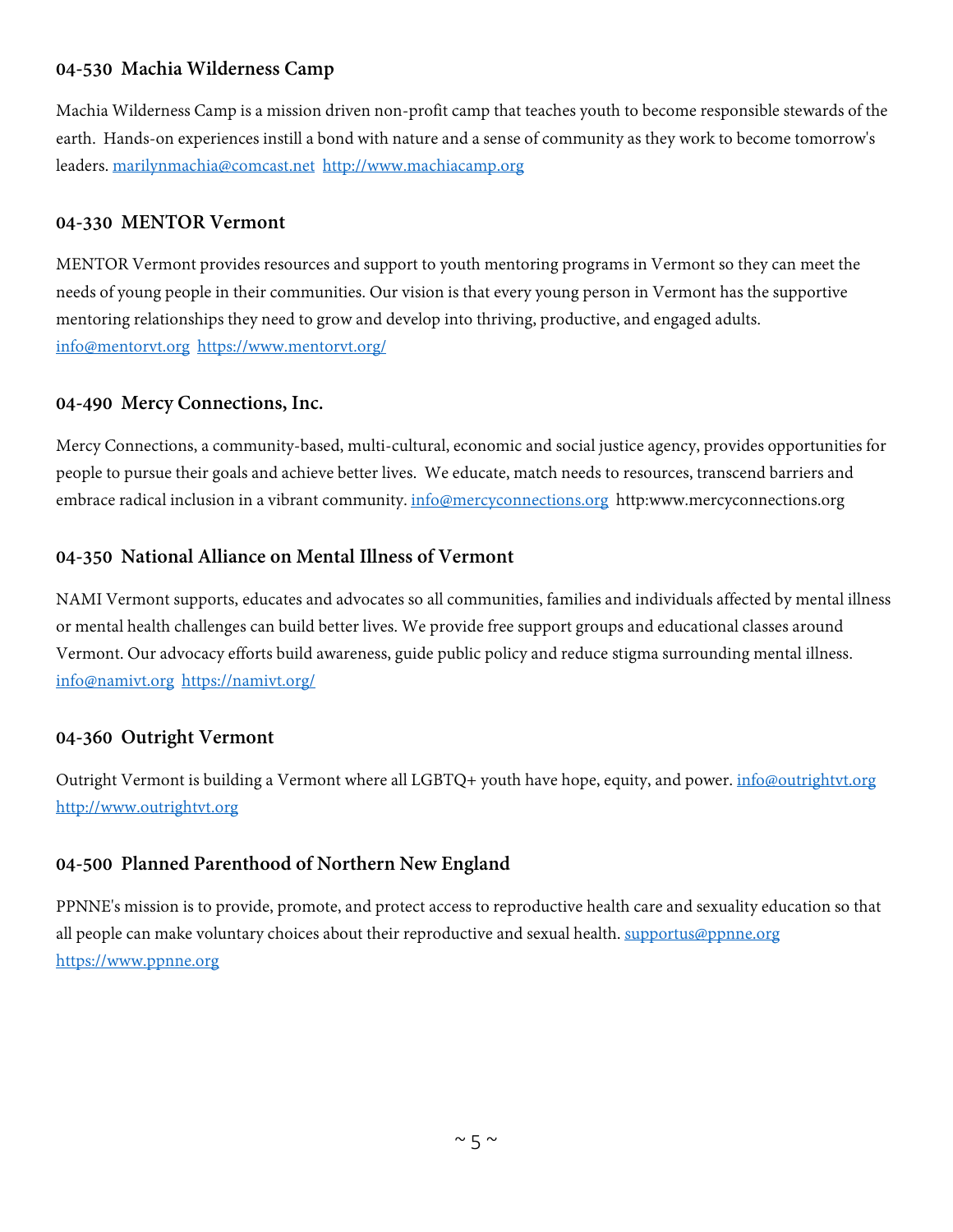#### **04-530 Machia Wilderness Camp**

Machia Wilderness Camp is a mission driven non-profit camp that teaches youth to become responsible stewards of the earth. Hands-on experiences instill a bond with nature and a sense of community as they work to become tomorrow's leaders. [marilynmachia@comcast.net](mailto:marilynmachia@comcast.net) [http://www.machiacamp.org](http://www.machiacamp.org/)

#### **04-330 MENTOR Vermont**

MENTOR Vermont provides resources and support to youth mentoring programs in Vermont so they can meet the needs of young people in their communities. Our vision is that every young person in Vermont has the supportive mentoring relationships they need to grow and develop into thriving, productive, and engaged adults. [info@mentorvt.org](mailto:info@mentorvt.org) <https://www.mentorvt.org/>

#### **04-490 Mercy Connections, Inc.**

Mercy Connections, a community-based, multi-cultural, economic and social justice agency, provides opportunities for people to pursue their goals and achieve better lives. We educate, match needs to resources, transcend barriers and embrace radical inclusion in a vibrant community. [info@mercyconnections.org](mailto:info@mercyconnections.org) http:www.mercyconnections.org

#### **04-350 National Alliance on Mental Illness of Vermont**

NAMI Vermont supports, educates and advocates so all communities, families and individuals affected by mental illness or mental health challenges can build better lives. We provide free support groups and educational classes around Vermont. Our advocacy efforts build awareness, guide public policy and reduce stigma surrounding mental illness. [info@namivt.org](mailto:info@namivt.org) <https://namivt.org/>

#### **04-360 Outright Vermont**

Outright Vermont is building a Vermont where all LGBTQ+ youth have hope, equity, and power. [info@outrightvt.org](mailto:info@outrightvt.org) [http://www.outrightvt.org](http://www.outrightvt.org/)

#### **04-500 Planned Parenthood of Northern New England**

PPNNE's mission is to provide, promote, and protect access to reproductive health care and sexuality education so that all people can make voluntary choices about their reproductive and sexual health. [supportus@ppnne.org](mailto:supportus@ppnne.org) [https://www.ppnne.org](https://www.ppnne.org/)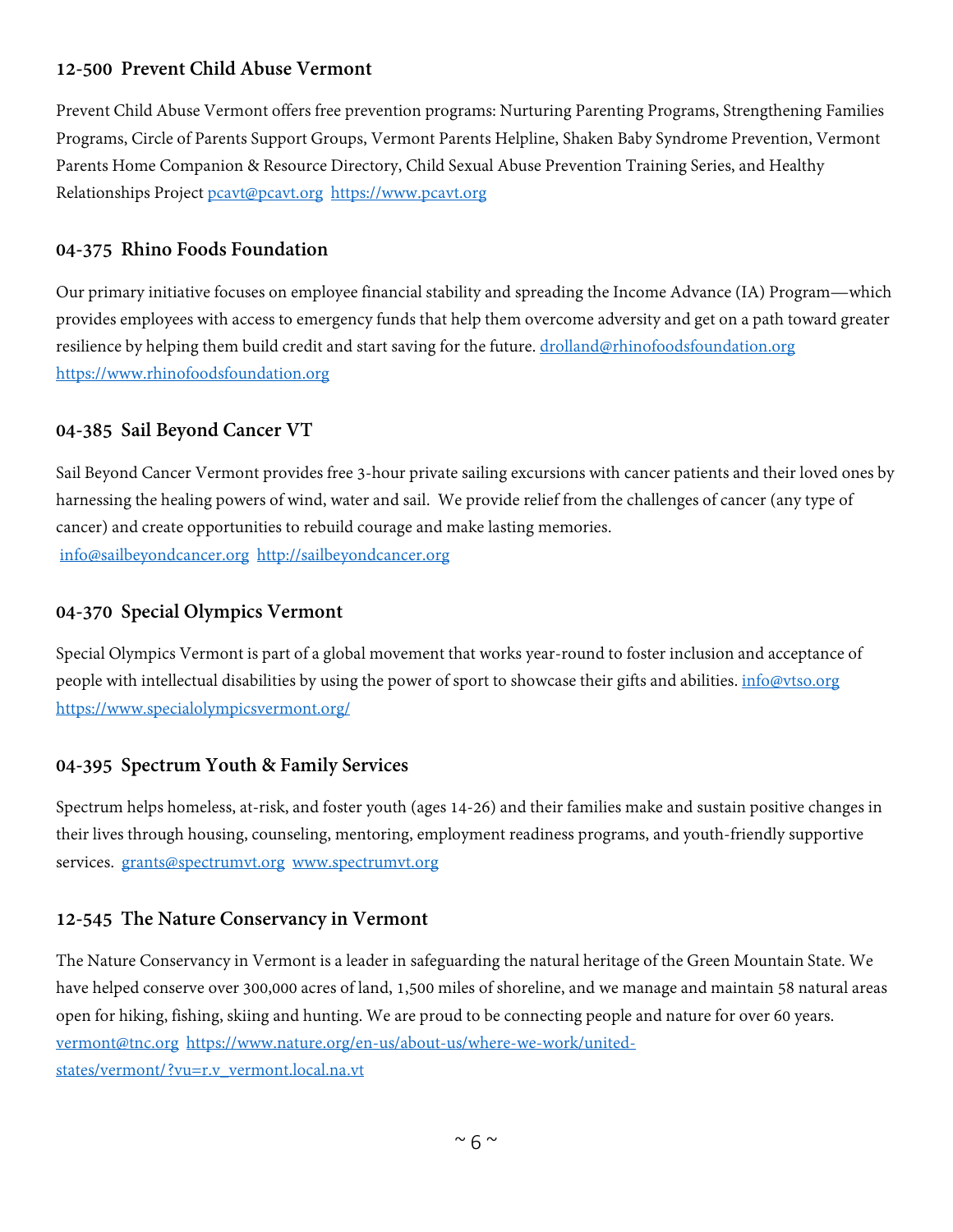#### **12-500 Prevent Child Abuse Vermont**

Prevent Child Abuse Vermont offers free prevention programs: Nurturing Parenting Programs, Strengthening Families Programs, Circle of Parents Support Groups, Vermont Parents Helpline, Shaken Baby Syndrome Prevention, Vermont Parents Home Companion & Resource Directory, Child Sexual Abuse Prevention Training Series, and Healthy Relationships Project [pcavt@pcavt.org](mailto:pcavt@pcavt.org) [https://www.pcavt.org](https://www.pcavt.org/)

#### **04-375 Rhino Foods Foundation**

Our primary initiative focuses on employee financial stability and spreading the Income Advance (IA) Program—which provides employees with access to emergency funds that help them overcome adversity and get on a path toward greater resilience by helping them build credit and start saving for the future. [drolland@rhinofoodsfoundation.org](mailto:drolland@rhinofoodsfoundation.org) [https://www.rhinofoodsfoundation.org](https://www.rhinofoodsfoundation.org/)

#### **04-385 Sail Beyond Cancer VT**

Sail Beyond Cancer Vermont provides free 3-hour private sailing excursions with cancer patients and their loved ones by harnessing the healing powers of wind, water and sail. We provide relief from the challenges of cancer (any type of cancer) and create opportunities to rebuild courage and make lasting memories. [info@sailbeyondcancer.org](mailto:info@sailbeyondcancer.org) [http://sailbeyondcancer.org](http://sailbeyondcancer.org/)

#### **04-370 Special Olympics Vermont**

Special Olympics Vermont is part of a global movement that works year-round to foster inclusion and acceptance of people with intellectual disabilities by using the power of sport to showcase their gifts and abilities. [info@vtso.org](mailto:info@vtso.org) <https://www.specialolympicsvermont.org/>

#### **04-395 Spectrum Youth & Family Services**

Spectrum helps homeless, at-risk, and foster youth (ages 14-26) and their families make and sustain positive changes in their lives through housing, counseling, mentoring, employment readiness programs, and youth-friendly supportive services. [grants@spectrumvt.org](mailto:grants@spectrumvt.org) [www.spectrumvt.org](http://www.spectrumvt.org/)

#### **12-545 The Nature Conservancy in Vermont**

The Nature Conservancy in Vermont is a leader in safeguarding the natural heritage of the Green Mountain State. We have helped conserve over 300,000 acres of land, 1,500 miles of shoreline, and we manage and maintain 58 natural areas open for hiking, fishing, skiing and hunting. We are proud to be connecting people and nature for over 60 years. [vermont@tnc.org](mailto:vermont@tnc.org) [https://www.nature.org/en-us/about-us/where-we-work/united](https://www.nature.org/en-us/about-us/where-we-work/united-states/vermont/?vu=r.v_vermont.local.na.vt)[states/vermont/?vu=r.v\\_vermont.local.na.vt](https://www.nature.org/en-us/about-us/where-we-work/united-states/vermont/?vu=r.v_vermont.local.na.vt)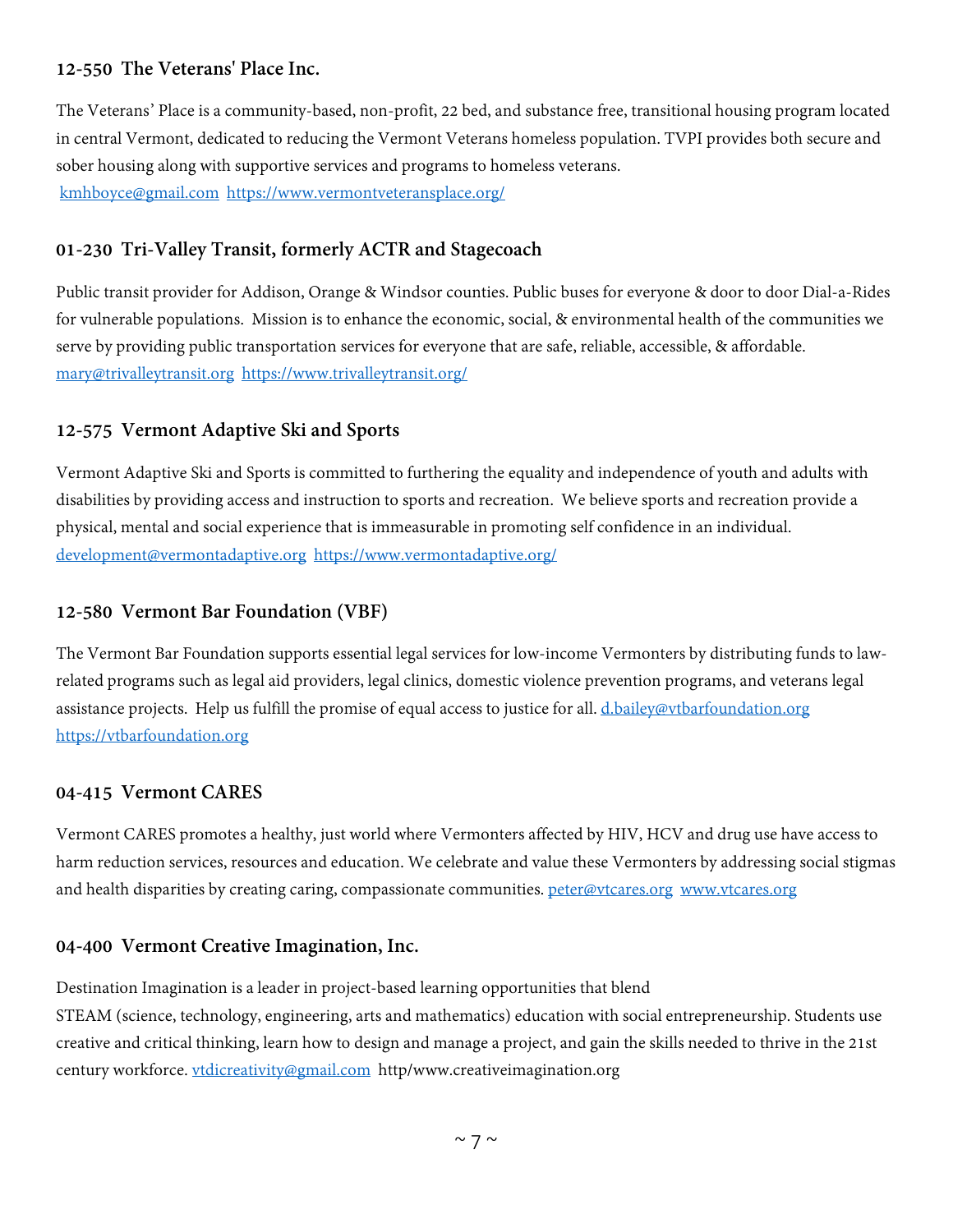# **12-550 The Veterans' Place Inc.**

The Veterans' Place is a community-based, non-profit, 22 bed, and substance free, transitional housing program located in central Vermont, dedicated to reducing the Vermont Veterans homeless population. TVPI provides both secure and sober housing along with supportive services and programs to homeless veterans. [kmhboyce@gmail.com](mailto:kmhboyce@gmail.com) <https://www.vermontveteransplace.org/>

# **01-230 Tri-Valley Transit, formerly ACTR and Stagecoach**

Public transit provider for Addison, Orange & Windsor counties. Public buses for everyone & door to door Dial-a-Rides for vulnerable populations. Mission is to enhance the economic, social, & environmental health of the communities we serve by providing public transportation services for everyone that are safe, reliable, accessible, & affordable. [mary@trivalleytransit.org](mailto:mary@trivalleytransit.org) <https://www.trivalleytransit.org/>

# **12-575 Vermont Adaptive Ski and Sports**

Vermont Adaptive Ski and Sports is committed to furthering the equality and independence of youth and adults with disabilities by providing access and instruction to sports and recreation. We believe sports and recreation provide a physical, mental and social experience that is immeasurable in promoting self confidence in an individual. [development@vermontadaptive.org](mailto:development@vermontadaptive.org) <https://www.vermontadaptive.org/>

#### **12-580 Vermont Bar Foundation (VBF)**

The Vermont Bar Foundation supports essential legal services for low-income Vermonters by distributing funds to lawrelated programs such as legal aid providers, legal clinics, domestic violence prevention programs, and veterans legal assistance projects. Help us fulfill the promise of equal access to justice for all. [d.bailey@vtbarfoundation.org](mailto:d.bailey@vtbarfoundation.org) [https://vtbarfoundation.org](https://vtbarfoundation.org/)

#### **04-415 Vermont CARES**

Vermont CARES promotes a healthy, just world where Vermonters affected by HIV, HCV and drug use have access to harm reduction services, resources and education. We celebrate and value these Vermonters by addressing social stigmas and health disparities by creating caring, compassionate communities. [peter@vtcares.org](mailto:peter@vtcares.org) [www.vtcares.org](http://www.vtcares.org/)

#### **04-400 Vermont Creative Imagination, Inc.**

Destination Imagination is a leader in project-based learning opportunities that blend STEAM (science, technology, engineering, arts and mathematics) education with social entrepreneurship. Students use creative and critical thinking, learn how to design and manage a project, and gain the skills needed to thrive in the 21st century workforce. [vtdicreativity@gmail.com](mailto:vtdicreativity@gmail.com) http/www.creativeimagination.org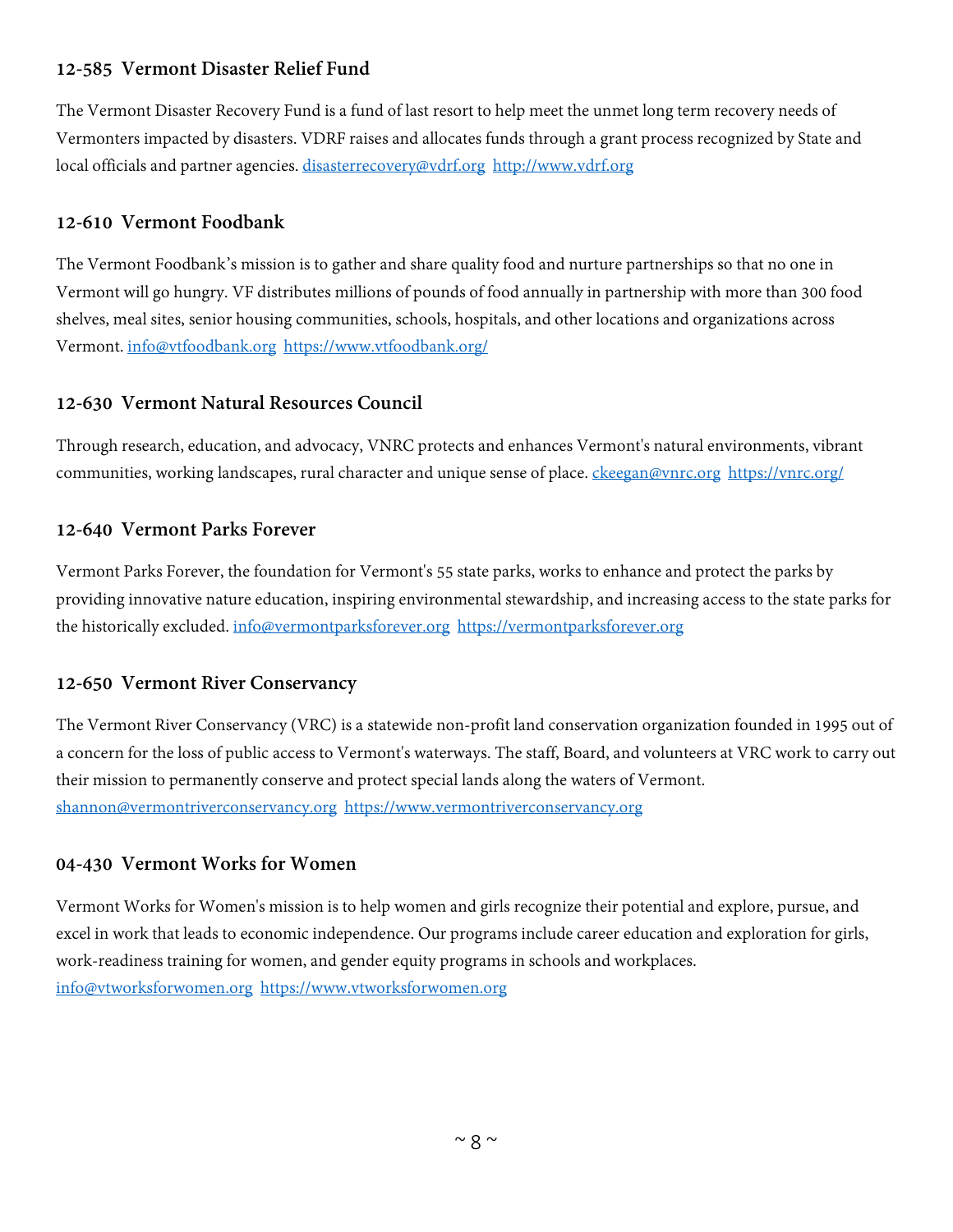# **12-585 Vermont Disaster Relief Fund**

The Vermont Disaster Recovery Fund is a fund of last resort to help meet the unmet long term recovery needs of Vermonters impacted by disasters. VDRF raises and allocates funds through a grant process recognized by State and local officials and partner agencies. [disasterrecovery@vdrf.org](mailto:disasterrecovery@vdrf.org) [http://www.vdrf.org](http://www.vdrf.org/)

# **12-610 Vermont Foodbank**

The Vermont Foodbank's mission is to gather and share quality food and nurture partnerships so that no one in Vermont will go hungry. VF distributes millions of pounds of food annually in partnership with more than 300 food shelves, meal sites, senior housing communities, schools, hospitals, and other locations and organizations across Vermont. [info@vtfoodbank.org](mailto:info@vtfoodbank.org) <https://www.vtfoodbank.org/>

# **12-630 Vermont Natural Resources Council**

Through research, education, and advocacy, VNRC protects and enhances Vermont's natural environments, vibrant communities, working landscapes, rural character and unique sense of place. [ckeegan@vnrc.org](mailto:ckeegan@vnrc.org) <https://vnrc.org/>

# **12-640 Vermont Parks Forever**

Vermont Parks Forever, the foundation for Vermont's 55 state parks, works to enhance and protect the parks by providing innovative nature education, inspiring environmental stewardship, and increasing access to the state parks for the historically excluded. [info@vermontparksforever.org](mailto:info@vermontparksforever.org) [https://vermontparksforever.org](https://vermontparksforever.org/)

# **12-650 Vermont River Conservancy**

The Vermont River Conservancy (VRC) is a statewide non-profit land conservation organization founded in 1995 out of a concern for the loss of public access to Vermont's waterways. The staff, Board, and volunteers at VRC work to carry out their mission to permanently conserve and protect special lands along the waters of Vermont. [shannon@vermontriverconservancy.org](mailto:shannon@vermontriverconservancy.org) [https://www.vermontriverconservancy.org](https://www.vermontriverconservancy.org/)

#### **04-430 Vermont Works for Women**

Vermont Works for Women's mission is to help women and girls recognize their potential and explore, pursue, and excel in work that leads to economic independence. Our programs include career education and exploration for girls, work-readiness training for women, and gender equity programs in schools and workplaces. [info@vtworksforwomen.org](mailto:info@vtworksforwomen.org) [https://www.vtworksforwomen.org](https://www.vtworksforwomen.org/)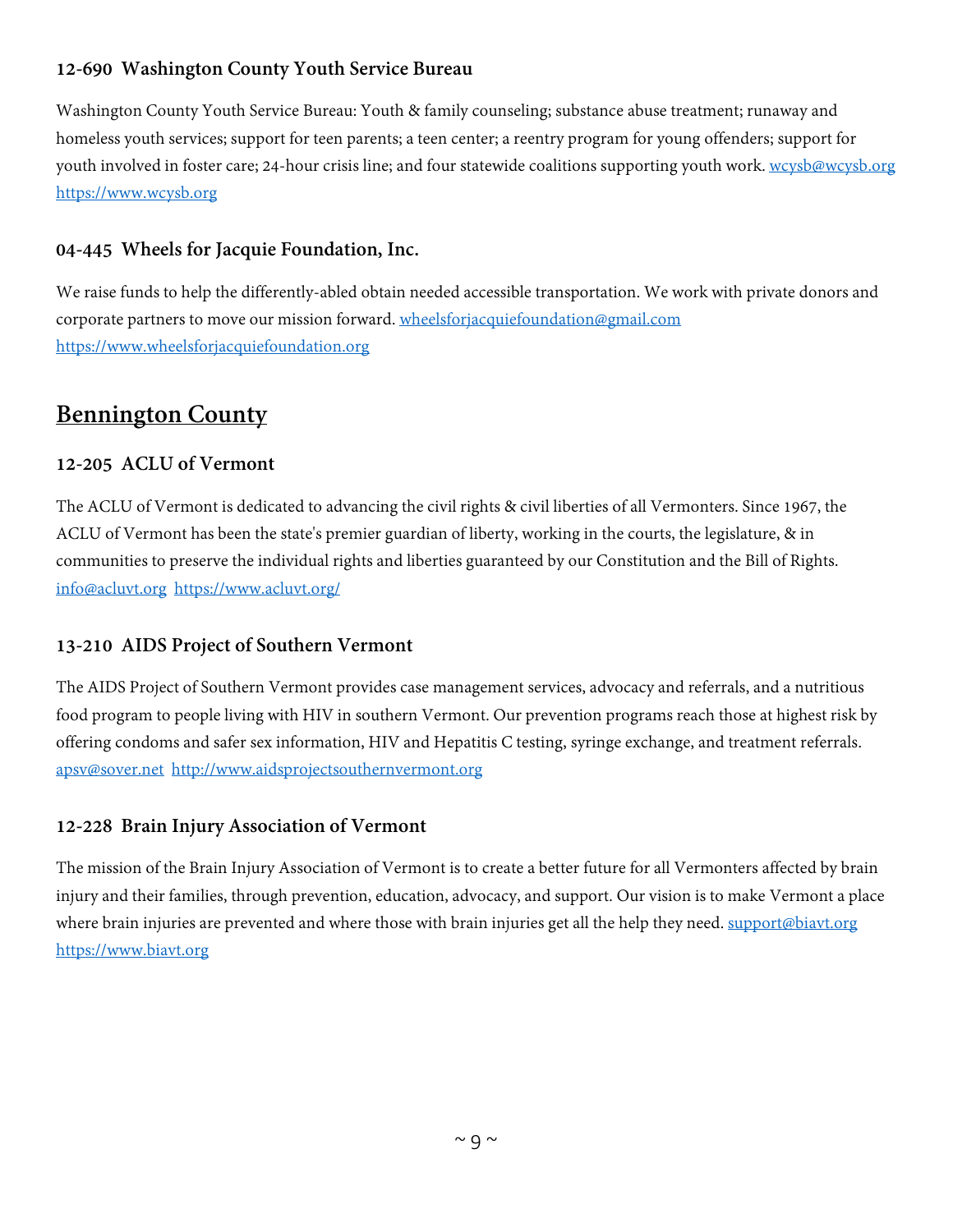# **12-690 Washington County Youth Service Bureau**

Washington County Youth Service Bureau: Youth & family counseling; substance abuse treatment; runaway and homeless youth services; support for teen parents; a teen center; a reentry program for young offenders; support for youth involved in foster care; 24-hour crisis line; and four statewide coalitions supporting youth work. [wcysb@wcysb.org](mailto:wcysb@wcysb.org) [https://www.wcysb.org](https://www.wcysb.org/)

#### **04-445 Wheels for Jacquie Foundation, Inc.**

We raise funds to help the differently-abled obtain needed accessible transportation. We work with private donors and corporate partners to move our mission forward. [wheelsforjacquiefoundation@gmail.com](mailto:wheelsforjacquiefoundation@gmail.com) [https://www.wheelsforjacquiefoundation.org](https://www.wheelsforjacquiefoundation.org/)

# <span id="page-8-0"></span>**Bennington County**

#### **12-205 ACLU of Vermont**

The ACLU of Vermont is dedicated to advancing the civil rights & civil liberties of all Vermonters. Since 1967, the ACLU of Vermont has been the state's premier guardian of liberty, working in the courts, the legislature, & in communities to preserve the individual rights and liberties guaranteed by our Constitution and the Bill of Rights. [info@acluvt.org](mailto:info@acluvt.org) <https://www.acluvt.org/>

#### **13-210 AIDS Project of Southern Vermont**

The AIDS Project of Southern Vermont provides case management services, advocacy and referrals, and a nutritious food program to people living with HIV in southern Vermont. Our prevention programs reach those at highest risk by offering condoms and safer sex information, HIV and Hepatitis C testing, syringe exchange, and treatment referrals. [apsv@sover.net](mailto:apsv@sover.net) [http://www.aidsprojectsouthernvermont.org](http://www.aidsprojectsouthernvermont.org/)

#### **12-228 Brain Injury Association of Vermont**

The mission of the Brain Injury Association of Vermont is to create a better future for all Vermonters affected by brain injury and their families, through prevention, education, advocacy, and support. Our vision is to make Vermont a place where brain injuries are prevented and where those with brain injuries get all the help they need. [support@biavt.org](mailto:support@biavt.org) [https://www.biavt.org](https://www.biavt.org/)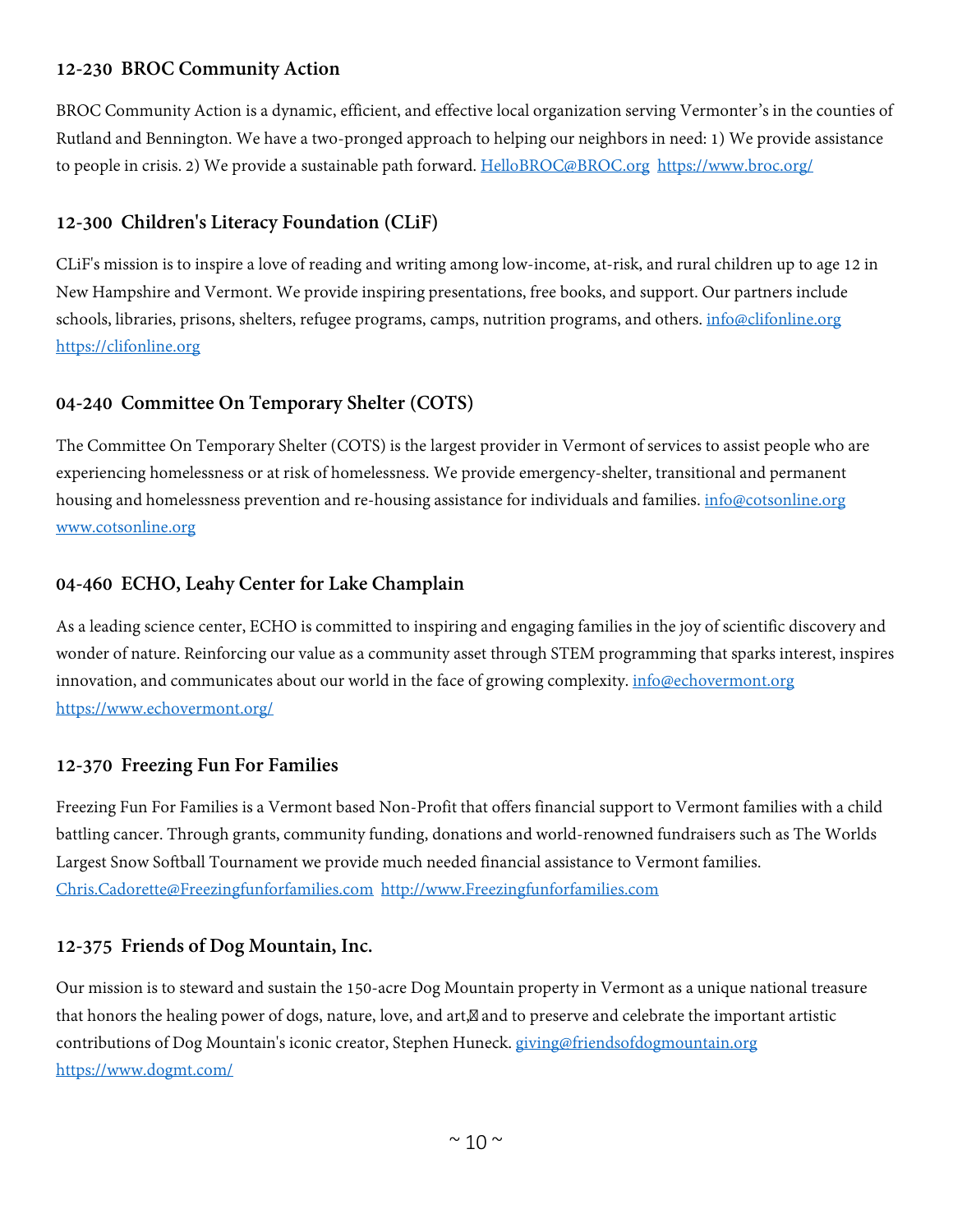#### **12-230 BROC Community Action**

BROC Community Action is a dynamic, efficient, and effective local organization serving Vermonter's in the counties of Rutland and Bennington. We have a two-pronged approach to helping our neighbors in need: 1) We provide assistance to people in crisis. 2) We provide a sustainable path forward. [HelloBROC@BROC.org](mailto:HelloBROC@BROC.org) <https://www.broc.org/>

# **12-300 Children's Literacy Foundation (CLiF)**

CLiF's mission is to inspire a love of reading and writing among low-income, at-risk, and rural children up to age 12 in New Hampshire and Vermont. We provide inspiring presentations, free books, and support. Our partners include schools, libraries, prisons, shelters, refugee programs, camps, nutrition programs, and others. [info@clifonline.org](mailto:info@clifonline.org) [https://clifonline.org](https://clifonline.org/)

#### **04-240 Committee On Temporary Shelter (COTS)**

The Committee On Temporary Shelter (COTS) is the largest provider in Vermont of services to assist people who are experiencing homelessness or at risk of homelessness. We provide emergency-shelter, transitional and permanent housing and homelessness prevention and re-housing assistance for individuals and families. [info@cotsonline.org](mailto:info@cotsonline.org) [www.cotsonline.org](http://www.cotsonline.org/)

#### **04-460 ECHO, Leahy Center for Lake Champlain**

As a leading science center, ECHO is committed to inspiring and engaging families in the joy of scientific discovery and wonder of nature. Reinforcing our value as a community asset through STEM programming that sparks interest, inspires innovation, and communicates about our world in the face of growing complexity. [info@echovermont.org](mailto:info@echovermont.org) <https://www.echovermont.org/>

#### **12-370 Freezing Fun For Families**

Freezing Fun For Families is a Vermont based Non-Profit that offers financial support to Vermont families with a child battling cancer. Through grants, community funding, donations and world-renowned fundraisers such as The Worlds Largest Snow Softball Tournament we provide much needed financial assistance to Vermont families. [Chris.Cadorette@Freezingfunforfamilies.com](mailto:Chris.Cadorette@Freezingfunforfamilies.com) [http://www.Freezingfunforfamilies.com](http://www.freezingfunforfamilies.com/)

#### **12-375 Friends of Dog Mountain, Inc.**

Our mission is to steward and sustain the 150-acre Dog Mountain property in Vermont as a unique national treasure that honors the healing power of dogs, nature, love, and art, and to preserve and celebrate the important artistic contributions of Dog Mountain's iconic creator, Stephen Huneck. [giving@friendsofdogmountain.org](mailto:giving@friendsofdogmountain.org) <https://www.dogmt.com/>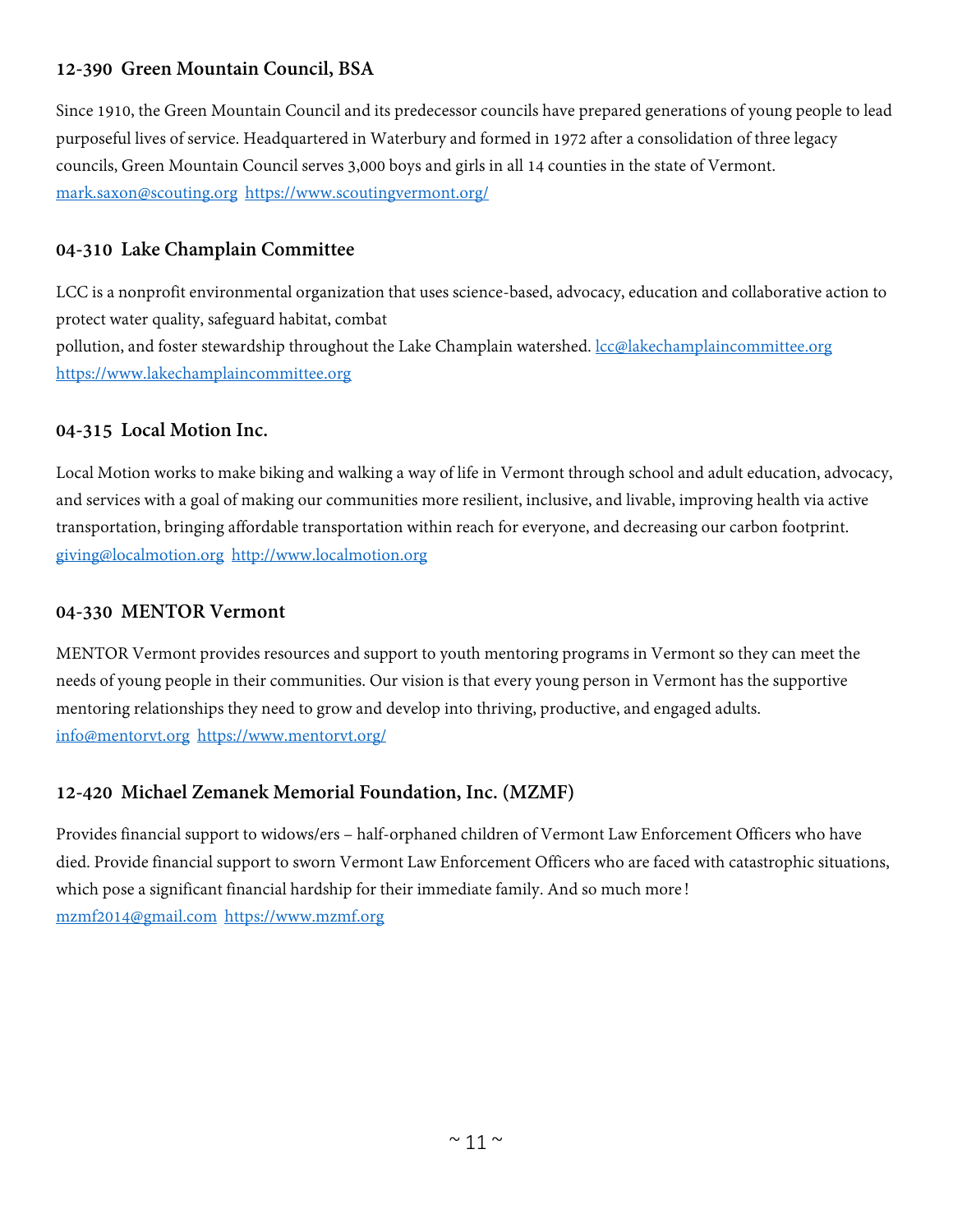# **12-390 Green Mountain Council, BSA**

Since 1910, the Green Mountain Council and its predecessor councils have prepared generations of young people to lead purposeful lives of service. Headquartered in Waterbury and formed in 1972 after a consolidation of three legacy councils, Green Mountain Council serves 3,000 boys and girls in all 14 counties in the state of Vermont. [mark.saxon@scouting.org](mailto:mark.saxon@scouting.org) <https://www.scoutingvermont.org/>

#### **04-310 Lake Champlain Committee**

LCC is a nonprofit environmental organization that uses science-based, advocacy, education and collaborative action to protect water quality, safeguard habitat, combat pollution, and foster stewardship throughout the Lake Champlain watershed. *[lcc@lakechamplaincommittee.org](mailto:lcc@lakechamplaincommittee.org)* [https://www.lakechamplaincommittee.org](https://www.lakechamplaincommittee.org/)

#### **04-315 Local Motion Inc.**

Local Motion works to make biking and walking a way of life in Vermont through school and adult education, advocacy, and services with a goal of making our communities more resilient, inclusive, and livable, improving health via active transportation, bringing affordable transportation within reach for everyone, and decreasing our carbon footprint. [giving@localmotion.org](mailto:giving@localmotion.org) [http://www.localmotion.org](http://www.localmotion.org/)

#### **04-330 MENTOR Vermont**

MENTOR Vermont provides resources and support to youth mentoring programs in Vermont so they can meet the needs of young people in their communities. Our vision is that every young person in Vermont has the supportive mentoring relationships they need to grow and develop into thriving, productive, and engaged adults. [info@mentorvt.org](mailto:info@mentorvt.org) <https://www.mentorvt.org/>

# **12-420 Michael Zemanek Memorial Foundation, Inc. (MZMF)**

Provides financial support to widows/ers – half-orphaned children of Vermont Law Enforcement Officers who have died. Provide financial support to sworn Vermont Law Enforcement Officers who are faced with catastrophic situations, which pose a significant financial hardship for their immediate family. And so much more! [mzmf2014@gmail.com](mailto:mzmf2014@gmail.com) [https://www.mzmf.org](https://www.mzmf.org/)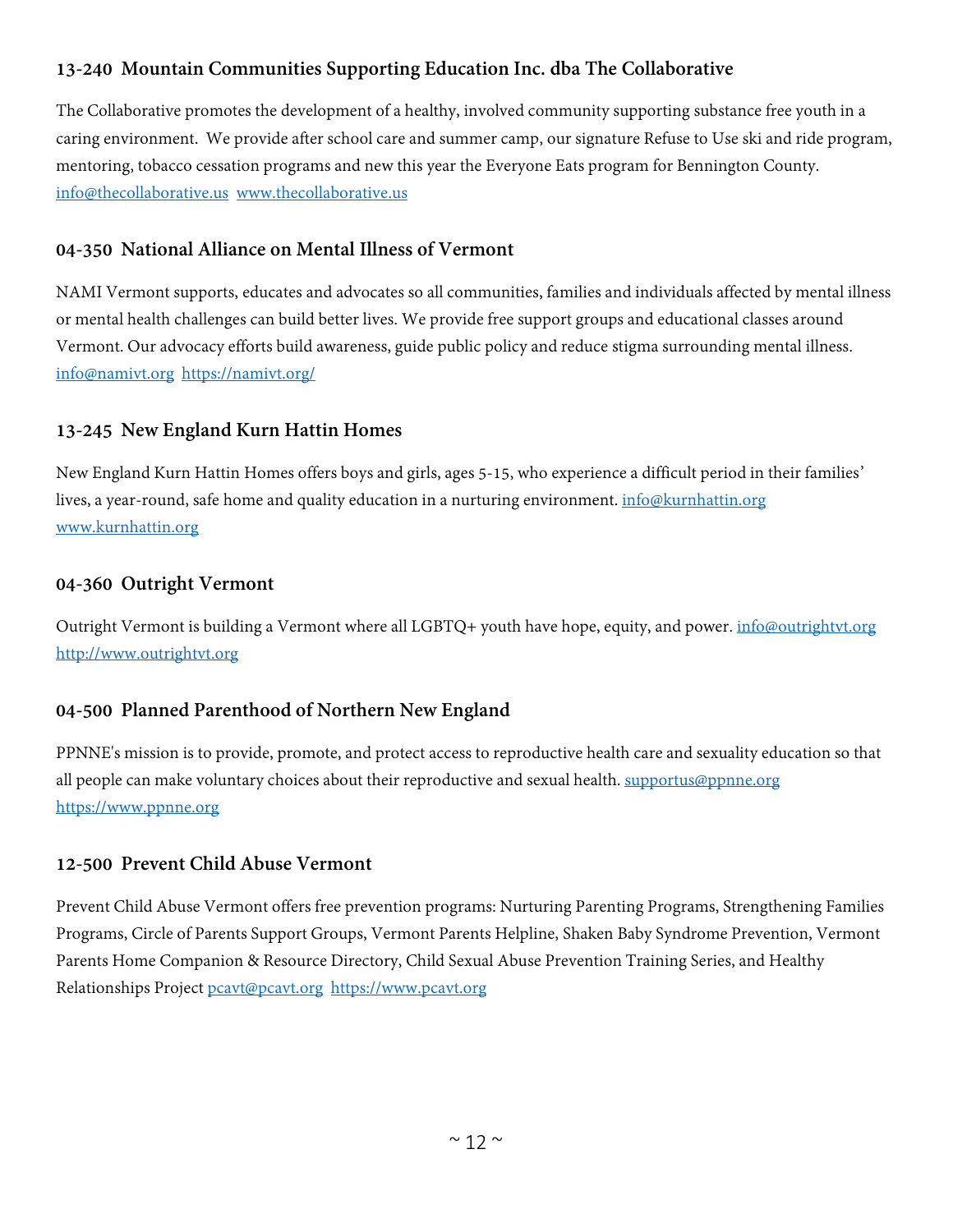# **13-240 Mountain Communities Supporting Education Inc. dba The Collaborative**

The Collaborative promotes the development of a healthy, involved community supporting substance free youth in a caring environment. We provide after school care and summer camp, our signature Refuse to Use ski and ride program, mentoring, tobacco cessation programs and new this year the Everyone Eats program for Bennington County. [info@thecollaborative.us](mailto:info@thecollaborative.us) [www.thecollaborative.us](http://www.thecollaborative.us/)

#### **04-350 National Alliance on Mental Illness of Vermont**

NAMI Vermont supports, educates and advocates so all communities, families and individuals affected by mental illness or mental health challenges can build better lives. We provide free support groups and educational classes around Vermont. Our advocacy efforts build awareness, guide public policy and reduce stigma surrounding mental illness. [info@namivt.org](mailto:info@namivt.org) <https://namivt.org/>

#### **13-245 New England Kurn Hattin Homes**

New England Kurn Hattin Homes offers boys and girls, ages 5-15, who experience a difficult period in their families' lives, a year-round, safe home and quality education in a nurturing environment. [info@kurnhattin.org](mailto:info@kurnhattin.org) [www.kurnhattin.org](http://www.kurnhattin.org/)

#### **04-360 Outright Vermont**

Outright Vermont is building a Vermont where all LGBTQ+ youth have hope, equity, and power. *[info@outrightvt.org](mailto:info@outrightvt.org)* [http://www.outrightvt.org](http://www.outrightvt.org/)

#### **04-500 Planned Parenthood of Northern New England**

PPNNE's mission is to provide, promote, and protect access to reproductive health care and sexuality education so that all people can make voluntary choices about their reproductive and sexual health. [supportus@ppnne.org](mailto:supportus@ppnne.org) [https://www.ppnne.org](https://www.ppnne.org/)

#### **12-500 Prevent Child Abuse Vermont**

Prevent Child Abuse Vermont offers free prevention programs: Nurturing Parenting Programs, Strengthening Families Programs, Circle of Parents Support Groups, Vermont Parents Helpline, Shaken Baby Syndrome Prevention, Vermont Parents Home Companion & Resource Directory, Child Sexual Abuse Prevention Training Series, and Healthy Relationships Project [pcavt@pcavt.org](mailto:pcavt@pcavt.org) [https://www.pcavt.org](https://www.pcavt.org/)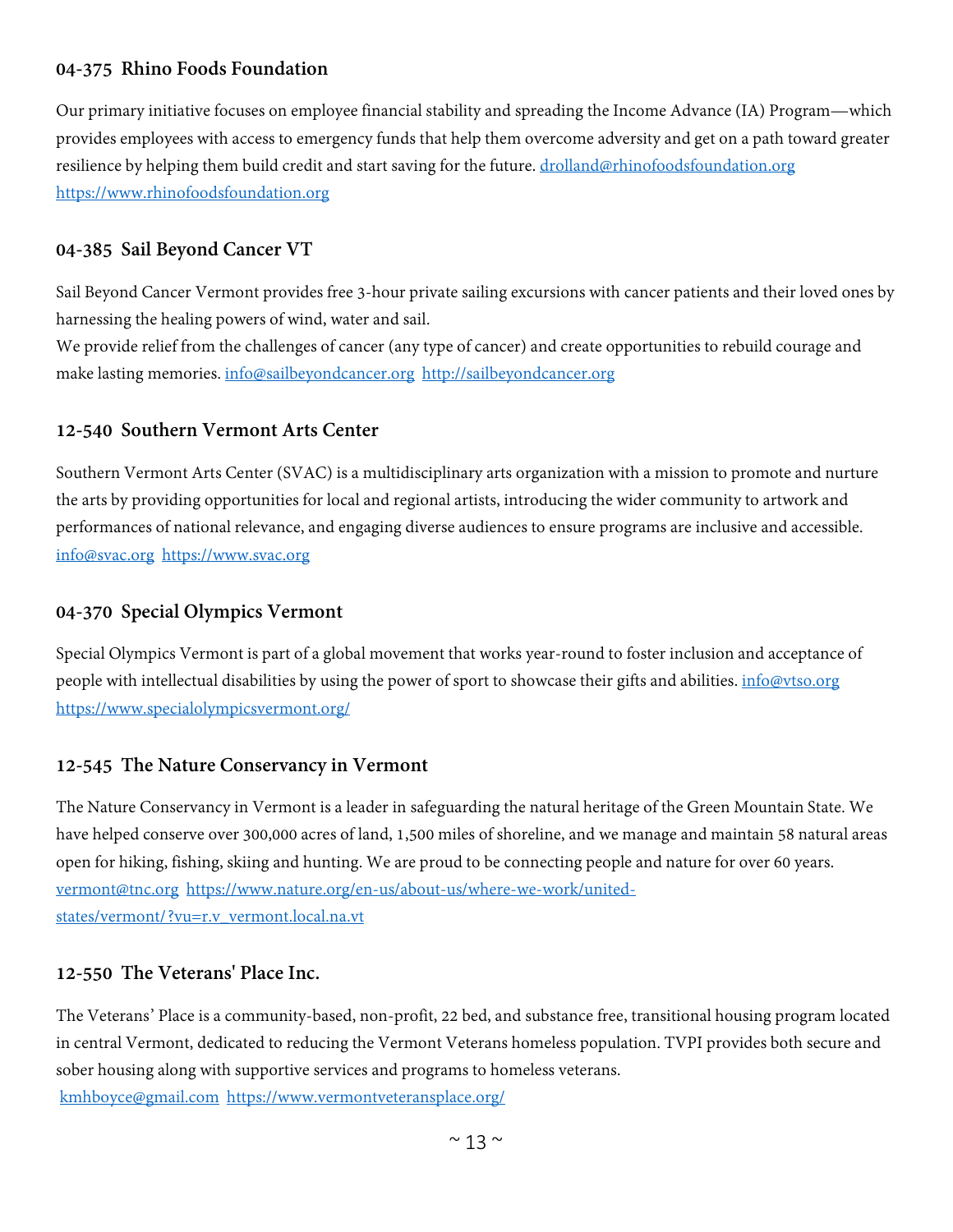#### **04-375 Rhino Foods Foundation**

Our primary initiative focuses on employee financial stability and spreading the Income Advance (IA) Program—which provides employees with access to emergency funds that help them overcome adversity and get on a path toward greater resilience by helping them build credit and start saving for the future. [drolland@rhinofoodsfoundation.org](mailto:drolland@rhinofoodsfoundation.org) [https://www.rhinofoodsfoundation.org](https://www.rhinofoodsfoundation.org/)

#### **04-385 Sail Beyond Cancer VT**

Sail Beyond Cancer Vermont provides free 3-hour private sailing excursions with cancer patients and their loved ones by harnessing the healing powers of wind, water and sail.

We provide relief from the challenges of cancer (any type of cancer) and create opportunities to rebuild courage and make lasting memories[. info@sailbeyondcancer.org](mailto:info@sailbeyondcancer.org) [http://sailbeyondcancer.org](http://sailbeyondcancer.org/)

#### **12-540 Southern Vermont Arts Center**

Southern Vermont Arts Center (SVAC) is a multidisciplinary arts organization with a mission to promote and nurture the arts by providing opportunities for local and regional artists, introducing the wider community to artwork and performances of national relevance, and engaging diverse audiences to ensure programs are inclusive and accessible. [info@svac.org](mailto:info@svac.org) [https://www.svac.org](https://www.svac.org/)

#### **04-370 Special Olympics Vermont**

Special Olympics Vermont is part of a global movement that works year-round to foster inclusion and acceptance of people with intellectual disabilities by using the power of sport to showcase their gifts and abilities. [info@vtso.org](mailto:info@vtso.org) <https://www.specialolympicsvermont.org/>

#### **12-545 The Nature Conservancy in Vermont**

The Nature Conservancy in Vermont is a leader in safeguarding the natural heritage of the Green Mountain State. We have helped conserve over 300,000 acres of land, 1,500 miles of shoreline, and we manage and maintain 58 natural areas open for hiking, fishing, skiing and hunting. We are proud to be connecting people and nature for over 60 years. [vermont@tnc.org](mailto:vermont@tnc.org) [https://www.nature.org/en-us/about-us/where-we-work/united](https://www.nature.org/en-us/about-us/where-we-work/united-states/vermont/?vu=r.v_vermont.local.na.vt)[states/vermont/?vu=r.v\\_vermont.local.na.vt](https://www.nature.org/en-us/about-us/where-we-work/united-states/vermont/?vu=r.v_vermont.local.na.vt)

#### **12-550 The Veterans' Place Inc.**

The Veterans' Place is a community-based, non-profit, 22 bed, and substance free, transitional housing program located in central Vermont, dedicated to reducing the Vermont Veterans homeless population. TVPI provides both secure and sober housing along with supportive services and programs to homeless veterans. [kmhboyce@gmail.com](mailto:kmhboyce@gmail.com) <https://www.vermontveteransplace.org/>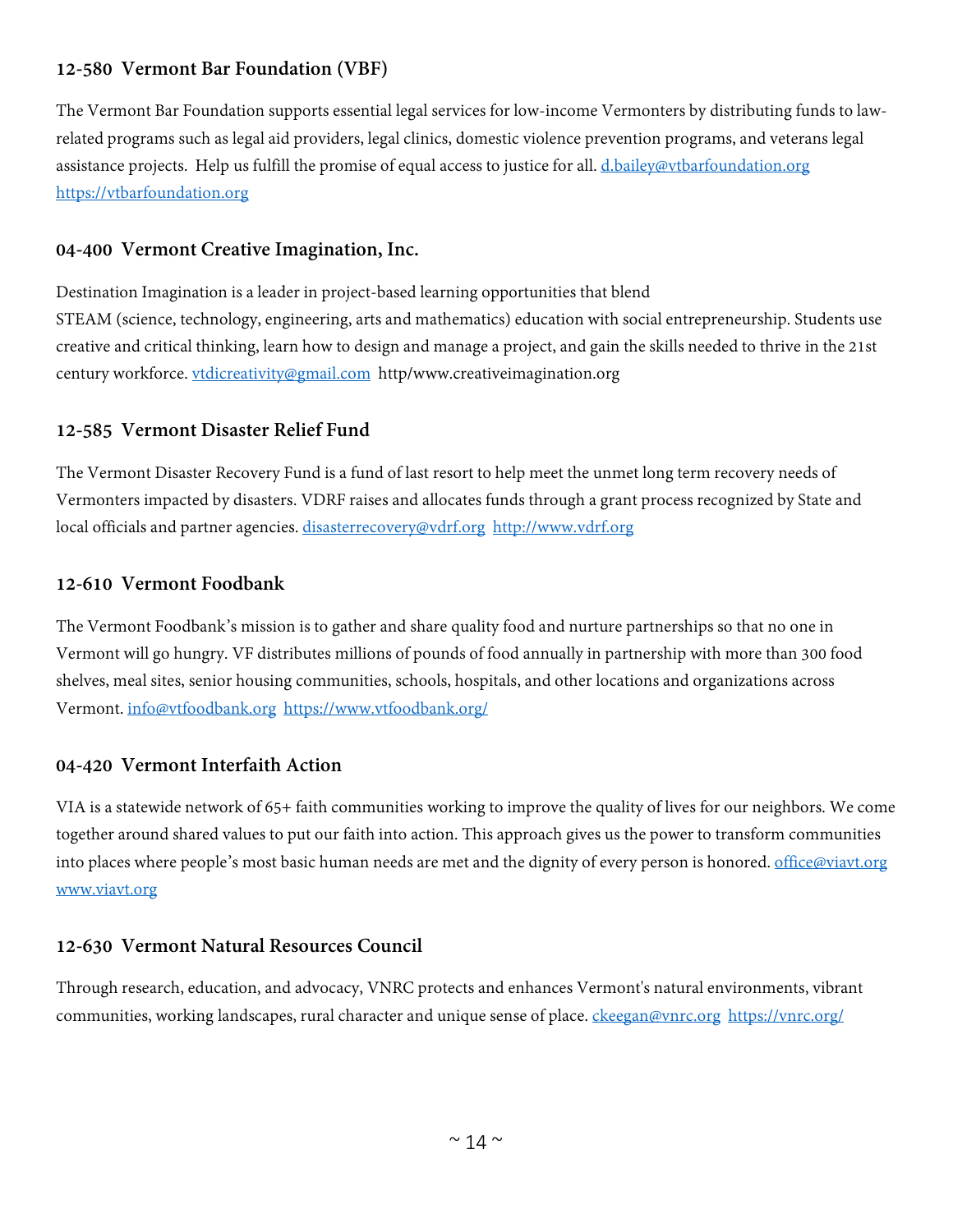# **12-580 Vermont Bar Foundation (VBF)**

The Vermont Bar Foundation supports essential legal services for low-income Vermonters by distributing funds to lawrelated programs such as legal aid providers, legal clinics, domestic violence prevention programs, and veterans legal assistance projects. Help us fulfill the promise of equal access to justice for all. [d.bailey@vtbarfoundation.org](mailto:d.bailey@vtbarfoundation.org) [https://vtbarfoundation.org](https://vtbarfoundation.org/)

#### **04-400 Vermont Creative Imagination, Inc.**

Destination Imagination is a leader in project-based learning opportunities that blend STEAM (science, technology, engineering, arts and mathematics) education with social entrepreneurship. Students use creative and critical thinking, learn how to design and manage a project, and gain the skills needed to thrive in the 21st century workforce. [vtdicreativity@gmail.com](mailto:vtdicreativity@gmail.com) http/www.creativeimagination.org

#### **12-585 Vermont Disaster Relief Fund**

The Vermont Disaster Recovery Fund is a fund of last resort to help meet the unmet long term recovery needs of Vermonters impacted by disasters. VDRF raises and allocates funds through a grant process recognized by State and local officials and partner agencies. [disasterrecovery@vdrf.org](mailto:disasterrecovery@vdrf.org) [http://www.vdrf.org](http://www.vdrf.org/)

#### **12-610 Vermont Foodbank**

The Vermont Foodbank's mission is to gather and share quality food and nurture partnerships so that no one in Vermont will go hungry. VF distributes millions of pounds of food annually in partnership with more than 300 food shelves, meal sites, senior housing communities, schools, hospitals, and other locations and organizations across Vermont. [info@vtfoodbank.org](mailto:info@vtfoodbank.org) <https://www.vtfoodbank.org/>

#### **04-420 Vermont Interfaith Action**

VIA is a statewide network of 65+ faith communities working to improve the quality of lives for our neighbors. We come together around shared values to put our faith into action. This approach gives us the power to transform communities into places where people's most basic human needs are met and the dignity of every person is honored. [office@viavt.org](mailto:office@viavt.org) [www.viavt.org](http://www.viavt.org/)

#### **12-630 Vermont Natural Resources Council**

Through research, education, and advocacy, VNRC protects and enhances Vermont's natural environments, vibrant communities, working landscapes, rural character and unique sense of place. [ckeegan@vnrc.org](mailto:ckeegan@vnrc.org) <https://vnrc.org/>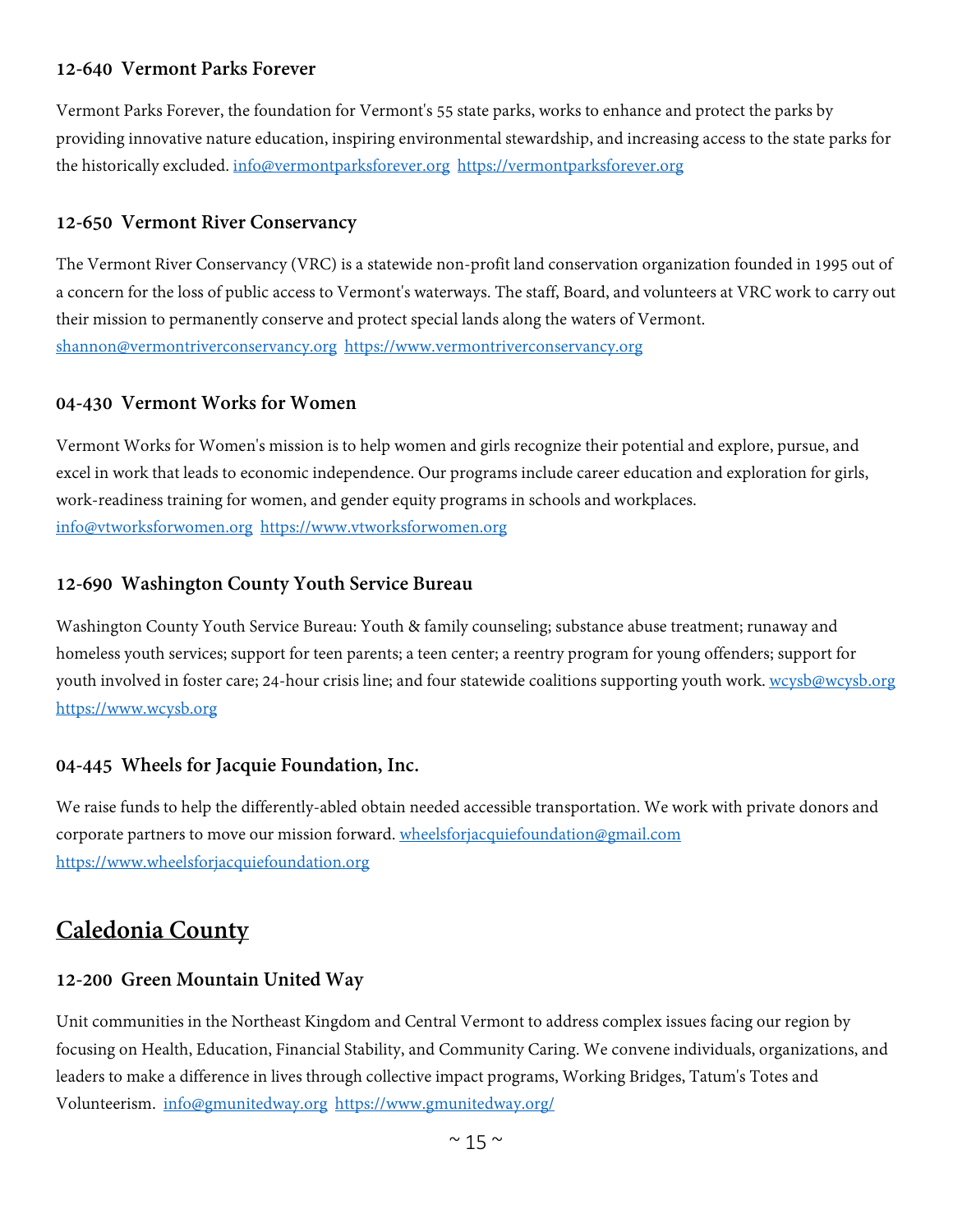#### **12-640 Vermont Parks Forever**

Vermont Parks Forever, the foundation for Vermont's 55 state parks, works to enhance and protect the parks by providing innovative nature education, inspiring environmental stewardship, and increasing access to the state parks for the historically excluded. [info@vermontparksforever.org](mailto:info@vermontparksforever.org) [https://vermontparksforever.org](https://vermontparksforever.org/)

#### **12-650 Vermont River Conservancy**

The Vermont River Conservancy (VRC) is a statewide non-profit land conservation organization founded in 1995 out of a concern for the loss of public access to Vermont's waterways. The staff, Board, and volunteers at VRC work to carry out their mission to permanently conserve and protect special lands along the waters of Vermont. [shannon@vermontriverconservancy.org](mailto:shannon@vermontriverconservancy.org) [https://www.vermontriverconservancy.org](https://www.vermontriverconservancy.org/)

#### **04-430 Vermont Works for Women**

Vermont Works for Women's mission is to help women and girls recognize their potential and explore, pursue, and excel in work that leads to economic independence. Our programs include career education and exploration for girls, work-readiness training for women, and gender equity programs in schools and workplaces. [info@vtworksforwomen.org](mailto:info@vtworksforwomen.org) [https://www.vtworksforwomen.org](https://www.vtworksforwomen.org/)

#### **12-690 Washington County Youth Service Bureau**

Washington County Youth Service Bureau: Youth & family counseling; substance abuse treatment; runaway and homeless youth services; support for teen parents; a teen center; a reentry program for young offenders; support for youth involved in foster care; 24-hour crisis line; and four statewide coalitions supporting youth work. [wcysb@wcysb.org](mailto:wcysb@wcysb.org) [https://www.wcysb.org](https://www.wcysb.org/)

#### **04-445 Wheels for Jacquie Foundation, Inc.**

We raise funds to help the differently-abled obtain needed accessible transportation. We work with private donors and corporate partners to move our mission forward. [wheelsforjacquiefoundation@gmail.com](mailto:wheelsforjacquiefoundation@gmail.com) [https://www.wheelsforjacquiefoundation.org](https://www.wheelsforjacquiefoundation.org/)

# <span id="page-14-0"></span>**Caledonia County**

#### **12-200 Green Mountain United Way**

Unit communities in the Northeast Kingdom and Central Vermont to address complex issues facing our region by focusing on Health, Education, Financial Stability, and Community Caring. We convene individuals, organizations, and leaders to make a difference in lives through collective impact programs, Working Bridges, Tatum's Totes and Volunteerism. [info@gmunitedway.org](mailto:info@gmunitedway.org) <https://www.gmunitedway.org/>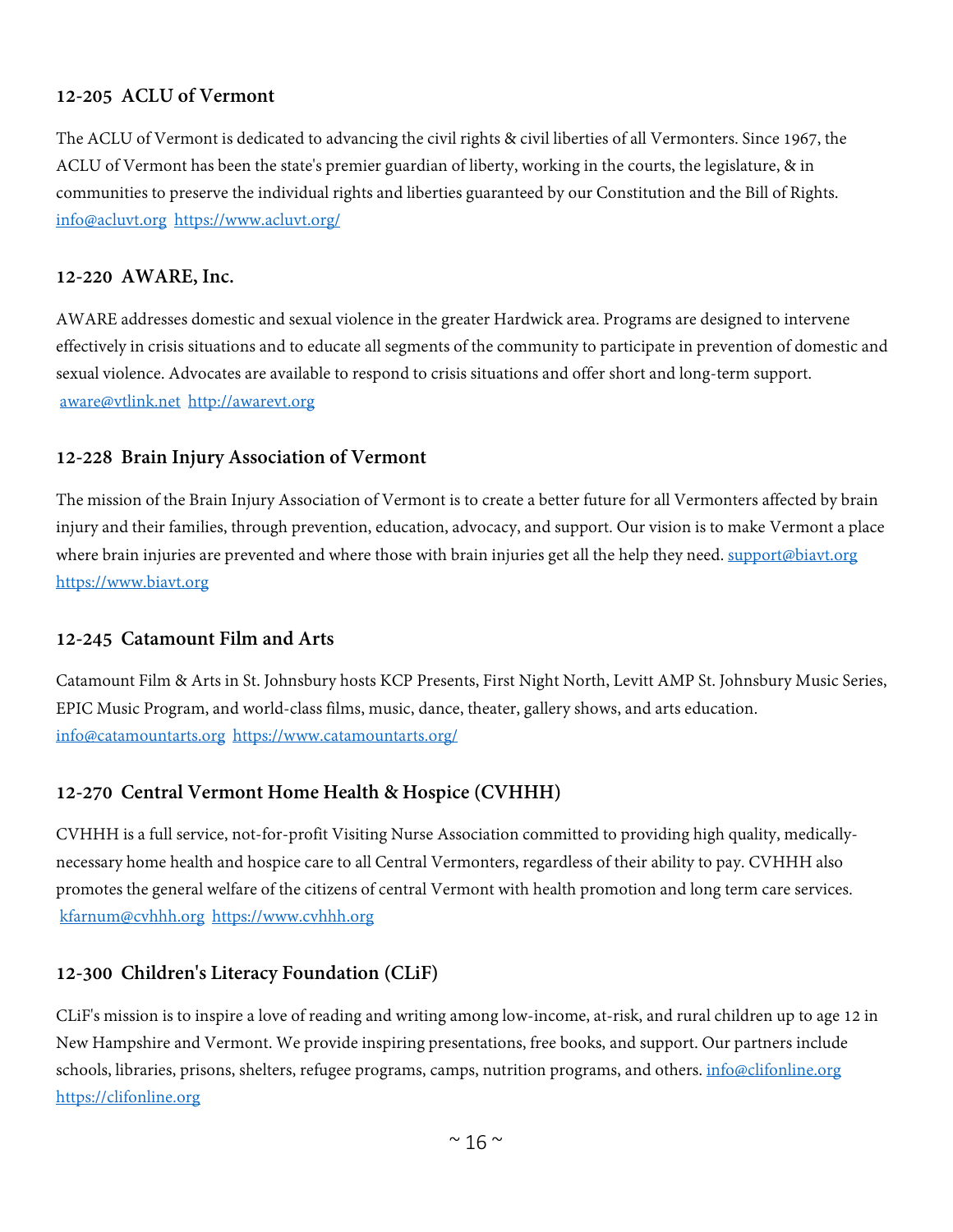# **12-205 ACLU of Vermont**

The ACLU of Vermont is dedicated to advancing the civil rights & civil liberties of all Vermonters. Since 1967, the ACLU of Vermont has been the state's premier guardian of liberty, working in the courts, the legislature, & in communities to preserve the individual rights and liberties guaranteed by our Constitution and the Bill of Rights. [info@acluvt.org](mailto:info@acluvt.org) <https://www.acluvt.org/>

#### **12-220 AWARE, Inc.**

AWARE addresses domestic and sexual violence in the greater Hardwick area. Programs are designed to intervene effectively in crisis situations and to educate all segments of the community to participate in prevention of domestic and sexual violence. Advocates are available to respond to crisis situations and offer short and long-term support. [aware@vtlink.net](mailto:aware@vtlink.net) [http://awarevt.org](http://awarevt.org/)

#### **12-228 Brain Injury Association of Vermont**

The mission of the Brain Injury Association of Vermont is to create a better future for all Vermonters affected by brain injury and their families, through prevention, education, advocacy, and support. Our vision is to make Vermont a place where brain injuries are prevented and where those with brain injuries get all the help they need. [support@biavt.org](mailto:support@biavt.org) [https://www.biavt.org](https://www.biavt.org/)

#### **12-245 Catamount Film and Arts**

Catamount Film & Arts in St. Johnsbury hosts KCP Presents, First Night North, Levitt AMP St. Johnsbury Music Series, EPIC Music Program, and world-class films, music, dance, theater, gallery shows, and arts education. [info@catamountarts.org](mailto:info@catamountarts.org) <https://www.catamountarts.org/>

#### **12-270 Central Vermont Home Health & Hospice (CVHHH)**

CVHHH is a full service, not-for-profit Visiting Nurse Association committed to providing high quality, medicallynecessary home health and hospice care to all Central Vermonters, regardless of their ability to pay. CVHHH also promotes the general welfare of the citizens of central Vermont with health promotion and long term care services. [kfarnum@cvhhh.org](mailto:kfarnum@cvhhh.org) [https://www.cvhhh.org](https://www.cvhhh.org/)

#### **12-300 Children's Literacy Foundation (CLiF)**

CLiF's mission is to inspire a love of reading and writing among low-income, at-risk, and rural children up to age 12 in New Hampshire and Vermont. We provide inspiring presentations, free books, and support. Our partners include schools, libraries, prisons, shelters, refugee programs, camps, nutrition programs, and others. [info@clifonline.org](mailto:info@clifonline.org) [https://clifonline.org](https://clifonline.org/)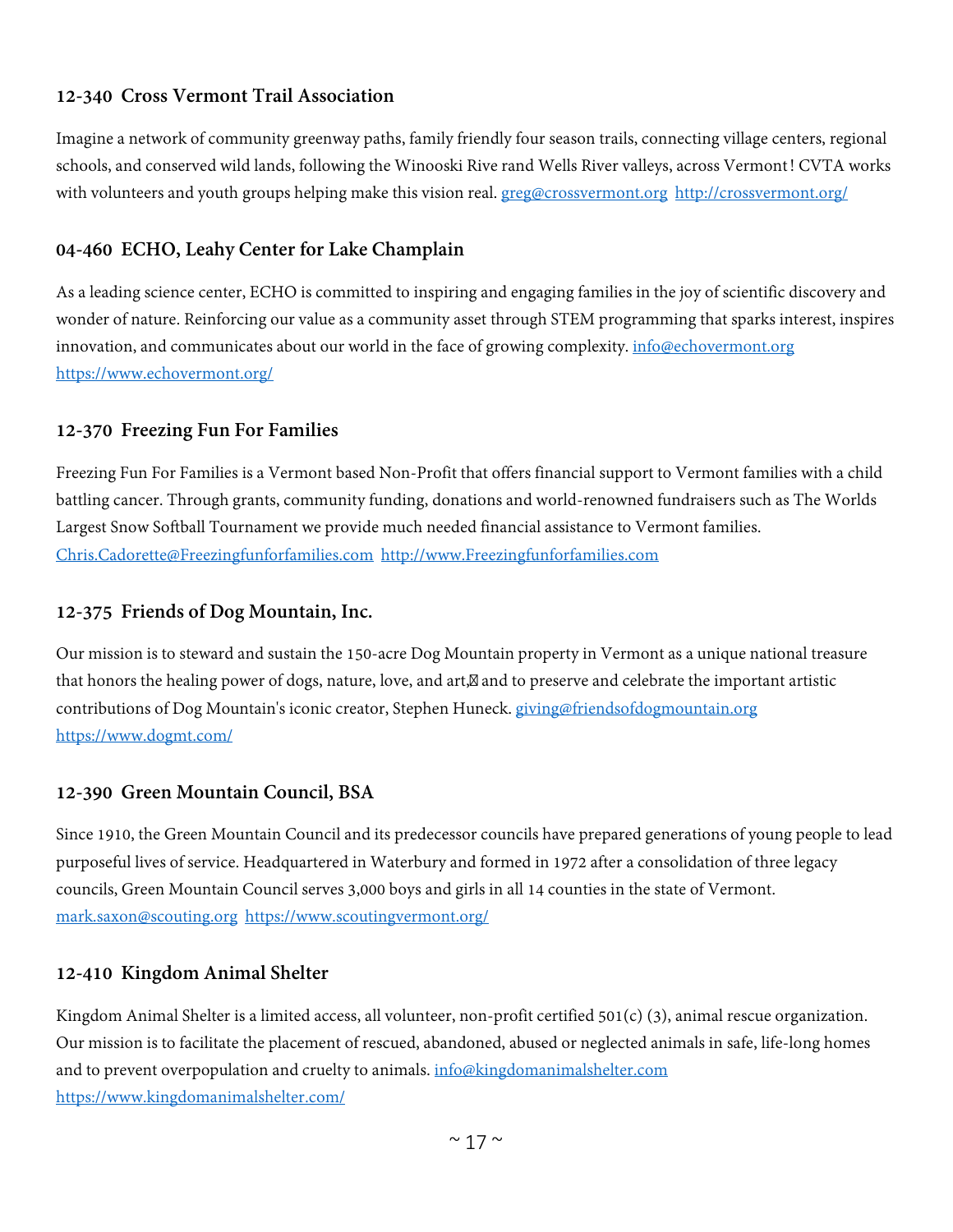# **12-340 Cross Vermont Trail Association**

Imagine a network of community greenway paths, family friendly four season trails, connecting village centers, regional schools, and conserved wild lands, following the Winooski Rive rand Wells River valleys, across Vermont! CVTA works with volunteers and youth groups helping make this vision real. [greg@crossvermont.org](mailto:greg@crossvermont.org) <http://crossvermont.org/>

# **04-460 ECHO, Leahy Center for Lake Champlain**

As a leading science center, ECHO is committed to inspiring and engaging families in the joy of scientific discovery and wonder of nature. Reinforcing our value as a community asset through STEM programming that sparks interest, inspires innovation, and communicates about our world in the face of growing complexity. [info@echovermont.org](mailto:info@echovermont.org) <https://www.echovermont.org/>

# **12-370 Freezing Fun For Families**

Freezing Fun For Families is a Vermont based Non-Profit that offers financial support to Vermont families with a child battling cancer. Through grants, community funding, donations and world-renowned fundraisers such as The Worlds Largest Snow Softball Tournament we provide much needed financial assistance to Vermont families. [Chris.Cadorette@Freezingfunforfamilies.com](mailto:Chris.Cadorette@Freezingfunforfamilies.com) [http://www.Freezingfunforfamilies.com](http://www.freezingfunforfamilies.com/)

# **12-375 Friends of Dog Mountain, Inc.**

Our mission is to steward and sustain the 150-acre Dog Mountain property in Vermont as a unique national treasure that honors the healing power of dogs, nature, love, and art, and to preserve and celebrate the important artistic contributions of Dog Mountain's iconic creator, Stephen Huneck. [giving@friendsofdogmountain.org](mailto:giving@friendsofdogmountain.org) <https://www.dogmt.com/>

#### **12-390 Green Mountain Council, BSA**

Since 1910, the Green Mountain Council and its predecessor councils have prepared generations of young people to lead purposeful lives of service. Headquartered in Waterbury and formed in 1972 after a consolidation of three legacy councils, Green Mountain Council serves 3,000 boys and girls in all 14 counties in the state of Vermont. [mark.saxon@scouting.org](mailto:mark.saxon@scouting.org) <https://www.scoutingvermont.org/>

#### **12-410 Kingdom Animal Shelter**

Kingdom Animal Shelter is a limited access, all volunteer, non-profit certified  $501(c)$  (3), animal rescue organization. Our mission is to facilitate the placement of rescued, abandoned, abused or neglected animals in safe, life-long homes and to prevent overpopulation and cruelty to animals. [info@kingdomanimalshelter.com](mailto:info@kingdomanimalshelter.com) <https://www.kingdomanimalshelter.com/>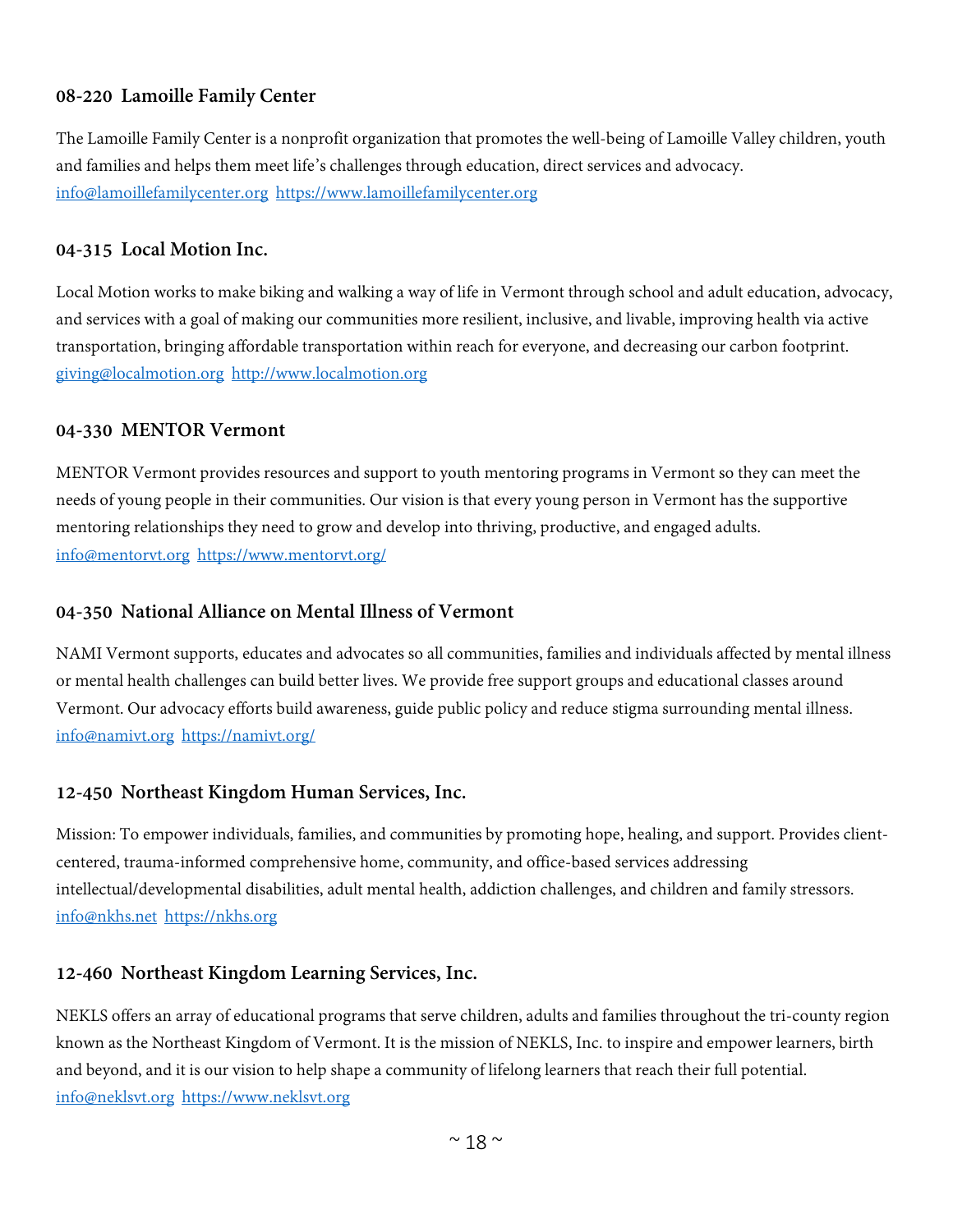#### **08-220 Lamoille Family Center**

The Lamoille Family Center is a nonprofit organization that promotes the well-being of Lamoille Valley children, youth and families and helps them meet life's challenges through education, direct services and advocacy. [info@lamoillefamilycenter.org](mailto:info@lamoillefamilycenter.org) [https://www.lamoillefamilycenter.org](https://www.lamoillefamilycenter.org/)

#### **04-315 Local Motion Inc.**

Local Motion works to make biking and walking a way of life in Vermont through school and adult education, advocacy, and services with a goal of making our communities more resilient, inclusive, and livable, improving health via active transportation, bringing affordable transportation within reach for everyone, and decreasing our carbon footprint. [giving@localmotion.org](mailto:giving@localmotion.org) [http://www.localmotion.org](http://www.localmotion.org/)

#### **04-330 MENTOR Vermont**

MENTOR Vermont provides resources and support to youth mentoring programs in Vermont so they can meet the needs of young people in their communities. Our vision is that every young person in Vermont has the supportive mentoring relationships they need to grow and develop into thriving, productive, and engaged adults. [info@mentorvt.org](mailto:info@mentorvt.org) <https://www.mentorvt.org/>

#### **04-350 National Alliance on Mental Illness of Vermont**

NAMI Vermont supports, educates and advocates so all communities, families and individuals affected by mental illness or mental health challenges can build better lives. We provide free support groups and educational classes around Vermont. Our advocacy efforts build awareness, guide public policy and reduce stigma surrounding mental illness. [info@namivt.org](mailto:info@namivt.org) <https://namivt.org/>

#### **12-450 Northeast Kingdom Human Services, Inc.**

Mission: To empower individuals, families, and communities by promoting hope, healing, and support. Provides clientcentered, trauma-informed comprehensive home, community, and office-based services addressing intellectual/developmental disabilities, adult mental health, addiction challenges, and children and family stressors. [info@nkhs.net](mailto:info@nkhs.net) [https://nkhs.org](https://nkhs.org/)

#### **12-460 Northeast Kingdom Learning Services, Inc.**

NEKLS offers an array of educational programs that serve children, adults and families throughout the tri-county region known as the Northeast Kingdom of Vermont. It is the mission of NEKLS, Inc. to inspire and empower learners, birth and beyond, and it is our vision to help shape a community of lifelong learners that reach their full potential. [info@neklsvt.org](mailto:info@neklsvt.org) [https://www.neklsvt.org](https://www.neklsvt.org/)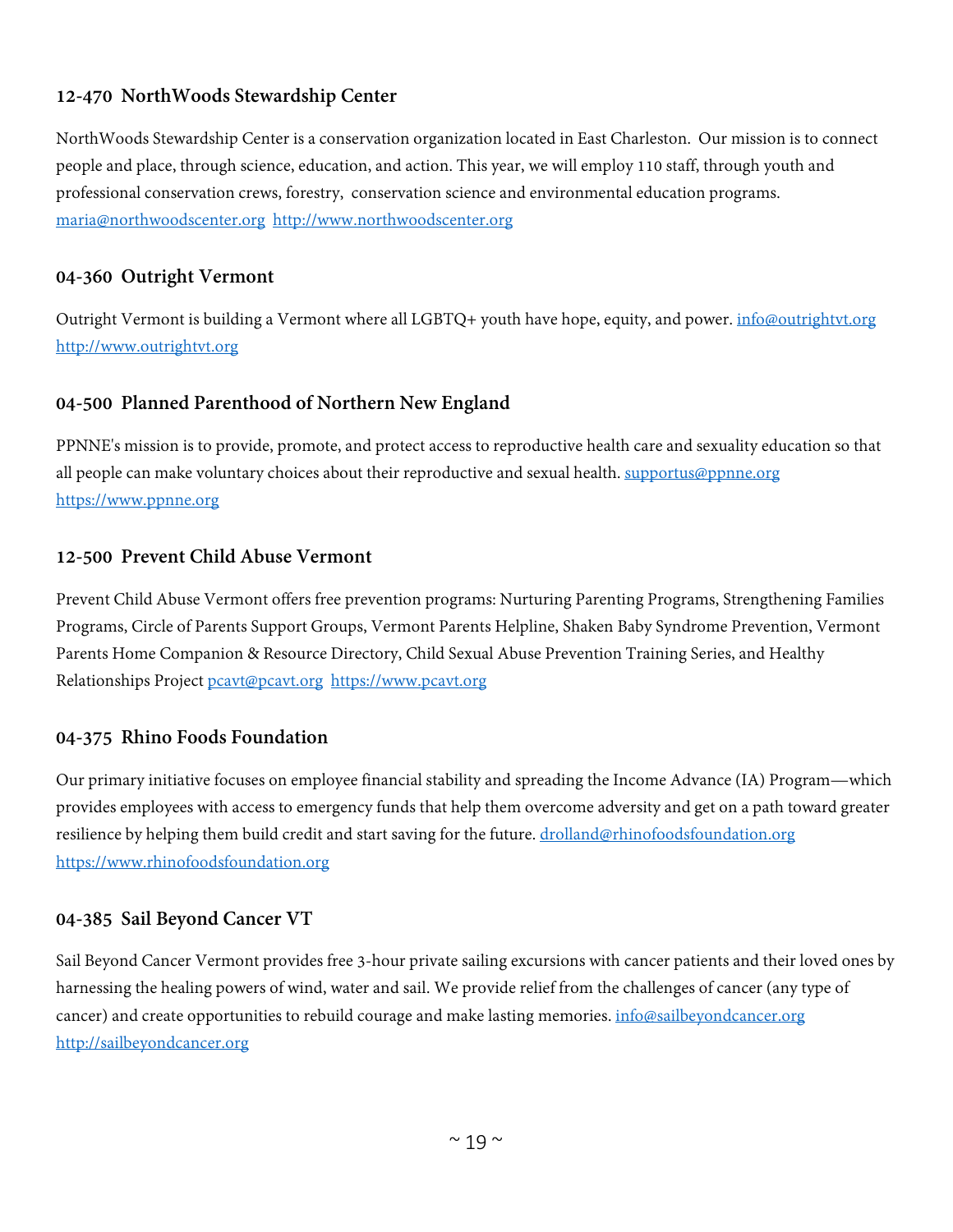# **12-470 NorthWoods Stewardship Center**

NorthWoods Stewardship Center is a conservation organization located in East Charleston. Our mission is to connect people and place, through science, education, and action. This year, we will employ 110 staff, through youth and professional conservation crews, forestry, conservation science and environmental education programs. [maria@northwoodscenter.org](mailto:maria@northwoodscenter.org) [http://www.northwoodscenter.org](http://www.northwoodscenter.org/)

#### **04-360 Outright Vermont**

Outright Vermont is building a Vermont where all LGBTQ+ youth have hope, equity, and power. [info@outrightvt.org](mailto:info@outrightvt.org) [http://www.outrightvt.org](http://www.outrightvt.org/)

#### **04-500 Planned Parenthood of Northern New England**

PPNNE's mission is to provide, promote, and protect access to reproductive health care and sexuality education so that all people can make voluntary choices about their reproductive and sexual health. [supportus@ppnne.org](mailto:supportus@ppnne.org) [https://www.ppnne.org](https://www.ppnne.org/)

#### **12-500 Prevent Child Abuse Vermont**

Prevent Child Abuse Vermont offers free prevention programs: Nurturing Parenting Programs, Strengthening Families Programs, Circle of Parents Support Groups, Vermont Parents Helpline, Shaken Baby Syndrome Prevention, Vermont Parents Home Companion & Resource Directory, Child Sexual Abuse Prevention Training Series, and Healthy Relationships Project [pcavt@pcavt.org](mailto:pcavt@pcavt.org) [https://www.pcavt.org](https://www.pcavt.org/)

#### **04-375 Rhino Foods Foundation**

Our primary initiative focuses on employee financial stability and spreading the Income Advance (IA) Program—which provides employees with access to emergency funds that help them overcome adversity and get on a path toward greater resilience by helping them build credit and start saving for the future. [drolland@rhinofoodsfoundation.org](mailto:drolland@rhinofoodsfoundation.org) [https://www.rhinofoodsfoundation.org](https://www.rhinofoodsfoundation.org/)

#### **04-385 Sail Beyond Cancer VT**

Sail Beyond Cancer Vermont provides free 3-hour private sailing excursions with cancer patients and their loved ones by harnessing the healing powers of wind, water and sail. We provide relief from the challenges of cancer (any type of cancer) and create opportunities to rebuild courage and make lasting memories[. info@sailbeyondcancer.org](mailto:info@sailbeyondcancer.org) [http://sailbeyondcancer.org](http://sailbeyondcancer.org/)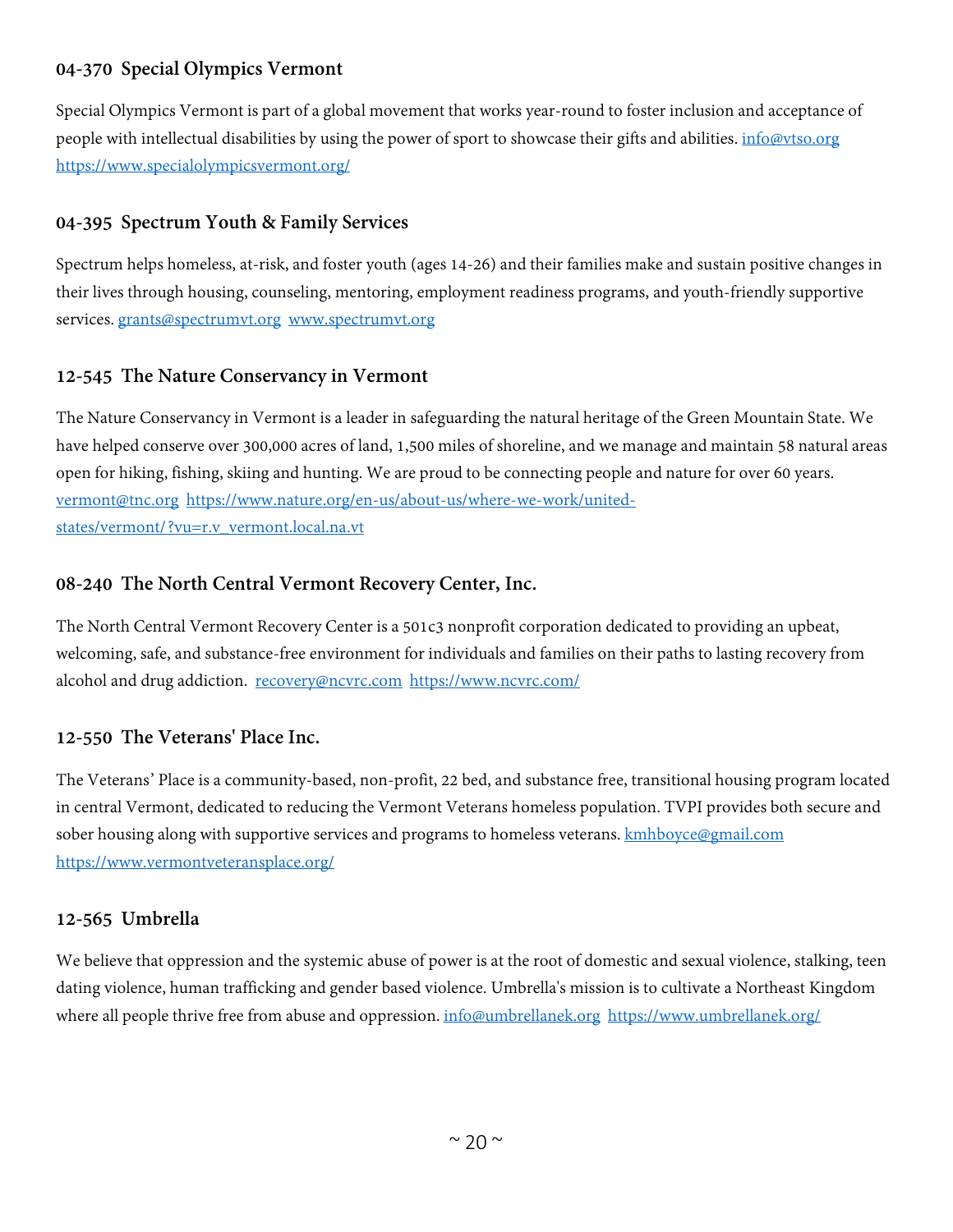# **04-370 Special Olympics Vermont**

Special Olympics Vermont is part of a global movement that works year-round to foster inclusion and acceptance of people with intellectual disabilities by using the power of sport to showcase their gifts and abilities. *[info@vtso.org](mailto:info@vtso.org)* <https://www.specialolympicsvermont.org/>

# **04-395 Spectrum Youth & Family Services**

Spectrum helps homeless, at-risk, and foster youth (ages 14-26) and their families make and sustain positive changes in their lives through housing, counseling, mentoring, employment readiness programs, and youth-friendly supportive services. [grants@spectrumvt.org](mailto:grants@spectrumvt.org) [www.spectrumvt.org](http://www.spectrumvt.org/)

# **12-545 The Nature Conservancy in Vermont**

The Nature Conservancy in Vermont is a leader in safeguarding the natural heritage of the Green Mountain State. We have helped conserve over 300,000 acres of land, 1,500 miles of shoreline, and we manage and maintain 58 natural areas open for hiking, fishing, skiing and hunting. We are proud to be connecting people and nature for over 60 years. [vermont@tnc.org](mailto:vermont@tnc.org) [https://www.nature.org/en-us/about-us/where-we-work/united](https://www.nature.org/en-us/about-us/where-we-work/united-states/vermont/?vu=r.v_vermont.local.na.vt)[states/vermont/?vu=r.v\\_vermont.local.na.vt](https://www.nature.org/en-us/about-us/where-we-work/united-states/vermont/?vu=r.v_vermont.local.na.vt)

#### **08-240 The North Central Vermont Recovery Center, Inc.**

The North Central Vermont Recovery Center is a 501c3 nonprofit corporation dedicated to providing an upbeat, welcoming, safe, and substance-free environment for individuals and families on their paths to lasting recovery from alcohol and drug addiction. [recovery@ncvrc.com](mailto:recovery@ncvrc.com) <https://www.ncvrc.com/>

#### **12-550 The Veterans' Place Inc.**

The Veterans' Place is a community-based, non-profit, 22 bed, and substance free, transitional housing program located in central Vermont, dedicated to reducing the Vermont Veterans homeless population. TVPI provides both secure and sober housing along with supportive services and programs to homeless veterans. **kmhboyce@gmail.com** <https://www.vermontveteransplace.org/>

#### **12-565 Umbrella**

We believe that oppression and the systemic abuse of power is at the root of domestic and sexual violence, stalking, teen dating violence, human trafficking and gender based violence. Umbrella's mission is to cultivate a Northeast Kingdom where all people thrive free from abuse and oppression. [info@umbrellanek.org](mailto:info@umbrellanek.org) <https://www.umbrellanek.org/>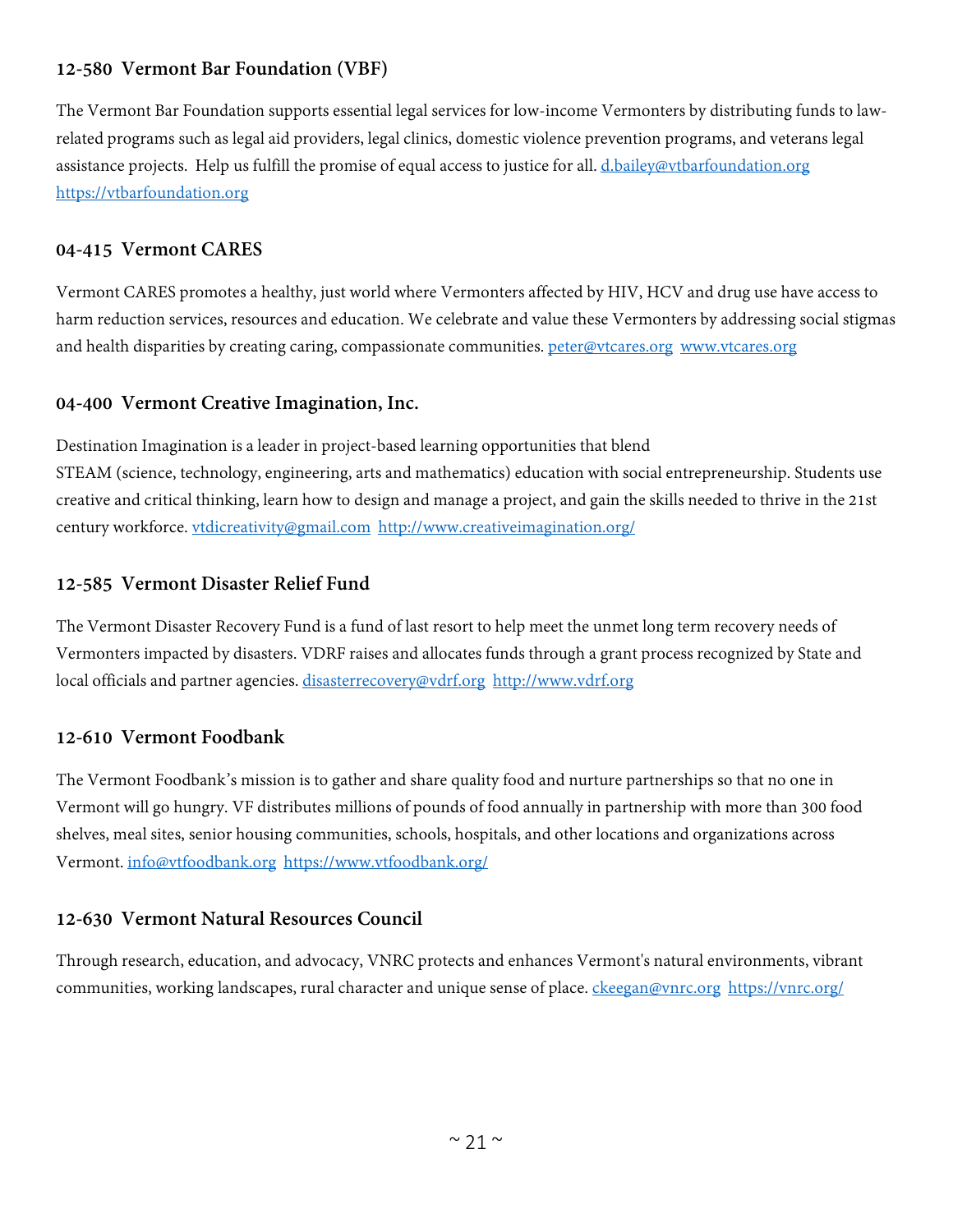# **12-580 Vermont Bar Foundation (VBF)**

The Vermont Bar Foundation supports essential legal services for low-income Vermonters by distributing funds to lawrelated programs such as legal aid providers, legal clinics, domestic violence prevention programs, and veterans legal assistance projects. Help us fulfill the promise of equal access to justice for all. [d.bailey@vtbarfoundation.org](mailto:d.bailey@vtbarfoundation.org) [https://vtbarfoundation.org](https://vtbarfoundation.org/)

#### **04-415 Vermont CARES**

Vermont CARES promotes a healthy, just world where Vermonters affected by HIV, HCV and drug use have access to harm reduction services, resources and education. We celebrate and value these Vermonters by addressing social stigmas and health disparities by creating caring, compassionate communities. [peter@vtcares.org](mailto:peter@vtcares.org) [www.vtcares.org](http://www.vtcares.org/)

#### **04-400 Vermont Creative Imagination, Inc.**

Destination Imagination is a leader in project-based learning opportunities that blend STEAM (science, technology, engineering, arts and mathematics) education with social entrepreneurship. Students use creative and critical thinking, learn how to design and manage a project, and gain the skills needed to thrive in the 21st century workforce. [vtdicreativity@gmail.com](mailto:vtdicreativity@gmail.com) <http://www.creativeimagination.org/>

#### **12-585 Vermont Disaster Relief Fund**

The Vermont Disaster Recovery Fund is a fund of last resort to help meet the unmet long term recovery needs of Vermonters impacted by disasters. VDRF raises and allocates funds through a grant process recognized by State and local officials and partner agencies. [disasterrecovery@vdrf.org](mailto:disasterrecovery@vdrf.org) [http://www.vdrf.org](http://www.vdrf.org/)

#### **12-610 Vermont Foodbank**

The Vermont Foodbank's mission is to gather and share quality food and nurture partnerships so that no one in Vermont will go hungry. VF distributes millions of pounds of food annually in partnership with more than 300 food shelves, meal sites, senior housing communities, schools, hospitals, and other locations and organizations across Vermont. [info@vtfoodbank.org](mailto:info@vtfoodbank.org) <https://www.vtfoodbank.org/>

## **12-630 Vermont Natural Resources Council**

Through research, education, and advocacy, VNRC protects and enhances Vermont's natural environments, vibrant communities, working landscapes, rural character and unique sense of place. [ckeegan@vnrc.org](mailto:ckeegan@vnrc.org) <https://vnrc.org/>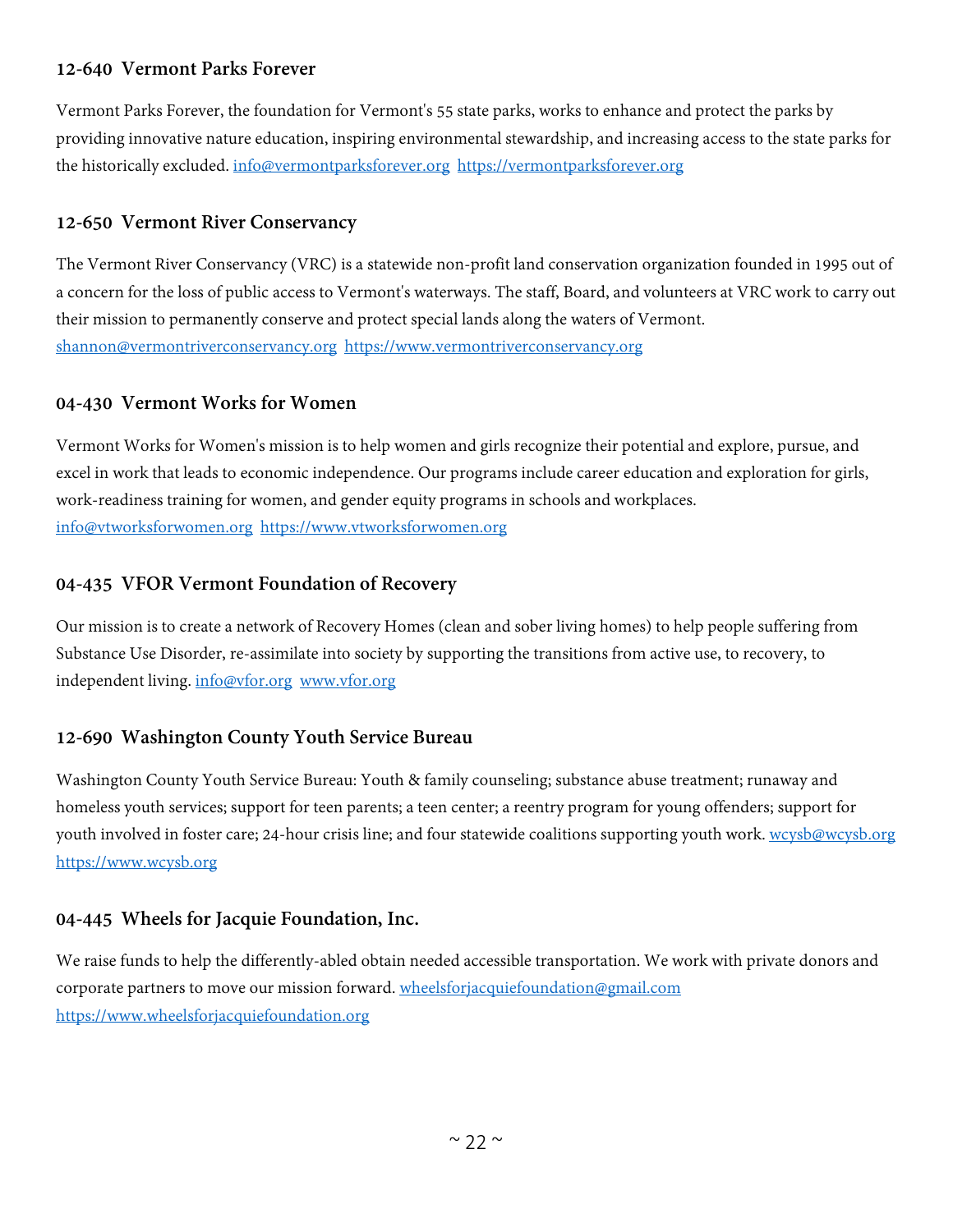# **12-640 Vermont Parks Forever**

Vermont Parks Forever, the foundation for Vermont's 55 state parks, works to enhance and protect the parks by providing innovative nature education, inspiring environmental stewardship, and increasing access to the state parks for the historically excluded. [info@vermontparksforever.org](mailto:info@vermontparksforever.org) [https://vermontparksforever.org](https://vermontparksforever.org/)

# **12-650 Vermont River Conservancy**

The Vermont River Conservancy (VRC) is a statewide non-profit land conservation organization founded in 1995 out of a concern for the loss of public access to Vermont's waterways. The staff, Board, and volunteers at VRC work to carry out their mission to permanently conserve and protect special lands along the waters of Vermont. [shannon@vermontriverconservancy.org](mailto:shannon@vermontriverconservancy.org) [https://www.vermontriverconservancy.org](https://www.vermontriverconservancy.org/)

#### **04-430 Vermont Works for Women**

Vermont Works for Women's mission is to help women and girls recognize their potential and explore, pursue, and excel in work that leads to economic independence. Our programs include career education and exploration for girls, work-readiness training for women, and gender equity programs in schools and workplaces. [info@vtworksforwomen.org](mailto:info@vtworksforwomen.org) [https://www.vtworksforwomen.org](https://www.vtworksforwomen.org/)

# **04-435 VFOR Vermont Foundation of Recovery**

Our mission is to create a network of Recovery Homes (clean and sober living homes) to help people suffering from Substance Use Disorder, re-assimilate into society by supporting the transitions from active use, to recovery, to independent living. [info@vfor.org](mailto:info@vfor.org) [www.vfor.org](http://www.vfor.org/)

# **12-690 Washington County Youth Service Bureau**

Washington County Youth Service Bureau: Youth & family counseling; substance abuse treatment; runaway and homeless youth services; support for teen parents; a teen center; a reentry program for young offenders; support for youth involved in foster care; 24-hour crisis line; and four statewide coalitions supporting youth work. [wcysb@wcysb.org](mailto:wcysb@wcysb.org) [https://www.wcysb.org](https://www.wcysb.org/)

# **04-445 Wheels for Jacquie Foundation, Inc.**

We raise funds to help the differently-abled obtain needed accessible transportation. We work with private donors and corporate partners to move our mission forward. [wheelsforjacquiefoundation@gmail.com](mailto:wheelsforjacquiefoundation@gmail.com) [https://www.wheelsforjacquiefoundation.org](https://www.wheelsforjacquiefoundation.org/)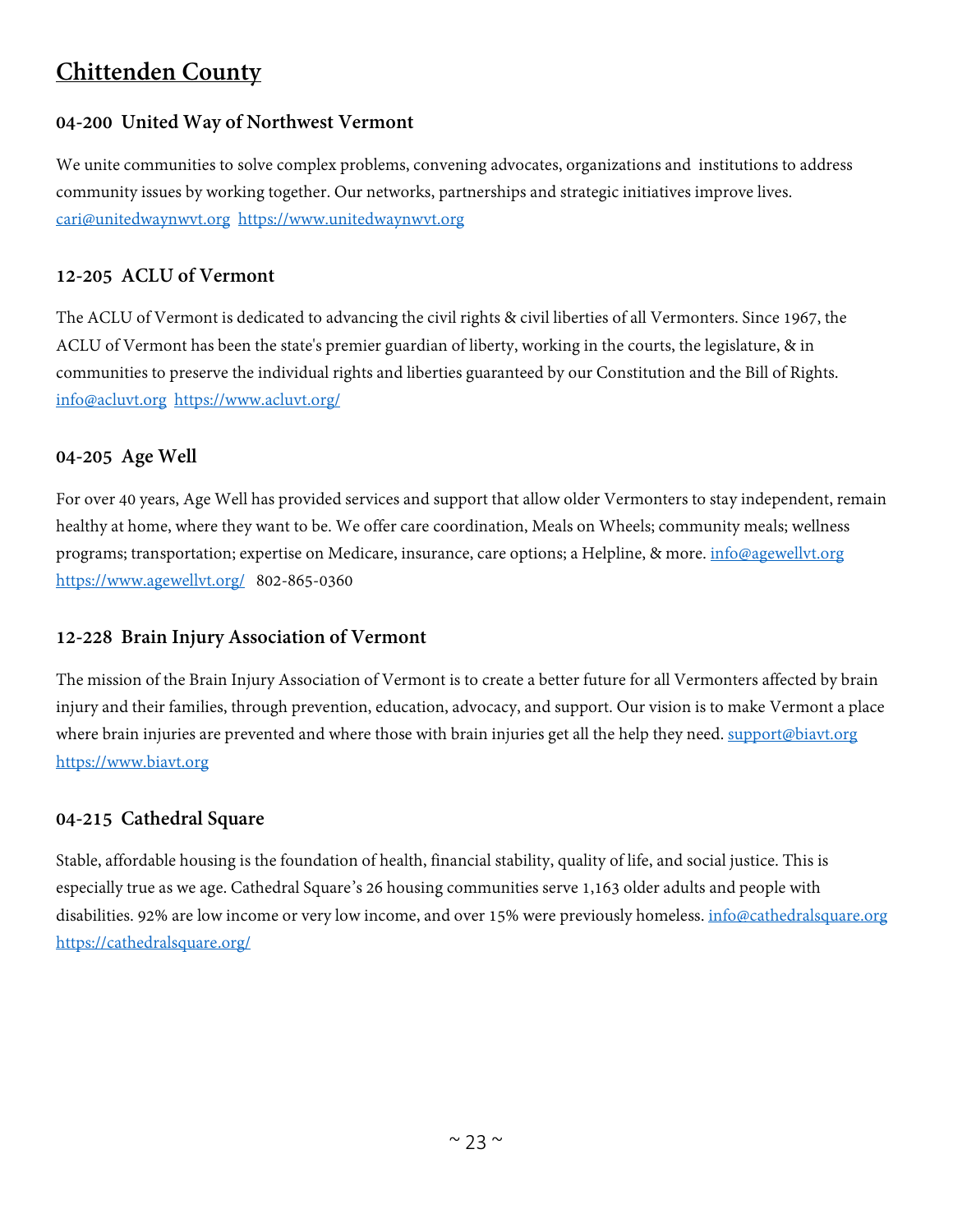# <span id="page-22-0"></span>**Chittenden County**

# **04-200 United Way of Northwest Vermont**

We unite communities to solve complex problems, convening advocates, organizations and institutions to address community issues by working together. Our networks, partnerships and strategic initiatives improve lives. [cari@unitedwaynwvt.org](mailto:cari@unitedwaynwvt.org) [https://www.unitedwaynwvt.org](https://www.unitedwaynwvt.org/)

# **12-205 ACLU of Vermont**

The ACLU of Vermont is dedicated to advancing the civil rights & civil liberties of all Vermonters. Since 1967, the ACLU of Vermont has been the state's premier guardian of liberty, working in the courts, the legislature, & in communities to preserve the individual rights and liberties guaranteed by our Constitution and the Bill of Rights. [info@acluvt.org](mailto:info@acluvt.org) <https://www.acluvt.org/>

# **04-205 Age Well**

For over 40 years, Age Well has provided services and support that allow older Vermonters to stay independent, remain healthy at home, where they want to be. We offer care coordination, Meals on Wheels; community meals; wellness programs; transportation; expertise on Medicare, insurance, care options; a Helpline, & more. [info@agewellvt.org](mailto:info@agewellvt.org) <https://www.agewellvt.org/>802-865-0360

#### **12-228 Brain Injury Association of Vermont**

The mission of the Brain Injury Association of Vermont is to create a better future for all Vermonters affected by brain injury and their families, through prevention, education, advocacy, and support. Our vision is to make Vermont a place where brain injuries are prevented and where those with brain injuries get all the help they need. [support@biavt.org](mailto:support@biavt.org) [https://www.biavt.org](https://www.biavt.org/)

#### **04-215 Cathedral Square**

Stable, affordable housing is the foundation of health, financial stability, quality of life, and social justice. This is especially true as we age. Cathedral Square's 26 housing communities serve 1,163 older adults and people with disabilities. 92% are low income or very low income, and over 15% were previously homeless. [info@cathedralsquare.org](mailto:info@cathedralsquare.org) <https://cathedralsquare.org/>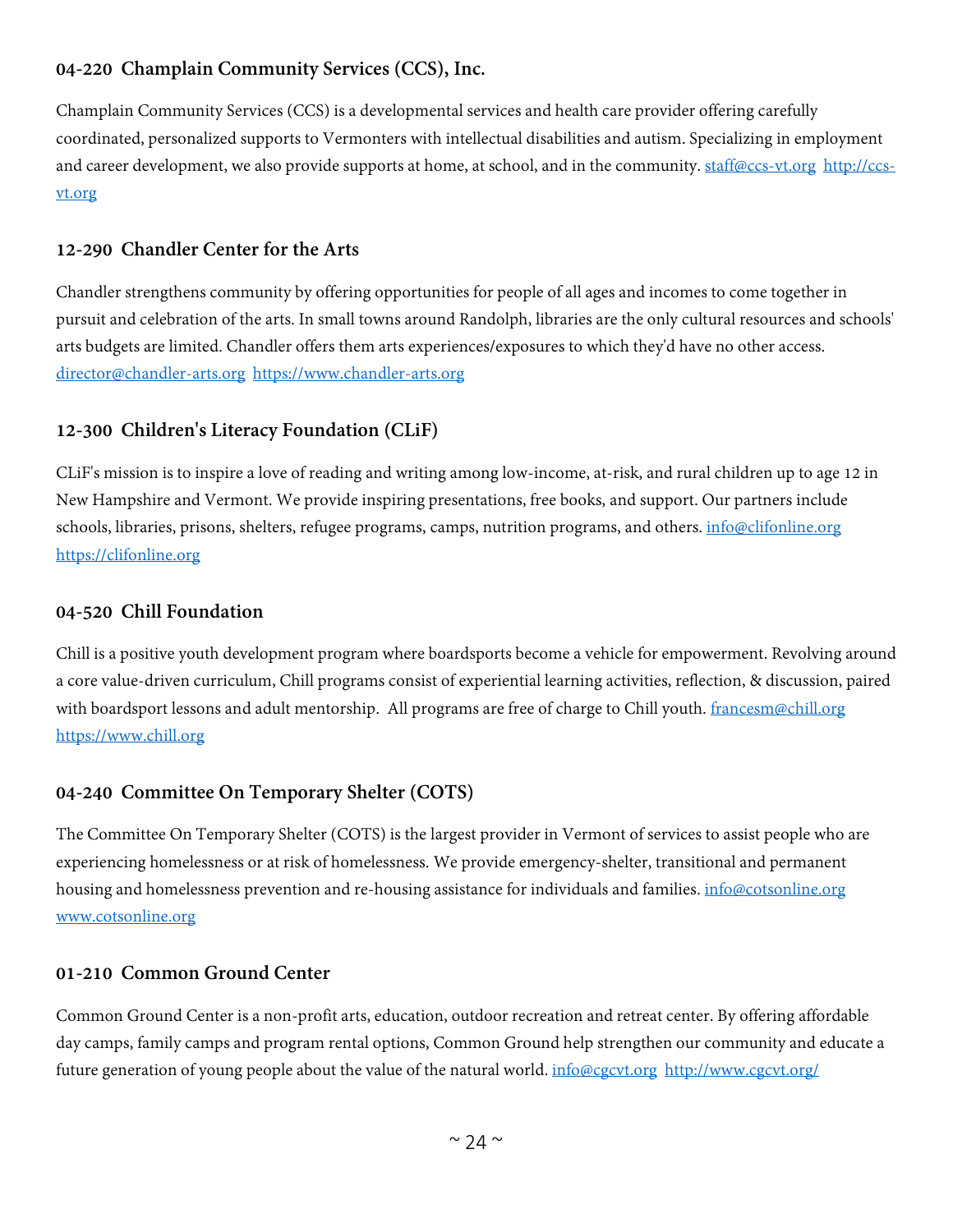# **04-220 Champlain Community Services (CCS), Inc.**

Champlain Community Services (CCS) is a developmental services and health care provider offering carefully coordinated, personalized supports to Vermonters with intellectual disabilities and autism. Specializing in employment and career development, we also provide supports at home, at school, and in the community. [staff@ccs-vt.org](mailto:staff@ccs-vt.org) [http://ccs](http://ccs-vt.org/)[vt.org](http://ccs-vt.org/)

#### **12-290 Chandler Center for the Arts**

Chandler strengthens community by offering opportunities for people of all ages and incomes to come together in pursuit and celebration of the arts. In small towns around Randolph, libraries are the only cultural resources and schools' arts budgets are limited. Chandler offers them arts experiences/exposures to which they'd have no other access. [director@chandler-arts.org](mailto:director@chandler-arts.org) [https://www.chandler-arts.org](https://www.chandler-arts.org/)

# **12-300 Children's Literacy Foundation (CLiF)**

CLiF's mission is to inspire a love of reading and writing among low-income, at-risk, and rural children up to age 12 in New Hampshire and Vermont. We provide inspiring presentations, free books, and support. Our partners include schools, libraries, prisons, shelters, refugee programs, camps, nutrition programs, and others. [info@clifonline.org](mailto:info@clifonline.org) [https://clifonline.org](https://clifonline.org/)

#### **04-520 Chill Foundation**

Chill is a positive youth development program where boardsports become a vehicle for empowerment. Revolving around a core value-driven curriculum, Chill programs consist of experiential learning activities, reflection, & discussion, paired with boardsport lessons and adult mentorship. All programs are free of charge to Chill youth. [francesm@chill.org](mailto:francesm@chill.org) [https://www.chill.org](https://www.chill.org/)

#### **04-240 Committee On Temporary Shelter (COTS)**

The Committee On Temporary Shelter (COTS) is the largest provider in Vermont of services to assist people who are experiencing homelessness or at risk of homelessness. We provide emergency-shelter, transitional and permanent housing and homelessness prevention and re-housing assistance for individuals and families. [info@cotsonline.org](mailto:info@cotsonline.org) [www.cotsonline.org](http://www.cotsonline.org/)

#### **01-210 Common Ground Center**

Common Ground Center is a non-profit arts, education, outdoor recreation and retreat center. By offering affordable day camps, family camps and program rental options, Common Ground help strengthen our community and educate a future generation of young people about the value of the natural world. [info@cgcvt.org](mailto:info@cgcvt.org) <http://www.cgcvt.org/>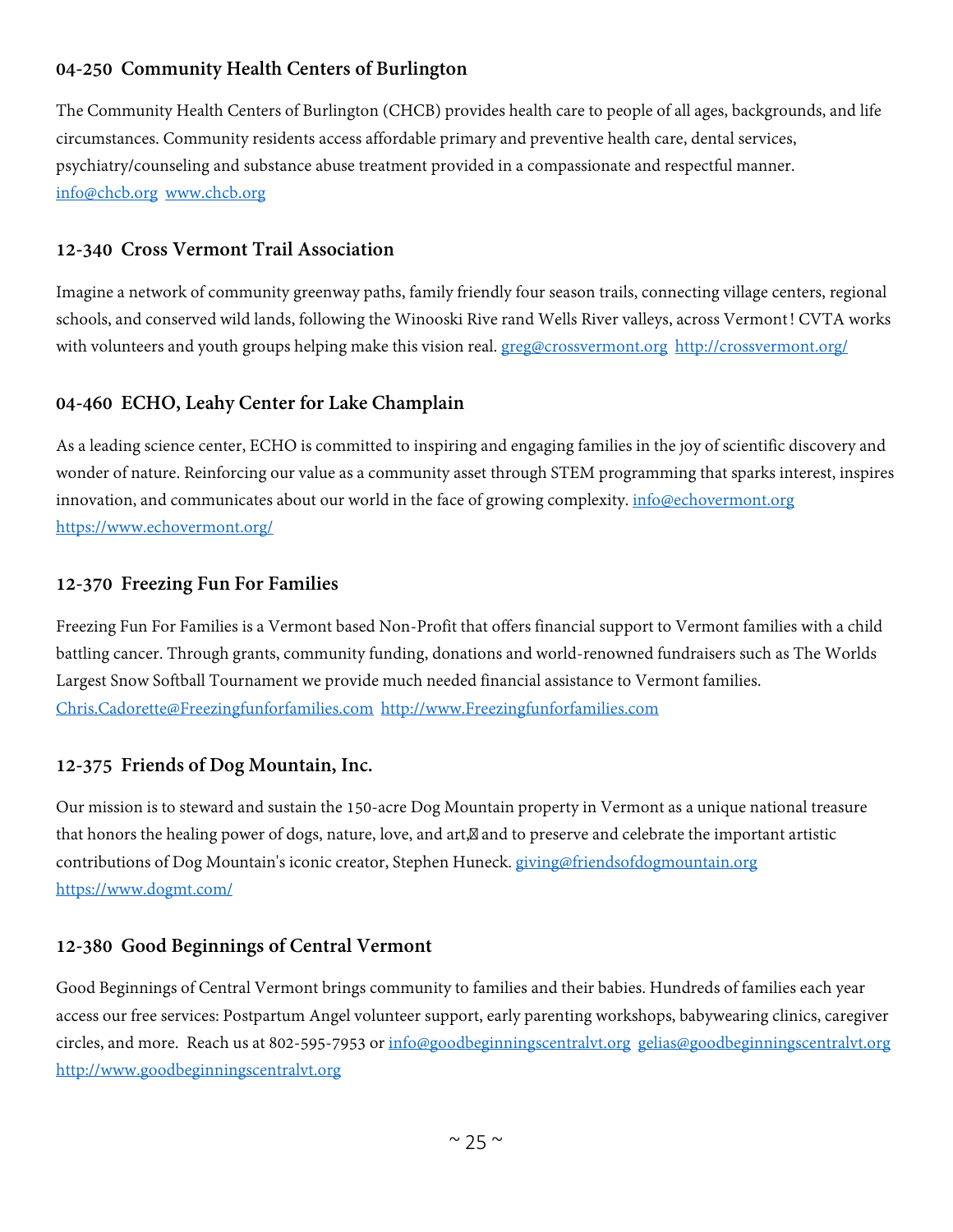# **04-250 Community Health Centers of Burlington**

The Community Health Centers of Burlington (CHCB) provides health care to people of all ages, backgrounds, and life circumstances. Community residents access affordable primary and preventive health care, dental services, psychiatry/counseling and substance abuse treatment provided in a compassionate and respectful manner. [info@chcb.org](mailto:info@chcb.org) [www.chcb.org](http://www.chcb.org/)

#### **12-340 Cross Vermont Trail Association**

Imagine a network of community greenway paths, family friendly four season trails, connecting village centers, regional schools, and conserved wild lands, following the Winooski Rive rand Wells River valleys, across Vermont! CVTA works with volunteers and youth groups helping make this vision real. [greg@crossvermont.org](mailto:greg@crossvermont.org) <http://crossvermont.org/>

#### **04-460 ECHO, Leahy Center for Lake Champlain**

As a leading science center, ECHO is committed to inspiring and engaging families in the joy of scientific discovery and wonder of nature. Reinforcing our value as a community asset through STEM programming that sparks interest, inspires innovation, and communicates about our world in the face of growing complexity. [info@echovermont.org](mailto:info@echovermont.org) <https://www.echovermont.org/>

#### **12-370 Freezing Fun For Families**

Freezing Fun For Families is a Vermont based Non-Profit that offers financial support to Vermont families with a child battling cancer. Through grants, community funding, donations and world-renowned fundraisers such as The Worlds Largest Snow Softball Tournament we provide much needed financial assistance to Vermont families. [Chris.Cadorette@Freezingfunforfamilies.com](mailto:Chris.Cadorette@Freezingfunforfamilies.com) [http://www.Freezingfunforfamilies.com](http://www.freezingfunforfamilies.com/)

#### **12-375 Friends of Dog Mountain, Inc.**

Our mission is to steward and sustain the 150-acre Dog Mountain property in Vermont as a unique national treasure that honors the healing power of dogs, nature, love, and art, and to preserve and celebrate the important artistic contributions of Dog Mountain's iconic creator, Stephen Huneck. [giving@friendsofdogmountain.org](mailto:giving@friendsofdogmountain.org) <https://www.dogmt.com/>

#### **12-380 Good Beginnings of Central Vermont**

Good Beginnings of Central Vermont brings community to families and their babies. Hundreds of families each year access our free services: Postpartum Angel volunteer support, early parenting workshops, babywearing clinics, caregiver circles, and more. Reach us at 802-595-7953 or [info@goodbeginningscentralvt.org](mailto:info@goodbeginningscentralvt.org) [gelias@goodbeginningscentralvt.org](mailto:gelias@goodbeginningscentralvt.org) [http://www.goodbeginningscentralvt.org](http://www.goodbeginningscentralvt.org/)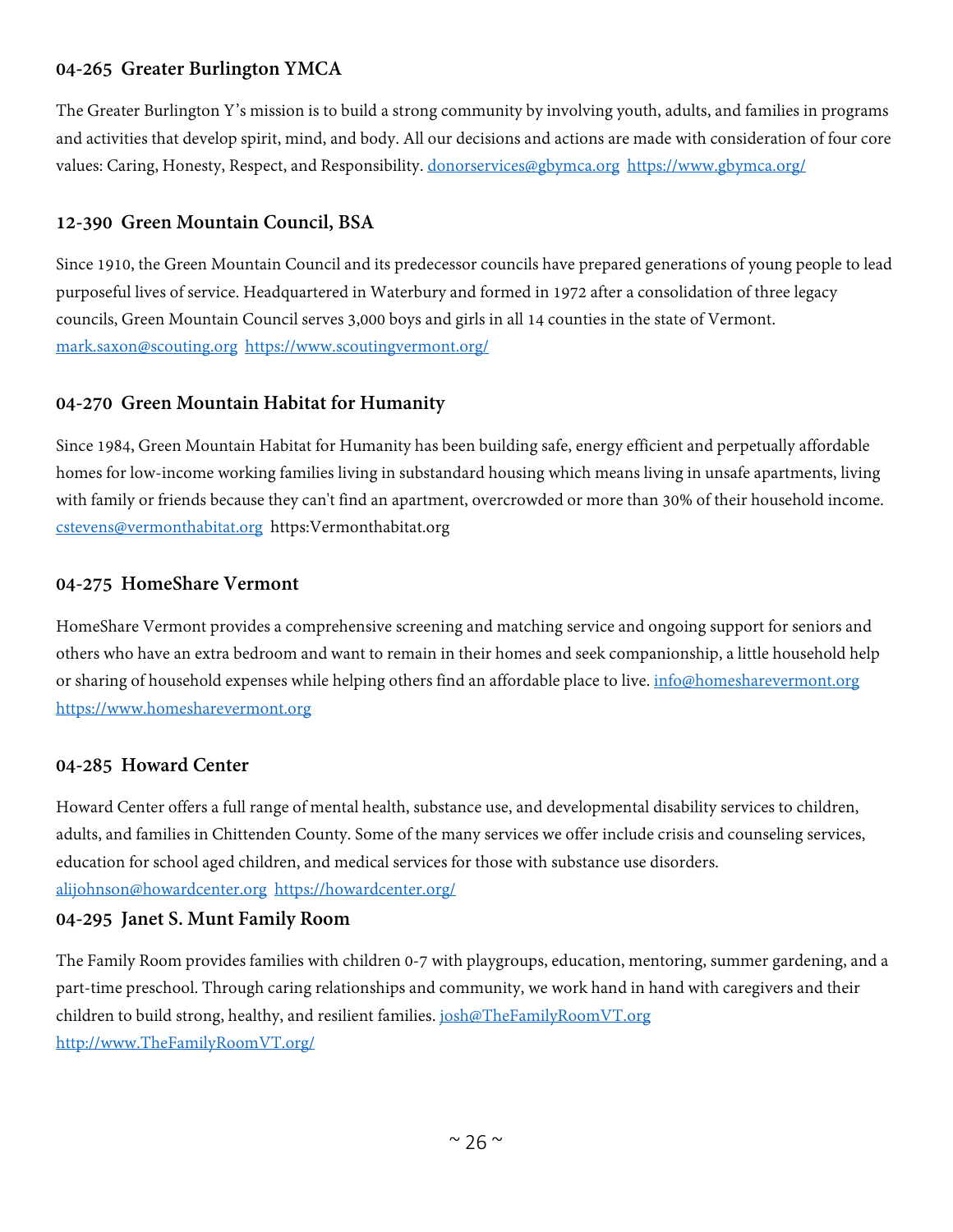# **04-265 Greater Burlington YMCA**

The Greater Burlington Y's mission is to build a strong community by involving youth, adults, and families in programs and activities that develop spirit, mind, and body. All our decisions and actions are made with consideration of four core values: Caring, Honesty, Respect, and Responsibility. [donorservices@gbymca.org](mailto:donorservices@gbymca.org) <https://www.gbymca.org/>

# **12-390 Green Mountain Council, BSA**

Since 1910, the Green Mountain Council and its predecessor councils have prepared generations of young people to lead purposeful lives of service. Headquartered in Waterbury and formed in 1972 after a consolidation of three legacy councils, Green Mountain Council serves 3,000 boys and girls in all 14 counties in the state of Vermont. [mark.saxon@scouting.org](mailto:mark.saxon@scouting.org) <https://www.scoutingvermont.org/>

# **04-270 Green Mountain Habitat for Humanity**

Since 1984, Green Mountain Habitat for Humanity has been building safe, energy efficient and perpetually affordable homes for low-income working families living in substandard housing which means living in unsafe apartments, living with family or friends because they can't find an apartment, overcrowded or more than 30% of their household income. [cstevens@vermonthabitat.org](mailto:cstevens@vermonthabitat.org) https:Vermonthabitat.org

#### **04-275 HomeShare Vermont**

HomeShare Vermont provides a comprehensive screening and matching service and ongoing support for seniors and others who have an extra bedroom and want to remain in their homes and seek companionship, a little household help or sharing of household expenses while helping others find an affordable place to live. [info@homesharevermont.org](mailto:info@homesharevermont.org) [https://www.homesharevermont.org](https://www.homesharevermont.org/)

#### **04-285 Howard Center**

Howard Center offers a full range of mental health, substance use, and developmental disability services to children, adults, and families in Chittenden County. Some of the many services we offer include crisis and counseling services, education for school aged children, and medical services for those with substance use disorders. [alijohnson@howardcenter.org](mailto:alijohnson@howardcenter.org) <https://howardcenter.org/>

#### **04-295 Janet S. Munt Family Room**

The Family Room provides families with children 0-7 with playgroups, education, mentoring, summer gardening, and a part-time preschool. Through caring relationships and community, we work hand in hand with caregivers and their children to build strong, healthy, and resilient families. [josh@TheFamilyRoomVT.org](mailto:josh@TheFamilyRoomVT.org) [http://www.TheFamilyRoomVT.org/](http://www.thefamilyroomvt.org/)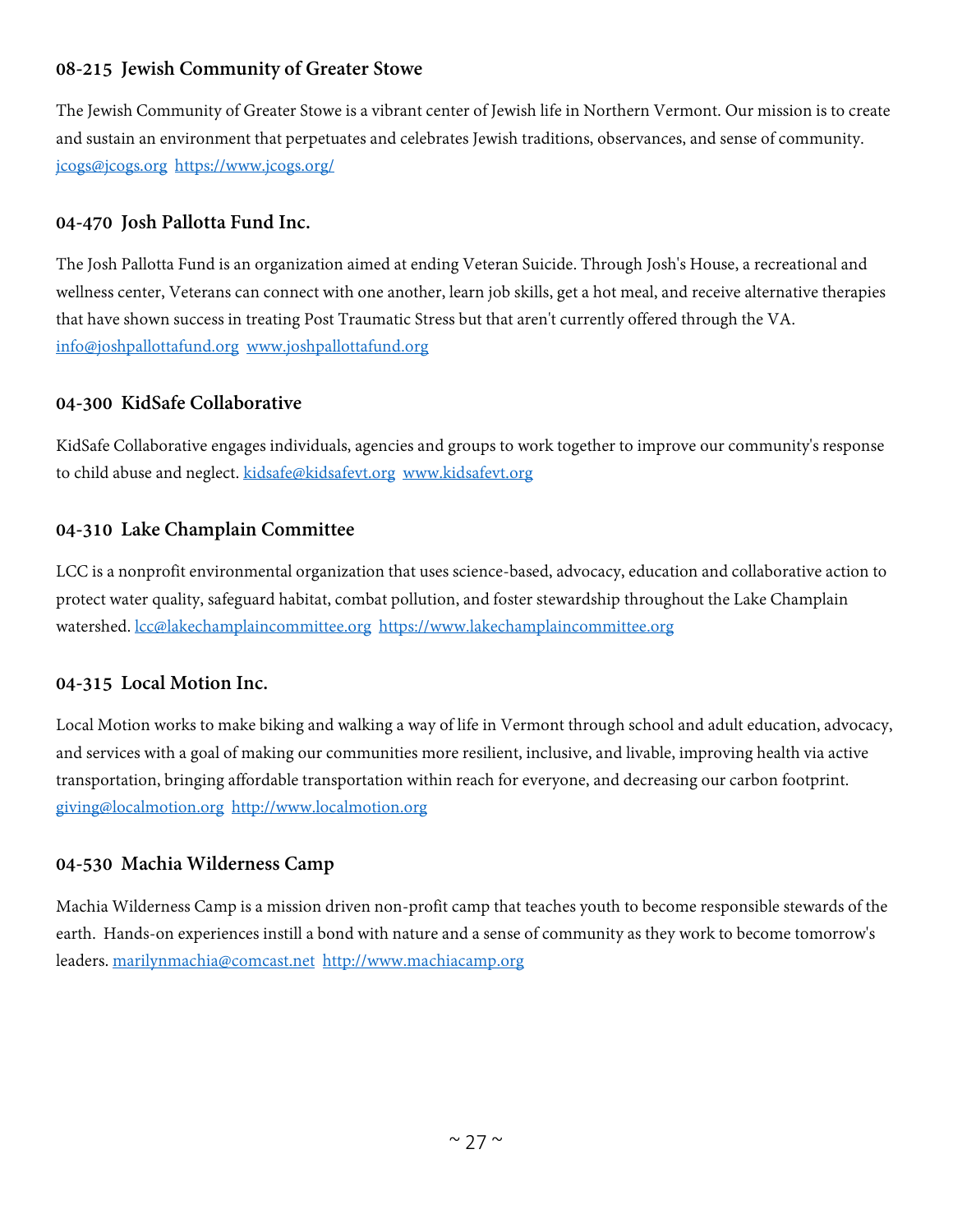# **08-215 Jewish Community of Greater Stowe**

The Jewish Community of Greater Stowe is a vibrant center of Jewish life in Northern Vermont. Our mission is to create and sustain an environment that perpetuates and celebrates Jewish traditions, observances, and sense of community. [jcogs@jcogs.org](mailto:jcogs@jcogs.org) <https://www.jcogs.org/>

# **04-470 Josh Pallotta Fund Inc.**

The Josh Pallotta Fund is an organization aimed at ending Veteran Suicide. Through Josh's House, a recreational and wellness center, Veterans can connect with one another, learn job skills, get a hot meal, and receive alternative therapies that have shown success in treating Post Traumatic Stress but that aren't currently offered through the VA. [info@joshpallottafund.org](mailto:info@joshpallottafund.org) [www.joshpallottafund.org](http://www.joshpallottafund.org/)

#### **04-300 KidSafe Collaborative**

KidSafe Collaborative engages individuals, agencies and groups to work together to improve our community's response to child abuse and neglect. [kidsafe@kidsafevt.org](mailto:kidsafe@kidsafevt.org) www.kidsafevt.org

# **04-310 Lake Champlain Committee**

LCC is a nonprofit environmental organization that uses science-based, advocacy, education and collaborative action to protect water quality, safeguard habitat, combat pollution, and foster stewardship throughout the Lake Champlain watershed. [lcc@lakechamplaincommittee.org](mailto:lcc@lakechamplaincommittee.org) [https://www.lakechamplaincommittee.org](https://www.lakechamplaincommittee.org/)

# **04-315 Local Motion Inc.**

Local Motion works to make biking and walking a way of life in Vermont through school and adult education, advocacy, and services with a goal of making our communities more resilient, inclusive, and livable, improving health via active transportation, bringing affordable transportation within reach for everyone, and decreasing our carbon footprint. [giving@localmotion.org](mailto:giving@localmotion.org) [http://www.localmotion.org](http://www.localmotion.org/)

#### **04-530 Machia Wilderness Camp**

Machia Wilderness Camp is a mission driven non-profit camp that teaches youth to become responsible stewards of the earth. Hands-on experiences instill a bond with nature and a sense of community as they work to become tomorrow's leaders. [marilynmachia@comcast.net](mailto:marilynmachia@comcast.net) [http://www.machiacamp.org](http://www.machiacamp.org/)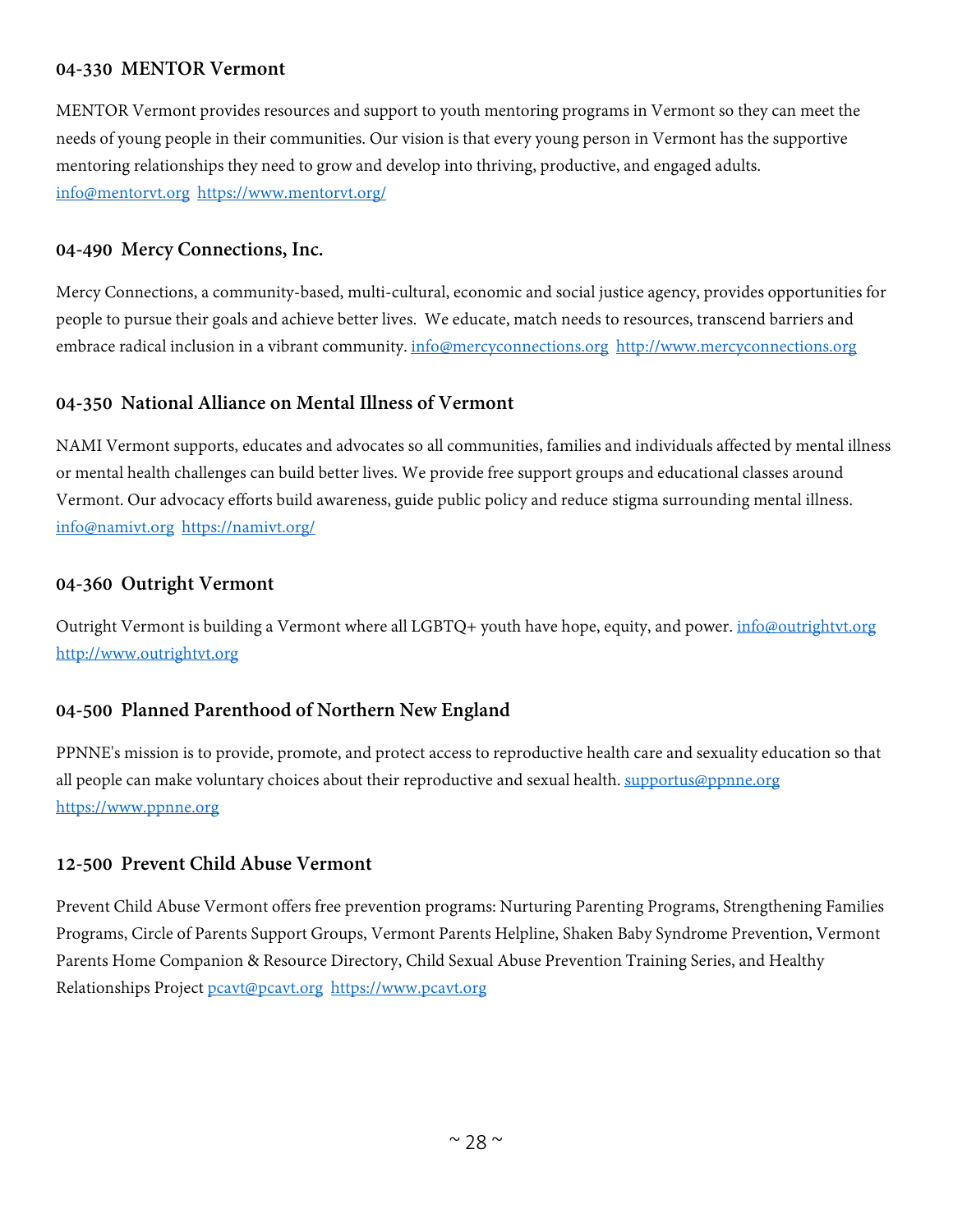#### **04-330 MENTOR Vermont**

MENTOR Vermont provides resources and support to youth mentoring programs in Vermont so they can meet the needs of young people in their communities. Our vision is that every young person in Vermont has the supportive mentoring relationships they need to grow and develop into thriving, productive, and engaged adults. [info@mentorvt.org](mailto:info@mentorvt.org) <https://www.mentorvt.org/>

#### **04-490 Mercy Connections, Inc.**

Mercy Connections, a community-based, multi-cultural, economic and social justice agency, provides opportunities for people to pursue their goals and achieve better lives. We educate, match needs to resources, transcend barriers and embrace radical inclusion in a vibrant community. [info@mercyconnections.org](mailto:info@mercyconnections.org) http://www.mercyconnections.org

#### **04-350 National Alliance on Mental Illness of Vermont**

NAMI Vermont supports, educates and advocates so all communities, families and individuals affected by mental illness or mental health challenges can build better lives. We provide free support groups and educational classes around Vermont. Our advocacy efforts build awareness, guide public policy and reduce stigma surrounding mental illness. [info@namivt.org](mailto:info@namivt.org) <https://namivt.org/>

#### **04-360 Outright Vermont**

Outright Vermont is building a Vermont where all LGBTQ+ youth have hope, equity, and power. *[info@outrightvt.org](mailto:info@outrightvt.org)* [http://www.outrightvt.org](http://www.outrightvt.org/)

#### **04-500 Planned Parenthood of Northern New England**

PPNNE's mission is to provide, promote, and protect access to reproductive health care and sexuality education so that all people can make voluntary choices about their reproductive and sexual health. [supportus@ppnne.org](mailto:supportus@ppnne.org) [https://www.ppnne.org](https://www.ppnne.org/)

#### **12-500 Prevent Child Abuse Vermont**

Prevent Child Abuse Vermont offers free prevention programs: Nurturing Parenting Programs, Strengthening Families Programs, Circle of Parents Support Groups, Vermont Parents Helpline, Shaken Baby Syndrome Prevention, Vermont Parents Home Companion & Resource Directory, Child Sexual Abuse Prevention Training Series, and Healthy Relationships Project [pcavt@pcavt.org](mailto:pcavt@pcavt.org) [https://www.pcavt.org](https://www.pcavt.org/)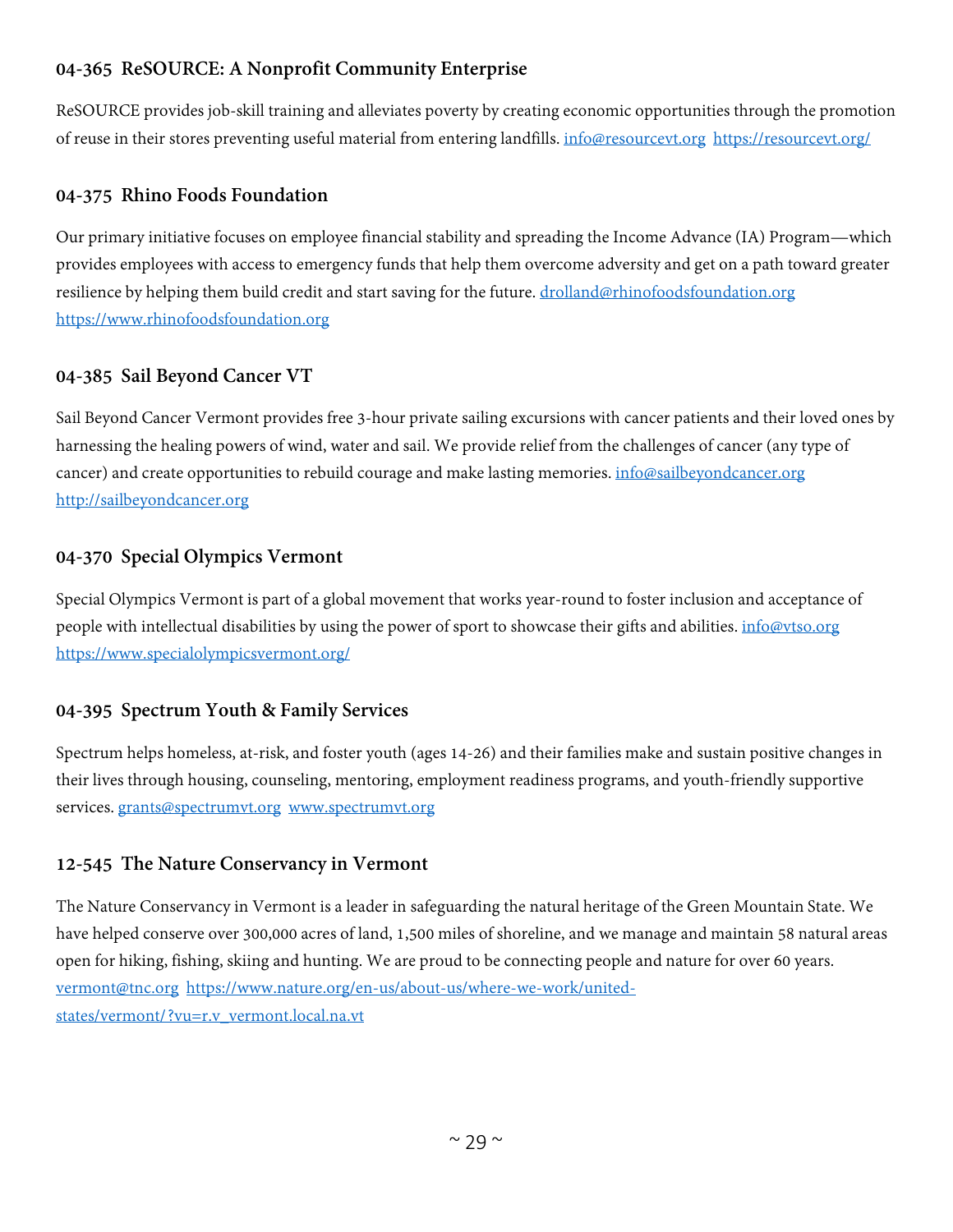# **04-365 ReSOURCE: A Nonprofit Community Enterprise**

ReSOURCE provides job-skill training and alleviates poverty by creating economic opportunities through the promotion of reuse in their stores preventing useful material from entering landfills. [info@resourcevt.org](mailto:info@resourcevt.org) <https://resourcevt.org/>

# **04-375 Rhino Foods Foundation**

Our primary initiative focuses on employee financial stability and spreading the Income Advance (IA) Program—which provides employees with access to emergency funds that help them overcome adversity and get on a path toward greater resilience by helping them build credit and start saving for the future. [drolland@rhinofoodsfoundation.org](mailto:drolland@rhinofoodsfoundation.org) [https://www.rhinofoodsfoundation.org](https://www.rhinofoodsfoundation.org/)

# **04-385 Sail Beyond Cancer VT**

Sail Beyond Cancer Vermont provides free 3-hour private sailing excursions with cancer patients and their loved ones by harnessing the healing powers of wind, water and sail. We provide relief from the challenges of cancer (any type of cancer) and create opportunities to rebuild courage and make lasting memories[. info@sailbeyondcancer.org](mailto:info@sailbeyondcancer.org) [http://sailbeyondcancer.org](http://sailbeyondcancer.org/)

# **04-370 Special Olympics Vermont**

Special Olympics Vermont is part of a global movement that works year-round to foster inclusion and acceptance of people with intellectual disabilities by using the power of sport to showcase their gifts and abilities. [info@vtso.org](mailto:info@vtso.org) <https://www.specialolympicsvermont.org/>

# **04-395 Spectrum Youth & Family Services**

Spectrum helps homeless, at-risk, and foster youth (ages 14-26) and their families make and sustain positive changes in their lives through housing, counseling, mentoring, employment readiness programs, and youth-friendly supportive services. [grants@spectrumvt.org](mailto:grants@spectrumvt.org) [www.spectrumvt.org](http://www.spectrumvt.org/)

# **12-545 The Nature Conservancy in Vermont**

The Nature Conservancy in Vermont is a leader in safeguarding the natural heritage of the Green Mountain State. We have helped conserve over 300,000 acres of land, 1,500 miles of shoreline, and we manage and maintain 58 natural areas open for hiking, fishing, skiing and hunting. We are proud to be connecting people and nature for over 60 years. [vermont@tnc.org](mailto:vermont@tnc.org) [https://www.nature.org/en-us/about-us/where-we-work/united](https://www.nature.org/en-us/about-us/where-we-work/united-states/vermont/?vu=r.v_vermont.local.na.vt)[states/vermont/?vu=r.v\\_vermont.local.na.vt](https://www.nature.org/en-us/about-us/where-we-work/united-states/vermont/?vu=r.v_vermont.local.na.vt)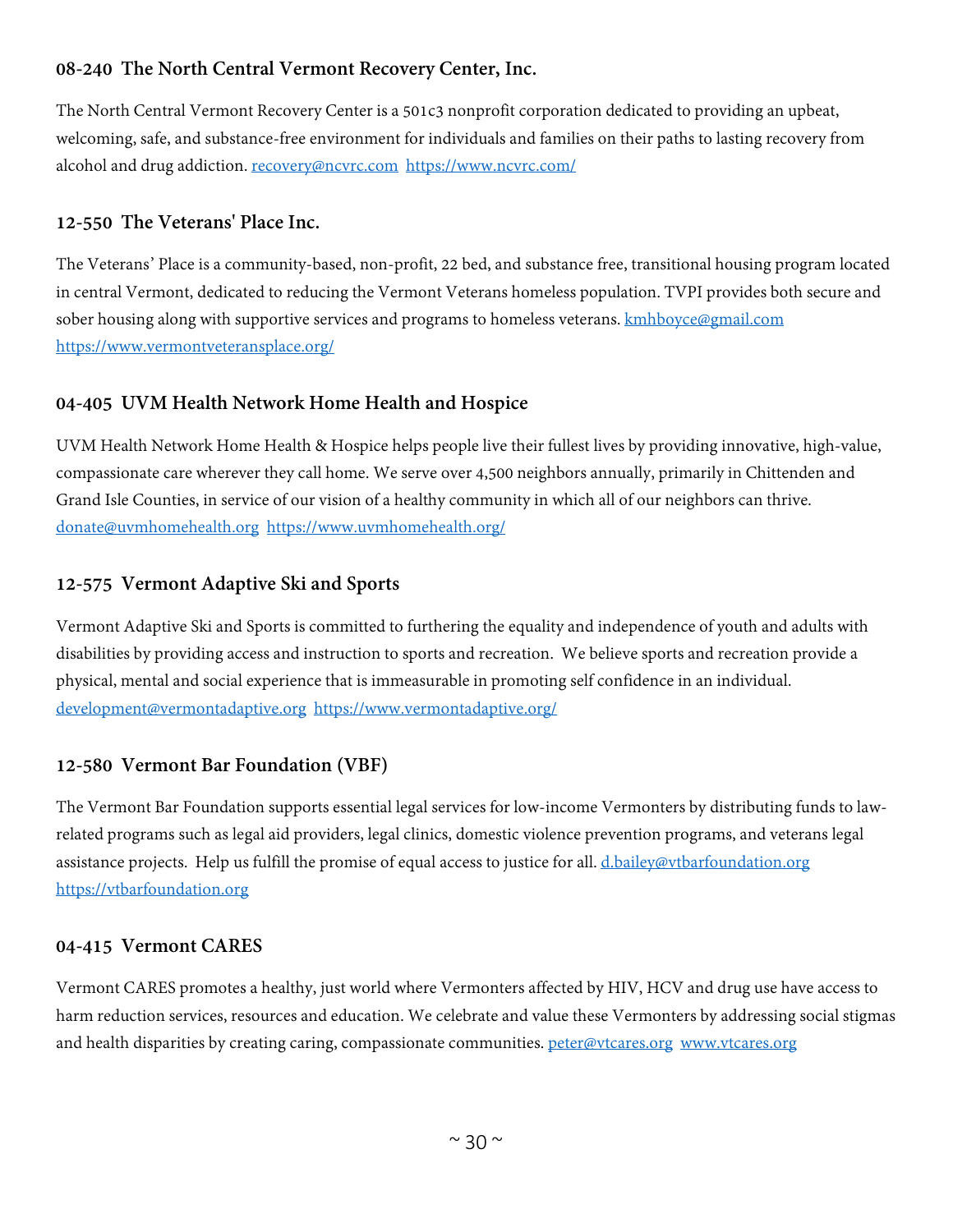# **08-240 The North Central Vermont Recovery Center, Inc.**

The North Central Vermont Recovery Center is a 501c3 nonprofit corporation dedicated to providing an upbeat, welcoming, safe, and substance-free environment for individuals and families on their paths to lasting recovery from alcohol and drug addiction[. recovery@ncvrc.com](mailto:recovery@ncvrc.com) <https://www.ncvrc.com/>

# **12-550 The Veterans' Place Inc.**

The Veterans' Place is a community-based, non-profit, 22 bed, and substance free, transitional housing program located in central Vermont, dedicated to reducing the Vermont Veterans homeless population. TVPI provides both secure and sober housing along with supportive services and programs to homeless veterans. **kmhboyce@gmail.com** <https://www.vermontveteransplace.org/>

# **04-405 UVM Health Network Home Health and Hospice**

UVM Health Network Home Health & Hospice helps people live their fullest lives by providing innovative, high-value, compassionate care wherever they call home. We serve over 4,500 neighbors annually, primarily in Chittenden and Grand Isle Counties, in service of our vision of a healthy community in which all of our neighbors can thrive. [donate@uvmhomehealth.org](mailto:donate@uvmhomehealth.org) <https://www.uvmhomehealth.org/>

# **12-575 Vermont Adaptive Ski and Sports**

Vermont Adaptive Ski and Sports is committed to furthering the equality and independence of youth and adults with disabilities by providing access and instruction to sports and recreation. We believe sports and recreation provide a physical, mental and social experience that is immeasurable in promoting self confidence in an individual. [development@vermontadaptive.org](mailto:development@vermontadaptive.org) <https://www.vermontadaptive.org/>

# **12-580 Vermont Bar Foundation (VBF)**

The Vermont Bar Foundation supports essential legal services for low-income Vermonters by distributing funds to lawrelated programs such as legal aid providers, legal clinics, domestic violence prevention programs, and veterans legal assistance projects. Help us fulfill the promise of equal access to justice for all. [d.bailey@vtbarfoundation.org](mailto:d.bailey@vtbarfoundation.org) [https://vtbarfoundation.org](https://vtbarfoundation.org/)

#### **04-415 Vermont CARES**

Vermont CARES promotes a healthy, just world where Vermonters affected by HIV, HCV and drug use have access to harm reduction services, resources and education. We celebrate and value these Vermonters by addressing social stigmas and health disparities by creating caring, compassionate communities. [peter@vtcares.org](mailto:peter@vtcares.org) [www.vtcares.org](http://www.vtcares.org/)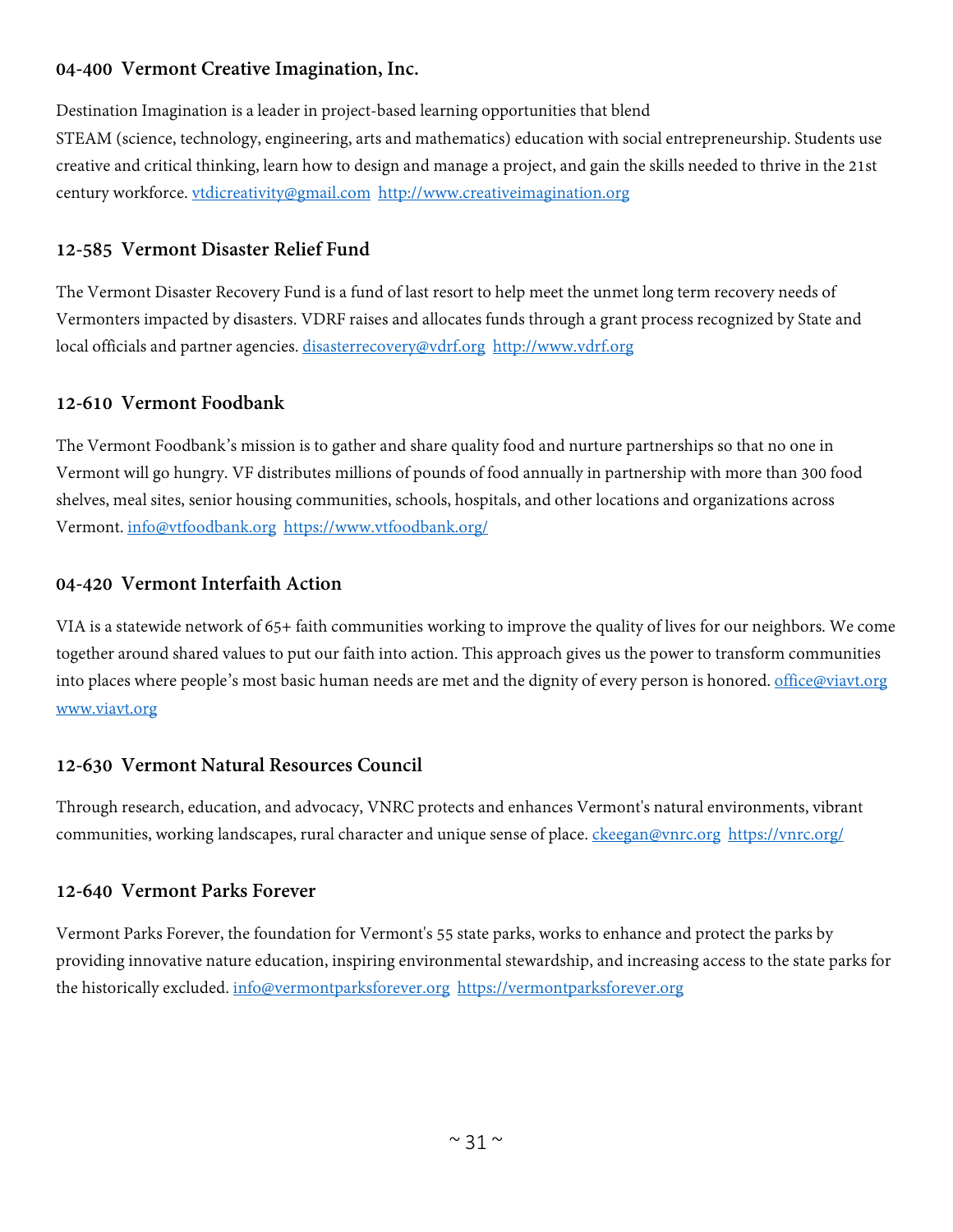# **04-400 Vermont Creative Imagination, Inc.**

Destination Imagination is a leader in project-based learning opportunities that blend STEAM (science, technology, engineering, arts and mathematics) education with social entrepreneurship. Students use creative and critical thinking, learn how to design and manage a project, and gain the skills needed to thrive in the 21st century workforce. [vtdicreativity@gmail.com](mailto:vtdicreativity@gmail.com) [http://www.creativeimagination.org](http://www.creativeimagination.org/) 

#### **12-585 Vermont Disaster Relief Fund**

The Vermont Disaster Recovery Fund is a fund of last resort to help meet the unmet long term recovery needs of Vermonters impacted by disasters. VDRF raises and allocates funds through a grant process recognized by State and local officials and partner agencies. [disasterrecovery@vdrf.org](mailto:disasterrecovery@vdrf.org) [http://www.vdrf.org](http://www.vdrf.org/)

#### **12-610 Vermont Foodbank**

The Vermont Foodbank's mission is to gather and share quality food and nurture partnerships so that no one in Vermont will go hungry. VF distributes millions of pounds of food annually in partnership with more than 300 food shelves, meal sites, senior housing communities, schools, hospitals, and other locations and organizations across Vermont. [info@vtfoodbank.org](mailto:info@vtfoodbank.org) <https://www.vtfoodbank.org/>

#### **04-420 Vermont Interfaith Action**

VIA is a statewide network of 65+ faith communities working to improve the quality of lives for our neighbors. We come together around shared values to put our faith into action. This approach gives us the power to transform communities into places where people's most basic human needs are met and the dignity of every person is honored. [office@viavt.org](mailto:office@viavt.org) [www.viavt.org](http://www.viavt.org/)

#### **12-630 Vermont Natural Resources Council**

Through research, education, and advocacy, VNRC protects and enhances Vermont's natural environments, vibrant communities, working landscapes, rural character and unique sense of place. [ckeegan@vnrc.org](mailto:ckeegan@vnrc.org) <https://vnrc.org/>

#### **12-640 Vermont Parks Forever**

Vermont Parks Forever, the foundation for Vermont's 55 state parks, works to enhance and protect the parks by providing innovative nature education, inspiring environmental stewardship, and increasing access to the state parks for the historically excluded. [info@vermontparksforever.org](mailto:info@vermontparksforever.org) [https://vermontparksforever.org](https://vermontparksforever.org/)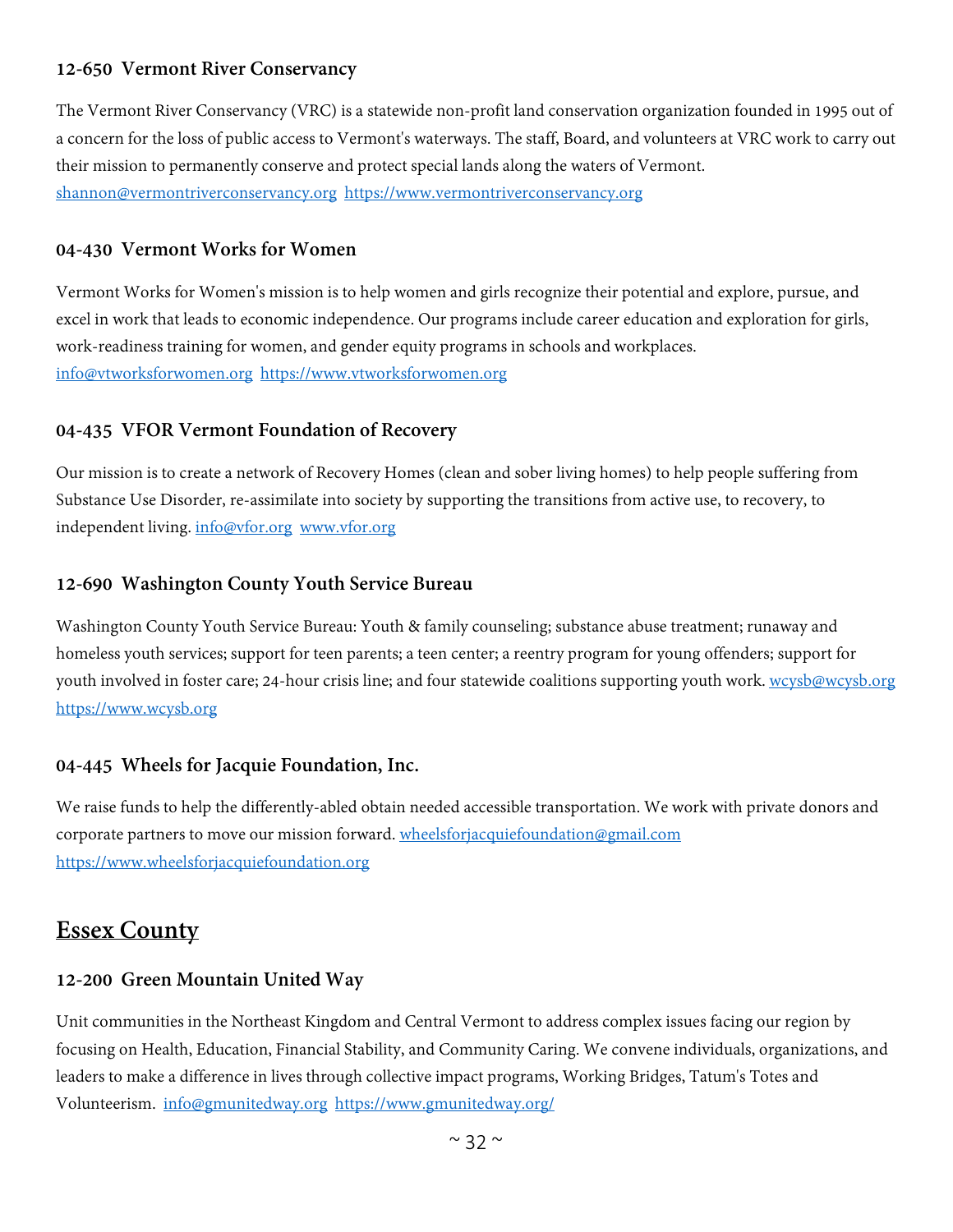# **12-650 Vermont River Conservancy**

The Vermont River Conservancy (VRC) is a statewide non-profit land conservation organization founded in 1995 out of a concern for the loss of public access to Vermont's waterways. The staff, Board, and volunteers at VRC work to carry out their mission to permanently conserve and protect special lands along the waters of Vermont. [shannon@vermontriverconservancy.org](mailto:shannon@vermontriverconservancy.org) [https://www.vermontriverconservancy.org](https://www.vermontriverconservancy.org/)

#### **04-430 Vermont Works for Women**

Vermont Works for Women's mission is to help women and girls recognize their potential and explore, pursue, and excel in work that leads to economic independence. Our programs include career education and exploration for girls, work-readiness training for women, and gender equity programs in schools and workplaces. [info@vtworksforwomen.org](mailto:info@vtworksforwomen.org) [https://www.vtworksforwomen.org](https://www.vtworksforwomen.org/)

#### **04-435 VFOR Vermont Foundation of Recovery**

Our mission is to create a network of Recovery Homes (clean and sober living homes) to help people suffering from Substance Use Disorder, re-assimilate into society by supporting the transitions from active use, to recovery, to independent living. [info@vfor.org](mailto:info@vfor.org) [www.vfor.org](http://www.vfor.org/)

#### **12-690 Washington County Youth Service Bureau**

Washington County Youth Service Bureau: Youth & family counseling; substance abuse treatment; runaway and homeless youth services; support for teen parents; a teen center; a reentry program for young offenders; support for youth involved in foster care; 24-hour crisis line; and four statewide coalitions supporting youth work. [wcysb@wcysb.org](mailto:wcysb@wcysb.org) [https://www.wcysb.org](https://www.wcysb.org/)

#### **04-445 Wheels for Jacquie Foundation, Inc.**

We raise funds to help the differently-abled obtain needed accessible transportation. We work with private donors and corporate partners to move our mission forward. [wheelsforjacquiefoundation@gmail.com](mailto:wheelsforjacquiefoundation@gmail.com) [https://www.wheelsforjacquiefoundation.org](https://www.wheelsforjacquiefoundation.org/)

# <span id="page-31-0"></span>**Essex County**

#### **12-200 Green Mountain United Way**

Unit communities in the Northeast Kingdom and Central Vermont to address complex issues facing our region by focusing on Health, Education, Financial Stability, and Community Caring. We convene individuals, organizations, and leaders to make a difference in lives through collective impact programs, Working Bridges, Tatum's Totes and Volunteerism. [info@gmunitedway.org](mailto:info@gmunitedway.org) <https://www.gmunitedway.org/>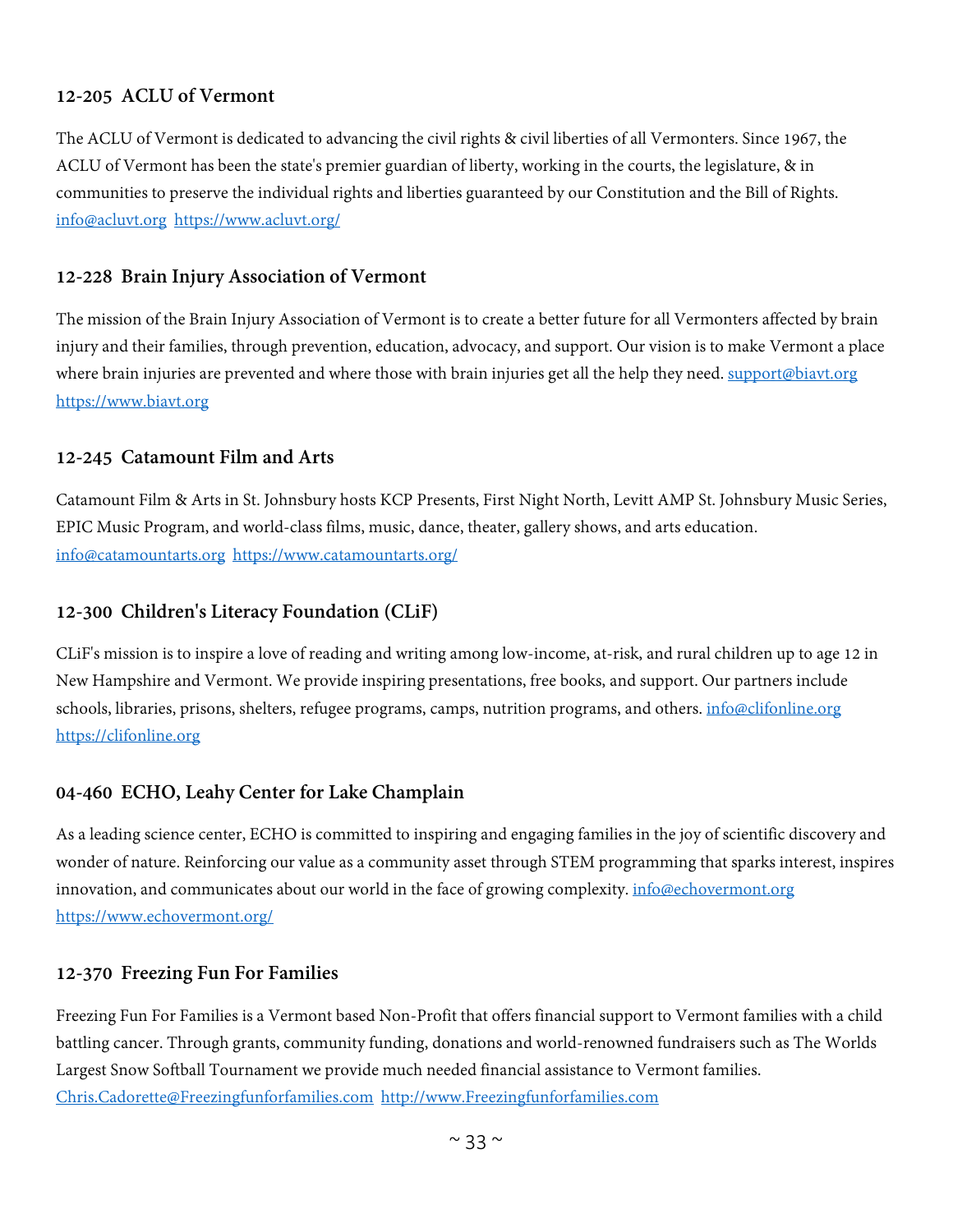# **12-205 ACLU of Vermont**

The ACLU of Vermont is dedicated to advancing the civil rights & civil liberties of all Vermonters. Since 1967, the ACLU of Vermont has been the state's premier guardian of liberty, working in the courts, the legislature, & in communities to preserve the individual rights and liberties guaranteed by our Constitution and the Bill of Rights. [info@acluvt.org](mailto:info@acluvt.org) <https://www.acluvt.org/>

#### **12-228 Brain Injury Association of Vermont**

The mission of the Brain Injury Association of Vermont is to create a better future for all Vermonters affected by brain injury and their families, through prevention, education, advocacy, and support. Our vision is to make Vermont a place where brain injuries are prevented and where those with brain injuries get all the help they need. [support@biavt.org](mailto:support@biavt.org) [https://www.biavt.org](https://www.biavt.org/)

#### **12-245 Catamount Film and Arts**

Catamount Film & Arts in St. Johnsbury hosts KCP Presents, First Night North, Levitt AMP St. Johnsbury Music Series, EPIC Music Program, and world-class films, music, dance, theater, gallery shows, and arts education. [info@catamountarts.org](mailto:info@catamountarts.org) <https://www.catamountarts.org/>

#### **12-300 Children's Literacy Foundation (CLiF)**

CLiF's mission is to inspire a love of reading and writing among low-income, at-risk, and rural children up to age 12 in New Hampshire and Vermont. We provide inspiring presentations, free books, and support. Our partners include schools, libraries, prisons, shelters, refugee programs, camps, nutrition programs, and others. [info@clifonline.org](mailto:info@clifonline.org) [https://clifonline.org](https://clifonline.org/)

#### **04-460 ECHO, Leahy Center for Lake Champlain**

As a leading science center, ECHO is committed to inspiring and engaging families in the joy of scientific discovery and wonder of nature. Reinforcing our value as a community asset through STEM programming that sparks interest, inspires innovation, and communicates about our world in the face of growing complexity. [info@echovermont.org](mailto:info@echovermont.org) <https://www.echovermont.org/>

#### **12-370 Freezing Fun For Families**

Freezing Fun For Families is a Vermont based Non-Profit that offers financial support to Vermont families with a child battling cancer. Through grants, community funding, donations and world-renowned fundraisers such as The Worlds Largest Snow Softball Tournament we provide much needed financial assistance to Vermont families. [Chris.Cadorette@Freezingfunforfamilies.com](mailto:Chris.Cadorette@Freezingfunforfamilies.com) [http://www.Freezingfunforfamilies.com](http://www.freezingfunforfamilies.com/)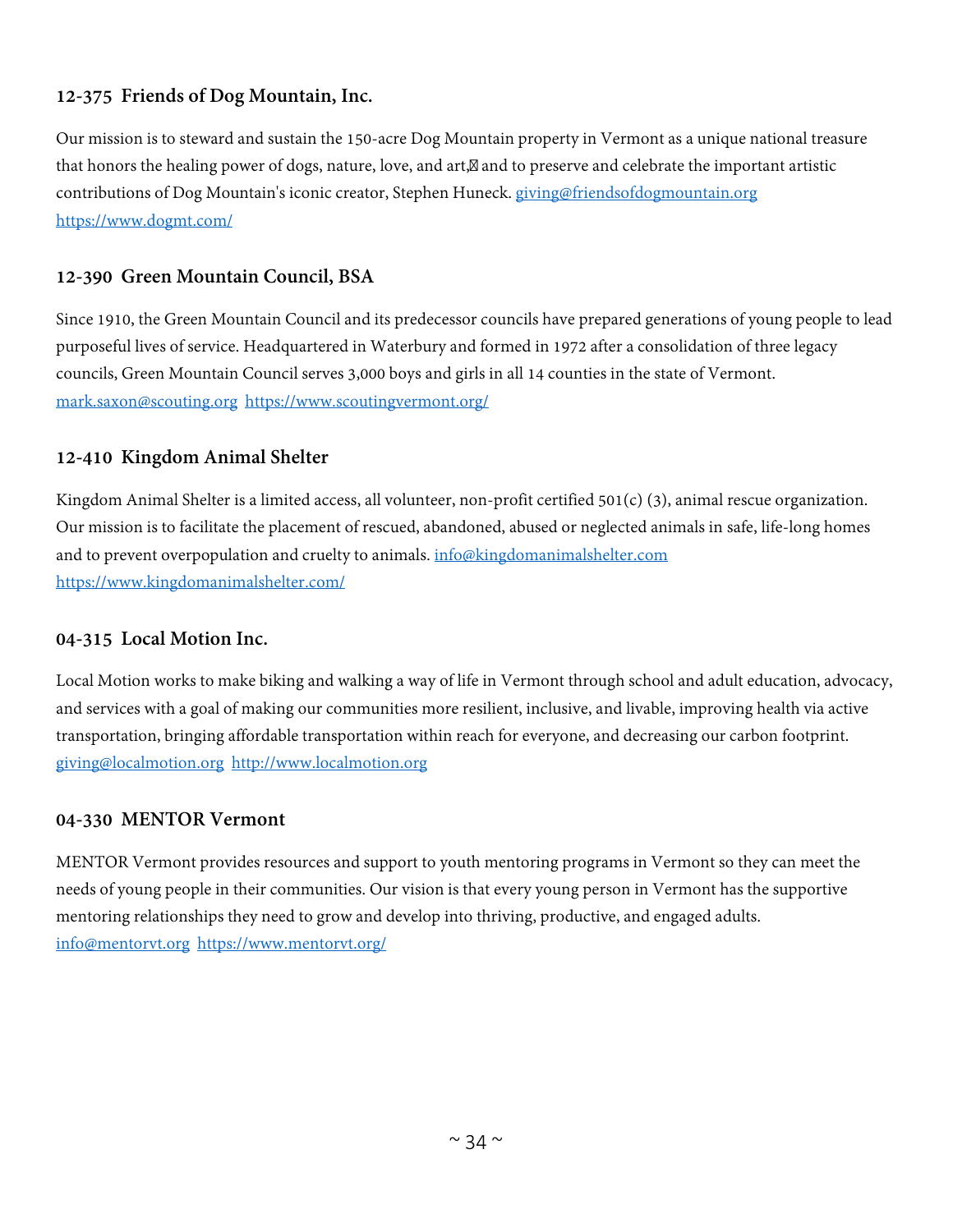# **12-375 Friends of Dog Mountain, Inc.**

Our mission is to steward and sustain the 150-acre Dog Mountain property in Vermont as a unique national treasure that honors the healing power of dogs, nature, love, and art, and to preserve and celebrate the important artistic contributions of Dog Mountain's iconic creator, Stephen Huneck. [giving@friendsofdogmountain.org](mailto:giving@friendsofdogmountain.org) <https://www.dogmt.com/>

# **12-390 Green Mountain Council, BSA**

Since 1910, the Green Mountain Council and its predecessor councils have prepared generations of young people to lead purposeful lives of service. Headquartered in Waterbury and formed in 1972 after a consolidation of three legacy councils, Green Mountain Council serves 3,000 boys and girls in all 14 counties in the state of Vermont. [mark.saxon@scouting.org](mailto:mark.saxon@scouting.org) <https://www.scoutingvermont.org/>

# **12-410 Kingdom Animal Shelter**

Kingdom Animal Shelter is a limited access, all volunteer, non-profit certified  $501(c)$  (3), animal rescue organization. Our mission is to facilitate the placement of rescued, abandoned, abused or neglected animals in safe, life-long homes and to prevent overpopulation and cruelty to animals. [info@kingdomanimalshelter.com](mailto:info@kingdomanimalshelter.com) <https://www.kingdomanimalshelter.com/>

#### **04-315 Local Motion Inc.**

Local Motion works to make biking and walking a way of life in Vermont through school and adult education, advocacy, and services with a goal of making our communities more resilient, inclusive, and livable, improving health via active transportation, bringing affordable transportation within reach for everyone, and decreasing our carbon footprint. [giving@localmotion.org](mailto:giving@localmotion.org) [http://www.localmotion.org](http://www.localmotion.org/)

#### **04-330 MENTOR Vermont**

MENTOR Vermont provides resources and support to youth mentoring programs in Vermont so they can meet the needs of young people in their communities. Our vision is that every young person in Vermont has the supportive mentoring relationships they need to grow and develop into thriving, productive, and engaged adults. [info@mentorvt.org](mailto:info@mentorvt.org) <https://www.mentorvt.org/>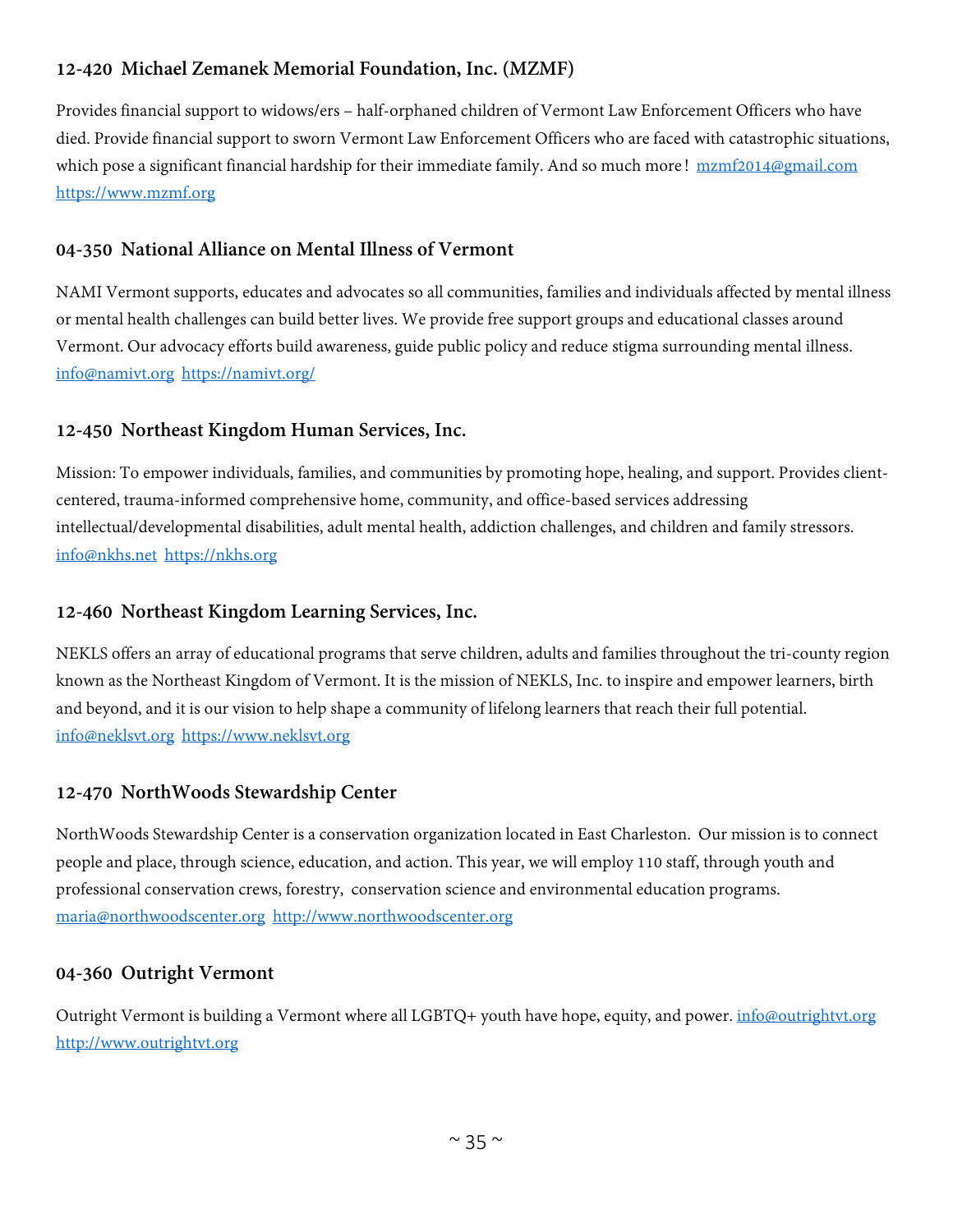# **12-420 Michael Zemanek Memorial Foundation, Inc. (MZMF)**

Provides financial support to widows/ers – half-orphaned children of Vermont Law Enforcement Officers who have died. Provide financial support to sworn Vermont Law Enforcement Officers who are faced with catastrophic situations, which pose a significant financial hardship for their immediate family. And so much more! [mzmf2014@gmail.com](mailto:mzmf2014@gmail.com) [https://www.mzmf.org](https://www.mzmf.org/)

# **04-350 National Alliance on Mental Illness of Vermont**

NAMI Vermont supports, educates and advocates so all communities, families and individuals affected by mental illness or mental health challenges can build better lives. We provide free support groups and educational classes around Vermont. Our advocacy efforts build awareness, guide public policy and reduce stigma surrounding mental illness. [info@namivt.org](mailto:info@namivt.org) <https://namivt.org/>

# **12-450 Northeast Kingdom Human Services, Inc.**

Mission: To empower individuals, families, and communities by promoting hope, healing, and support. Provides clientcentered, trauma-informed comprehensive home, community, and office-based services addressing intellectual/developmental disabilities, adult mental health, addiction challenges, and children and family stressors. [info@nkhs.net](mailto:info@nkhs.net) [https://nkhs.org](https://nkhs.org/)

# **12-460 Northeast Kingdom Learning Services, Inc.**

NEKLS offers an array of educational programs that serve children, adults and families throughout the tri-county region known as the Northeast Kingdom of Vermont. It is the mission of NEKLS, Inc. to inspire and empower learners, birth and beyond, and it is our vision to help shape a community of lifelong learners that reach their full potential. [info@neklsvt.org](mailto:info@neklsvt.org) [https://www.neklsvt.org](https://www.neklsvt.org/)

# **12-470 NorthWoods Stewardship Center**

NorthWoods Stewardship Center is a conservation organization located in East Charleston. Our mission is to connect people and place, through science, education, and action. This year, we will employ 110 staff, through youth and professional conservation crews, forestry, conservation science and environmental education programs. [maria@northwoodscenter.org](mailto:maria@northwoodscenter.org) [http://www.northwoodscenter.org](http://www.northwoodscenter.org/)

#### **04-360 Outright Vermont**

Outright Vermont is building a Vermont where all LGBTQ+ youth have hope, equity, and power. [info@outrightvt.org](mailto:info@outrightvt.org) [http://www.outrightvt.org](http://www.outrightvt.org/)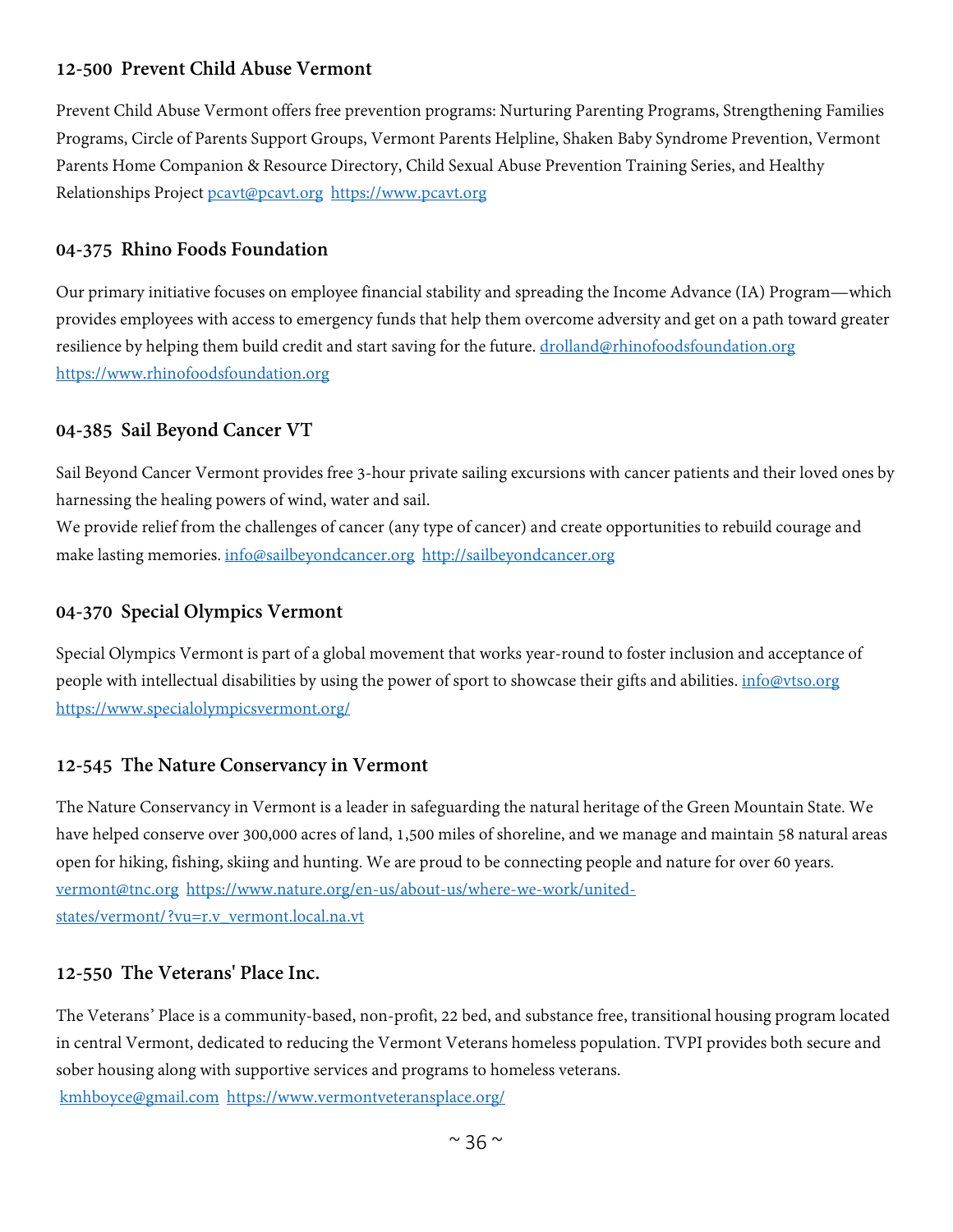# **12-500 Prevent Child Abuse Vermont**

Prevent Child Abuse Vermont offers free prevention programs: Nurturing Parenting Programs, Strengthening Families Programs, Circle of Parents Support Groups, Vermont Parents Helpline, Shaken Baby Syndrome Prevention, Vermont Parents Home Companion & Resource Directory, Child Sexual Abuse Prevention Training Series, and Healthy Relationships Project [pcavt@pcavt.org](mailto:pcavt@pcavt.org) [https://www.pcavt.org](https://www.pcavt.org/)

#### **04-375 Rhino Foods Foundation**

Our primary initiative focuses on employee financial stability and spreading the Income Advance (IA) Program—which provides employees with access to emergency funds that help them overcome adversity and get on a path toward greater resilience by helping them build credit and start saving for the future. [drolland@rhinofoodsfoundation.org](mailto:drolland@rhinofoodsfoundation.org) [https://www.rhinofoodsfoundation.org](https://www.rhinofoodsfoundation.org/)

#### **04-385 Sail Beyond Cancer VT**

Sail Beyond Cancer Vermont provides free 3-hour private sailing excursions with cancer patients and their loved ones by harnessing the healing powers of wind, water and sail.

We provide relief from the challenges of cancer (any type of cancer) and create opportunities to rebuild courage and make lasting memories[. info@sailbeyondcancer.org](mailto:info@sailbeyondcancer.org) [http://sailbeyondcancer.org](http://sailbeyondcancer.org/)

#### **04-370 Special Olympics Vermont**

Special Olympics Vermont is part of a global movement that works year-round to foster inclusion and acceptance of people with intellectual disabilities by using the power of sport to showcase their gifts and abilities. [info@vtso.org](mailto:info@vtso.org) <https://www.specialolympicsvermont.org/>

#### **12-545 The Nature Conservancy in Vermont**

The Nature Conservancy in Vermont is a leader in safeguarding the natural heritage of the Green Mountain State. We have helped conserve over 300,000 acres of land, 1,500 miles of shoreline, and we manage and maintain 58 natural areas open for hiking, fishing, skiing and hunting. We are proud to be connecting people and nature for over 60 years. [vermont@tnc.org](mailto:vermont@tnc.org) [https://www.nature.org/en-us/about-us/where-we-work/united](https://www.nature.org/en-us/about-us/where-we-work/united-states/vermont/?vu=r.v_vermont.local.na.vt)[states/vermont/?vu=r.v\\_vermont.local.na.vt](https://www.nature.org/en-us/about-us/where-we-work/united-states/vermont/?vu=r.v_vermont.local.na.vt)

#### **12-550 The Veterans' Place Inc.**

The Veterans' Place is a community-based, non-profit, 22 bed, and substance free, transitional housing program located in central Vermont, dedicated to reducing the Vermont Veterans homeless population. TVPI provides both secure and sober housing along with supportive services and programs to homeless veterans. [kmhboyce@gmail.com](mailto:kmhboyce@gmail.com) <https://www.vermontveteransplace.org/>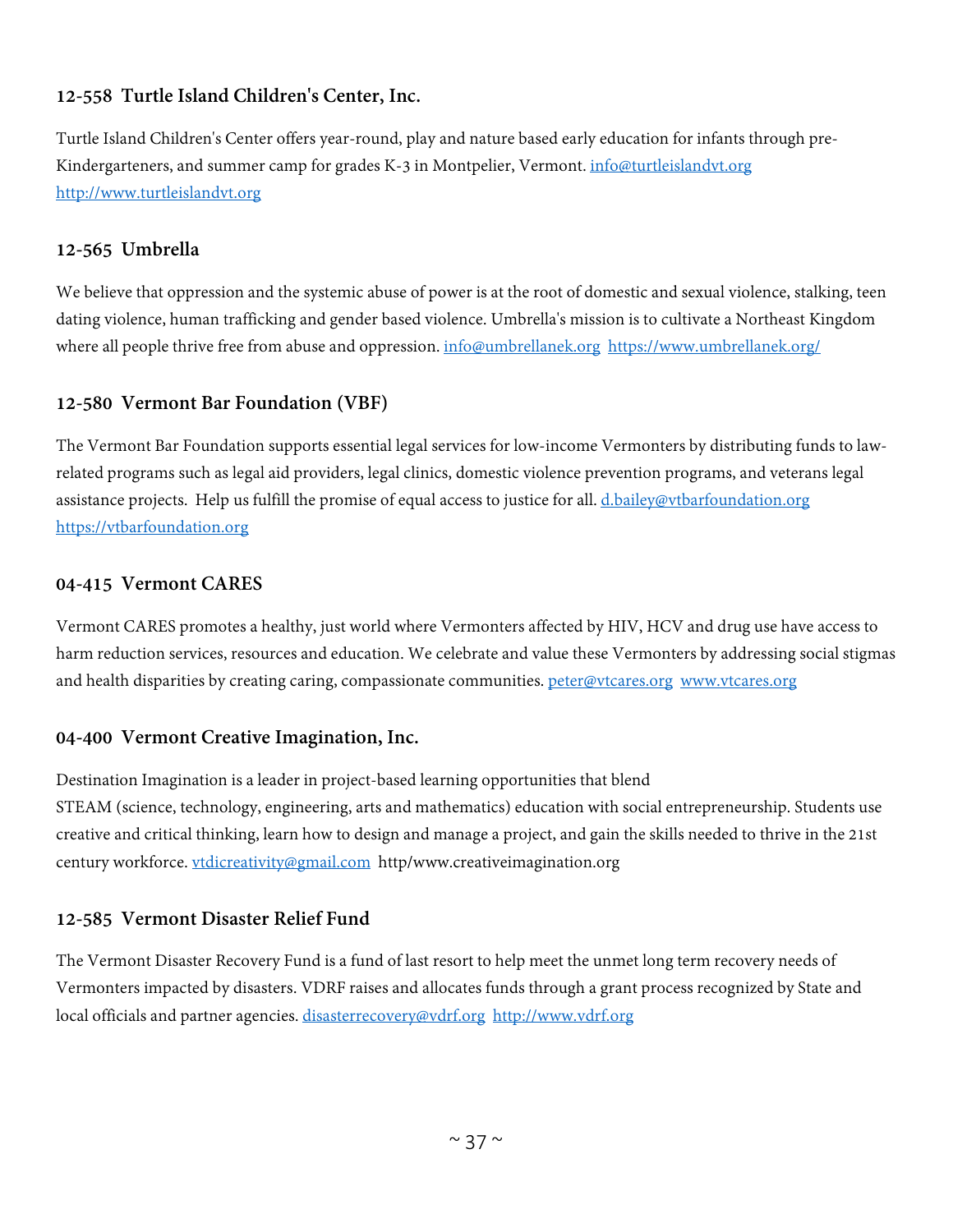# **12-558 Turtle Island Children's Center, Inc.**

Turtle Island Children's Center offers year-round, play and nature based early education for infants through pre-Kindergarteners, and summer camp for grades K-3 in Montpelier, Vermont. *[info@turtleislandvt.org](mailto:info@turtleislandvt.org)* [http://www.turtleislandvt.org](http://www.turtleislandvt.org/)

# **12-565 Umbrella**

We believe that oppression and the systemic abuse of power is at the root of domestic and sexual violence, stalking, teen dating violence, human trafficking and gender based violence. Umbrella's mission is to cultivate a Northeast Kingdom where all people thrive free from abuse and oppression. [info@umbrellanek.org](mailto:info@umbrellanek.org) <https://www.umbrellanek.org/>

# **12-580 Vermont Bar Foundation (VBF)**

The Vermont Bar Foundation supports essential legal services for low-income Vermonters by distributing funds to lawrelated programs such as legal aid providers, legal clinics, domestic violence prevention programs, and veterans legal assistance projects. Help us fulfill the promise of equal access to justice for all. [d.bailey@vtbarfoundation.org](mailto:d.bailey@vtbarfoundation.org) [https://vtbarfoundation.org](https://vtbarfoundation.org/)

## **04-415 Vermont CARES**

Vermont CARES promotes a healthy, just world where Vermonters affected by HIV, HCV and drug use have access to harm reduction services, resources and education. We celebrate and value these Vermonters by addressing social stigmas and health disparities by creating caring, compassionate communities. [peter@vtcares.org](mailto:peter@vtcares.org) [www.vtcares.org](http://www.vtcares.org/)

## **04-400 Vermont Creative Imagination, Inc.**

Destination Imagination is a leader in project-based learning opportunities that blend STEAM (science, technology, engineering, arts and mathematics) education with social entrepreneurship. Students use creative and critical thinking, learn how to design and manage a project, and gain the skills needed to thrive in the 21st century workforce. [vtdicreativity@gmail.com](mailto:vtdicreativity@gmail.com) http/www.creativeimagination.org

## **12-585 Vermont Disaster Relief Fund**

The Vermont Disaster Recovery Fund is a fund of last resort to help meet the unmet long term recovery needs of Vermonters impacted by disasters. VDRF raises and allocates funds through a grant process recognized by State and local officials and partner agencies. [disasterrecovery@vdrf.org](mailto:disasterrecovery@vdrf.org) [http://www.vdrf.org](http://www.vdrf.org/)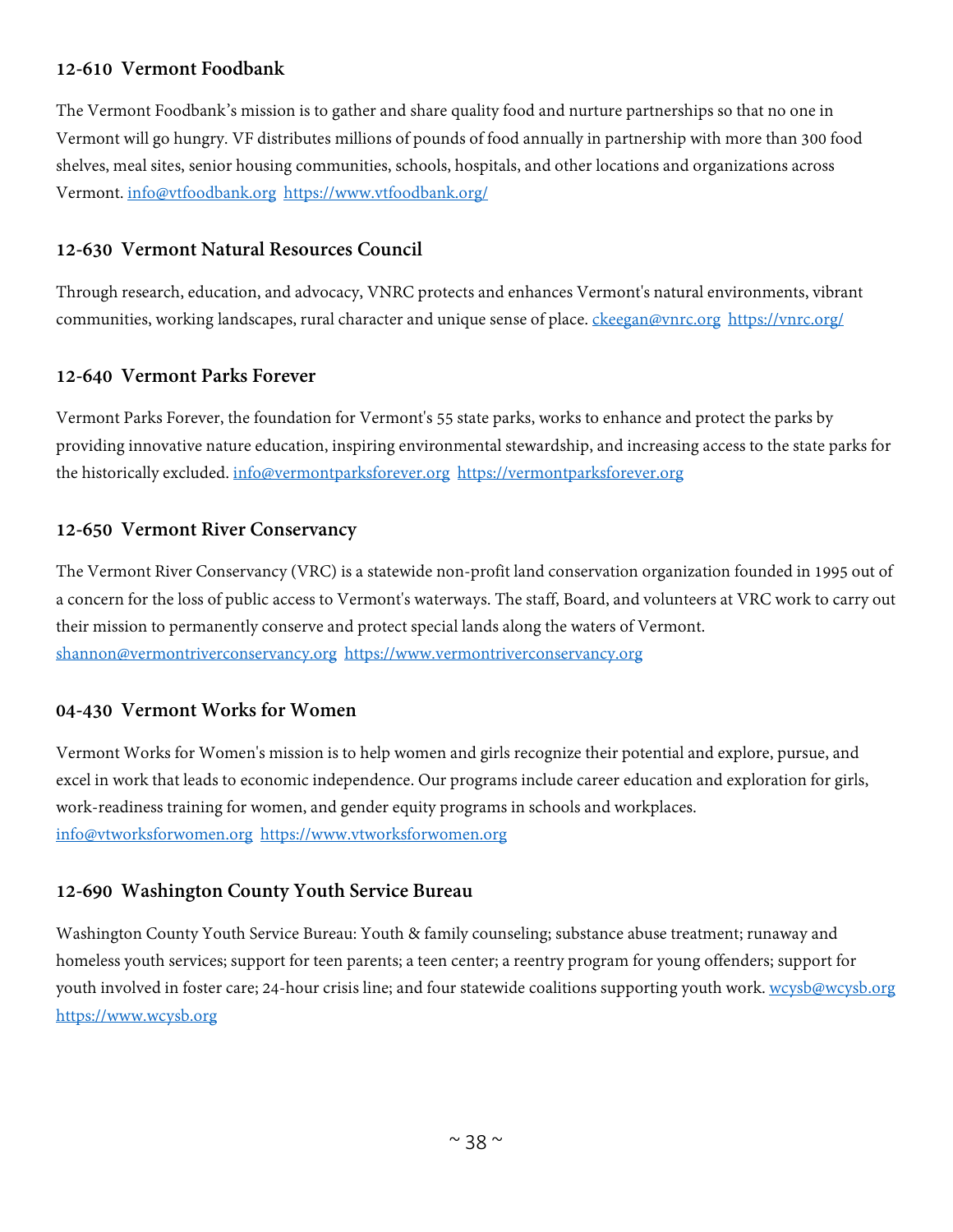## **12-610 Vermont Foodbank**

The Vermont Foodbank's mission is to gather and share quality food and nurture partnerships so that no one in Vermont will go hungry. VF distributes millions of pounds of food annually in partnership with more than 300 food shelves, meal sites, senior housing communities, schools, hospitals, and other locations and organizations across Vermont. [info@vtfoodbank.org](mailto:info@vtfoodbank.org) <https://www.vtfoodbank.org/>

#### **12-630 Vermont Natural Resources Council**

Through research, education, and advocacy, VNRC protects and enhances Vermont's natural environments, vibrant communities, working landscapes, rural character and unique sense of place. [ckeegan@vnrc.org](mailto:ckeegan@vnrc.org) <https://vnrc.org/>

## **12-640 Vermont Parks Forever**

Vermont Parks Forever, the foundation for Vermont's 55 state parks, works to enhance and protect the parks by providing innovative nature education, inspiring environmental stewardship, and increasing access to the state parks for the historically excluded. [info@vermontparksforever.org](mailto:info@vermontparksforever.org) [https://vermontparksforever.org](https://vermontparksforever.org/)

#### **12-650 Vermont River Conservancy**

The Vermont River Conservancy (VRC) is a statewide non-profit land conservation organization founded in 1995 out of a concern for the loss of public access to Vermont's waterways. The staff, Board, and volunteers at VRC work to carry out their mission to permanently conserve and protect special lands along the waters of Vermont. [shannon@vermontriverconservancy.org](mailto:shannon@vermontriverconservancy.org) [https://www.vermontriverconservancy.org](https://www.vermontriverconservancy.org/)

## **04-430 Vermont Works for Women**

Vermont Works for Women's mission is to help women and girls recognize their potential and explore, pursue, and excel in work that leads to economic independence. Our programs include career education and exploration for girls, work-readiness training for women, and gender equity programs in schools and workplaces. [info@vtworksforwomen.org](mailto:info@vtworksforwomen.org) [https://www.vtworksforwomen.org](https://www.vtworksforwomen.org/)

#### **12-690 Washington County Youth Service Bureau**

Washington County Youth Service Bureau: Youth & family counseling; substance abuse treatment; runaway and homeless youth services; support for teen parents; a teen center; a reentry program for young offenders; support for youth involved in foster care; 24-hour crisis line; and four statewide coalitions supporting youth work. [wcysb@wcysb.org](mailto:wcysb@wcysb.org) [https://www.wcysb.org](https://www.wcysb.org/)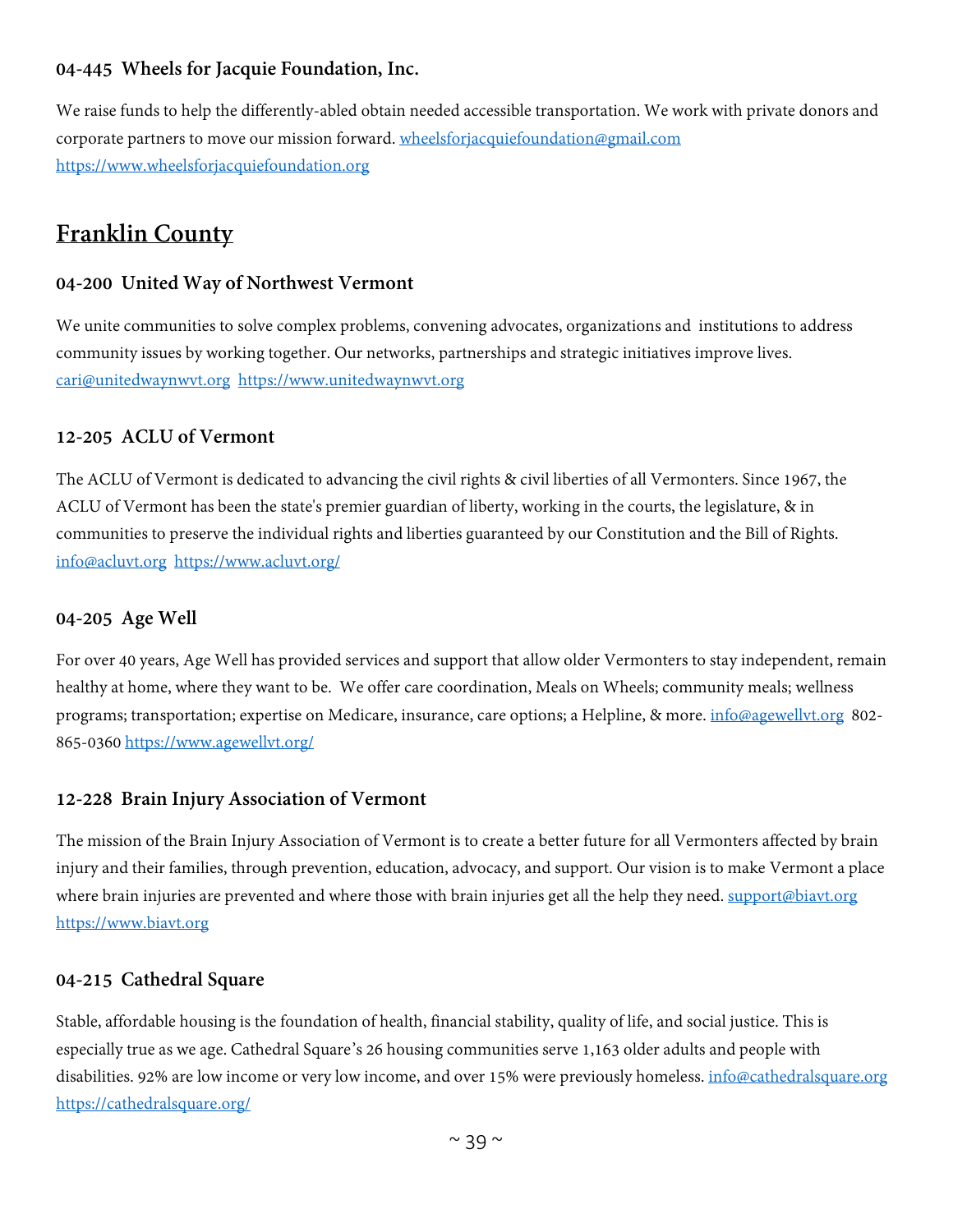## **04-445 Wheels for Jacquie Foundation, Inc.**

We raise funds to help the differently-abled obtain needed accessible transportation. We work with private donors and corporate partners to move our mission forward. [wheelsforjacquiefoundation@gmail.com](mailto:wheelsforjacquiefoundation@gmail.com) [https://www.wheelsforjacquiefoundation.org](https://www.wheelsforjacquiefoundation.org/)

# **Franklin County**

#### **04-200 United Way of Northwest Vermont**

We unite communities to solve complex problems, convening advocates, organizations and institutions to address community issues by working together. Our networks, partnerships and strategic initiatives improve lives. [cari@unitedwaynwvt.org](mailto:cari@unitedwaynwvt.org) [https://www.unitedwaynwvt.org](https://www.unitedwaynwvt.org/)

#### **12-205 ACLU of Vermont**

The ACLU of Vermont is dedicated to advancing the civil rights & civil liberties of all Vermonters. Since 1967, the ACLU of Vermont has been the state's premier guardian of liberty, working in the courts, the legislature, & in communities to preserve the individual rights and liberties guaranteed by our Constitution and the Bill of Rights. [info@acluvt.org](mailto:info@acluvt.org) <https://www.acluvt.org/>

#### **04-205 Age Well**

For over 40 years, Age Well has provided services and support that allow older Vermonters to stay independent, remain healthy at home, where they want to be. We offer care coordination, Meals on Wheels; community meals; wellness programs; transportation; expertise on Medicare, insurance, care options; a Helpline, & more. [info@agewellvt.org](mailto:info@agewellvt.org) 802- 865-0360 <https://www.agewellvt.org/>

#### **12-228 Brain Injury Association of Vermont**

The mission of the Brain Injury Association of Vermont is to create a better future for all Vermonters affected by brain injury and their families, through prevention, education, advocacy, and support. Our vision is to make Vermont a place where brain injuries are prevented and where those with brain injuries get all the help they need. [support@biavt.org](mailto:support@biavt.org) [https://www.biavt.org](https://www.biavt.org/)

#### **04-215 Cathedral Square**

Stable, affordable housing is the foundation of health, financial stability, quality of life, and social justice. This is especially true as we age. Cathedral Square's 26 housing communities serve 1,163 older adults and people with disabilities. 92% are low income or very low income, and over 15% were previously homeless. [info@cathedralsquare.org](mailto:info@cathedralsquare.org) <https://cathedralsquare.org/>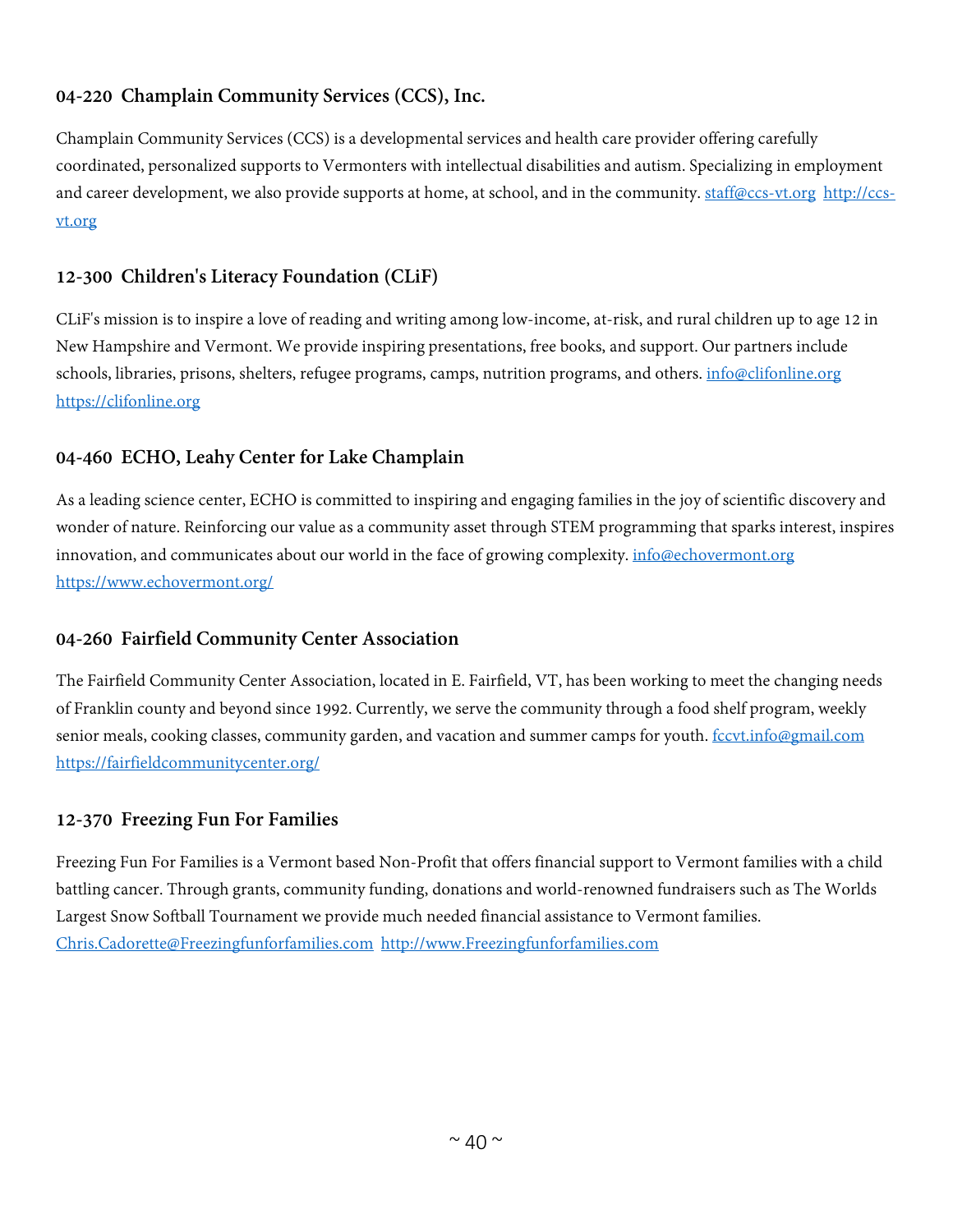# **04-220 Champlain Community Services (CCS), Inc.**

Champlain Community Services (CCS) is a developmental services and health care provider offering carefully coordinated, personalized supports to Vermonters with intellectual disabilities and autism. Specializing in employment and career development, we also provide supports at home, at school, and in the community. [staff@ccs-vt.org](mailto:staff@ccs-vt.org) [http://ccs](http://ccs-vt.org/)[vt.org](http://ccs-vt.org/)

# **12-300 Children's Literacy Foundation (CLiF)**

CLiF's mission is to inspire a love of reading and writing among low-income, at-risk, and rural children up to age 12 in New Hampshire and Vermont. We provide inspiring presentations, free books, and support. Our partners include schools, libraries, prisons, shelters, refugee programs, camps, nutrition programs, and others. [info@clifonline.org](mailto:info@clifonline.org) [https://clifonline.org](https://clifonline.org/)

# **04-460 ECHO, Leahy Center for Lake Champlain**

As a leading science center, ECHO is committed to inspiring and engaging families in the joy of scientific discovery and wonder of nature. Reinforcing our value as a community asset through STEM programming that sparks interest, inspires innovation, and communicates about our world in the face of growing complexity. [info@echovermont.org](mailto:info@echovermont.org) <https://www.echovermont.org/>

## **04-260 Fairfield Community Center Association**

The Fairfield Community Center Association, located in E. Fairfield, VT, has been working to meet the changing needs of Franklin county and beyond since 1992. Currently, we serve the community through a food shelf program, weekly senior meals, cooking classes, community garden, and vacation and summer camps for youth. [fccvt.info@gmail.com](mailto:fccvt.info@gmail.com) <https://fairfieldcommunitycenter.org/>

## **12-370 Freezing Fun For Families**

Freezing Fun For Families is a Vermont based Non-Profit that offers financial support to Vermont families with a child battling cancer. Through grants, community funding, donations and world-renowned fundraisers such as The Worlds Largest Snow Softball Tournament we provide much needed financial assistance to Vermont families. [Chris.Cadorette@Freezingfunforfamilies.com](mailto:Chris.Cadorette@Freezingfunforfamilies.com) [http://www.Freezingfunforfamilies.com](http://www.freezingfunforfamilies.com/)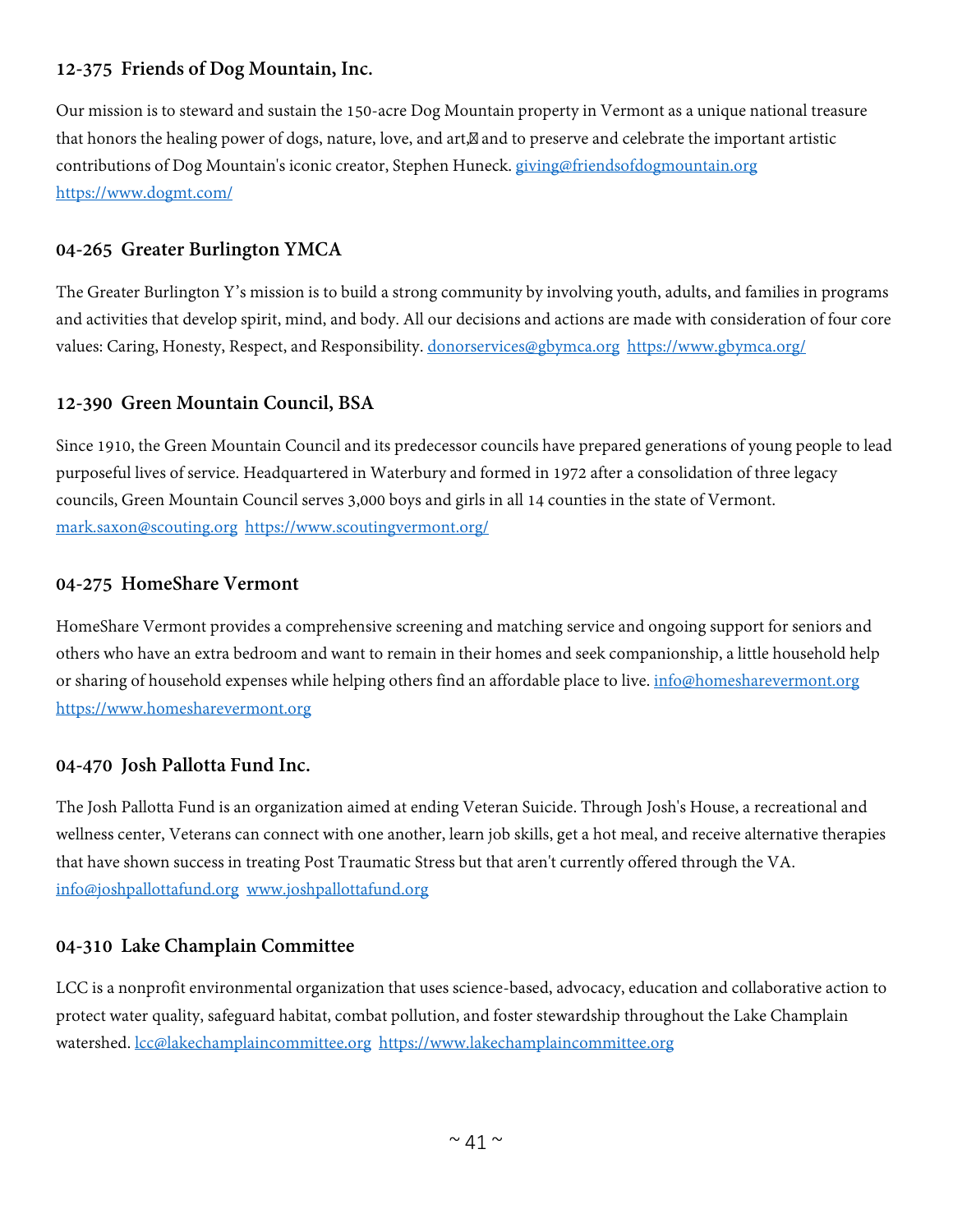## **12-375 Friends of Dog Mountain, Inc.**

Our mission is to steward and sustain the 150-acre Dog Mountain property in Vermont as a unique national treasure that honors the healing power of dogs, nature, love, and art, and to preserve and celebrate the important artistic contributions of Dog Mountain's iconic creator, Stephen Huneck. [giving@friendsofdogmountain.org](mailto:giving@friendsofdogmountain.org) <https://www.dogmt.com/>

## **04-265 Greater Burlington YMCA**

The Greater Burlington Y's mission is to build a strong community by involving youth, adults, and families in programs and activities that develop spirit, mind, and body. All our decisions and actions are made with consideration of four core values: Caring, Honesty, Respect, and Responsibility. [donorservices@gbymca.org](mailto:donorservices@gbymca.org) <https://www.gbymca.org/>

## **12-390 Green Mountain Council, BSA**

Since 1910, the Green Mountain Council and its predecessor councils have prepared generations of young people to lead purposeful lives of service. Headquartered in Waterbury and formed in 1972 after a consolidation of three legacy councils, Green Mountain Council serves 3,000 boys and girls in all 14 counties in the state of Vermont. [mark.saxon@scouting.org](mailto:mark.saxon@scouting.org) <https://www.scoutingvermont.org/>

#### **04-275 HomeShare Vermont**

HomeShare Vermont provides a comprehensive screening and matching service and ongoing support for seniors and others who have an extra bedroom and want to remain in their homes and seek companionship, a little household help or sharing of household expenses while helping others find an affordable place to live. [info@homesharevermont.org](mailto:info@homesharevermont.org) [https://www.homesharevermont.org](https://www.homesharevermont.org/)

## **04-470 Josh Pallotta Fund Inc.**

The Josh Pallotta Fund is an organization aimed at ending Veteran Suicide. Through Josh's House, a recreational and wellness center, Veterans can connect with one another, learn job skills, get a hot meal, and receive alternative therapies that have shown success in treating Post Traumatic Stress but that aren't currently offered through the VA. [info@joshpallottafund.org](mailto:info@joshpallottafund.org) [www.joshpallottafund.org](http://www.joshpallottafund.org/)

## **04-310 Lake Champlain Committee**

LCC is a nonprofit environmental organization that uses science-based, advocacy, education and collaborative action to protect water quality, safeguard habitat, combat pollution, and foster stewardship throughout the Lake Champlain watershed. [lcc@lakechamplaincommittee.org](mailto:lcc@lakechamplaincommittee.org) [https://www.lakechamplaincommittee.org](https://www.lakechamplaincommittee.org/)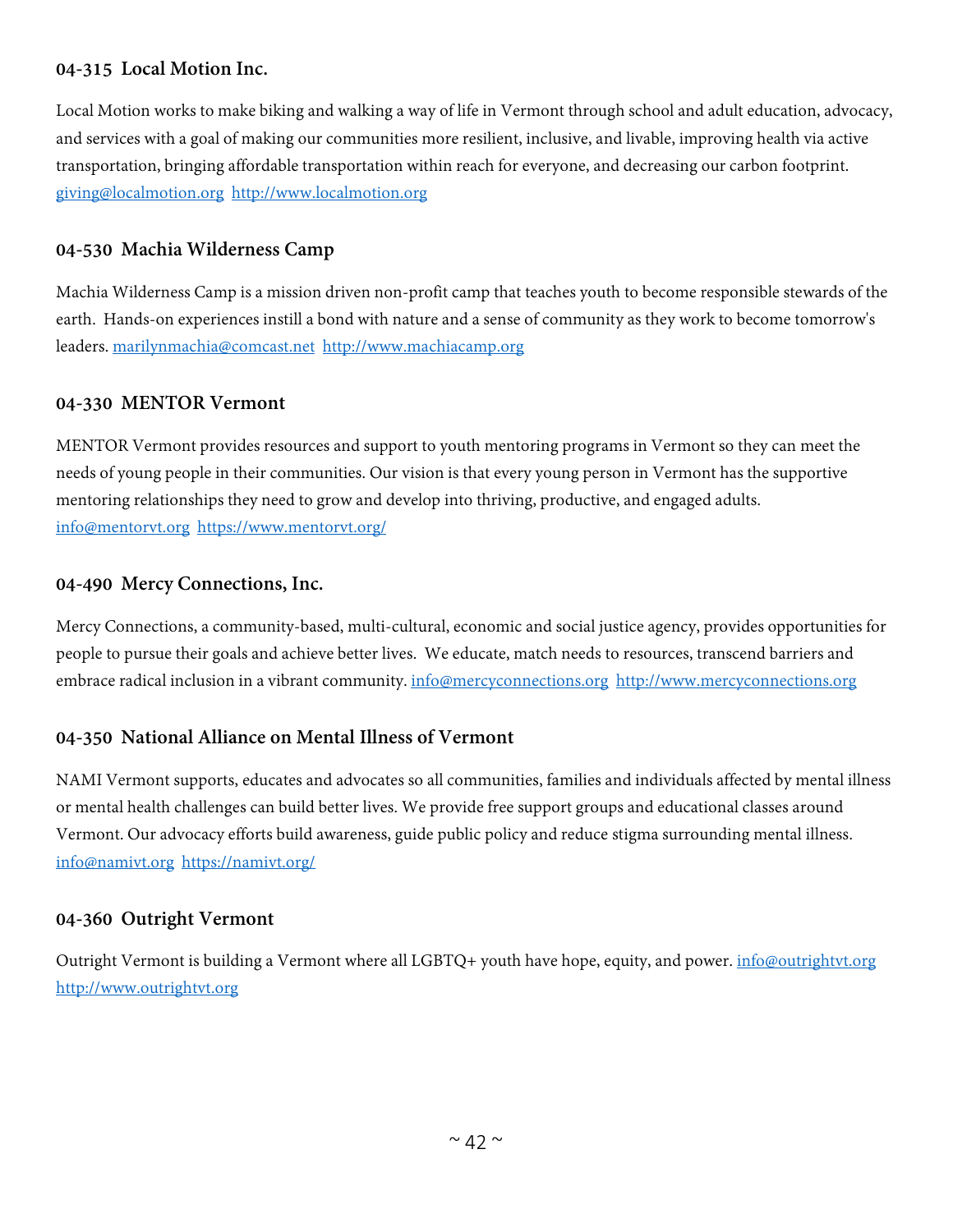#### **04-315 Local Motion Inc.**

Local Motion works to make biking and walking a way of life in Vermont through school and adult education, advocacy, and services with a goal of making our communities more resilient, inclusive, and livable, improving health via active transportation, bringing affordable transportation within reach for everyone, and decreasing our carbon footprint. [giving@localmotion.org](mailto:giving@localmotion.org) [http://www.localmotion.org](http://www.localmotion.org/)

#### **04-530 Machia Wilderness Camp**

Machia Wilderness Camp is a mission driven non-profit camp that teaches youth to become responsible stewards of the earth. Hands-on experiences instill a bond with nature and a sense of community as they work to become tomorrow's leaders. [marilynmachia@comcast.net](mailto:marilynmachia@comcast.net) [http://www.machiacamp.org](http://www.machiacamp.org/)

#### **04-330 MENTOR Vermont**

MENTOR Vermont provides resources and support to youth mentoring programs in Vermont so they can meet the needs of young people in their communities. Our vision is that every young person in Vermont has the supportive mentoring relationships they need to grow and develop into thriving, productive, and engaged adults. [info@mentorvt.org](mailto:info@mentorvt.org) <https://www.mentorvt.org/>

#### **04-490 Mercy Connections, Inc.**

Mercy Connections, a community-based, multi-cultural, economic and social justice agency, provides opportunities for people to pursue their goals and achieve better lives. We educate, match needs to resources, transcend barriers and embrace radical inclusion in a vibrant community. [info@mercyconnections.org](mailto:info@mercyconnections.org) http://www.mercyconnections.org

#### **04-350 National Alliance on Mental Illness of Vermont**

NAMI Vermont supports, educates and advocates so all communities, families and individuals affected by mental illness or mental health challenges can build better lives. We provide free support groups and educational classes around Vermont. Our advocacy efforts build awareness, guide public policy and reduce stigma surrounding mental illness. [info@namivt.org](mailto:info@namivt.org) <https://namivt.org/>

#### **04-360 Outright Vermont**

Outright Vermont is building a Vermont where all LGBTQ+ youth have hope, equity, and power. [info@outrightvt.org](mailto:info@outrightvt.org) [http://www.outrightvt.org](http://www.outrightvt.org/)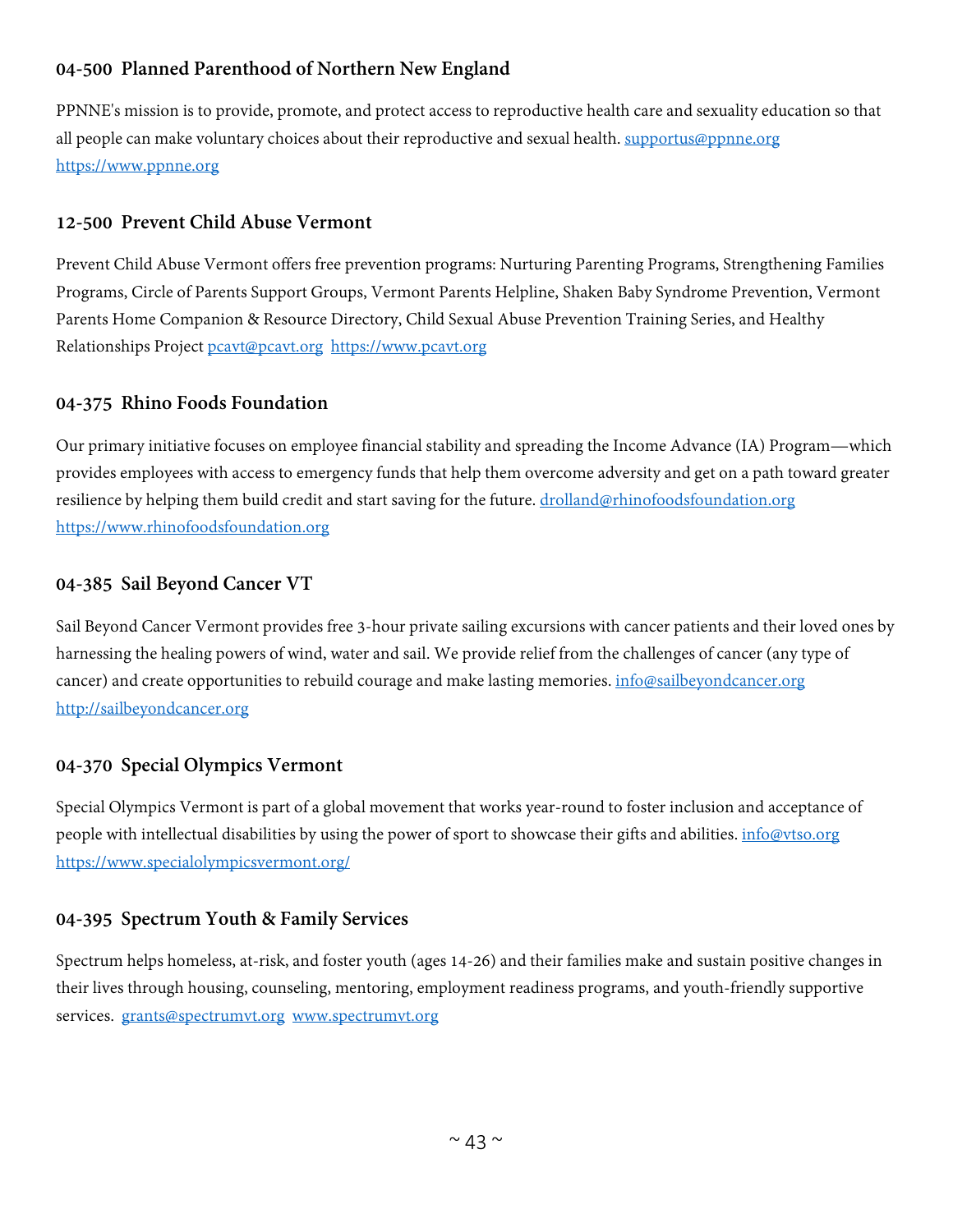# **04-500 Planned Parenthood of Northern New England**

PPNNE's mission is to provide, promote, and protect access to reproductive health care and sexuality education so that all people can make voluntary choices about their reproductive and sexual health. [supportus@ppnne.org](mailto:supportus@ppnne.org) [https://www.ppnne.org](https://www.ppnne.org/)

## **12-500 Prevent Child Abuse Vermont**

Prevent Child Abuse Vermont offers free prevention programs: Nurturing Parenting Programs, Strengthening Families Programs, Circle of Parents Support Groups, Vermont Parents Helpline, Shaken Baby Syndrome Prevention, Vermont Parents Home Companion & Resource Directory, Child Sexual Abuse Prevention Training Series, and Healthy Relationships Project [pcavt@pcavt.org](mailto:pcavt@pcavt.org) [https://www.pcavt.org](https://www.pcavt.org/)

#### **04-375 Rhino Foods Foundation**

Our primary initiative focuses on employee financial stability and spreading the Income Advance (IA) Program—which provides employees with access to emergency funds that help them overcome adversity and get on a path toward greater resilience by helping them build credit and start saving for the future. [drolland@rhinofoodsfoundation.org](mailto:drolland@rhinofoodsfoundation.org) [https://www.rhinofoodsfoundation.org](https://www.rhinofoodsfoundation.org/)

#### **04-385 Sail Beyond Cancer VT**

Sail Beyond Cancer Vermont provides free 3-hour private sailing excursions with cancer patients and their loved ones by harnessing the healing powers of wind, water and sail. We provide relief from the challenges of cancer (any type of cancer) and create opportunities to rebuild courage and make lasting memories[. info@sailbeyondcancer.org](mailto:info@sailbeyondcancer.org) [http://sailbeyondcancer.org](http://sailbeyondcancer.org/)

## **04-370 Special Olympics Vermont**

Special Olympics Vermont is part of a global movement that works year-round to foster inclusion and acceptance of people with intellectual disabilities by using the power of sport to showcase their gifts and abilities. [info@vtso.org](mailto:info@vtso.org) <https://www.specialolympicsvermont.org/>

## **04-395 Spectrum Youth & Family Services**

Spectrum helps homeless, at-risk, and foster youth (ages 14-26) and their families make and sustain positive changes in their lives through housing, counseling, mentoring, employment readiness programs, and youth-friendly supportive services. [grants@spectrumvt.org](mailto:grants@spectrumvt.org) [www.spectrumvt.org](http://www.spectrumvt.org/)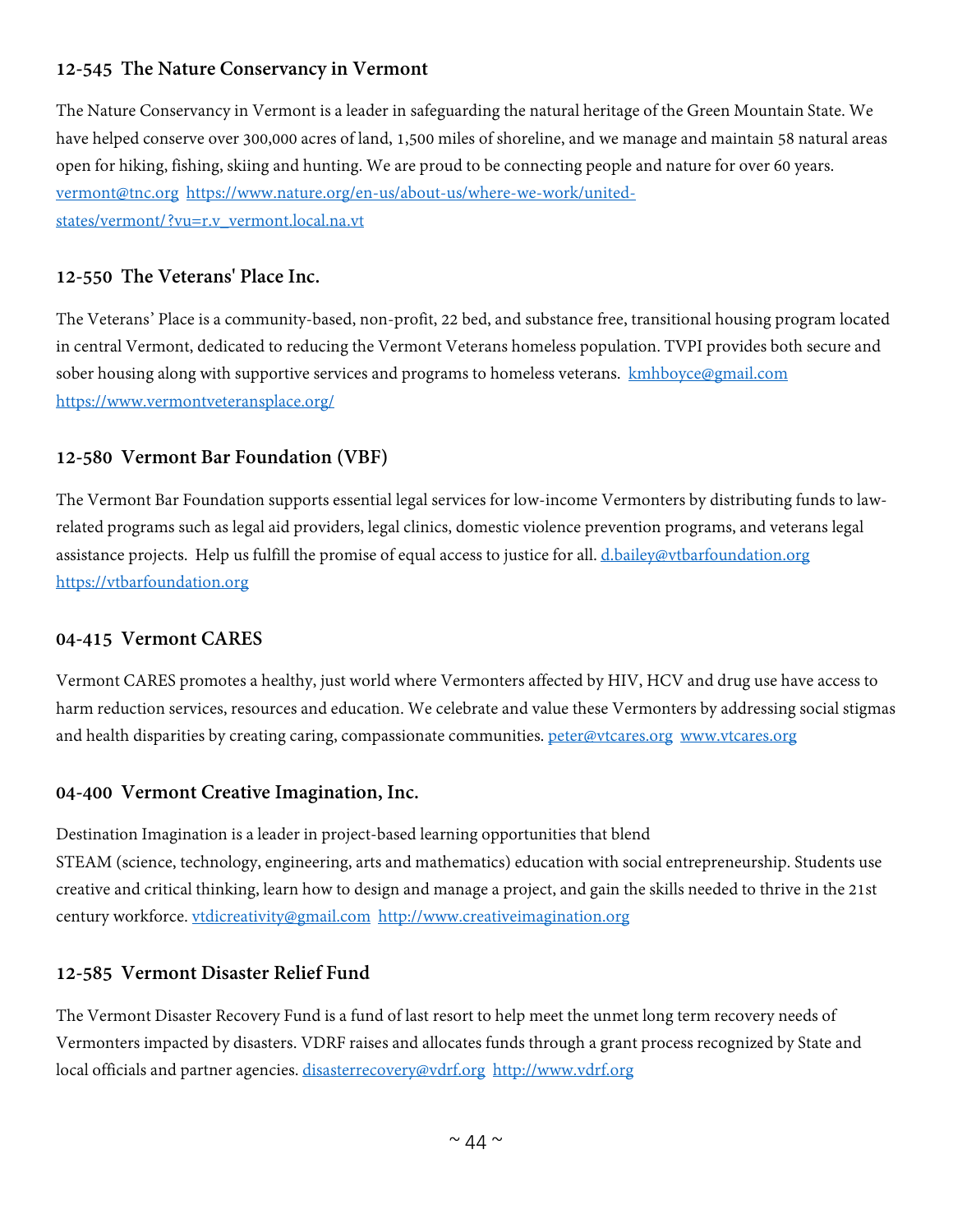# **12-545 The Nature Conservancy in Vermont**

The Nature Conservancy in Vermont is a leader in safeguarding the natural heritage of the Green Mountain State. We have helped conserve over 300,000 acres of land, 1,500 miles of shoreline, and we manage and maintain 58 natural areas open for hiking, fishing, skiing and hunting. We are proud to be connecting people and nature for over 60 years. [vermont@tnc.org](mailto:vermont@tnc.org) [https://www.nature.org/en-us/about-us/where-we-work/united](https://www.nature.org/en-us/about-us/where-we-work/united-states/vermont/?vu=r.v_vermont.local.na.vt)[states/vermont/?vu=r.v\\_vermont.local.na.vt](https://www.nature.org/en-us/about-us/where-we-work/united-states/vermont/?vu=r.v_vermont.local.na.vt)

## **12-550 The Veterans' Place Inc.**

The Veterans' Place is a community-based, non-profit, 22 bed, and substance free, transitional housing program located in central Vermont, dedicated to reducing the Vermont Veterans homeless population. TVPI provides both secure and sober housing along with supportive services and programs to homeless veterans. [kmhboyce@gmail.com](mailto:kmhboyce@gmail.com) <https://www.vermontveteransplace.org/>

## **12-580 Vermont Bar Foundation (VBF)**

The Vermont Bar Foundation supports essential legal services for low-income Vermonters by distributing funds to lawrelated programs such as legal aid providers, legal clinics, domestic violence prevention programs, and veterans legal assistance projects. Help us fulfill the promise of equal access to justice for all. [d.bailey@vtbarfoundation.org](mailto:d.bailey@vtbarfoundation.org) [https://vtbarfoundation.org](https://vtbarfoundation.org/)

#### **04-415 Vermont CARES**

Vermont CARES promotes a healthy, just world where Vermonters affected by HIV, HCV and drug use have access to harm reduction services, resources and education. We celebrate and value these Vermonters by addressing social stigmas and health disparities by creating caring, compassionate communities. [peter@vtcares.org](mailto:peter@vtcares.org) [www.vtcares.org](http://www.vtcares.org/)

## **04-400 Vermont Creative Imagination, Inc.**

Destination Imagination is a leader in project-based learning opportunities that blend STEAM (science, technology, engineering, arts and mathematics) education with social entrepreneurship. Students use creative and critical thinking, learn how to design and manage a project, and gain the skills needed to thrive in the 21st century workforce. [vtdicreativity@gmail.com](mailto:vtdicreativity@gmail.com) [http://www.creativeimagination.org](http://www.creativeimagination.org/) 

## **12-585 Vermont Disaster Relief Fund**

The Vermont Disaster Recovery Fund is a fund of last resort to help meet the unmet long term recovery needs of Vermonters impacted by disasters. VDRF raises and allocates funds through a grant process recognized by State and local officials and partner agencies. [disasterrecovery@vdrf.org](mailto:disasterrecovery@vdrf.org) [http://www.vdrf.org](http://www.vdrf.org/)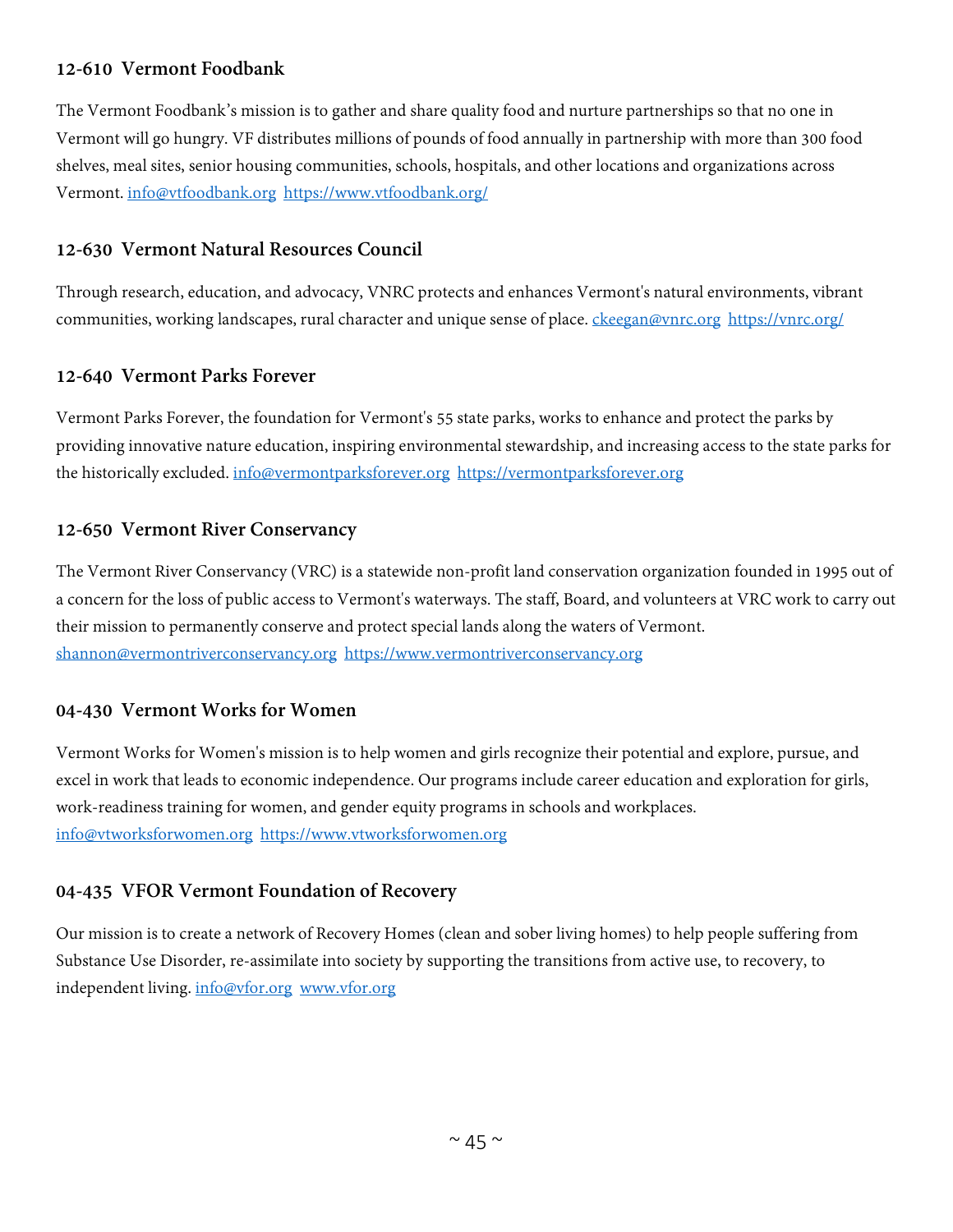## **12-610 Vermont Foodbank**

The Vermont Foodbank's mission is to gather and share quality food and nurture partnerships so that no one in Vermont will go hungry. VF distributes millions of pounds of food annually in partnership with more than 300 food shelves, meal sites, senior housing communities, schools, hospitals, and other locations and organizations across Vermont. [info@vtfoodbank.org](mailto:info@vtfoodbank.org) <https://www.vtfoodbank.org/>

## **12-630 Vermont Natural Resources Council**

Through research, education, and advocacy, VNRC protects and enhances Vermont's natural environments, vibrant communities, working landscapes, rural character and unique sense of place. [ckeegan@vnrc.org](mailto:ckeegan@vnrc.org) <https://vnrc.org/>

## **12-640 Vermont Parks Forever**

Vermont Parks Forever, the foundation for Vermont's 55 state parks, works to enhance and protect the parks by providing innovative nature education, inspiring environmental stewardship, and increasing access to the state parks for the historically excluded. [info@vermontparksforever.org](mailto:info@vermontparksforever.org) [https://vermontparksforever.org](https://vermontparksforever.org/)

#### **12-650 Vermont River Conservancy**

The Vermont River Conservancy (VRC) is a statewide non-profit land conservation organization founded in 1995 out of a concern for the loss of public access to Vermont's waterways. The staff, Board, and volunteers at VRC work to carry out their mission to permanently conserve and protect special lands along the waters of Vermont. [shannon@vermontriverconservancy.org](mailto:shannon@vermontriverconservancy.org) [https://www.vermontriverconservancy.org](https://www.vermontriverconservancy.org/)

## **04-430 Vermont Works for Women**

Vermont Works for Women's mission is to help women and girls recognize their potential and explore, pursue, and excel in work that leads to economic independence. Our programs include career education and exploration for girls, work-readiness training for women, and gender equity programs in schools and workplaces. [info@vtworksforwomen.org](mailto:info@vtworksforwomen.org) [https://www.vtworksforwomen.org](https://www.vtworksforwomen.org/)

## **04-435 VFOR Vermont Foundation of Recovery**

Our mission is to create a network of Recovery Homes (clean and sober living homes) to help people suffering from Substance Use Disorder, re-assimilate into society by supporting the transitions from active use, to recovery, to independent living. [info@vfor.org](mailto:info@vfor.org) [www.vfor.org](http://www.vfor.org/)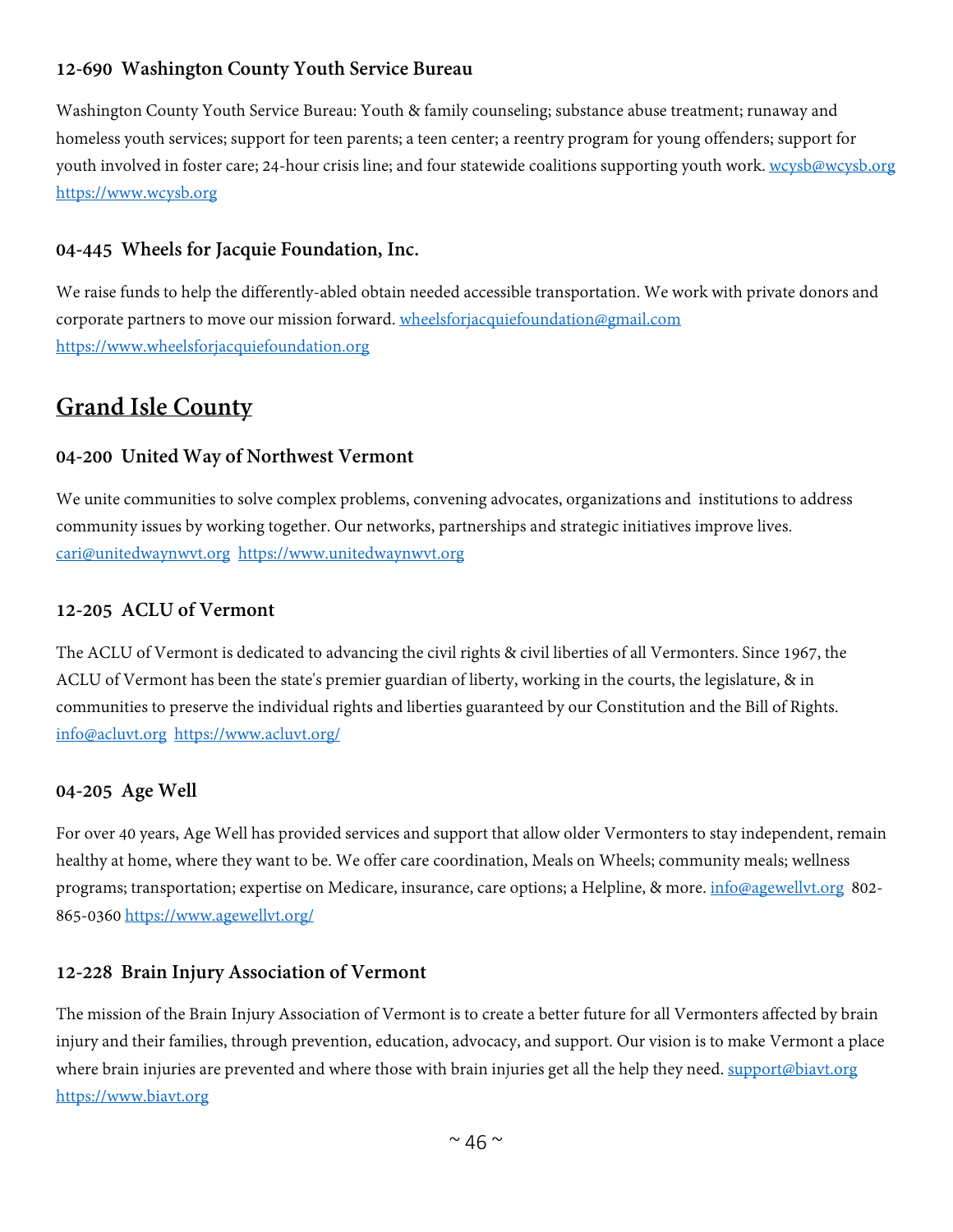# **12-690 Washington County Youth Service Bureau**

Washington County Youth Service Bureau: Youth & family counseling; substance abuse treatment; runaway and homeless youth services; support for teen parents; a teen center; a reentry program for young offenders; support for youth involved in foster care; 24-hour crisis line; and four statewide coalitions supporting youth work. [wcysb@wcysb.org](mailto:wcysb@wcysb.org) [https://www.wcysb.org](https://www.wcysb.org/)

#### **04-445 Wheels for Jacquie Foundation, Inc.**

We raise funds to help the differently-abled obtain needed accessible transportation. We work with private donors and corporate partners to move our mission forward. [wheelsforjacquiefoundation@gmail.com](mailto:wheelsforjacquiefoundation@gmail.com) [https://www.wheelsforjacquiefoundation.org](https://www.wheelsforjacquiefoundation.org/)

# **Grand Isle County**

#### **04-200 United Way of Northwest Vermont**

We unite communities to solve complex problems, convening advocates, organizations and institutions to address community issues by working together. Our networks, partnerships and strategic initiatives improve lives. [cari@unitedwaynwvt.org](mailto:cari@unitedwaynwvt.org) [https://www.unitedwaynwvt.org](https://www.unitedwaynwvt.org/)

#### **12-205 ACLU of Vermont**

The ACLU of Vermont is dedicated to advancing the civil rights & civil liberties of all Vermonters. Since 1967, the ACLU of Vermont has been the state's premier guardian of liberty, working in the courts, the legislature, & in communities to preserve the individual rights and liberties guaranteed by our Constitution and the Bill of Rights. [info@acluvt.org](mailto:info@acluvt.org) <https://www.acluvt.org/>

#### **04-205 Age Well**

For over 40 years, Age Well has provided services and support that allow older Vermonters to stay independent, remain healthy at home, where they want to be. We offer care coordination, Meals on Wheels; community meals; wellness programs; transportation; expertise on Medicare, insurance, care options; a Helpline, & more. [info@agewellvt.org](mailto:info@agewellvt.org) 802- 865-0360 <https://www.agewellvt.org/>

#### **12-228 Brain Injury Association of Vermont**

The mission of the Brain Injury Association of Vermont is to create a better future for all Vermonters affected by brain injury and their families, through prevention, education, advocacy, and support. Our vision is to make Vermont a place where brain injuries are prevented and where those with brain injuries get all the help they need. [support@biavt.org](mailto:support@biavt.org) [https://www.biavt.org](https://www.biavt.org/)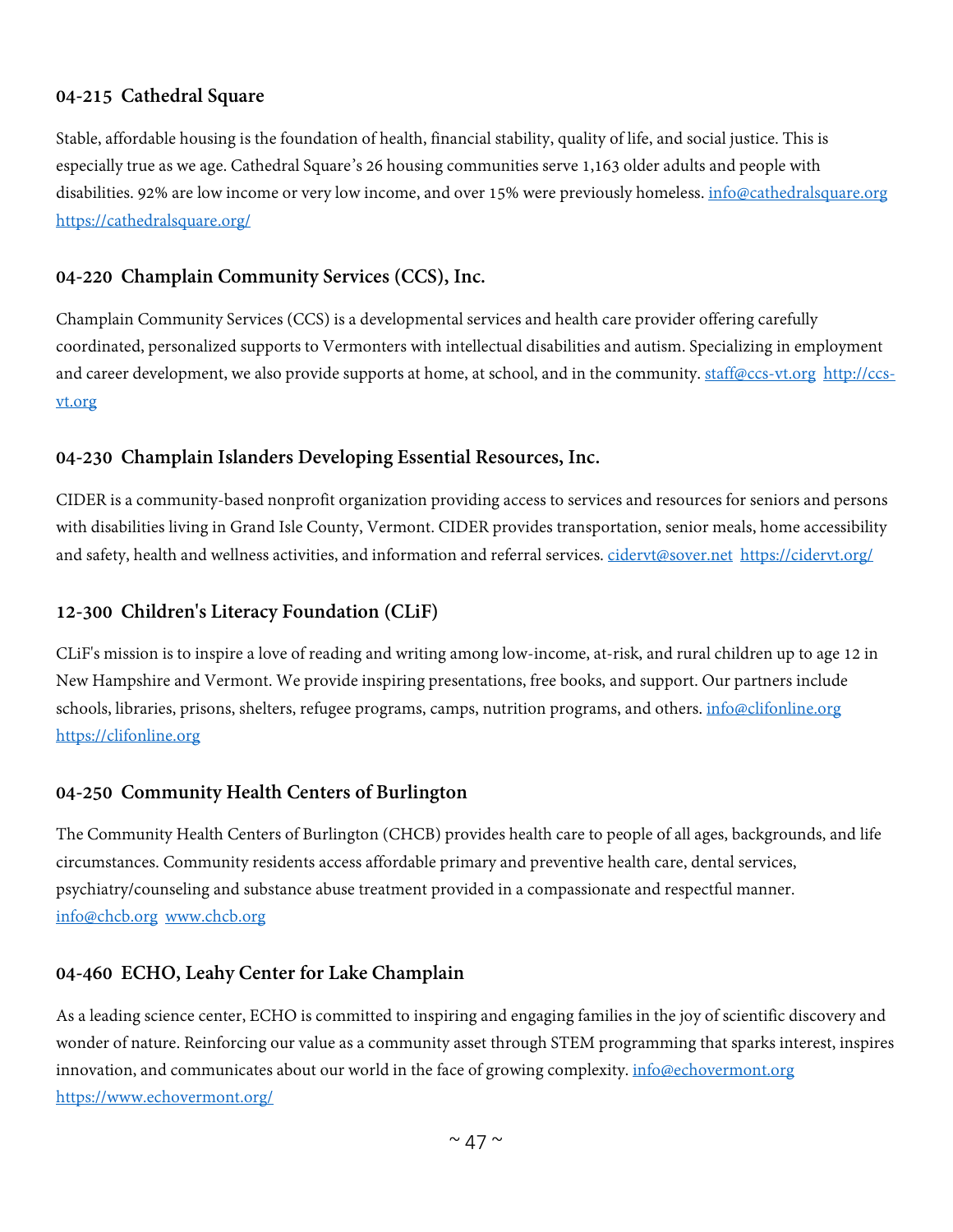## **04-215 Cathedral Square**

Stable, affordable housing is the foundation of health, financial stability, quality of life, and social justice. This is especially true as we age. Cathedral Square's 26 housing communities serve 1,163 older adults and people with disabilities. 92% are low income or very low income, and over 15% were previously homeless. [info@cathedralsquare.org](mailto:info@cathedralsquare.org) <https://cathedralsquare.org/>

#### **04-220 Champlain Community Services (CCS), Inc.**

Champlain Community Services (CCS) is a developmental services and health care provider offering carefully coordinated, personalized supports to Vermonters with intellectual disabilities and autism. Specializing in employment and career development, we also provide supports at home, at school, and in the community. [staff@ccs-vt.org](mailto:staff@ccs-vt.org) [http://ccs](http://ccs-vt.org/)[vt.org](http://ccs-vt.org/)

#### **04-230 Champlain Islanders Developing Essential Resources, Inc.**

CIDER is a community-based nonprofit organization providing access to services and resources for seniors and persons with disabilities living in Grand Isle County, Vermont. CIDER provides transportation, senior meals, home accessibility and safety, health and wellness activities, and information and referral services. cidervt@sover.net <https://cidervt.org/>

#### **12-300 Children's Literacy Foundation (CLiF)**

CLiF's mission is to inspire a love of reading and writing among low-income, at-risk, and rural children up to age 12 in New Hampshire and Vermont. We provide inspiring presentations, free books, and support. Our partners include schools, libraries, prisons, shelters, refugee programs, camps, nutrition programs, and others. [info@clifonline.org](mailto:info@clifonline.org) [https://clifonline.org](https://clifonline.org/)

## **04-250 Community Health Centers of Burlington**

The Community Health Centers of Burlington (CHCB) provides health care to people of all ages, backgrounds, and life circumstances. Community residents access affordable primary and preventive health care, dental services, psychiatry/counseling and substance abuse treatment provided in a compassionate and respectful manner. [info@chcb.org](mailto:info@chcb.org) [www.chcb.org](http://www.chcb.org/)

#### **04-460 ECHO, Leahy Center for Lake Champlain**

As a leading science center, ECHO is committed to inspiring and engaging families in the joy of scientific discovery and wonder of nature. Reinforcing our value as a community asset through STEM programming that sparks interest, inspires innovation, and communicates about our world in the face of growing complexity. [info@echovermont.org](mailto:info@echovermont.org) <https://www.echovermont.org/>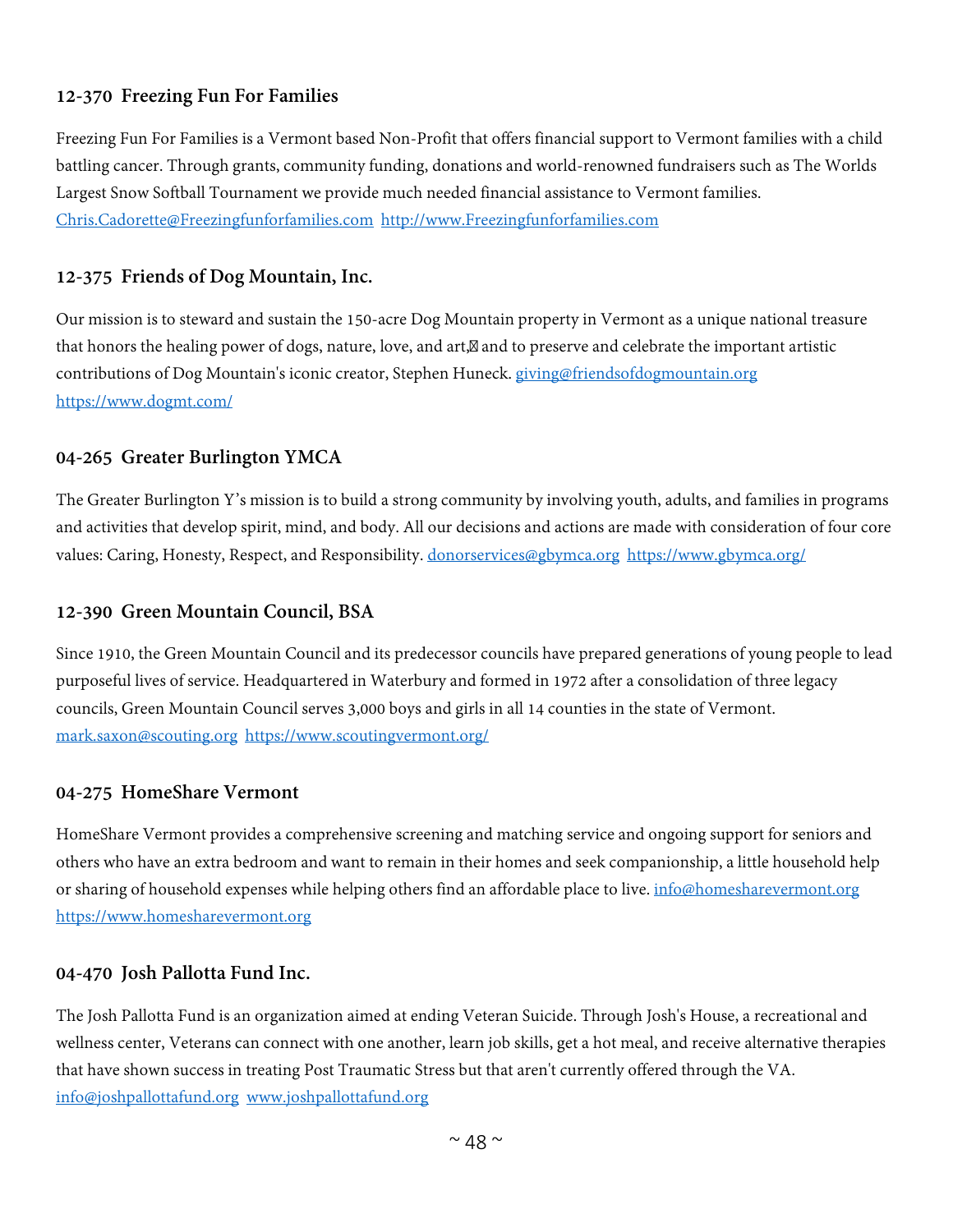## **12-370 Freezing Fun For Families**

Freezing Fun For Families is a Vermont based Non-Profit that offers financial support to Vermont families with a child battling cancer. Through grants, community funding, donations and world-renowned fundraisers such as The Worlds Largest Snow Softball Tournament we provide much needed financial assistance to Vermont families. [Chris.Cadorette@Freezingfunforfamilies.com](mailto:Chris.Cadorette@Freezingfunforfamilies.com) [http://www.Freezingfunforfamilies.com](http://www.freezingfunforfamilies.com/)

#### **12-375 Friends of Dog Mountain, Inc.**

Our mission is to steward and sustain the 150-acre Dog Mountain property in Vermont as a unique national treasure that honors the healing power of dogs, nature, love, and art, and to preserve and celebrate the important artistic contributions of Dog Mountain's iconic creator, Stephen Huneck. [giving@friendsofdogmountain.org](mailto:giving@friendsofdogmountain.org) <https://www.dogmt.com/>

#### **04-265 Greater Burlington YMCA**

The Greater Burlington Y's mission is to build a strong community by involving youth, adults, and families in programs and activities that develop spirit, mind, and body. All our decisions and actions are made with consideration of four core values: Caring, Honesty, Respect, and Responsibility. [donorservices@gbymca.org](mailto:donorservices@gbymca.org) <https://www.gbymca.org/>

#### **12-390 Green Mountain Council, BSA**

Since 1910, the Green Mountain Council and its predecessor councils have prepared generations of young people to lead purposeful lives of service. Headquartered in Waterbury and formed in 1972 after a consolidation of three legacy councils, Green Mountain Council serves 3,000 boys and girls in all 14 counties in the state of Vermont. [mark.saxon@scouting.org](mailto:mark.saxon@scouting.org) <https://www.scoutingvermont.org/>

#### **04-275 HomeShare Vermont**

HomeShare Vermont provides a comprehensive screening and matching service and ongoing support for seniors and others who have an extra bedroom and want to remain in their homes and seek companionship, a little household help or sharing of household expenses while helping others find an affordable place to live. [info@homesharevermont.org](mailto:info@homesharevermont.org) [https://www.homesharevermont.org](https://www.homesharevermont.org/)

#### **04-470 Josh Pallotta Fund Inc.**

The Josh Pallotta Fund is an organization aimed at ending Veteran Suicide. Through Josh's House, a recreational and wellness center, Veterans can connect with one another, learn job skills, get a hot meal, and receive alternative therapies that have shown success in treating Post Traumatic Stress but that aren't currently offered through the VA. [info@joshpallottafund.org](mailto:info@joshpallottafund.org) [www.joshpallottafund.org](http://www.joshpallottafund.org/)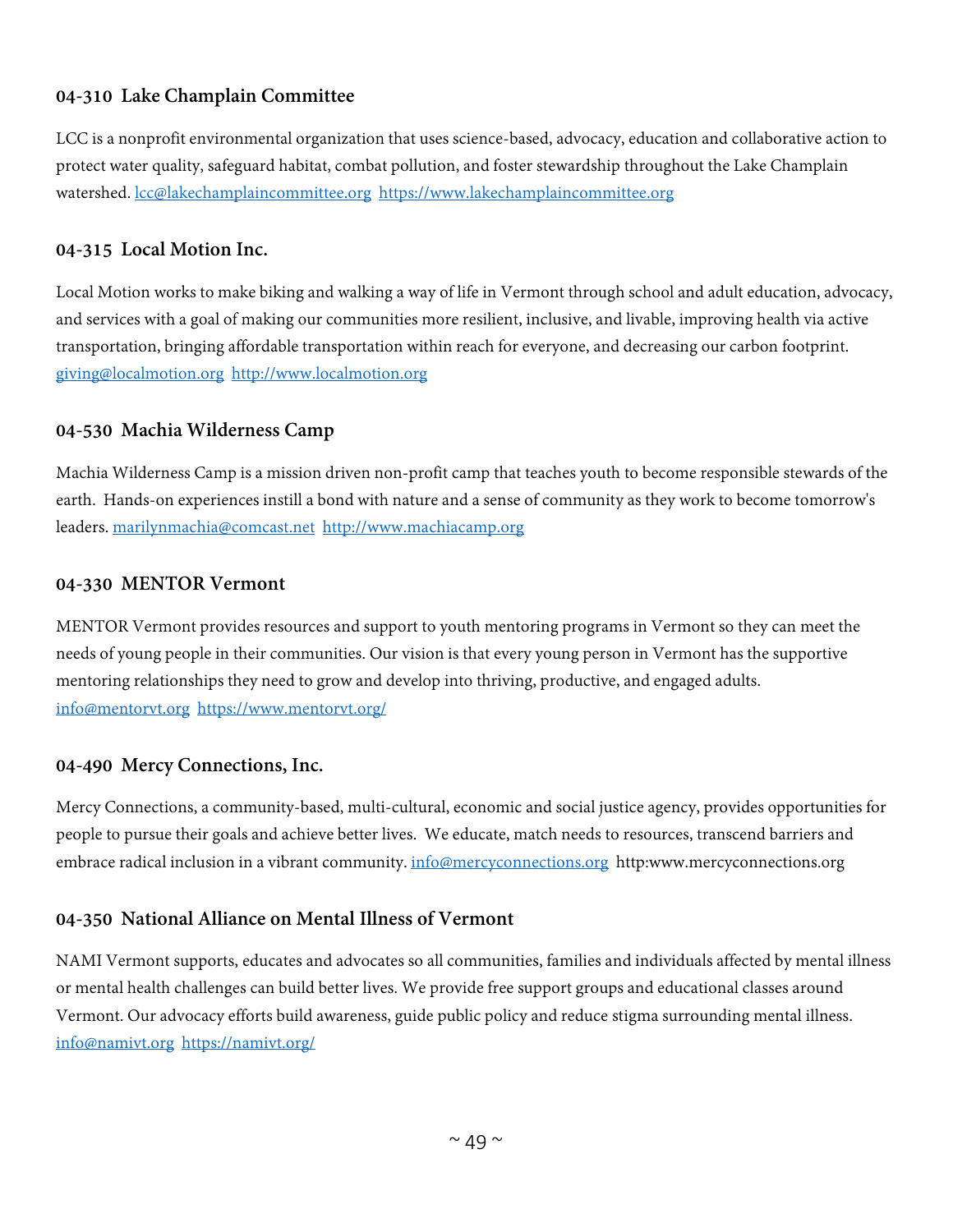# **04-310 Lake Champlain Committee**

LCC is a nonprofit environmental organization that uses science-based, advocacy, education and collaborative action to protect water quality, safeguard habitat, combat pollution, and foster stewardship throughout the Lake Champlain watershed. [lcc@lakechamplaincommittee.org](mailto:lcc@lakechamplaincommittee.org) [https://www.lakechamplaincommittee.org](https://www.lakechamplaincommittee.org/)

#### **04-315 Local Motion Inc.**

Local Motion works to make biking and walking a way of life in Vermont through school and adult education, advocacy, and services with a goal of making our communities more resilient, inclusive, and livable, improving health via active transportation, bringing affordable transportation within reach for everyone, and decreasing our carbon footprint. [giving@localmotion.org](mailto:giving@localmotion.org) [http://www.localmotion.org](http://www.localmotion.org/)

#### **04-530 Machia Wilderness Camp**

Machia Wilderness Camp is a mission driven non-profit camp that teaches youth to become responsible stewards of the earth. Hands-on experiences instill a bond with nature and a sense of community as they work to become tomorrow's leaders. [marilynmachia@comcast.net](mailto:marilynmachia@comcast.net) [http://www.machiacamp.org](http://www.machiacamp.org/)

#### **04-330 MENTOR Vermont**

MENTOR Vermont provides resources and support to youth mentoring programs in Vermont so they can meet the needs of young people in their communities. Our vision is that every young person in Vermont has the supportive mentoring relationships they need to grow and develop into thriving, productive, and engaged adults. [info@mentorvt.org](mailto:info@mentorvt.org) <https://www.mentorvt.org/>

#### **04-490 Mercy Connections, Inc.**

Mercy Connections, a community-based, multi-cultural, economic and social justice agency, provides opportunities for people to pursue their goals and achieve better lives. We educate, match needs to resources, transcend barriers and embrace radical inclusion in a vibrant community. [info@mercyconnections.org](mailto:info@mercyconnections.org) http:www.mercyconnections.org

## **04-350 National Alliance on Mental Illness of Vermont**

NAMI Vermont supports, educates and advocates so all communities, families and individuals affected by mental illness or mental health challenges can build better lives. We provide free support groups and educational classes around Vermont. Our advocacy efforts build awareness, guide public policy and reduce stigma surrounding mental illness. [info@namivt.org](mailto:info@namivt.org) <https://namivt.org/>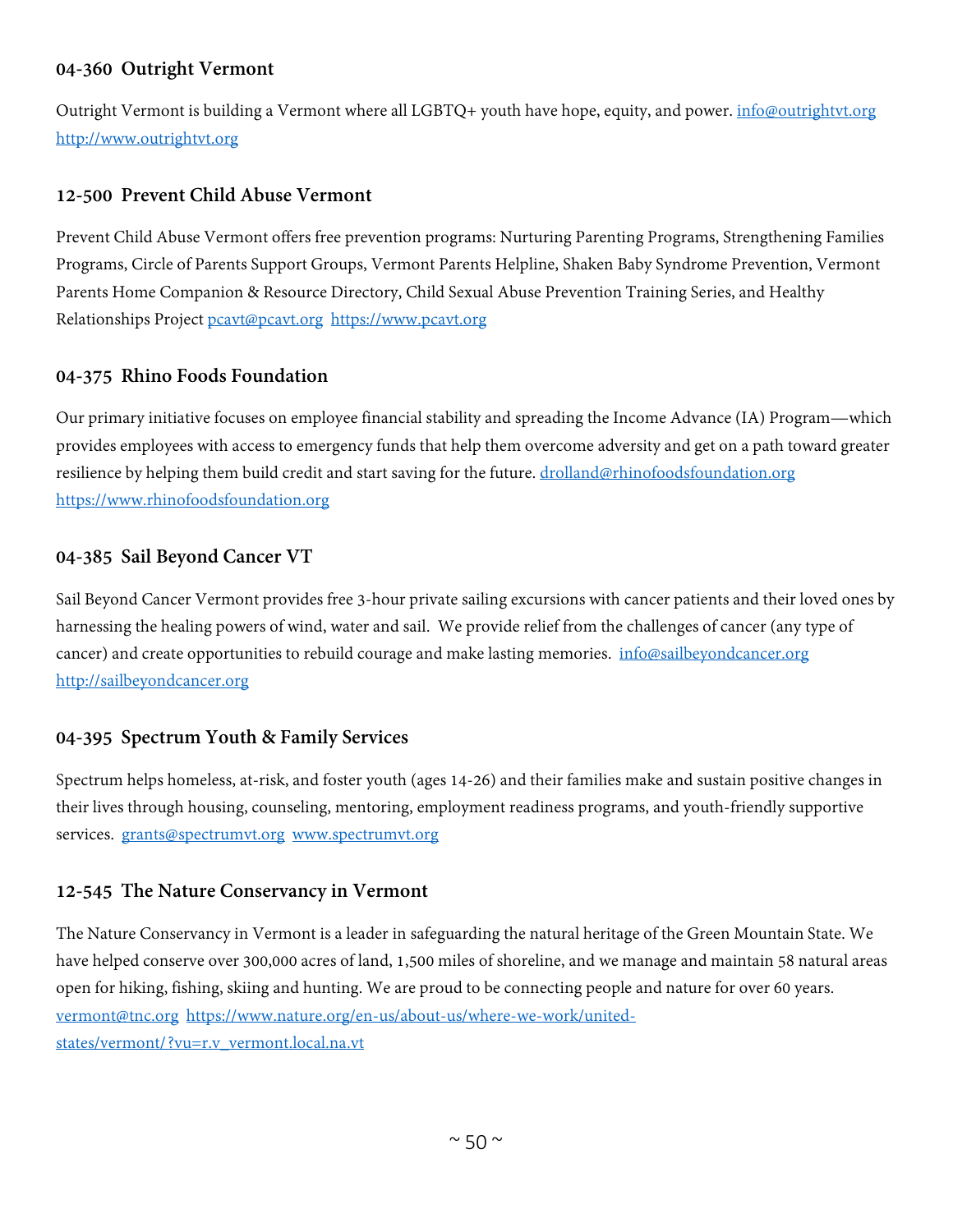## **04-360 Outright Vermont**

Outright Vermont is building a Vermont where all LGBTQ+ youth have hope, equity, and power. *[info@outrightvt.org](mailto:info@outrightvt.org)* [http://www.outrightvt.org](http://www.outrightvt.org/)

#### **12-500 Prevent Child Abuse Vermont**

Prevent Child Abuse Vermont offers free prevention programs: Nurturing Parenting Programs, Strengthening Families Programs, Circle of Parents Support Groups, Vermont Parents Helpline, Shaken Baby Syndrome Prevention, Vermont Parents Home Companion & Resource Directory, Child Sexual Abuse Prevention Training Series, and Healthy Relationships Project [pcavt@pcavt.org](mailto:pcavt@pcavt.org) [https://www.pcavt.org](https://www.pcavt.org/)

#### **04-375 Rhino Foods Foundation**

Our primary initiative focuses on employee financial stability and spreading the Income Advance (IA) Program—which provides employees with access to emergency funds that help them overcome adversity and get on a path toward greater resilience by helping them build credit and start saving for the future. [drolland@rhinofoodsfoundation.org](mailto:drolland@rhinofoodsfoundation.org) [https://www.rhinofoodsfoundation.org](https://www.rhinofoodsfoundation.org/)

#### **04-385 Sail Beyond Cancer VT**

Sail Beyond Cancer Vermont provides free 3-hour private sailing excursions with cancer patients and their loved ones by harnessing the healing powers of wind, water and sail. We provide relief from the challenges of cancer (any type of cancer) and create opportunities to rebuild courage and make lasting memories. [info@sailbeyondcancer.org](mailto:info@sailbeyondcancer.org) [http://sailbeyondcancer.org](http://sailbeyondcancer.org/)

## **04-395 Spectrum Youth & Family Services**

Spectrum helps homeless, at-risk, and foster youth (ages 14-26) and their families make and sustain positive changes in their lives through housing, counseling, mentoring, employment readiness programs, and youth-friendly supportive services. [grants@spectrumvt.org](mailto:grants@spectrumvt.org) [www.spectrumvt.org](http://www.spectrumvt.org/)

#### **12-545 The Nature Conservancy in Vermont**

The Nature Conservancy in Vermont is a leader in safeguarding the natural heritage of the Green Mountain State. We have helped conserve over 300,000 acres of land, 1,500 miles of shoreline, and we manage and maintain 58 natural areas open for hiking, fishing, skiing and hunting. We are proud to be connecting people and nature for over 60 years. [vermont@tnc.org](mailto:vermont@tnc.org) [https://www.nature.org/en-us/about-us/where-we-work/united](https://www.nature.org/en-us/about-us/where-we-work/united-states/vermont/?vu=r.v_vermont.local.na.vt)[states/vermont/?vu=r.v\\_vermont.local.na.vt](https://www.nature.org/en-us/about-us/where-we-work/united-states/vermont/?vu=r.v_vermont.local.na.vt)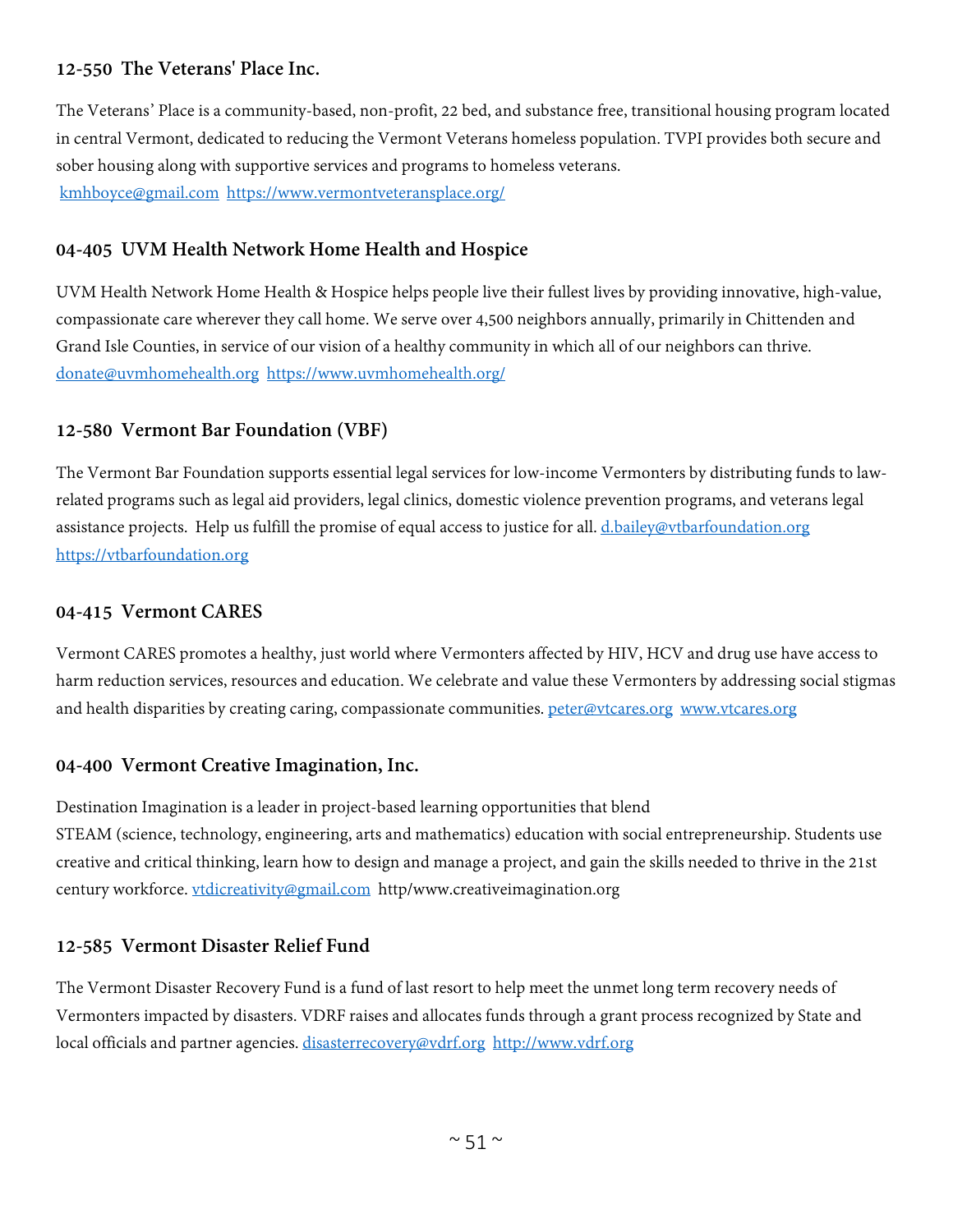# **12-550 The Veterans' Place Inc.**

The Veterans' Place is a community-based, non-profit, 22 bed, and substance free, transitional housing program located in central Vermont, dedicated to reducing the Vermont Veterans homeless population. TVPI provides both secure and sober housing along with supportive services and programs to homeless veterans. [kmhboyce@gmail.com](mailto:kmhboyce@gmail.com) <https://www.vermontveteransplace.org/>

# **04-405 UVM Health Network Home Health and Hospice**

UVM Health Network Home Health & Hospice helps people live their fullest lives by providing innovative, high-value, compassionate care wherever they call home. We serve over 4,500 neighbors annually, primarily in Chittenden and Grand Isle Counties, in service of our vision of a healthy community in which all of our neighbors can thrive. [donate@uvmhomehealth.org](mailto:donate@uvmhomehealth.org) <https://www.uvmhomehealth.org/>

# **12-580 Vermont Bar Foundation (VBF)**

The Vermont Bar Foundation supports essential legal services for low-income Vermonters by distributing funds to lawrelated programs such as legal aid providers, legal clinics, domestic violence prevention programs, and veterans legal assistance projects. Help us fulfill the promise of equal access to justice for all. [d.bailey@vtbarfoundation.org](mailto:d.bailey@vtbarfoundation.org) [https://vtbarfoundation.org](https://vtbarfoundation.org/)

#### **04-415 Vermont CARES**

Vermont CARES promotes a healthy, just world where Vermonters affected by HIV, HCV and drug use have access to harm reduction services, resources and education. We celebrate and value these Vermonters by addressing social stigmas and health disparities by creating caring, compassionate communities. [peter@vtcares.org](mailto:peter@vtcares.org) [www.vtcares.org](http://www.vtcares.org/)

## **04-400 Vermont Creative Imagination, Inc.**

Destination Imagination is a leader in project-based learning opportunities that blend STEAM (science, technology, engineering, arts and mathematics) education with social entrepreneurship. Students use creative and critical thinking, learn how to design and manage a project, and gain the skills needed to thrive in the 21st century workforce. [vtdicreativity@gmail.com](mailto:vtdicreativity@gmail.com) http/www.creativeimagination.org

## **12-585 Vermont Disaster Relief Fund**

The Vermont Disaster Recovery Fund is a fund of last resort to help meet the unmet long term recovery needs of Vermonters impacted by disasters. VDRF raises and allocates funds through a grant process recognized by State and local officials and partner agencies. [disasterrecovery@vdrf.org](mailto:disasterrecovery@vdrf.org) [http://www.vdrf.org](http://www.vdrf.org/)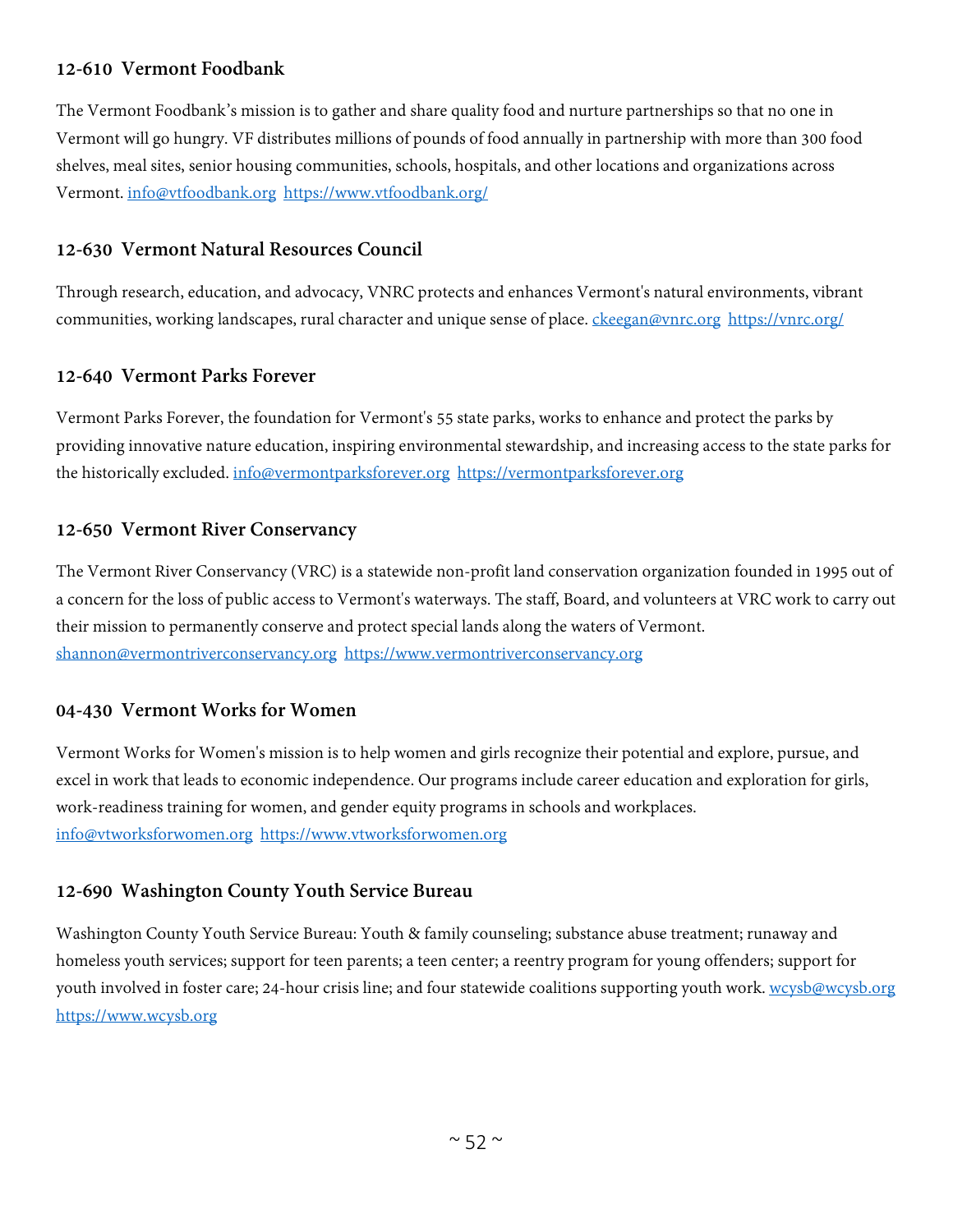## **12-610 Vermont Foodbank**

The Vermont Foodbank's mission is to gather and share quality food and nurture partnerships so that no one in Vermont will go hungry. VF distributes millions of pounds of food annually in partnership with more than 300 food shelves, meal sites, senior housing communities, schools, hospitals, and other locations and organizations across Vermont. [info@vtfoodbank.org](mailto:info@vtfoodbank.org) <https://www.vtfoodbank.org/>

#### **12-630 Vermont Natural Resources Council**

Through research, education, and advocacy, VNRC protects and enhances Vermont's natural environments, vibrant communities, working landscapes, rural character and unique sense of place. [ckeegan@vnrc.org](mailto:ckeegan@vnrc.org) <https://vnrc.org/>

## **12-640 Vermont Parks Forever**

Vermont Parks Forever, the foundation for Vermont's 55 state parks, works to enhance and protect the parks by providing innovative nature education, inspiring environmental stewardship, and increasing access to the state parks for the historically excluded. [info@vermontparksforever.org](mailto:info@vermontparksforever.org) [https://vermontparksforever.org](https://vermontparksforever.org/)

#### **12-650 Vermont River Conservancy**

The Vermont River Conservancy (VRC) is a statewide non-profit land conservation organization founded in 1995 out of a concern for the loss of public access to Vermont's waterways. The staff, Board, and volunteers at VRC work to carry out their mission to permanently conserve and protect special lands along the waters of Vermont. [shannon@vermontriverconservancy.org](mailto:shannon@vermontriverconservancy.org) [https://www.vermontriverconservancy.org](https://www.vermontriverconservancy.org/)

## **04-430 Vermont Works for Women**

Vermont Works for Women's mission is to help women and girls recognize their potential and explore, pursue, and excel in work that leads to economic independence. Our programs include career education and exploration for girls, work-readiness training for women, and gender equity programs in schools and workplaces. [info@vtworksforwomen.org](mailto:info@vtworksforwomen.org) [https://www.vtworksforwomen.org](https://www.vtworksforwomen.org/)

#### **12-690 Washington County Youth Service Bureau**

Washington County Youth Service Bureau: Youth & family counseling; substance abuse treatment; runaway and homeless youth services; support for teen parents; a teen center; a reentry program for young offenders; support for youth involved in foster care; 24-hour crisis line; and four statewide coalitions supporting youth work. [wcysb@wcysb.org](mailto:wcysb@wcysb.org) [https://www.wcysb.org](https://www.wcysb.org/)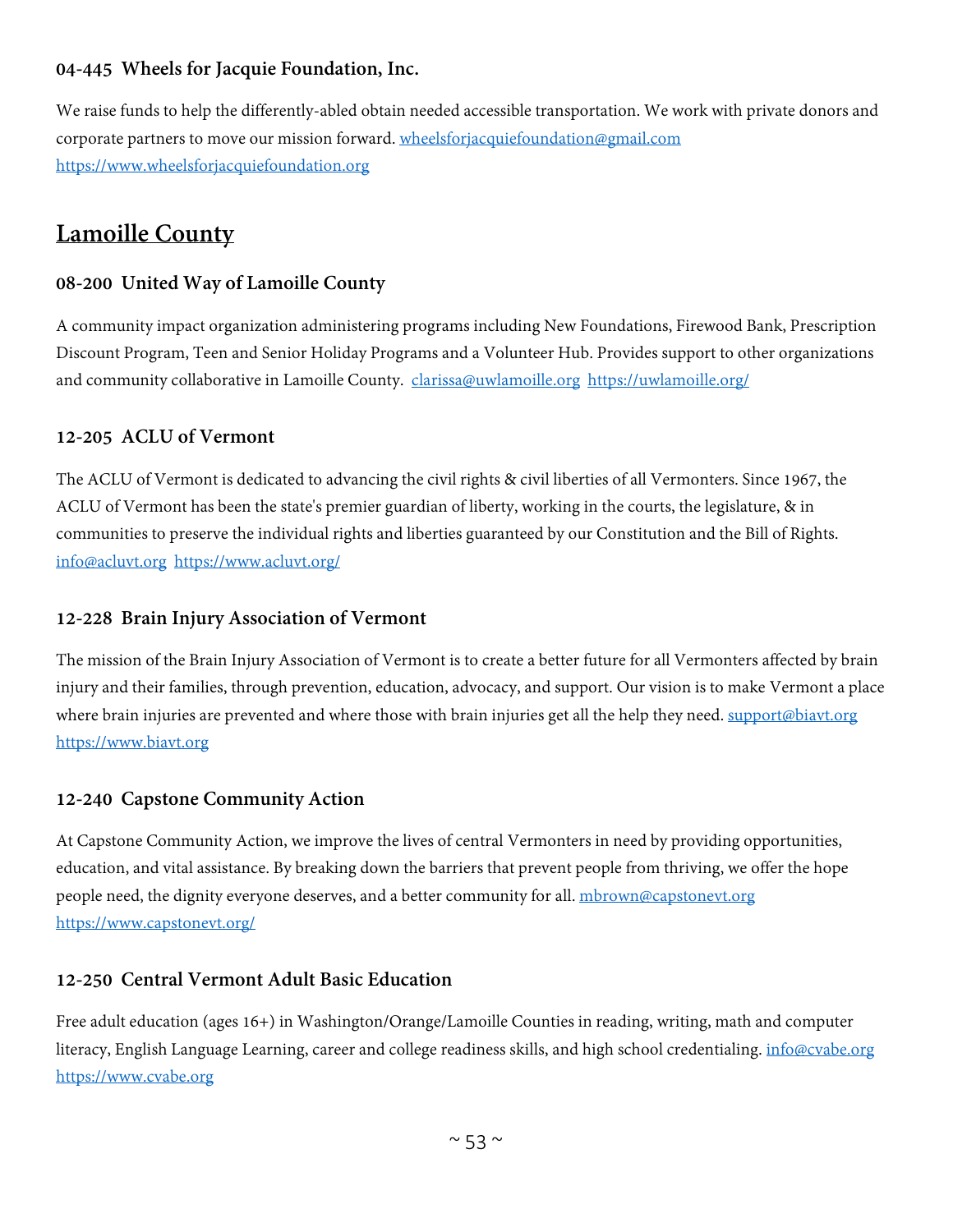# **04-445 Wheels for Jacquie Foundation, Inc.**

We raise funds to help the differently-abled obtain needed accessible transportation. We work with private donors and corporate partners to move our mission forward. [wheelsforjacquiefoundation@gmail.com](mailto:wheelsforjacquiefoundation@gmail.com) [https://www.wheelsforjacquiefoundation.org](https://www.wheelsforjacquiefoundation.org/)

# **Lamoille County**

#### **08-200 United Way of Lamoille County**

A community impact organization administering programs including New Foundations, Firewood Bank, Prescription Discount Program, Teen and Senior Holiday Programs and a Volunteer Hub. Provides support to other organizations and community collaborative in Lamoille County. [clarissa@uwlamoille.org](mailto:clarissa@uwlamoille.org) <https://uwlamoille.org/>

#### **12-205 ACLU of Vermont**

The ACLU of Vermont is dedicated to advancing the civil rights & civil liberties of all Vermonters. Since 1967, the ACLU of Vermont has been the state's premier guardian of liberty, working in the courts, the legislature, & in communities to preserve the individual rights and liberties guaranteed by our Constitution and the Bill of Rights. [info@acluvt.org](mailto:info@acluvt.org) <https://www.acluvt.org/>

#### **12-228 Brain Injury Association of Vermont**

The mission of the Brain Injury Association of Vermont is to create a better future for all Vermonters affected by brain injury and their families, through prevention, education, advocacy, and support. Our vision is to make Vermont a place where brain injuries are prevented and where those with brain injuries get all the help they need. [support@biavt.org](mailto:support@biavt.org) [https://www.biavt.org](https://www.biavt.org/)

## **12-240 Capstone Community Action**

At Capstone Community Action, we improve the lives of central Vermonters in need by providing opportunities, education, and vital assistance. By breaking down the barriers that prevent people from thriving, we offer the hope people need, the dignity everyone deserves, and a better community for all. mbrown@capstoneyt.org <https://www.capstonevt.org/>

#### **12-250 Central Vermont Adult Basic Education**

Free adult education (ages 16+) in Washington/Orange/Lamoille Counties in reading, writing, math and computer literacy, English Language Learning, career and college readiness skills, and high school credentialing. [info@cvabe.org](mailto:info@cvabe.org) [https://www.cvabe.org](https://www.cvabe.org/)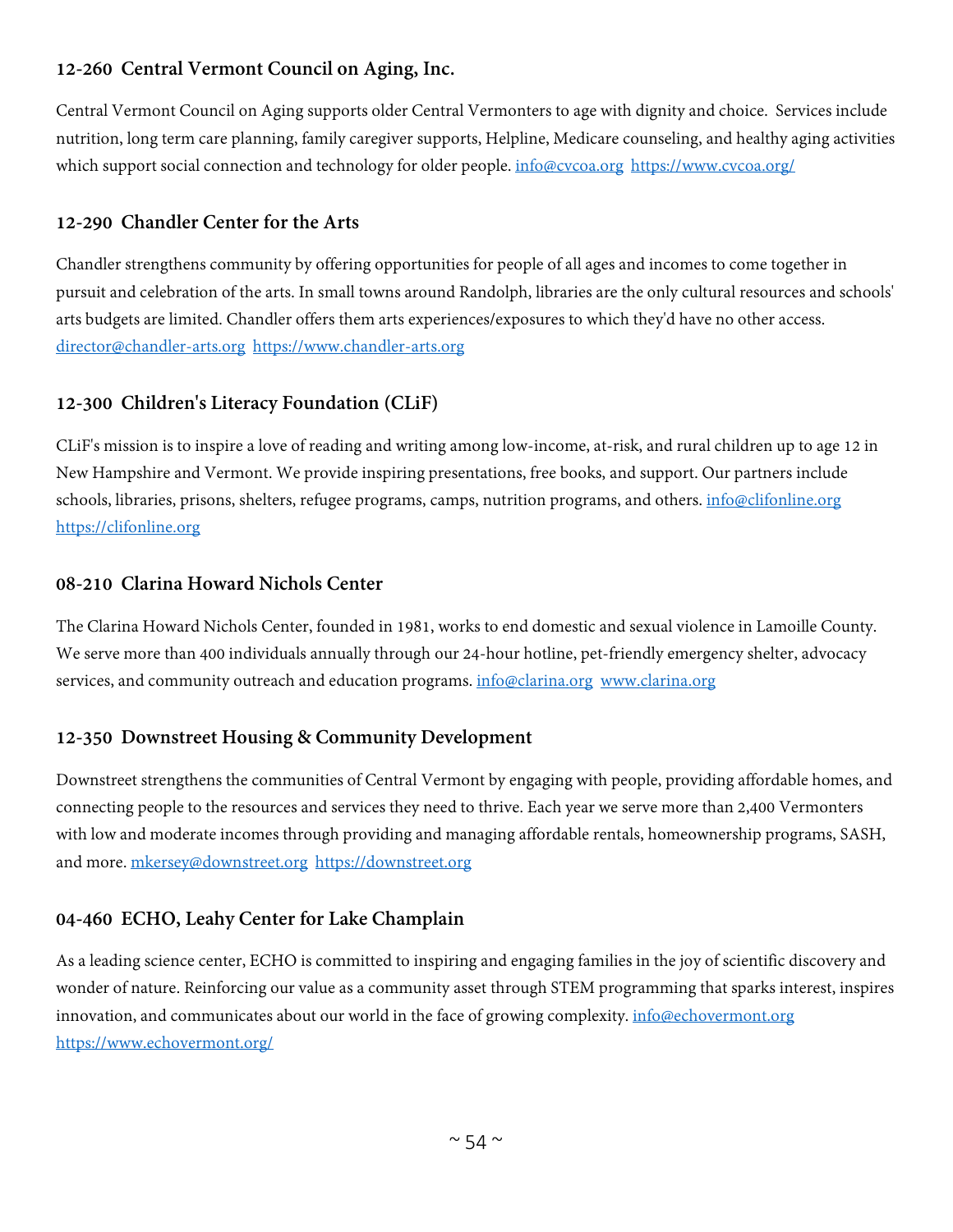# **12-260 Central Vermont Council on Aging, Inc.**

Central Vermont Council on Aging supports older Central Vermonters to age with dignity and choice. Services include nutrition, long term care planning, family caregiver supports, Helpline, Medicare counseling, and healthy aging activities which support social connection and technology for older people. [info@cvcoa.org](mailto:info@cvcoa.org) <https://www.cvcoa.org/>

# **12-290 Chandler Center for the Arts**

Chandler strengthens community by offering opportunities for people of all ages and incomes to come together in pursuit and celebration of the arts. In small towns around Randolph, libraries are the only cultural resources and schools' arts budgets are limited. Chandler offers them arts experiences/exposures to which they'd have no other access. [director@chandler-arts.org](mailto:director@chandler-arts.org) [https://www.chandler-arts.org](https://www.chandler-arts.org/)

# **12-300 Children's Literacy Foundation (CLiF)**

CLiF's mission is to inspire a love of reading and writing among low-income, at-risk, and rural children up to age 12 in New Hampshire and Vermont. We provide inspiring presentations, free books, and support. Our partners include schools, libraries, prisons, shelters, refugee programs, camps, nutrition programs, and others. [info@clifonline.org](mailto:info@clifonline.org) [https://clifonline.org](https://clifonline.org/)

## **08-210 Clarina Howard Nichols Center**

The Clarina Howard Nichols Center, founded in 1981, works to end domestic and sexual violence in Lamoille County. We serve more than 400 individuals annually through our 24-hour hotline, pet-friendly emergency shelter, advocacy services, and community outreach and education programs. [info@clarina.org](mailto:info@clarina.org) [www.clarina.org](http://www.clarina.org/)

# **12-350 Downstreet Housing & Community Development**

Downstreet strengthens the communities of Central Vermont by engaging with people, providing affordable homes, and connecting people to the resources and services they need to thrive. Each year we serve more than 2,400 Vermonters with low and moderate incomes through providing and managing affordable rentals, homeownership programs, SASH, and more. [mkersey@downstreet.org](mailto:mkersey@downstreet.org) [https://downstreet.org](https://downstreet.org/)

# **04-460 ECHO, Leahy Center for Lake Champlain**

As a leading science center, ECHO is committed to inspiring and engaging families in the joy of scientific discovery and wonder of nature. Reinforcing our value as a community asset through STEM programming that sparks interest, inspires innovation, and communicates about our world in the face of growing complexity. [info@echovermont.org](mailto:info@echovermont.org) <https://www.echovermont.org/>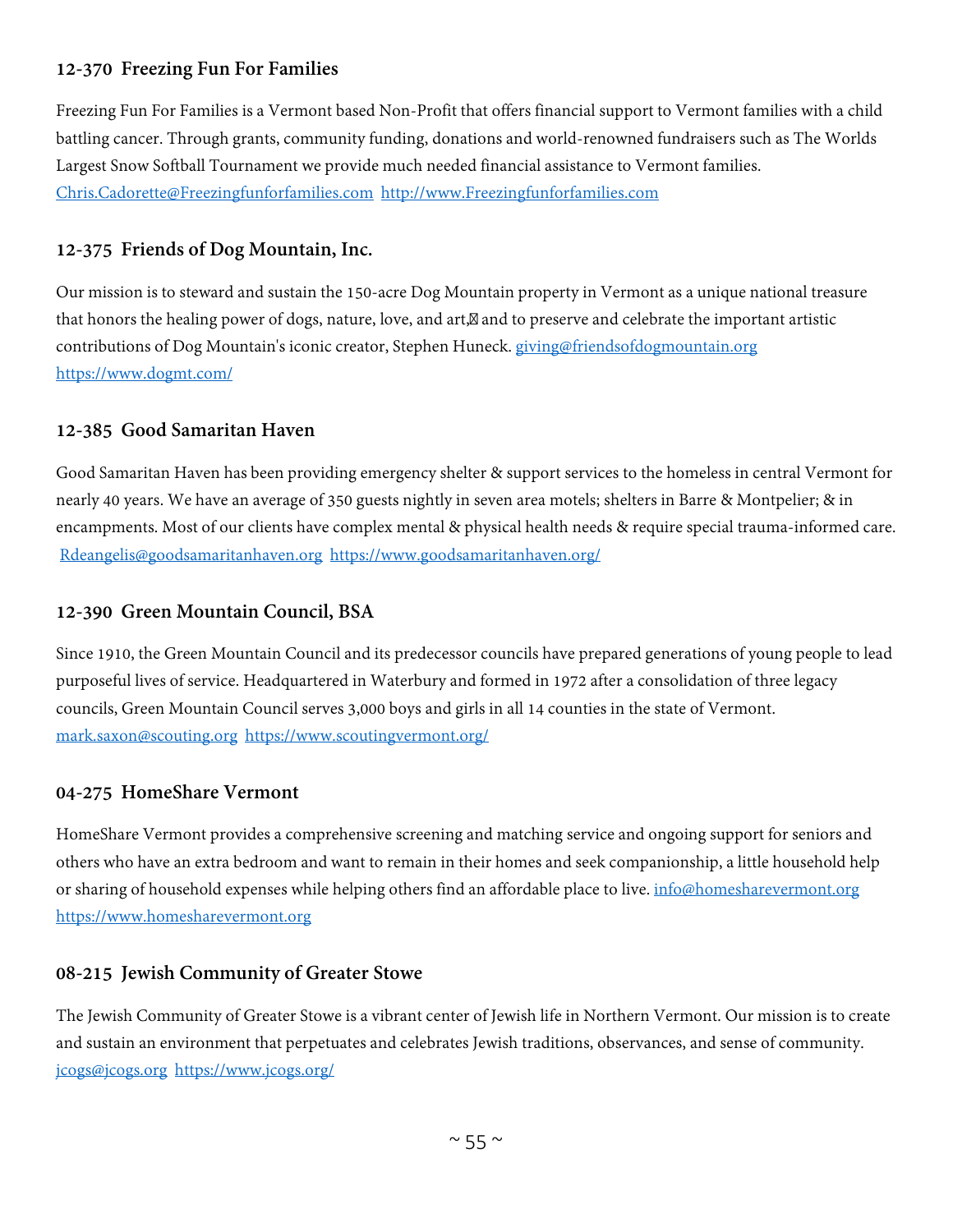# **12-370 Freezing Fun For Families**

Freezing Fun For Families is a Vermont based Non-Profit that offers financial support to Vermont families with a child battling cancer. Through grants, community funding, donations and world-renowned fundraisers such as The Worlds Largest Snow Softball Tournament we provide much needed financial assistance to Vermont families. [Chris.Cadorette@Freezingfunforfamilies.com](mailto:Chris.Cadorette@Freezingfunforfamilies.com) [http://www.Freezingfunforfamilies.com](http://www.freezingfunforfamilies.com/)

#### **12-375 Friends of Dog Mountain, Inc.**

Our mission is to steward and sustain the 150-acre Dog Mountain property in Vermont as a unique national treasure that honors the healing power of dogs, nature, love, and art, and to preserve and celebrate the important artistic contributions of Dog Mountain's iconic creator, Stephen Huneck. [giving@friendsofdogmountain.org](mailto:giving@friendsofdogmountain.org) <https://www.dogmt.com/>

#### **12-385 Good Samaritan Haven**

Good Samaritan Haven has been providing emergency shelter & support services to the homeless in central Vermont for nearly 40 years. We have an average of 350 guests nightly in seven area motels; shelters in Barre & Montpelier; & in encampments. Most of our clients have complex mental & physical health needs & require special trauma-informed care. [Rdeangelis@goodsamaritanhaven.org](mailto:Rdeangelis@goodsamaritanhaven.org) <https://www.goodsamaritanhaven.org/>

#### **12-390 Green Mountain Council, BSA**

Since 1910, the Green Mountain Council and its predecessor councils have prepared generations of young people to lead purposeful lives of service. Headquartered in Waterbury and formed in 1972 after a consolidation of three legacy councils, Green Mountain Council serves 3,000 boys and girls in all 14 counties in the state of Vermont. [mark.saxon@scouting.org](mailto:mark.saxon@scouting.org) <https://www.scoutingvermont.org/>

#### **04-275 HomeShare Vermont**

HomeShare Vermont provides a comprehensive screening and matching service and ongoing support for seniors and others who have an extra bedroom and want to remain in their homes and seek companionship, a little household help or sharing of household expenses while helping others find an affordable place to live. [info@homesharevermont.org](mailto:info@homesharevermont.org) [https://www.homesharevermont.org](https://www.homesharevermont.org/)

#### **08-215 Jewish Community of Greater Stowe**

The Jewish Community of Greater Stowe is a vibrant center of Jewish life in Northern Vermont. Our mission is to create and sustain an environment that perpetuates and celebrates Jewish traditions, observances, and sense of community. [jcogs@jcogs.org](mailto:jcogs@jcogs.org) <https://www.jcogs.org/>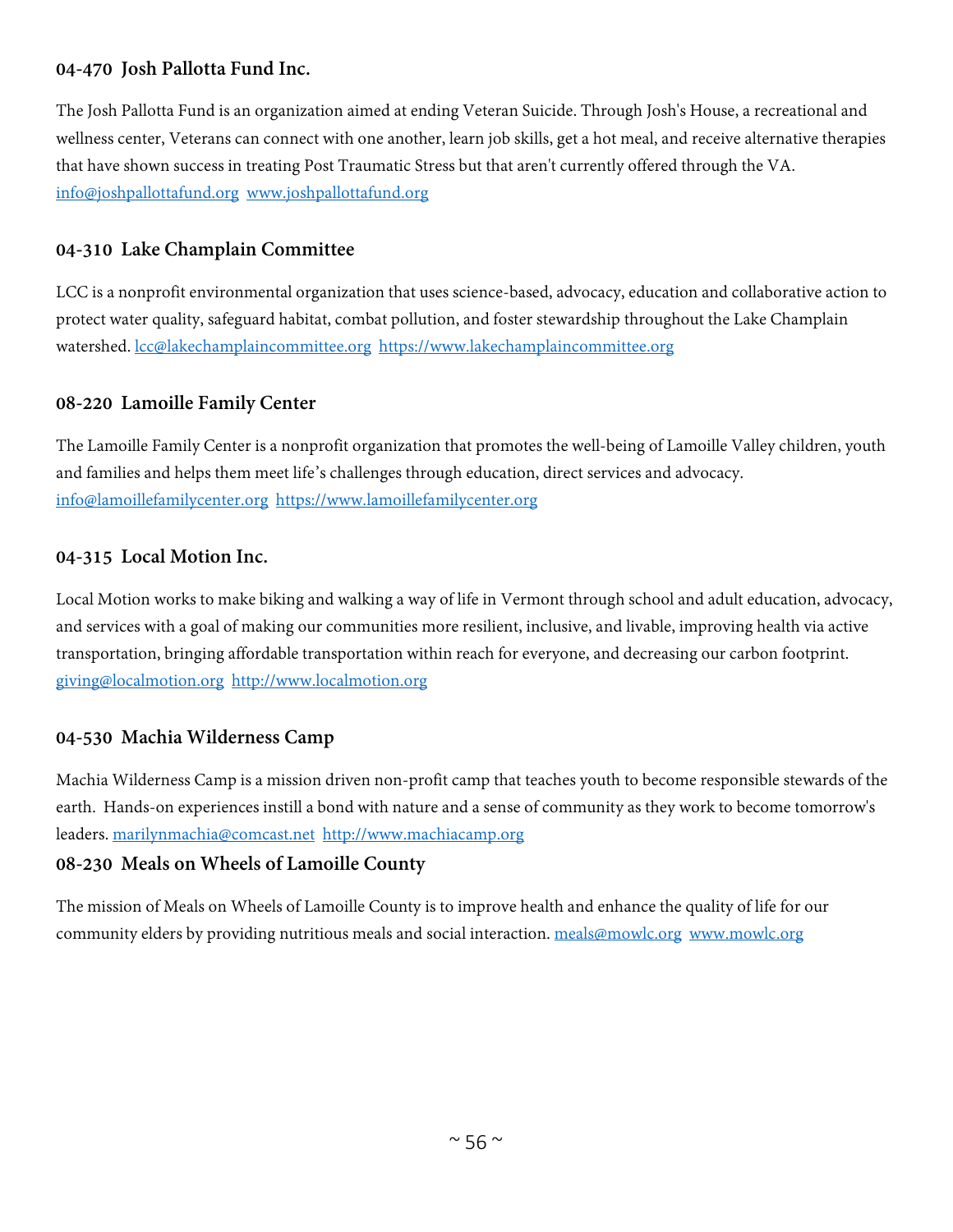## **04-470 Josh Pallotta Fund Inc.**

The Josh Pallotta Fund is an organization aimed at ending Veteran Suicide. Through Josh's House, a recreational and wellness center, Veterans can connect with one another, learn job skills, get a hot meal, and receive alternative therapies that have shown success in treating Post Traumatic Stress but that aren't currently offered through the VA. [info@joshpallottafund.org](mailto:info@joshpallottafund.org) [www.joshpallottafund.org](http://www.joshpallottafund.org/)

## **04-310 Lake Champlain Committee**

LCC is a nonprofit environmental organization that uses science-based, advocacy, education and collaborative action to protect water quality, safeguard habitat, combat pollution, and foster stewardship throughout the Lake Champlain watershed. [lcc@lakechamplaincommittee.org](mailto:lcc@lakechamplaincommittee.org) [https://www.lakechamplaincommittee.org](https://www.lakechamplaincommittee.org/)

#### **08-220 Lamoille Family Center**

The Lamoille Family Center is a nonprofit organization that promotes the well-being of Lamoille Valley children, youth and families and helps them meet life's challenges through education, direct services and advocacy. [info@lamoillefamilycenter.org](mailto:info@lamoillefamilycenter.org) [https://www.lamoillefamilycenter.org](https://www.lamoillefamilycenter.org/)

#### **04-315 Local Motion Inc.**

Local Motion works to make biking and walking a way of life in Vermont through school and adult education, advocacy, and services with a goal of making our communities more resilient, inclusive, and livable, improving health via active transportation, bringing affordable transportation within reach for everyone, and decreasing our carbon footprint. [giving@localmotion.org](mailto:giving@localmotion.org) [http://www.localmotion.org](http://www.localmotion.org/)

## **04-530 Machia Wilderness Camp**

Machia Wilderness Camp is a mission driven non-profit camp that teaches youth to become responsible stewards of the earth. Hands-on experiences instill a bond with nature and a sense of community as they work to become tomorrow's leaders. [marilynmachia@comcast.net](mailto:marilynmachia@comcast.net) [http://www.machiacamp.org](http://www.machiacamp.org/)

## **08-230 Meals on Wheels of Lamoille County**

The mission of Meals on Wheels of Lamoille County is to improve health and enhance the quality of life for our community elders by providing nutritious meals and social interaction. [meals@mowlc.org](mailto:meals@mowlc.org) [www.mowlc.org](http://www.mowlc.org/)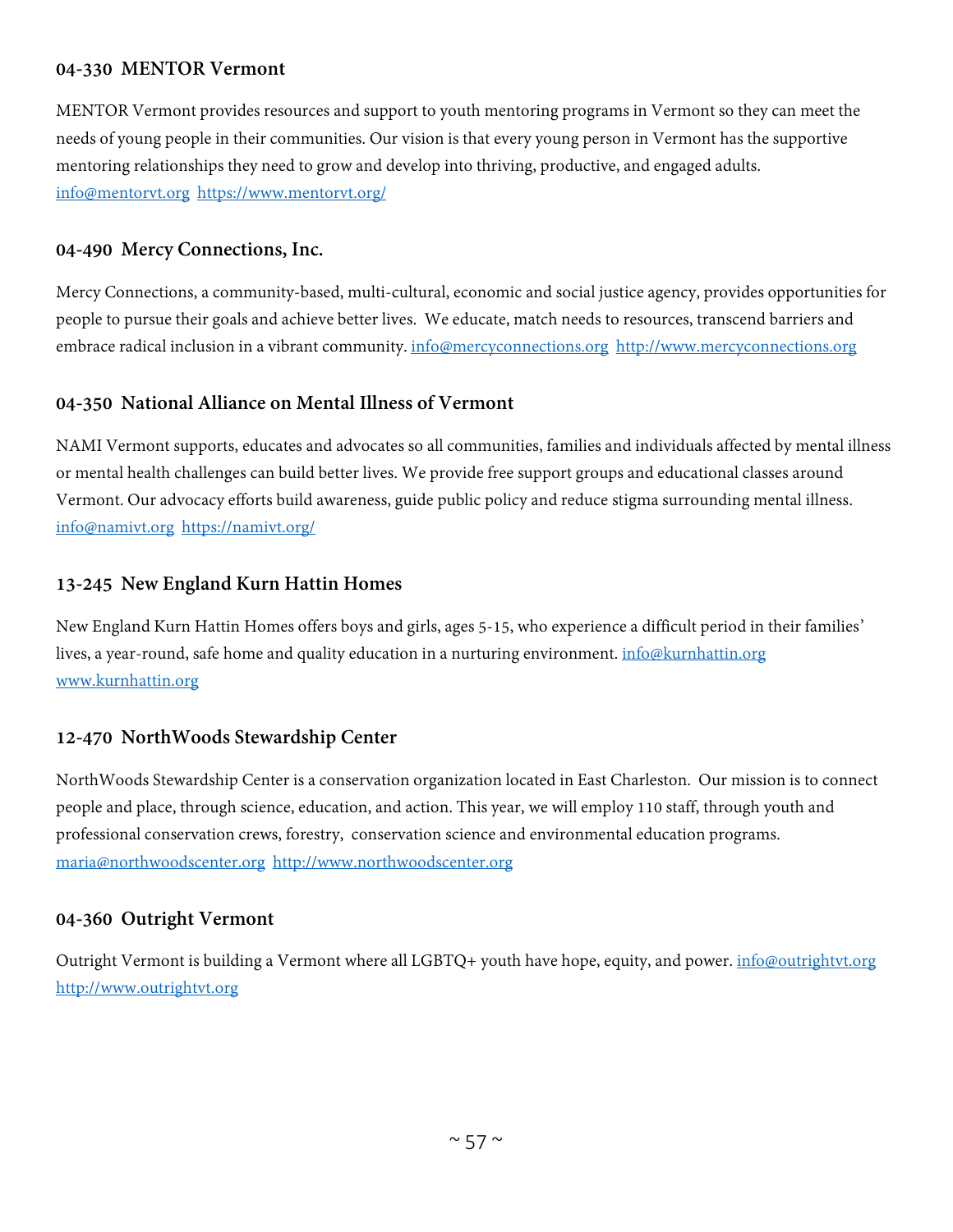#### **04-330 MENTOR Vermont**

MENTOR Vermont provides resources and support to youth mentoring programs in Vermont so they can meet the needs of young people in their communities. Our vision is that every young person in Vermont has the supportive mentoring relationships they need to grow and develop into thriving, productive, and engaged adults. [info@mentorvt.org](mailto:info@mentorvt.org) <https://www.mentorvt.org/>

#### **04-490 Mercy Connections, Inc.**

Mercy Connections, a community-based, multi-cultural, economic and social justice agency, provides opportunities for people to pursue their goals and achieve better lives. We educate, match needs to resources, transcend barriers and embrace radical inclusion in a vibrant community. [info@mercyconnections.org](mailto:info@mercyconnections.org) http://www.mercyconnections.org

#### **04-350 National Alliance on Mental Illness of Vermont**

NAMI Vermont supports, educates and advocates so all communities, families and individuals affected by mental illness or mental health challenges can build better lives. We provide free support groups and educational classes around Vermont. Our advocacy efforts build awareness, guide public policy and reduce stigma surrounding mental illness. [info@namivt.org](mailto:info@namivt.org) <https://namivt.org/>

#### **13-245 New England Kurn Hattin Homes**

New England Kurn Hattin Homes offers boys and girls, ages 5-15, who experience a difficult period in their families' lives, a year-round, safe home and quality education in a nurturing environment. [info@kurnhattin.org](mailto:info@kurnhattin.org) [www.kurnhattin.org](http://www.kurnhattin.org/)

## **12-470 NorthWoods Stewardship Center**

NorthWoods Stewardship Center is a conservation organization located in East Charleston. Our mission is to connect people and place, through science, education, and action. This year, we will employ 110 staff, through youth and professional conservation crews, forestry, conservation science and environmental education programs. [maria@northwoodscenter.org](mailto:maria@northwoodscenter.org) [http://www.northwoodscenter.org](http://www.northwoodscenter.org/)

#### **04-360 Outright Vermont**

Outright Vermont is building a Vermont where all LGBTQ+ youth have hope, equity, and power. [info@outrightvt.org](mailto:info@outrightvt.org) [http://www.outrightvt.org](http://www.outrightvt.org/)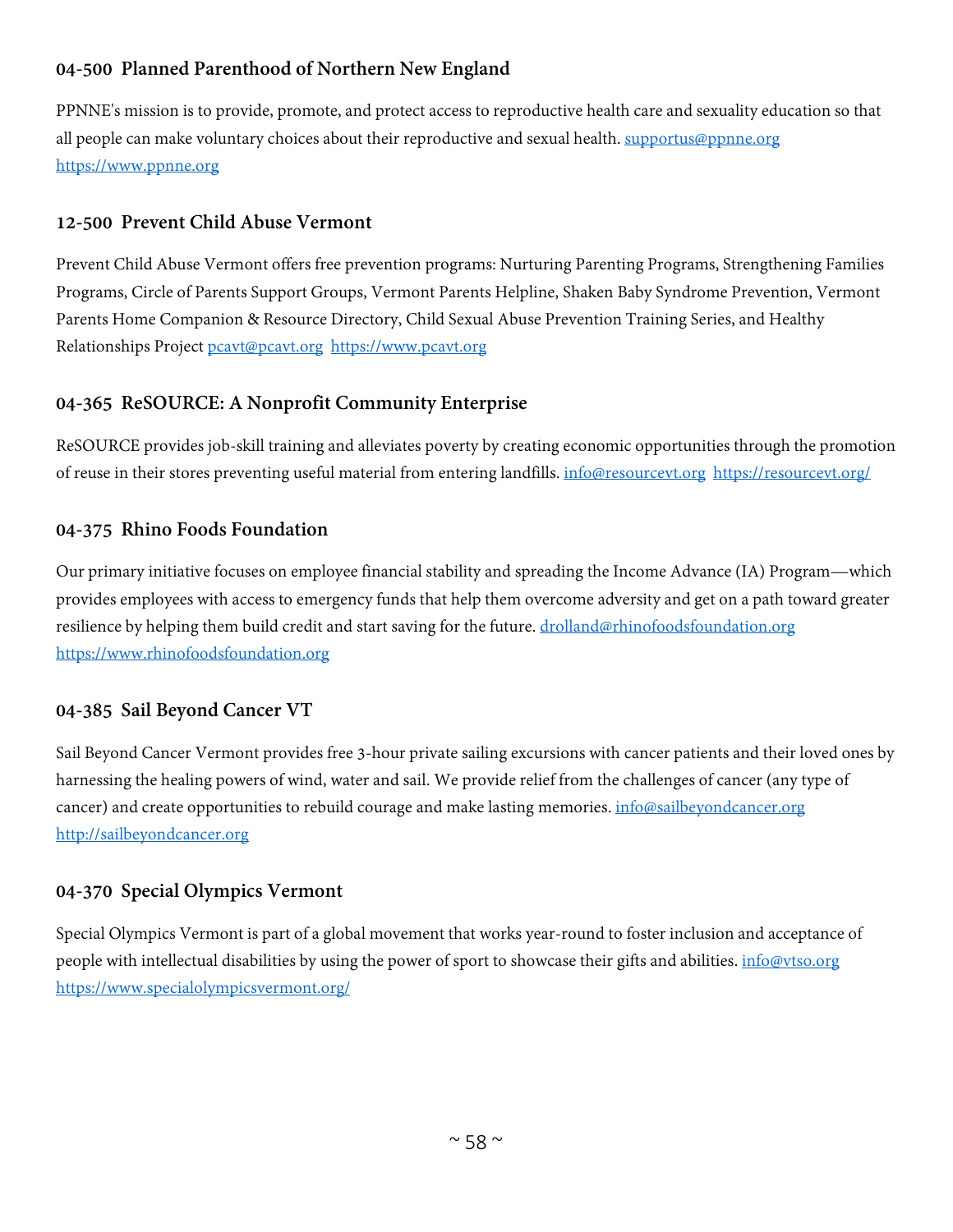# **04-500 Planned Parenthood of Northern New England**

PPNNE's mission is to provide, promote, and protect access to reproductive health care and sexuality education so that all people can make voluntary choices about their reproductive and sexual health. [supportus@ppnne.org](mailto:supportus@ppnne.org) [https://www.ppnne.org](https://www.ppnne.org/)

# **12-500 Prevent Child Abuse Vermont**

Prevent Child Abuse Vermont offers free prevention programs: Nurturing Parenting Programs, Strengthening Families Programs, Circle of Parents Support Groups, Vermont Parents Helpline, Shaken Baby Syndrome Prevention, Vermont Parents Home Companion & Resource Directory, Child Sexual Abuse Prevention Training Series, and Healthy Relationships Project [pcavt@pcavt.org](mailto:pcavt@pcavt.org) [https://www.pcavt.org](https://www.pcavt.org/)

# **04-365 ReSOURCE: A Nonprofit Community Enterprise**

ReSOURCE provides job-skill training and alleviates poverty by creating economic opportunities through the promotion of reuse in their stores preventing useful material from entering landfills. [info@resourcevt.org](mailto:info@resourcevt.org) <https://resourcevt.org/>

# **04-375 Rhino Foods Foundation**

Our primary initiative focuses on employee financial stability and spreading the Income Advance (IA) Program—which provides employees with access to emergency funds that help them overcome adversity and get on a path toward greater resilience by helping them build credit and start saving for the future. [drolland@rhinofoodsfoundation.org](mailto:drolland@rhinofoodsfoundation.org) [https://www.rhinofoodsfoundation.org](https://www.rhinofoodsfoundation.org/)

# **04-385 Sail Beyond Cancer VT**

Sail Beyond Cancer Vermont provides free 3-hour private sailing excursions with cancer patients and their loved ones by harnessing the healing powers of wind, water and sail. We provide relief from the challenges of cancer (any type of cancer) and create opportunities to rebuild courage and make lasting memories. *info@sailbeyondcancer.org* [http://sailbeyondcancer.org](http://sailbeyondcancer.org/)

## **04-370 Special Olympics Vermont**

Special Olympics Vermont is part of a global movement that works year-round to foster inclusion and acceptance of people with intellectual disabilities by using the power of sport to showcase their gifts and abilities. [info@vtso.org](mailto:info@vtso.org) <https://www.specialolympicsvermont.org/>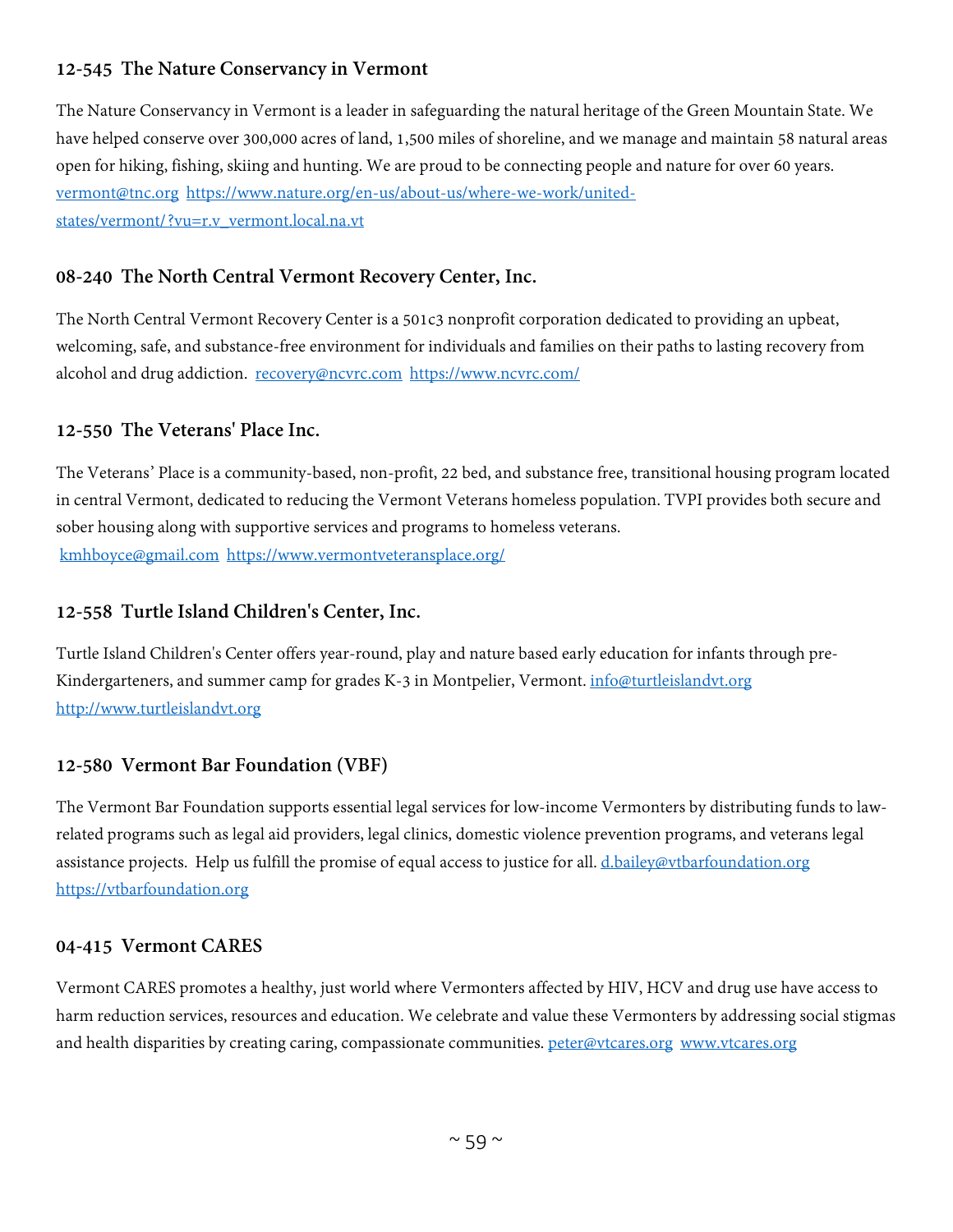# **12-545 The Nature Conservancy in Vermont**

The Nature Conservancy in Vermont is a leader in safeguarding the natural heritage of the Green Mountain State. We have helped conserve over 300,000 acres of land, 1,500 miles of shoreline, and we manage and maintain 58 natural areas open for hiking, fishing, skiing and hunting. We are proud to be connecting people and nature for over 60 years. [vermont@tnc.org](mailto:vermont@tnc.org) [https://www.nature.org/en-us/about-us/where-we-work/united](https://www.nature.org/en-us/about-us/where-we-work/united-states/vermont/?vu=r.v_vermont.local.na.vt)[states/vermont/?vu=r.v\\_vermont.local.na.vt](https://www.nature.org/en-us/about-us/where-we-work/united-states/vermont/?vu=r.v_vermont.local.na.vt)

## **08-240 The North Central Vermont Recovery Center, Inc.**

The North Central Vermont Recovery Center is a 501c3 nonprofit corporation dedicated to providing an upbeat, welcoming, safe, and substance-free environment for individuals and families on their paths to lasting recovery from alcohol and drug addiction. [recovery@ncvrc.com](mailto:recovery@ncvrc.com) <https://www.ncvrc.com/>

## **12-550 The Veterans' Place Inc.**

The Veterans' Place is a community-based, non-profit, 22 bed, and substance free, transitional housing program located in central Vermont, dedicated to reducing the Vermont Veterans homeless population. TVPI provides both secure and sober housing along with supportive services and programs to homeless veterans. [kmhboyce@gmail.com](mailto:kmhboyce@gmail.com) <https://www.vermontveteransplace.org/>

## **12-558 Turtle Island Children's Center, Inc.**

Turtle Island Children's Center offers year-round, play and nature based early education for infants through preKindergarteners, and summer camp for grades K-3 in Montpelier, Vermont. [info@turtleislandvt.org](mailto:info@turtleislandvt.org) [http://www.turtleislandvt.org](http://www.turtleislandvt.org/)

## **12-580 Vermont Bar Foundation (VBF)**

The Vermont Bar Foundation supports essential legal services for low-income Vermonters by distributing funds to lawrelated programs such as legal aid providers, legal clinics, domestic violence prevention programs, and veterans legal assistance projects. Help us fulfill the promise of equal access to justice for all. [d.bailey@vtbarfoundation.org](mailto:d.bailey@vtbarfoundation.org) [https://vtbarfoundation.org](https://vtbarfoundation.org/)

## **04-415 Vermont CARES**

Vermont CARES promotes a healthy, just world where Vermonters affected by HIV, HCV and drug use have access to harm reduction services, resources and education. We celebrate and value these Vermonters by addressing social stigmas and health disparities by creating caring, compassionate communities. [peter@vtcares.org](mailto:peter@vtcares.org) [www.vtcares.org](http://www.vtcares.org/)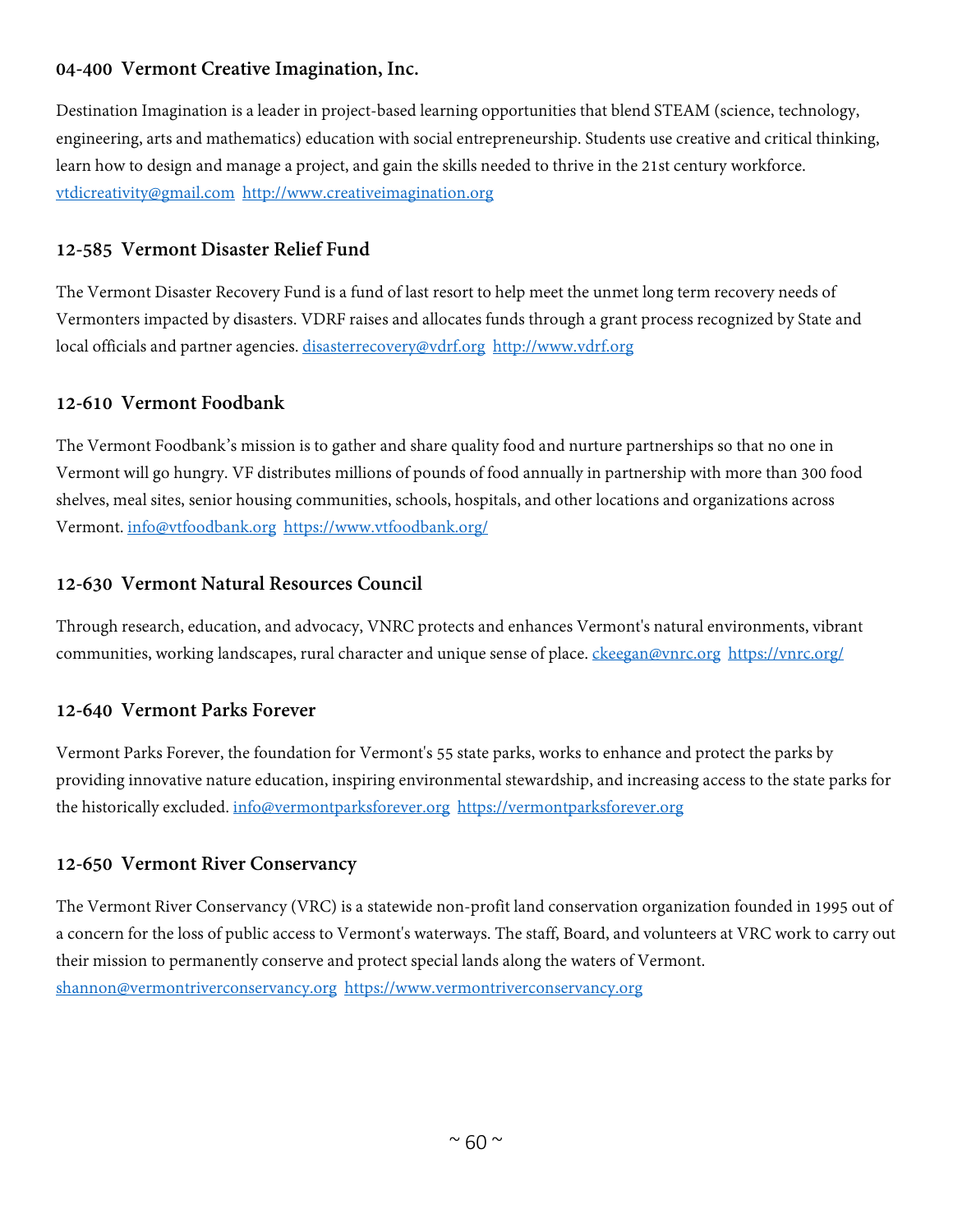# **04-400 Vermont Creative Imagination, Inc.**

Destination Imagination is a leader in project-based learning opportunities that blend STEAM (science, technology, engineering, arts and mathematics) education with social entrepreneurship. Students use creative and critical thinking, learn how to design and manage a project, and gain the skills needed to thrive in the 21st century workforce. [vtdicreativity@gmail.com](mailto:vtdicreativity@gmail.com) [http://www.creativeimagination.org](http://www.creativeimagination.org/) 

## **12-585 Vermont Disaster Relief Fund**

The Vermont Disaster Recovery Fund is a fund of last resort to help meet the unmet long term recovery needs of Vermonters impacted by disasters. VDRF raises and allocates funds through a grant process recognized by State and local officials and partner agencies. [disasterrecovery@vdrf.org](mailto:disasterrecovery@vdrf.org) [http://www.vdrf.org](http://www.vdrf.org/)

#### **12-610 Vermont Foodbank**

The Vermont Foodbank's mission is to gather and share quality food and nurture partnerships so that no one in Vermont will go hungry. VF distributes millions of pounds of food annually in partnership with more than 300 food shelves, meal sites, senior housing communities, schools, hospitals, and other locations and organizations across Vermont. [info@vtfoodbank.org](mailto:info@vtfoodbank.org) <https://www.vtfoodbank.org/>

#### **12-630 Vermont Natural Resources Council**

Through research, education, and advocacy, VNRC protects and enhances Vermont's natural environments, vibrant communities, working landscapes, rural character and unique sense of place. [ckeegan@vnrc.org](mailto:ckeegan@vnrc.org) <https://vnrc.org/>

## **12-640 Vermont Parks Forever**

Vermont Parks Forever, the foundation for Vermont's 55 state parks, works to enhance and protect the parks by providing innovative nature education, inspiring environmental stewardship, and increasing access to the state parks for the historically excluded. [info@vermontparksforever.org](mailto:info@vermontparksforever.org) [https://vermontparksforever.org](https://vermontparksforever.org/)

## **12-650 Vermont River Conservancy**

The Vermont River Conservancy (VRC) is a statewide non-profit land conservation organization founded in 1995 out of a concern for the loss of public access to Vermont's waterways. The staff, Board, and volunteers at VRC work to carry out their mission to permanently conserve and protect special lands along the waters of Vermont. [shannon@vermontriverconservancy.org](mailto:shannon@vermontriverconservancy.org) [https://www.vermontriverconservancy.org](https://www.vermontriverconservancy.org/)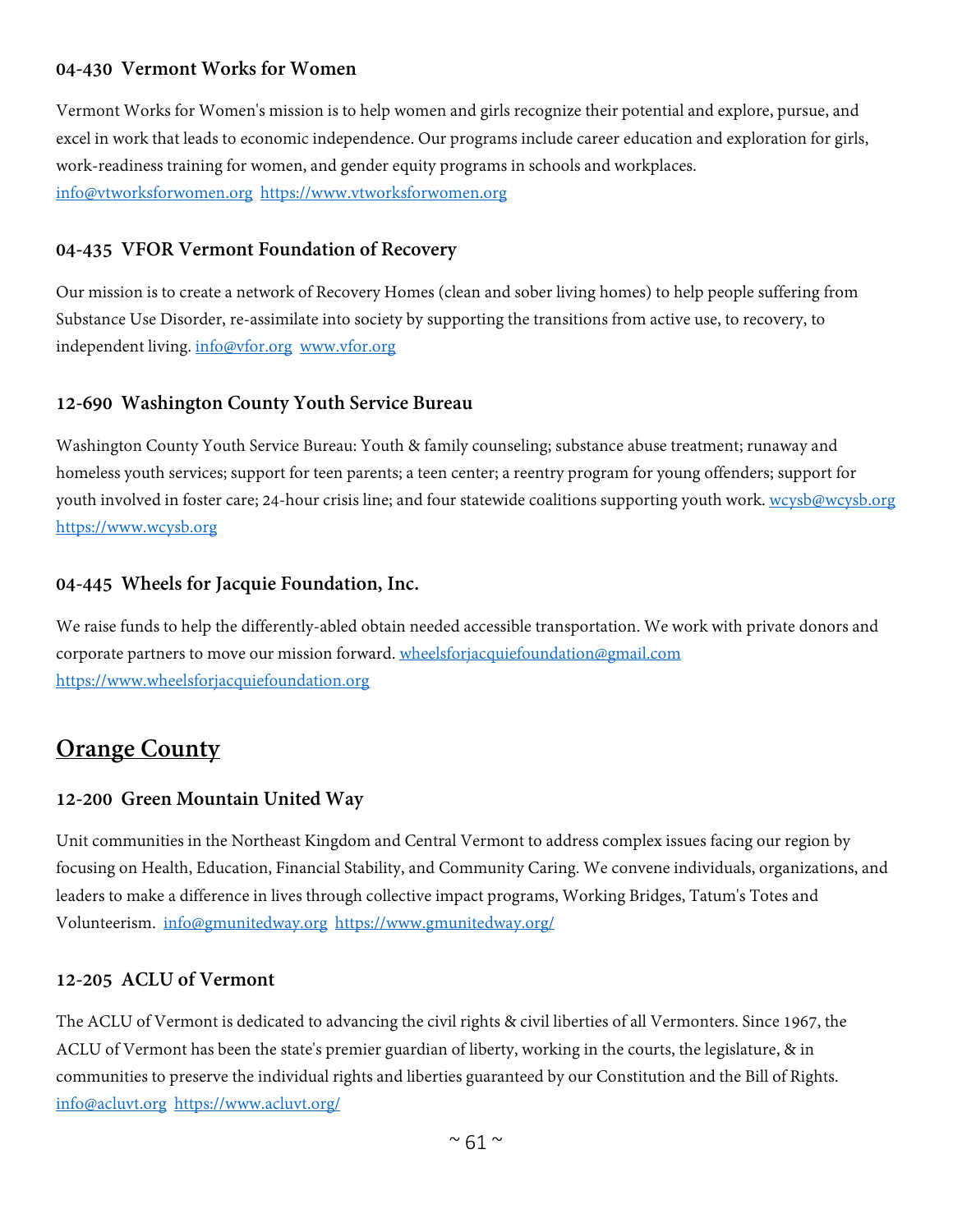# **04-430 Vermont Works for Women**

Vermont Works for Women's mission is to help women and girls recognize their potential and explore, pursue, and excel in work that leads to economic independence. Our programs include career education and exploration for girls, work-readiness training for women, and gender equity programs in schools and workplaces. [info@vtworksforwomen.org](mailto:info@vtworksforwomen.org) [https://www.vtworksforwomen.org](https://www.vtworksforwomen.org/)

## **04-435 VFOR Vermont Foundation of Recovery**

Our mission is to create a network of Recovery Homes (clean and sober living homes) to help people suffering from Substance Use Disorder, re-assimilate into society by supporting the transitions from active use, to recovery, to independent living. [info@vfor.org](mailto:info@vfor.org) [www.vfor.org](http://www.vfor.org/)

## **12-690 Washington County Youth Service Bureau**

Washington County Youth Service Bureau: Youth & family counseling; substance abuse treatment; runaway and homeless youth services; support for teen parents; a teen center; a reentry program for young offenders; support for youth involved in foster care; 24-hour crisis line; and four statewide coalitions supporting youth work. [wcysb@wcysb.org](mailto:wcysb@wcysb.org) [https://www.wcysb.org](https://www.wcysb.org/)

## **04-445 Wheels for Jacquie Foundation, Inc.**

We raise funds to help the differently-abled obtain needed accessible transportation. We work with private donors and corporate partners to move our mission forward. [wheelsforjacquiefoundation@gmail.com](mailto:wheelsforjacquiefoundation@gmail.com) [https://www.wheelsforjacquiefoundation.org](https://www.wheelsforjacquiefoundation.org/)

# **Orange County**

## **12-200 Green Mountain United Way**

Unit communities in the Northeast Kingdom and Central Vermont to address complex issues facing our region by focusing on Health, Education, Financial Stability, and Community Caring. We convene individuals, organizations, and leaders to make a difference in lives through collective impact programs, Working Bridges, Tatum's Totes and Volunteerism. [info@gmunitedway.org](mailto:info@gmunitedway.org) <https://www.gmunitedway.org/>

## **12-205 ACLU of Vermont**

The ACLU of Vermont is dedicated to advancing the civil rights & civil liberties of all Vermonters. Since 1967, the ACLU of Vermont has been the state's premier guardian of liberty, working in the courts, the legislature, & in communities to preserve the individual rights and liberties guaranteed by our Constitution and the Bill of Rights. [info@acluvt.org](mailto:info@acluvt.org) <https://www.acluvt.org/>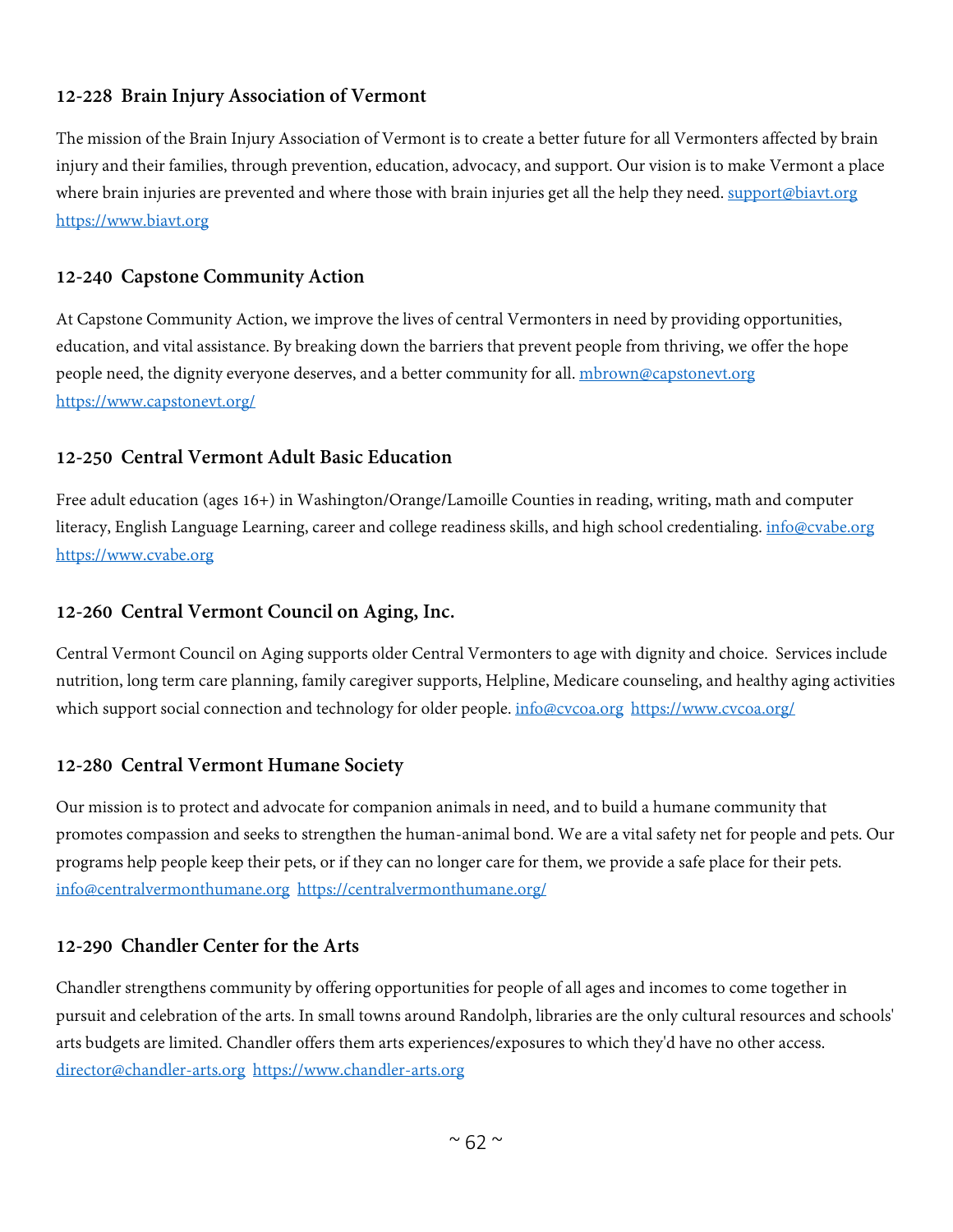#### **12-228 Brain Injury Association of Vermont**

The mission of the Brain Injury Association of Vermont is to create a better future for all Vermonters affected by brain injury and their families, through prevention, education, advocacy, and support. Our vision is to make Vermont a place where brain injuries are prevented and where those with brain injuries get all the help they need. [support@biavt.org](mailto:support@biavt.org) [https://www.biavt.org](https://www.biavt.org/)

#### **12-240 Capstone Community Action**

At Capstone Community Action, we improve the lives of central Vermonters in need by providing opportunities, education, and vital assistance. By breaking down the barriers that prevent people from thriving, we offer the hope people need, the dignity everyone deserves, and a better community for all. mbrown@capstoneyt.org <https://www.capstonevt.org/>

#### **12-250 Central Vermont Adult Basic Education**

Free adult education (ages 16+) in Washington/Orange/Lamoille Counties in reading, writing, math and computer literacy, English Language Learning, career and college readiness skills, and high school credentialing. [info@cvabe.org](mailto:info@cvabe.org) [https://www.cvabe.org](https://www.cvabe.org/)

#### **12-260 Central Vermont Council on Aging, Inc.**

Central Vermont Council on Aging supports older Central Vermonters to age with dignity and choice. Services include nutrition, long term care planning, family caregiver supports, Helpline, Medicare counseling, and healthy aging activities which support social connection and technology for older people. [info@cvcoa.org](mailto:info@cvcoa.org) <https://www.cvcoa.org/>

## **12-280 Central Vermont Humane Society**

Our mission is to protect and advocate for companion animals in need, and to build a humane community that promotes compassion and seeks to strengthen the human-animal bond. We are a vital safety net for people and pets. Our programs help people keep their pets, or if they can no longer care for them, we provide a safe place for their pets. [info@centralvermonthumane.org](mailto:info@centralvermonthumane.org) <https://centralvermonthumane.org/>

#### **12-290 Chandler Center for the Arts**

Chandler strengthens community by offering opportunities for people of all ages and incomes to come together in pursuit and celebration of the arts. In small towns around Randolph, libraries are the only cultural resources and schools' arts budgets are limited. Chandler offers them arts experiences/exposures to which they'd have no other access. [director@chandler-arts.org](mailto:director@chandler-arts.org) [https://www.chandler-arts.org](https://www.chandler-arts.org/)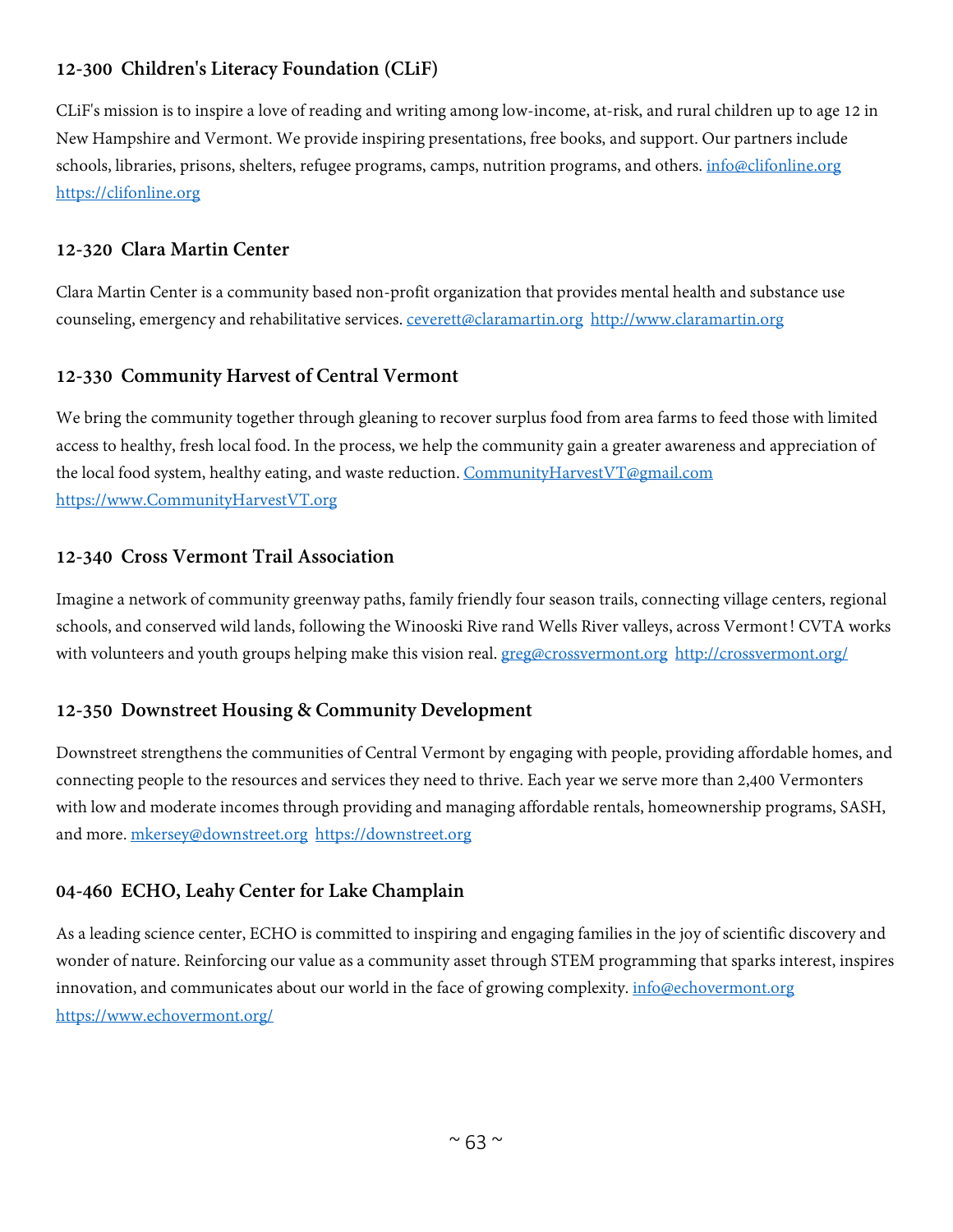# **12-300 Children's Literacy Foundation (CLiF)**

CLiF's mission is to inspire a love of reading and writing among low-income, at-risk, and rural children up to age 12 in New Hampshire and Vermont. We provide inspiring presentations, free books, and support. Our partners include schools, libraries, prisons, shelters, refugee programs, camps, nutrition programs, and others. [info@clifonline.org](mailto:info@clifonline.org) [https://clifonline.org](https://clifonline.org/)

## **12-320 Clara Martin Center**

Clara Martin Center is a community based non-profit organization that provides mental health and substance use counseling, emergency and rehabilitative services. ceverett@claramartin.org [http://www.claramartin.org](http://www.claramartin.org/)

# **12-330 Community Harvest of Central Vermont**

We bring the community together through gleaning to recover surplus food from area farms to feed those with limited access to healthy, fresh local food. In the process, we help the community gain a greater awareness and appreciation of the local food system, healthy eating, and waste reduction. [CommunityHarvestVT@gmail.com](mailto:CommunityHarvestVT@gmail.com) [https://www.CommunityHarvestVT.org](https://www.communityharvestvt.org/)

## **12-340 Cross Vermont Trail Association**

Imagine a network of community greenway paths, family friendly four season trails, connecting village centers, regional schools, and conserved wild lands, following the Winooski Rive rand Wells River valleys, across Vermont! CVTA works with volunteers and youth groups helping make this vision real. [greg@crossvermont.org](mailto:greg@crossvermont.org) <http://crossvermont.org/>

# **12-350 Downstreet Housing & Community Development**

Downstreet strengthens the communities of Central Vermont by engaging with people, providing affordable homes, and connecting people to the resources and services they need to thrive. Each year we serve more than 2,400 Vermonters with low and moderate incomes through providing and managing affordable rentals, homeownership programs, SASH, and more. [mkersey@downstreet.org](mailto:mkersey@downstreet.org) [https://downstreet.org](https://downstreet.org/)

# **04-460 ECHO, Leahy Center for Lake Champlain**

As a leading science center, ECHO is committed to inspiring and engaging families in the joy of scientific discovery and wonder of nature. Reinforcing our value as a community asset through STEM programming that sparks interest, inspires innovation, and communicates about our world in the face of growing complexity. *[info@echovermont.org](mailto:info@echovermont.org)* <https://www.echovermont.org/>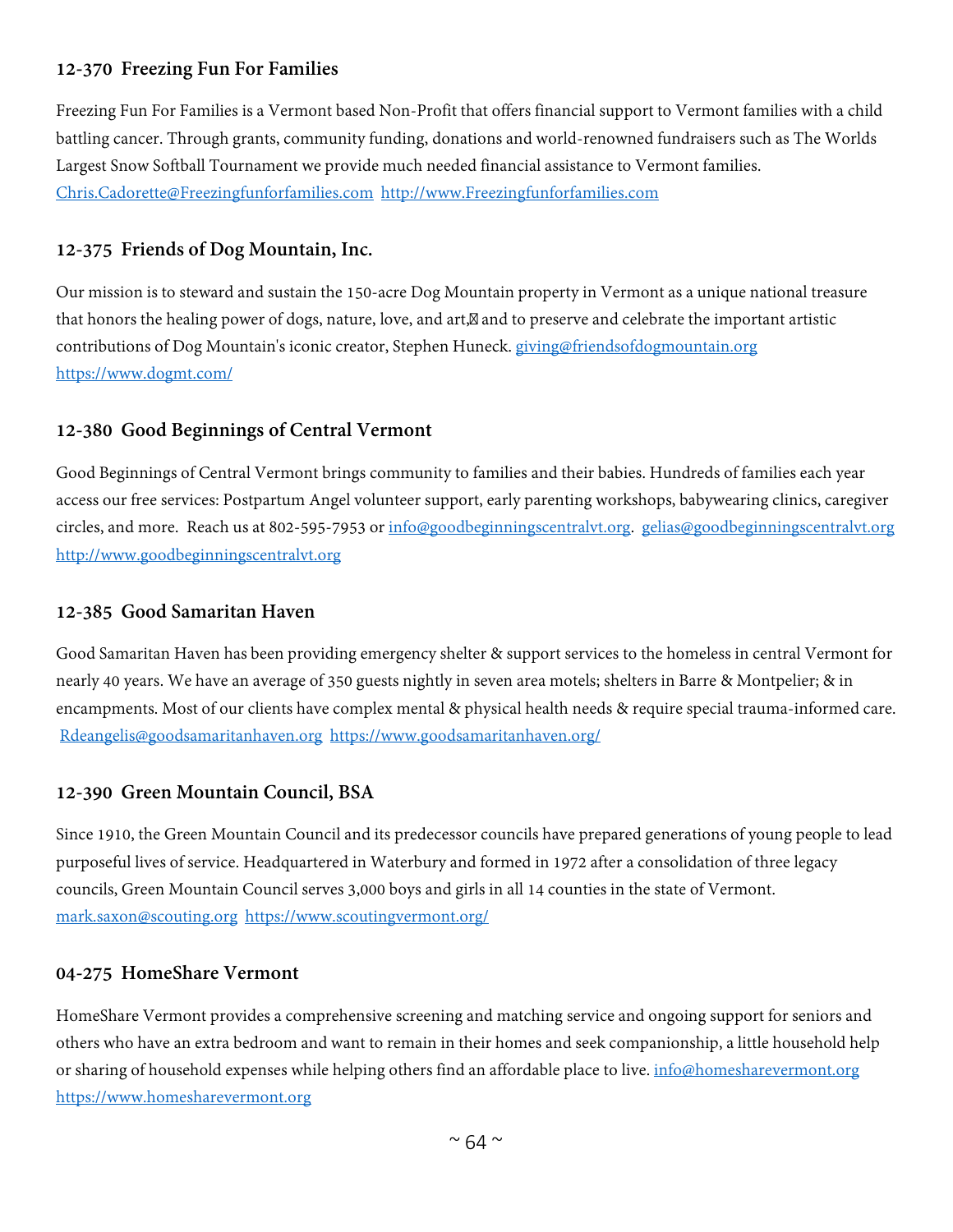# **12-370 Freezing Fun For Families**

Freezing Fun For Families is a Vermont based Non-Profit that offers financial support to Vermont families with a child battling cancer. Through grants, community funding, donations and world-renowned fundraisers such as The Worlds Largest Snow Softball Tournament we provide much needed financial assistance to Vermont families. [Chris.Cadorette@Freezingfunforfamilies.com](mailto:Chris.Cadorette@Freezingfunforfamilies.com) [http://www.Freezingfunforfamilies.com](http://www.freezingfunforfamilies.com/)

#### **12-375 Friends of Dog Mountain, Inc.**

Our mission is to steward and sustain the 150-acre Dog Mountain property in Vermont as a unique national treasure that honors the healing power of dogs, nature, love, and art, and to preserve and celebrate the important artistic contributions of Dog Mountain's iconic creator, Stephen Huneck. [giving@friendsofdogmountain.org](mailto:giving@friendsofdogmountain.org) <https://www.dogmt.com/>

## **12-380 Good Beginnings of Central Vermont**

Good Beginnings of Central Vermont brings community to families and their babies. Hundreds of families each year access our free services: Postpartum Angel volunteer support, early parenting workshops, babywearing clinics, caregiver circles, and more. Reach us at 802-595-7953 or [info@goodbeginningscentralvt.org.](mailto:info@goodbeginningscentralvt.org) [gelias@goodbeginningscentralvt.org](mailto:gelias@goodbeginningscentralvt.org) [http://www.goodbeginningscentralvt.org](http://www.goodbeginningscentralvt.org/)

#### **12-385 Good Samaritan Haven**

Good Samaritan Haven has been providing emergency shelter & support services to the homeless in central Vermont for nearly 40 years. We have an average of 350 guests nightly in seven area motels; shelters in Barre & Montpelier; & in encampments. Most of our clients have complex mental & physical health needs & require special trauma-informed care. [Rdeangelis@goodsamaritanhaven.org](mailto:Rdeangelis@goodsamaritanhaven.org) <https://www.goodsamaritanhaven.org/>

## **12-390 Green Mountain Council, BSA**

Since 1910, the Green Mountain Council and its predecessor councils have prepared generations of young people to lead purposeful lives of service. Headquartered in Waterbury and formed in 1972 after a consolidation of three legacy councils, Green Mountain Council serves 3,000 boys and girls in all 14 counties in the state of Vermont. [mark.saxon@scouting.org](mailto:mark.saxon@scouting.org) <https://www.scoutingvermont.org/>

#### **04-275 HomeShare Vermont**

HomeShare Vermont provides a comprehensive screening and matching service and ongoing support for seniors and others who have an extra bedroom and want to remain in their homes and seek companionship, a little household help or sharing of household expenses while helping others find an affordable place to live. [info@homesharevermont.org](mailto:info@homesharevermont.org) [https://www.homesharevermont.org](https://www.homesharevermont.org/)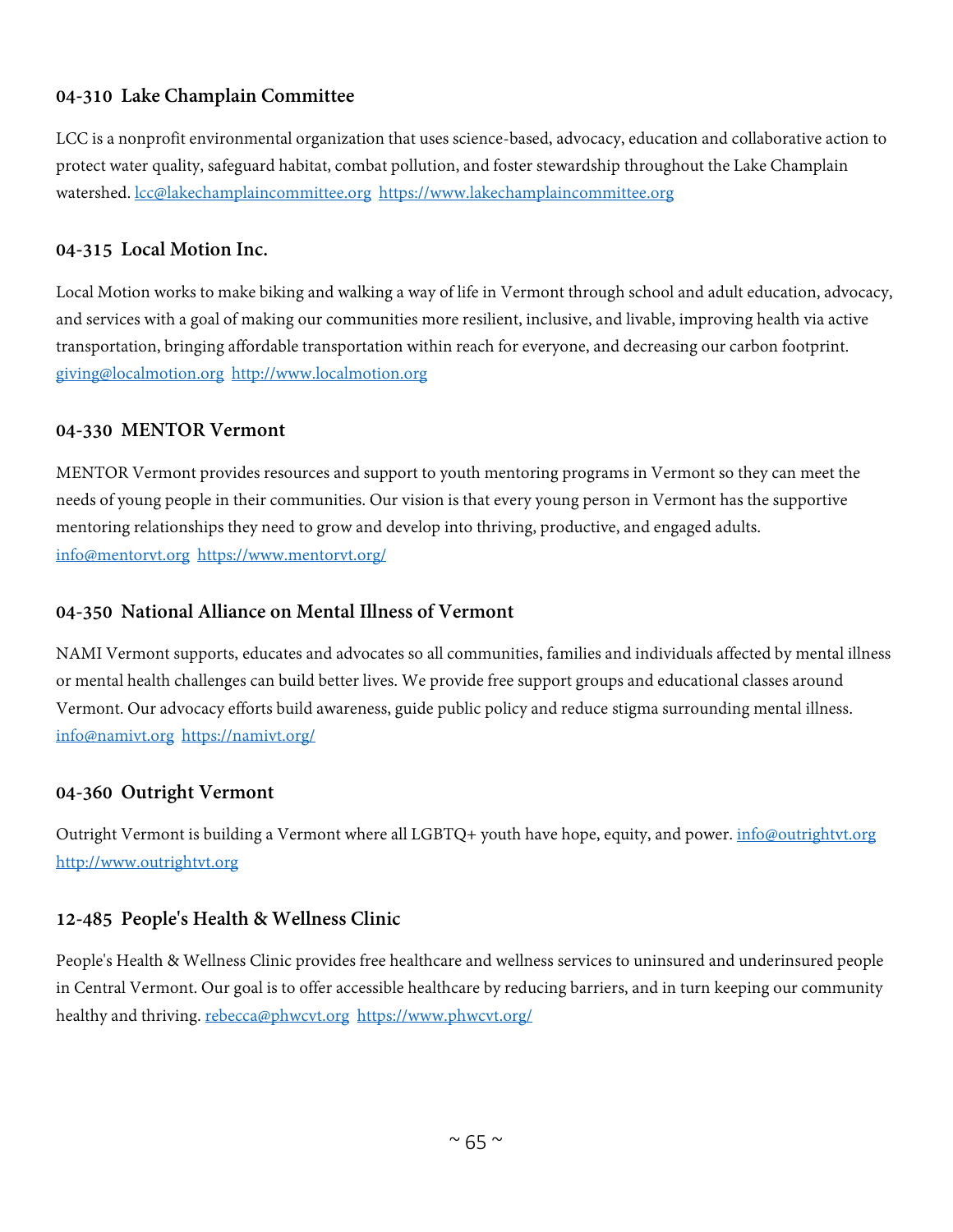# **04-310 Lake Champlain Committee**

LCC is a nonprofit environmental organization that uses science-based, advocacy, education and collaborative action to protect water quality, safeguard habitat, combat pollution, and foster stewardship throughout the Lake Champlain watershed. [lcc@lakechamplaincommittee.org](mailto:lcc@lakechamplaincommittee.org) [https://www.lakechamplaincommittee.org](https://www.lakechamplaincommittee.org/)

#### **04-315 Local Motion Inc.**

Local Motion works to make biking and walking a way of life in Vermont through school and adult education, advocacy, and services with a goal of making our communities more resilient, inclusive, and livable, improving health via active transportation, bringing affordable transportation within reach for everyone, and decreasing our carbon footprint. [giving@localmotion.org](mailto:giving@localmotion.org) [http://www.localmotion.org](http://www.localmotion.org/)

#### **04-330 MENTOR Vermont**

MENTOR Vermont provides resources and support to youth mentoring programs in Vermont so they can meet the needs of young people in their communities. Our vision is that every young person in Vermont has the supportive mentoring relationships they need to grow and develop into thriving, productive, and engaged adults. [info@mentorvt.org](mailto:info@mentorvt.org) <https://www.mentorvt.org/>

## **04-350 National Alliance on Mental Illness of Vermont**

NAMI Vermont supports, educates and advocates so all communities, families and individuals affected by mental illness or mental health challenges can build better lives. We provide free support groups and educational classes around Vermont. Our advocacy efforts build awareness, guide public policy and reduce stigma surrounding mental illness. [info@namivt.org](mailto:info@namivt.org) <https://namivt.org/>

## **04-360 Outright Vermont**

Outright Vermont is building a Vermont where all LGBTQ+ youth have hope, equity, and power. [info@outrightvt.org](mailto:info@outrightvt.org) [http://www.outrightvt.org](http://www.outrightvt.org/)

## **12-485 People's Health & Wellness Clinic**

People's Health & Wellness Clinic provides free healthcare and wellness services to uninsured and underinsured people in Central Vermont. Our goal is to offer accessible healthcare by reducing barriers, and in turn keeping our community healthy and thriving. [rebecca@phwcvt.org](mailto:rebecca@phwcvt.org) <https://www.phwcvt.org/>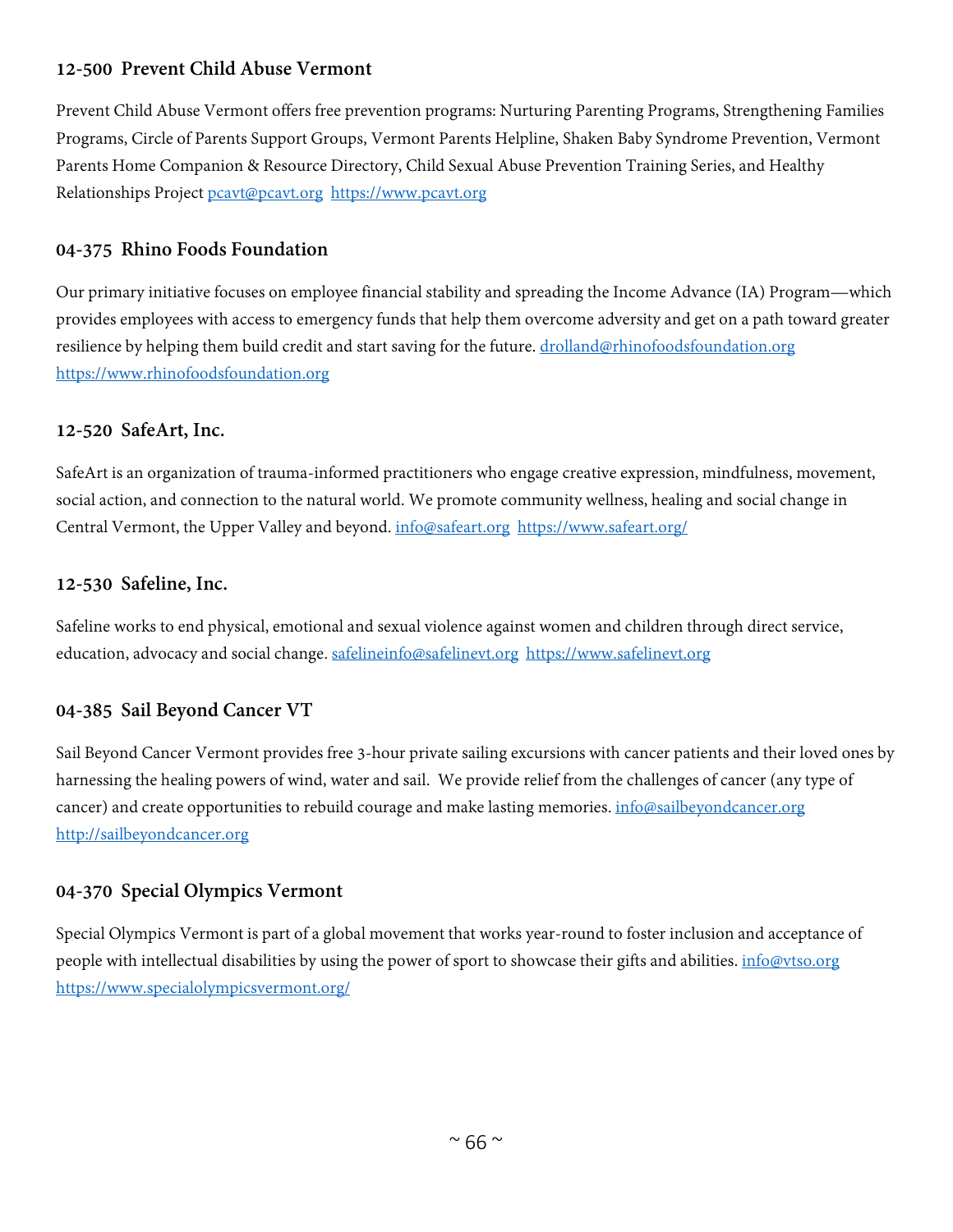## **12-500 Prevent Child Abuse Vermont**

Prevent Child Abuse Vermont offers free prevention programs: Nurturing Parenting Programs, Strengthening Families Programs, Circle of Parents Support Groups, Vermont Parents Helpline, Shaken Baby Syndrome Prevention, Vermont Parents Home Companion & Resource Directory, Child Sexual Abuse Prevention Training Series, and Healthy Relationships Project [pcavt@pcavt.org](mailto:pcavt@pcavt.org) [https://www.pcavt.org](https://www.pcavt.org/)

#### **04-375 Rhino Foods Foundation**

Our primary initiative focuses on employee financial stability and spreading the Income Advance (IA) Program—which provides employees with access to emergency funds that help them overcome adversity and get on a path toward greater resilience by helping them build credit and start saving for the future. [drolland@rhinofoodsfoundation.org](mailto:drolland@rhinofoodsfoundation.org) [https://www.rhinofoodsfoundation.org](https://www.rhinofoodsfoundation.org/)

#### **12-520 SafeArt, Inc.**

SafeArt is an organization of trauma-informed practitioners who engage creative expression, mindfulness, movement, social action, and connection to the natural world. We promote community wellness, healing and social change in Central Vermont, the Upper Valley and beyond. [info@safeart.org](mailto:info@safeart.org) <https://www.safeart.org/>

#### **12-530 Safeline, Inc.**

Safeline works to end physical, emotional and sexual violence against women and children through direct service, education, advocacy and social change. [safelineinfo@safelinevt.org](mailto:safelineinfo@safelinevt.org) [https://www.safelinevt.org](https://www.safelinevt.org/)

## **04-385 Sail Beyond Cancer VT**

Sail Beyond Cancer Vermont provides free 3-hour private sailing excursions with cancer patients and their loved ones by harnessing the healing powers of wind, water and sail. We provide relief from the challenges of cancer (any type of cancer) and create opportunities to rebuild courage and make lasting memories. *info@sailbeyondcancer.org* [http://sailbeyondcancer.org](http://sailbeyondcancer.org/)

## **04-370 Special Olympics Vermont**

Special Olympics Vermont is part of a global movement that works year-round to foster inclusion and acceptance of people with intellectual disabilities by using the power of sport to showcase their gifts and abilities. [info@vtso.org](mailto:info@vtso.org) <https://www.specialolympicsvermont.org/>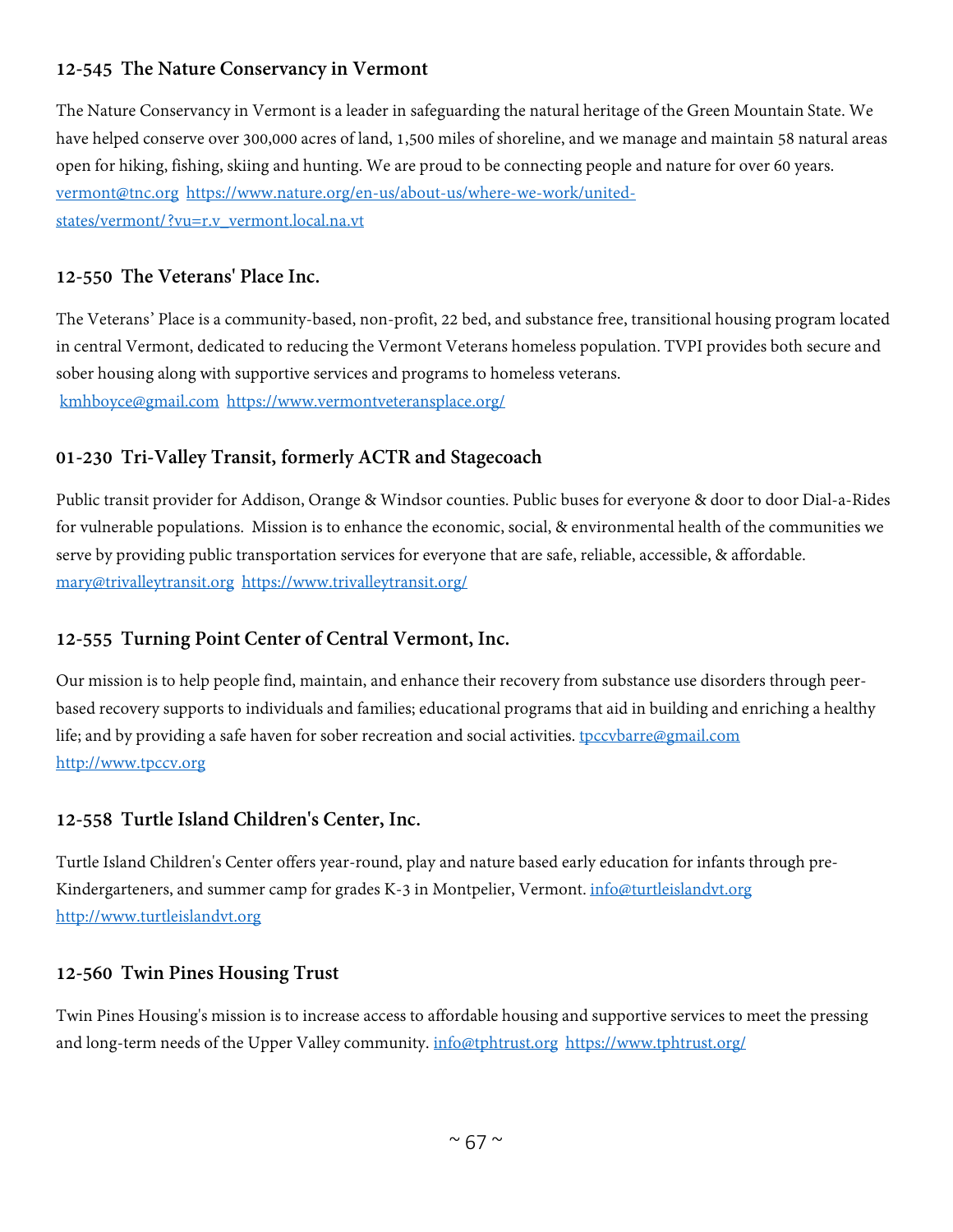# **12-545 The Nature Conservancy in Vermont**

The Nature Conservancy in Vermont is a leader in safeguarding the natural heritage of the Green Mountain State. We have helped conserve over 300,000 acres of land, 1,500 miles of shoreline, and we manage and maintain 58 natural areas open for hiking, fishing, skiing and hunting. We are proud to be connecting people and nature for over 60 years. [vermont@tnc.org](mailto:vermont@tnc.org) [https://www.nature.org/en-us/about-us/where-we-work/united](https://www.nature.org/en-us/about-us/where-we-work/united-states/vermont/?vu=r.v_vermont.local.na.vt)[states/vermont/?vu=r.v\\_vermont.local.na.vt](https://www.nature.org/en-us/about-us/where-we-work/united-states/vermont/?vu=r.v_vermont.local.na.vt)

## **12-550 The Veterans' Place Inc.**

The Veterans' Place is a community-based, non-profit, 22 bed, and substance free, transitional housing program located in central Vermont, dedicated to reducing the Vermont Veterans homeless population. TVPI provides both secure and sober housing along with supportive services and programs to homeless veterans. [kmhboyce@gmail.com](mailto:kmhboyce@gmail.com) <https://www.vermontveteransplace.org/>

## **01-230 Tri-Valley Transit, formerly ACTR and Stagecoach**

Public transit provider for Addison, Orange & Windsor counties. Public buses for everyone & door to door Dial-a-Rides for vulnerable populations. Mission is to enhance the economic, social, & environmental health of the communities we serve by providing public transportation services for everyone that are safe, reliable, accessible, & affordable. [mary@trivalleytransit.org](mailto:mary@trivalleytransit.org) <https://www.trivalleytransit.org/>

## **12-555 Turning Point Center of Central Vermont, Inc.**

Our mission is to help people find, maintain, and enhance their recovery from substance use disorders through peerbased recovery supports to individuals and families; educational programs that aid in building and enriching a healthy life; and by providing a safe haven for sober recreation and social activities. [tpccvbarre@gmail.com](mailto:tpccvbarre@gmail.com) [http://www.tpccv.org](http://www.tpccv.org/)

#### **12-558 Turtle Island Children's Center, Inc.**

Turtle Island Children's Center offers year-round, play and nature based early education for infants through preKindergarteners, and summer camp for grades K-3 in Montpelier, Vermont. [info@turtleislandvt.org](mailto:info@turtleislandvt.org) [http://www.turtleislandvt.org](http://www.turtleislandvt.org/)

#### **12-560 Twin Pines Housing Trust**

Twin Pines Housing's mission is to increase access to affordable housing and supportive services to meet the pressing and long-term needs of the Upper Valley community. [info@tphtrust.org](mailto:info@tphtrust.org) <https://www.tphtrust.org/>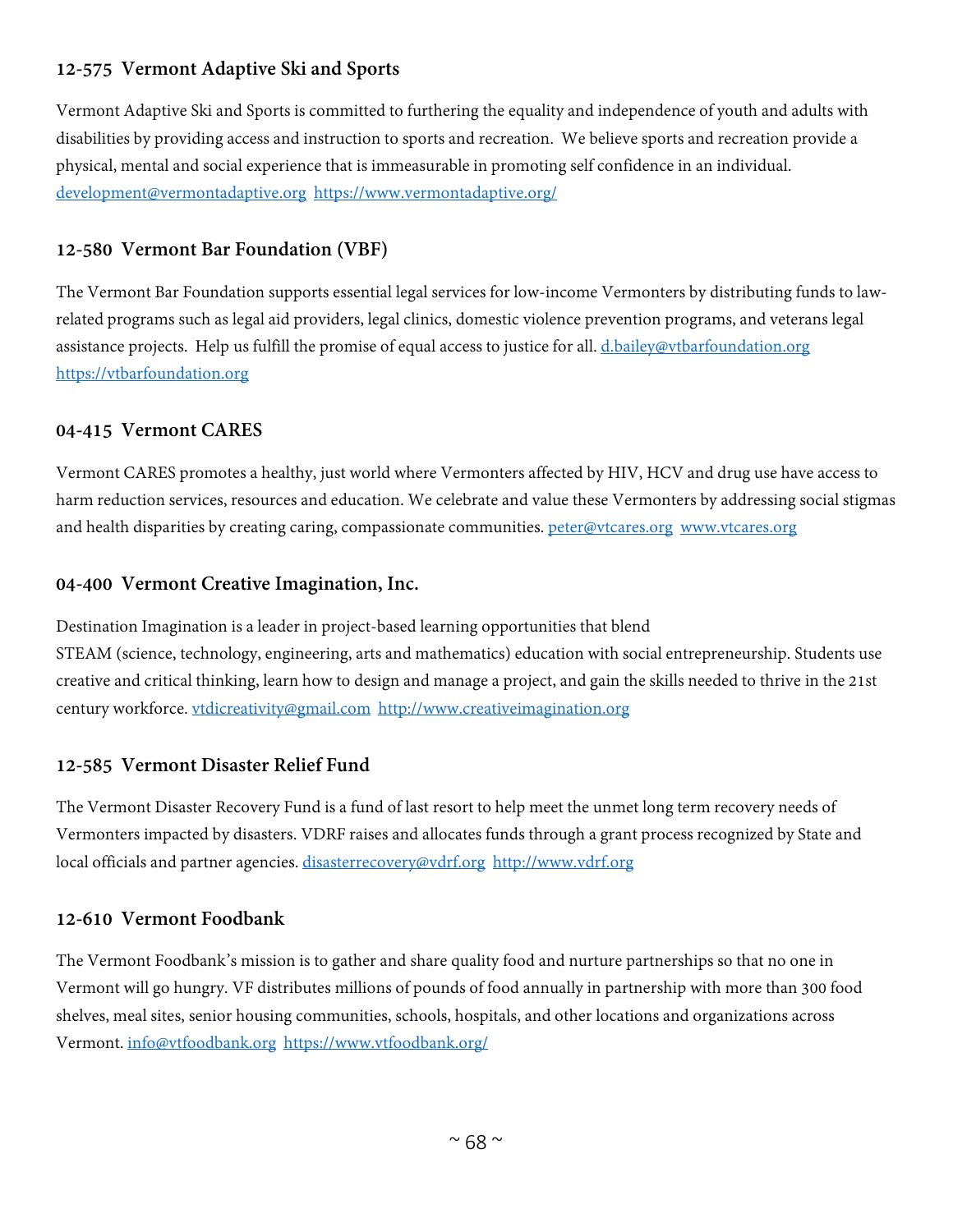# **12-575 Vermont Adaptive Ski and Sports**

Vermont Adaptive Ski and Sports is committed to furthering the equality and independence of youth and adults with disabilities by providing access and instruction to sports and recreation. We believe sports and recreation provide a physical, mental and social experience that is immeasurable in promoting self confidence in an individual. [development@vermontadaptive.org](mailto:development@vermontadaptive.org) <https://www.vermontadaptive.org/>

#### **12-580 Vermont Bar Foundation (VBF)**

The Vermont Bar Foundation supports essential legal services for low-income Vermonters by distributing funds to lawrelated programs such as legal aid providers, legal clinics, domestic violence prevention programs, and veterans legal assistance projects. Help us fulfill the promise of equal access to justice for all. [d.bailey@vtbarfoundation.org](mailto:d.bailey@vtbarfoundation.org) [https://vtbarfoundation.org](https://vtbarfoundation.org/)

#### **04-415 Vermont CARES**

Vermont CARES promotes a healthy, just world where Vermonters affected by HIV, HCV and drug use have access to harm reduction services, resources and education. We celebrate and value these Vermonters by addressing social stigmas and health disparities by creating caring, compassionate communities. [peter@vtcares.org](mailto:peter@vtcares.org) [www.vtcares.org](http://www.vtcares.org/)

#### **04-400 Vermont Creative Imagination, Inc.**

Destination Imagination is a leader in project-based learning opportunities that blend STEAM (science, technology, engineering, arts and mathematics) education with social entrepreneurship. Students use creative and critical thinking, learn how to design and manage a project, and gain the skills needed to thrive in the 21st century workforce. [vtdicreativity@gmail.com](mailto:vtdicreativity@gmail.com) [http://www.creativeimagination.org](http://www.creativeimagination.org/) 

## **12-585 Vermont Disaster Relief Fund**

The Vermont Disaster Recovery Fund is a fund of last resort to help meet the unmet long term recovery needs of Vermonters impacted by disasters. VDRF raises and allocates funds through a grant process recognized by State and local officials and partner agencies. [disasterrecovery@vdrf.org](mailto:disasterrecovery@vdrf.org) [http://www.vdrf.org](http://www.vdrf.org/)

## **12-610 Vermont Foodbank**

The Vermont Foodbank's mission is to gather and share quality food and nurture partnerships so that no one in Vermont will go hungry. VF distributes millions of pounds of food annually in partnership with more than 300 food shelves, meal sites, senior housing communities, schools, hospitals, and other locations and organizations across Vermont. [info@vtfoodbank.org](mailto:info@vtfoodbank.org) <https://www.vtfoodbank.org/>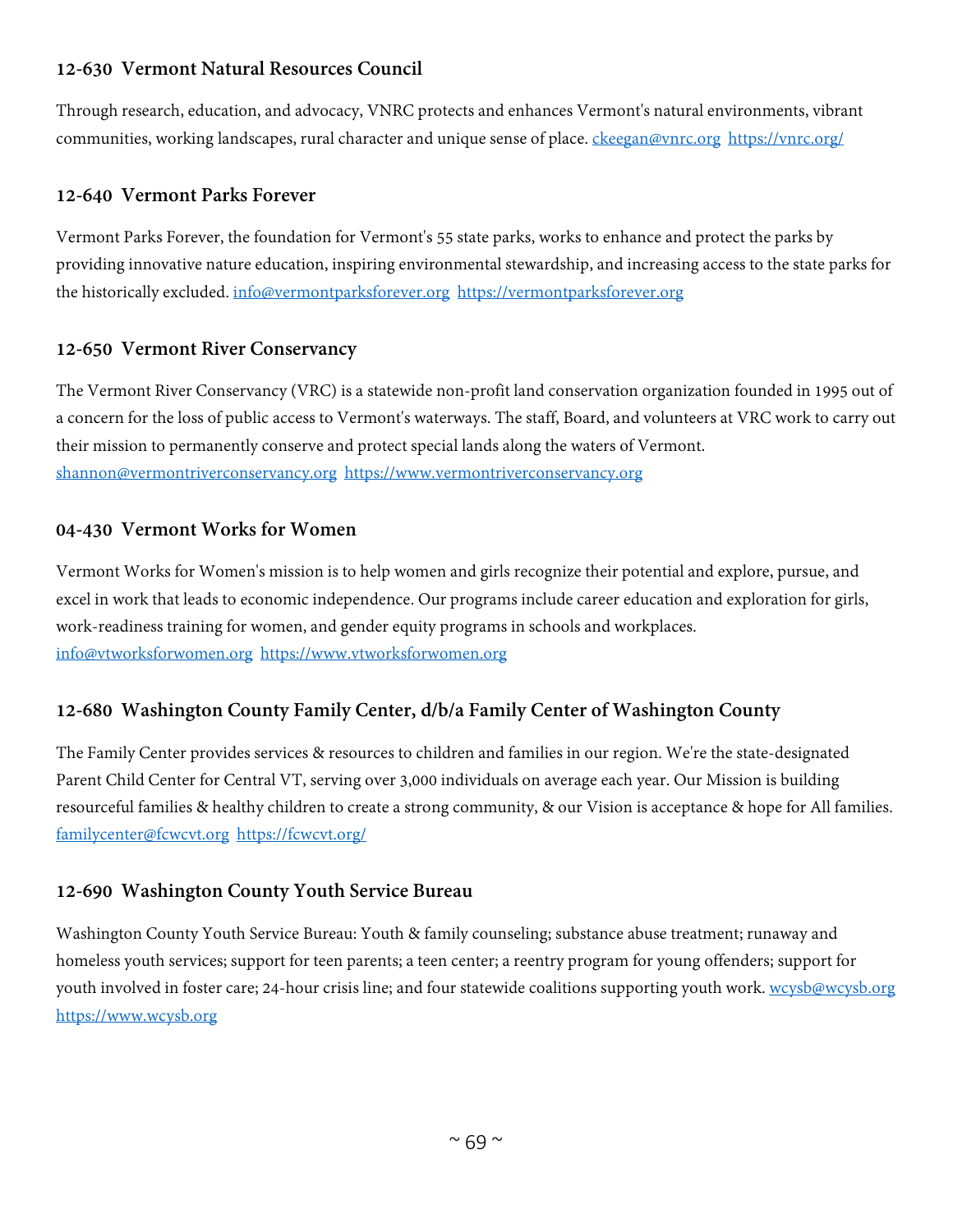# **12-630 Vermont Natural Resources Council**

Through research, education, and advocacy, VNRC protects and enhances Vermont's natural environments, vibrant communities, working landscapes, rural character and unique sense of place. [ckeegan@vnrc.org](mailto:ckeegan@vnrc.org) <https://vnrc.org/>

#### **12-640 Vermont Parks Forever**

Vermont Parks Forever, the foundation for Vermont's 55 state parks, works to enhance and protect the parks by providing innovative nature education, inspiring environmental stewardship, and increasing access to the state parks for the historically excluded. [info@vermontparksforever.org](mailto:info@vermontparksforever.org) [https://vermontparksforever.org](https://vermontparksforever.org/)

## **12-650 Vermont River Conservancy**

The Vermont River Conservancy (VRC) is a statewide non-profit land conservation organization founded in 1995 out of a concern for the loss of public access to Vermont's waterways. The staff, Board, and volunteers at VRC work to carry out their mission to permanently conserve and protect special lands along the waters of Vermont. [shannon@vermontriverconservancy.org](mailto:shannon@vermontriverconservancy.org) [https://www.vermontriverconservancy.org](https://www.vermontriverconservancy.org/)

#### **04-430 Vermont Works for Women**

Vermont Works for Women's mission is to help women and girls recognize their potential and explore, pursue, and excel in work that leads to economic independence. Our programs include career education and exploration for girls, work-readiness training for women, and gender equity programs in schools and workplaces. [info@vtworksforwomen.org](mailto:info@vtworksforwomen.org) [https://www.vtworksforwomen.org](https://www.vtworksforwomen.org/)

## **12-680 Washington County Family Center, d/b/a Family Center of Washington County**

The Family Center provides services & resources to children and families in our region. We're the state-designated Parent Child Center for Central VT, serving over 3,000 individuals on average each year. Our Mission is building resourceful families & healthy children to create a strong community, & our Vision is acceptance & hope for All families. [familycenter@fcwcvt.org](mailto:familycenter@fcwcvt.org) <https://fcwcvt.org/>

## **12-690 Washington County Youth Service Bureau**

Washington County Youth Service Bureau: Youth & family counseling; substance abuse treatment; runaway and homeless youth services; support for teen parents; a teen center; a reentry program for young offenders; support for youth involved in foster care; 24-hour crisis line; and four statewide coalitions supporting youth work. [wcysb@wcysb.org](mailto:wcysb@wcysb.org) [https://www.wcysb.org](https://www.wcysb.org/)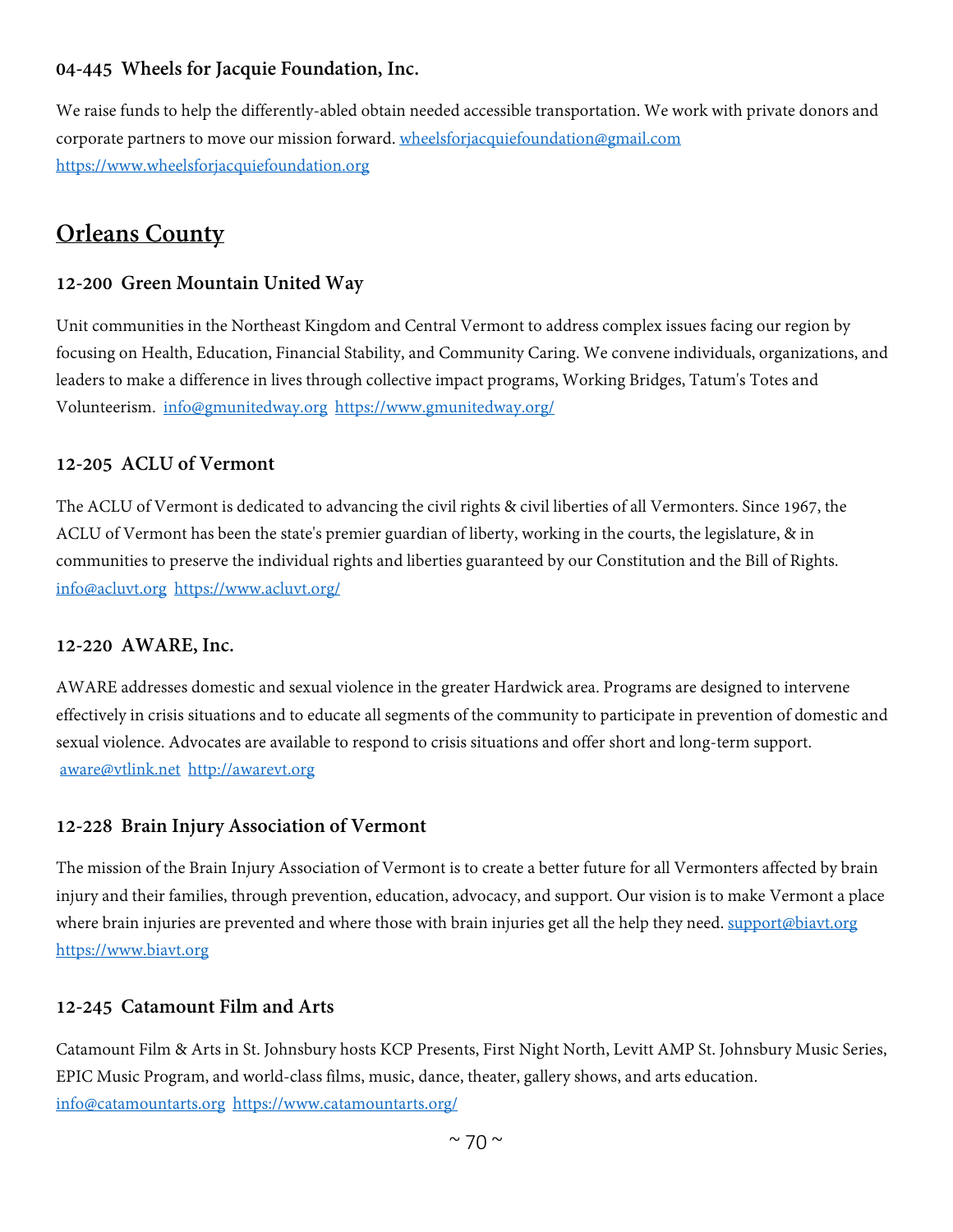## **04-445 Wheels for Jacquie Foundation, Inc.**

We raise funds to help the differently-abled obtain needed accessible transportation. We work with private donors and corporate partners to move our mission forward. [wheelsforjacquiefoundation@gmail.com](mailto:wheelsforjacquiefoundation@gmail.com) [https://www.wheelsforjacquiefoundation.org](https://www.wheelsforjacquiefoundation.org/)

# **Orleans County**

#### **12-200 Green Mountain United Way**

Unit communities in the Northeast Kingdom and Central Vermont to address complex issues facing our region by focusing on Health, Education, Financial Stability, and Community Caring. We convene individuals, organizations, and leaders to make a difference in lives through collective impact programs, Working Bridges, Tatum's Totes and Volunteerism. [info@gmunitedway.org](mailto:info@gmunitedway.org) <https://www.gmunitedway.org/>

#### **12-205 ACLU of Vermont**

The ACLU of Vermont is dedicated to advancing the civil rights & civil liberties of all Vermonters. Since 1967, the ACLU of Vermont has been the state's premier guardian of liberty, working in the courts, the legislature, & in communities to preserve the individual rights and liberties guaranteed by our Constitution and the Bill of Rights. [info@acluvt.org](mailto:info@acluvt.org) <https://www.acluvt.org/>

#### **12-220 AWARE, Inc.**

AWARE addresses domestic and sexual violence in the greater Hardwick area. Programs are designed to intervene effectively in crisis situations and to educate all segments of the community to participate in prevention of domestic and sexual violence. Advocates are available to respond to crisis situations and offer short and long-term support. [aware@vtlink.net](mailto:aware@vtlink.net) [http://awarevt.org](http://awarevt.org/)

#### **12-228 Brain Injury Association of Vermont**

The mission of the Brain Injury Association of Vermont is to create a better future for all Vermonters affected by brain injury and their families, through prevention, education, advocacy, and support. Our vision is to make Vermont a place where brain injuries are prevented and where those with brain injuries get all the help they need. [support@biavt.org](mailto:support@biavt.org) [https://www.biavt.org](https://www.biavt.org/)

#### **12-245 Catamount Film and Arts**

Catamount Film & Arts in St. Johnsbury hosts KCP Presents, First Night North, Levitt AMP St. Johnsbury Music Series, EPIC Music Program, and world-class films, music, dance, theater, gallery shows, and arts education. [info@catamountarts.org](mailto:info@catamountarts.org) <https://www.catamountarts.org/>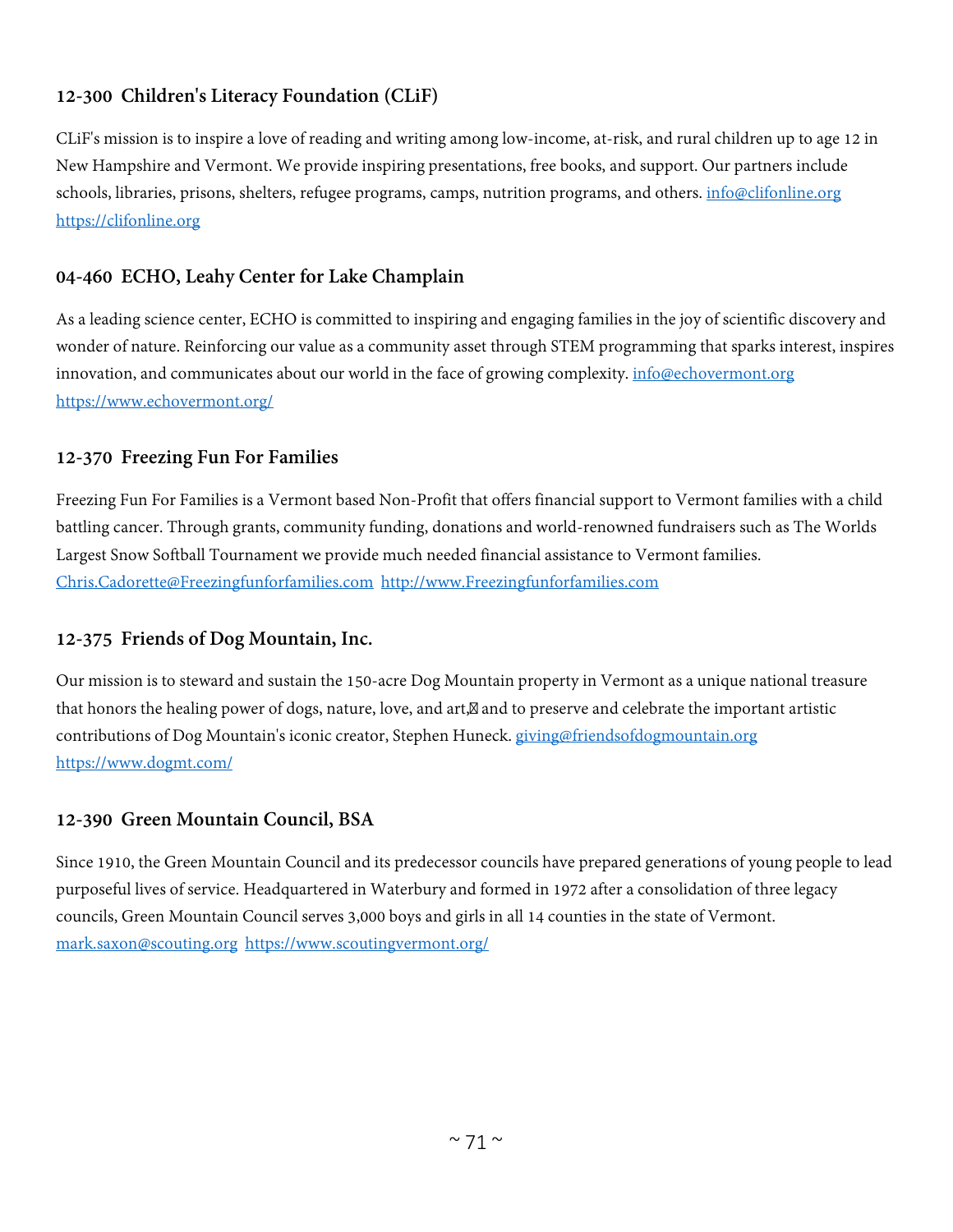# **12-300 Children's Literacy Foundation (CLiF)**

CLiF's mission is to inspire a love of reading and writing among low-income, at-risk, and rural children up to age 12 in New Hampshire and Vermont. We provide inspiring presentations, free books, and support. Our partners include schools, libraries, prisons, shelters, refugee programs, camps, nutrition programs, and others. [info@clifonline.org](mailto:info@clifonline.org) [https://clifonline.org](https://clifonline.org/)

# **04-460 ECHO, Leahy Center for Lake Champlain**

As a leading science center, ECHO is committed to inspiring and engaging families in the joy of scientific discovery and wonder of nature. Reinforcing our value as a community asset through STEM programming that sparks interest, inspires innovation, and communicates about our world in the face of growing complexity. [info@echovermont.org](mailto:info@echovermont.org) <https://www.echovermont.org/>

# **12-370 Freezing Fun For Families**

Freezing Fun For Families is a Vermont based Non-Profit that offers financial support to Vermont families with a child battling cancer. Through grants, community funding, donations and world-renowned fundraisers such as The Worlds Largest Snow Softball Tournament we provide much needed financial assistance to Vermont families. [Chris.Cadorette@Freezingfunforfamilies.com](mailto:Chris.Cadorette@Freezingfunforfamilies.com) [http://www.Freezingfunforfamilies.com](http://www.freezingfunforfamilies.com/)

## **12-375 Friends of Dog Mountain, Inc.**

Our mission is to steward and sustain the 150-acre Dog Mountain property in Vermont as a unique national treasure that honors the healing power of dogs, nature, love, and art, and to preserve and celebrate the important artistic contributions of Dog Mountain's iconic creator, Stephen Huneck. [giving@friendsofdogmountain.org](mailto:giving@friendsofdogmountain.org) <https://www.dogmt.com/>

## **12-390 Green Mountain Council, BSA**

Since 1910, the Green Mountain Council and its predecessor councils have prepared generations of young people to lead purposeful lives of service. Headquartered in Waterbury and formed in 1972 after a consolidation of three legacy councils, Green Mountain Council serves 3,000 boys and girls in all 14 counties in the state of Vermont. [mark.saxon@scouting.org](mailto:mark.saxon@scouting.org) <https://www.scoutingvermont.org/>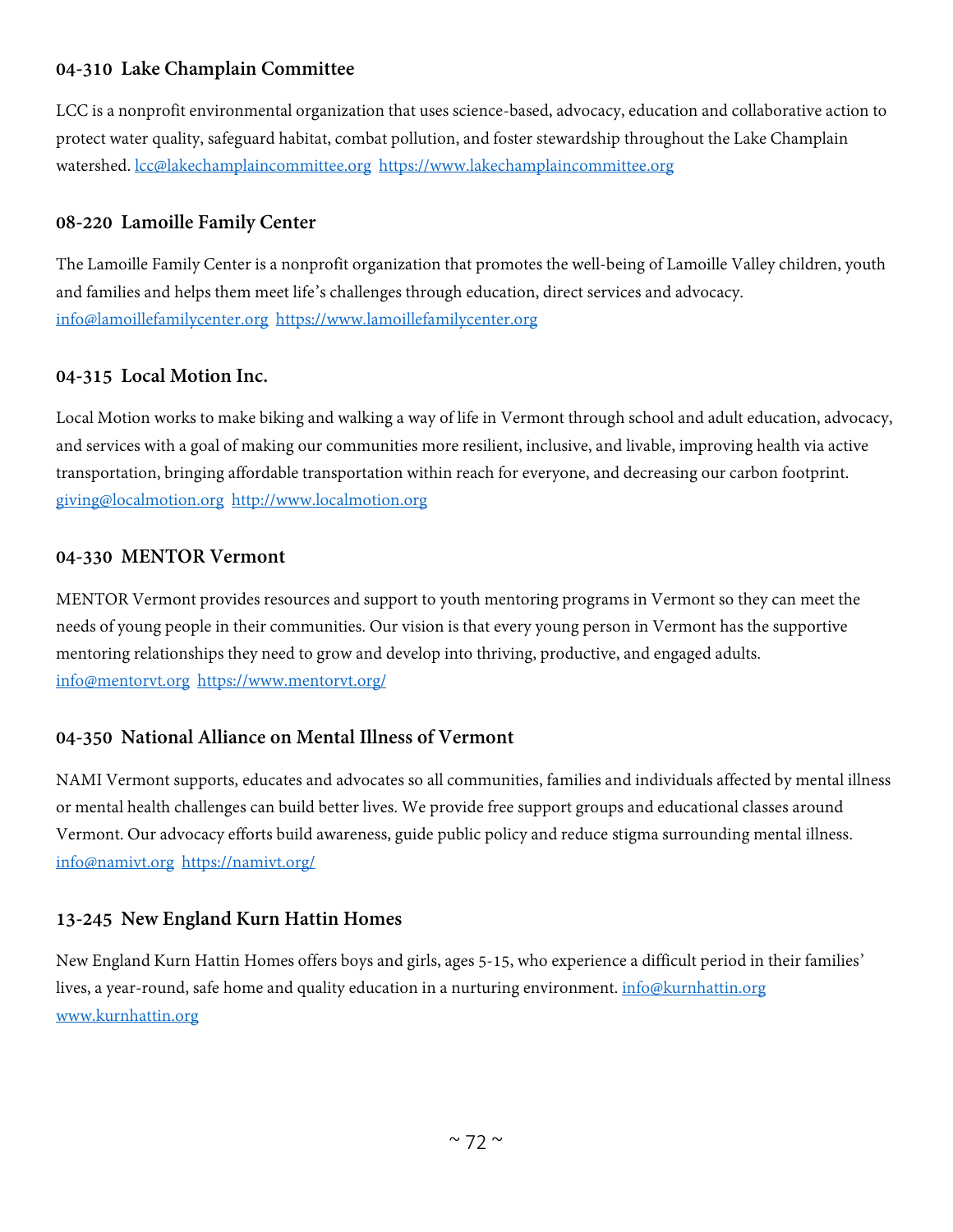# **04-310 Lake Champlain Committee**

LCC is a nonprofit environmental organization that uses science-based, advocacy, education and collaborative action to protect water quality, safeguard habitat, combat pollution, and foster stewardship throughout the Lake Champlain watershed. [lcc@lakechamplaincommittee.org](mailto:lcc@lakechamplaincommittee.org) [https://www.lakechamplaincommittee.org](https://www.lakechamplaincommittee.org/)

## **08-220 Lamoille Family Center**

The Lamoille Family Center is a nonprofit organization that promotes the well-being of Lamoille Valley children, youth and families and helps them meet life's challenges through education, direct services and advocacy. [info@lamoillefamilycenter.org](mailto:info@lamoillefamilycenter.org) [https://www.lamoillefamilycenter.org](https://www.lamoillefamilycenter.org/)

# **04-315 Local Motion Inc.**

Local Motion works to make biking and walking a way of life in Vermont through school and adult education, advocacy, and services with a goal of making our communities more resilient, inclusive, and livable, improving health via active transportation, bringing affordable transportation within reach for everyone, and decreasing our carbon footprint. [giving@localmotion.org](mailto:giving@localmotion.org) [http://www.localmotion.org](http://www.localmotion.org/)

## **04-330 MENTOR Vermont**

MENTOR Vermont provides resources and support to youth mentoring programs in Vermont so they can meet the needs of young people in their communities. Our vision is that every young person in Vermont has the supportive mentoring relationships they need to grow and develop into thriving, productive, and engaged adults. [info@mentorvt.org](mailto:info@mentorvt.org) <https://www.mentorvt.org/>

## **04-350 National Alliance on Mental Illness of Vermont**

NAMI Vermont supports, educates and advocates so all communities, families and individuals affected by mental illness or mental health challenges can build better lives. We provide free support groups and educational classes around Vermont. Our advocacy efforts build awareness, guide public policy and reduce stigma surrounding mental illness. [info@namivt.org](mailto:info@namivt.org) <https://namivt.org/>

## **13-245 New England Kurn Hattin Homes**

New England Kurn Hattin Homes offers boys and girls, ages 5-15, who experience a difficult period in their families' lives, a year-round, safe home and quality education in a nurturing environment. [info@kurnhattin.org](mailto:info@kurnhattin.org) [www.kurnhattin.org](http://www.kurnhattin.org/)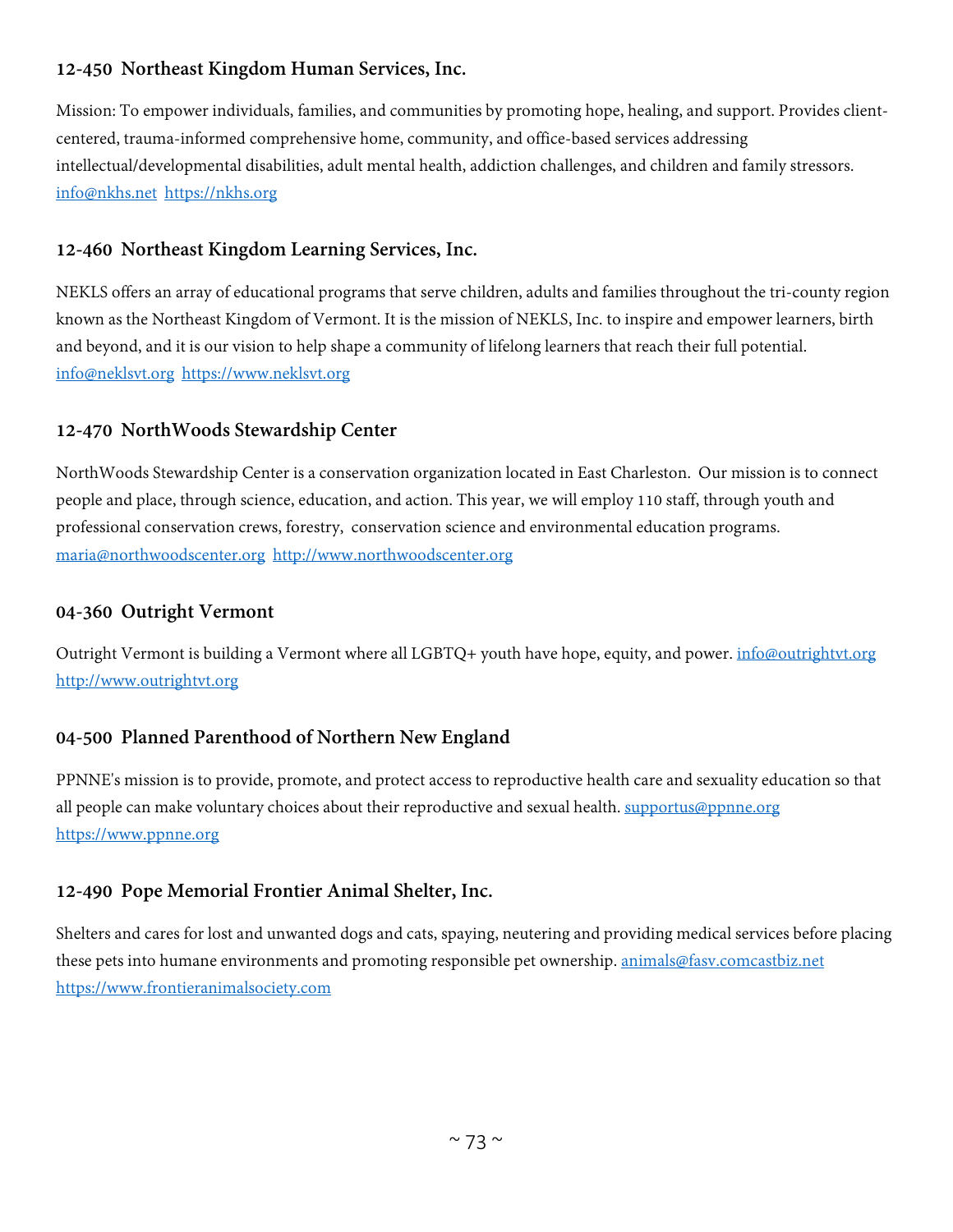# **12-450 Northeast Kingdom Human Services, Inc.**

Mission: To empower individuals, families, and communities by promoting hope, healing, and support. Provides clientcentered, trauma-informed comprehensive home, community, and office-based services addressing intellectual/developmental disabilities, adult mental health, addiction challenges, and children and family stressors. [info@nkhs.net](mailto:info@nkhs.net) [https://nkhs.org](https://nkhs.org/)

# **12-460 Northeast Kingdom Learning Services, Inc.**

NEKLS offers an array of educational programs that serve children, adults and families throughout the tri-county region known as the Northeast Kingdom of Vermont. It is the mission of NEKLS, Inc. to inspire and empower learners, birth and beyond, and it is our vision to help shape a community of lifelong learners that reach their full potential. [info@neklsvt.org](mailto:info@neklsvt.org) [https://www.neklsvt.org](https://www.neklsvt.org/)

# **12-470 NorthWoods Stewardship Center**

NorthWoods Stewardship Center is a conservation organization located in East Charleston. Our mission is to connect people and place, through science, education, and action. This year, we will employ 110 staff, through youth and professional conservation crews, forestry, conservation science and environmental education programs. [maria@northwoodscenter.org](mailto:maria@northwoodscenter.org) [http://www.northwoodscenter.org](http://www.northwoodscenter.org/)

#### **04-360 Outright Vermont**

Outright Vermont is building a Vermont where all LGBTQ+ youth have hope, equity, and power. *[info@outrightvt.org](mailto:info@outrightvt.org)* [http://www.outrightvt.org](http://www.outrightvt.org/)

# **04-500 Planned Parenthood of Northern New England**

PPNNE's mission is to provide, promote, and protect access to reproductive health care and sexuality education so that all people can make voluntary choices about their reproductive and sexual health. [supportus@ppnne.org](mailto:supportus@ppnne.org) [https://www.ppnne.org](https://www.ppnne.org/)

# **12-490 Pope Memorial Frontier Animal Shelter, Inc.**

Shelters and cares for lost and unwanted dogs and cats, spaying, neutering and providing medical services before placing these pets into humane environments and promoting responsible pet ownership. [animals@fasv.comcastbiz.net](mailto:animals@fasv.comcastbiz.net) [https://www.frontieranimalsociety.com](https://www.frontieranimalsociety.com/)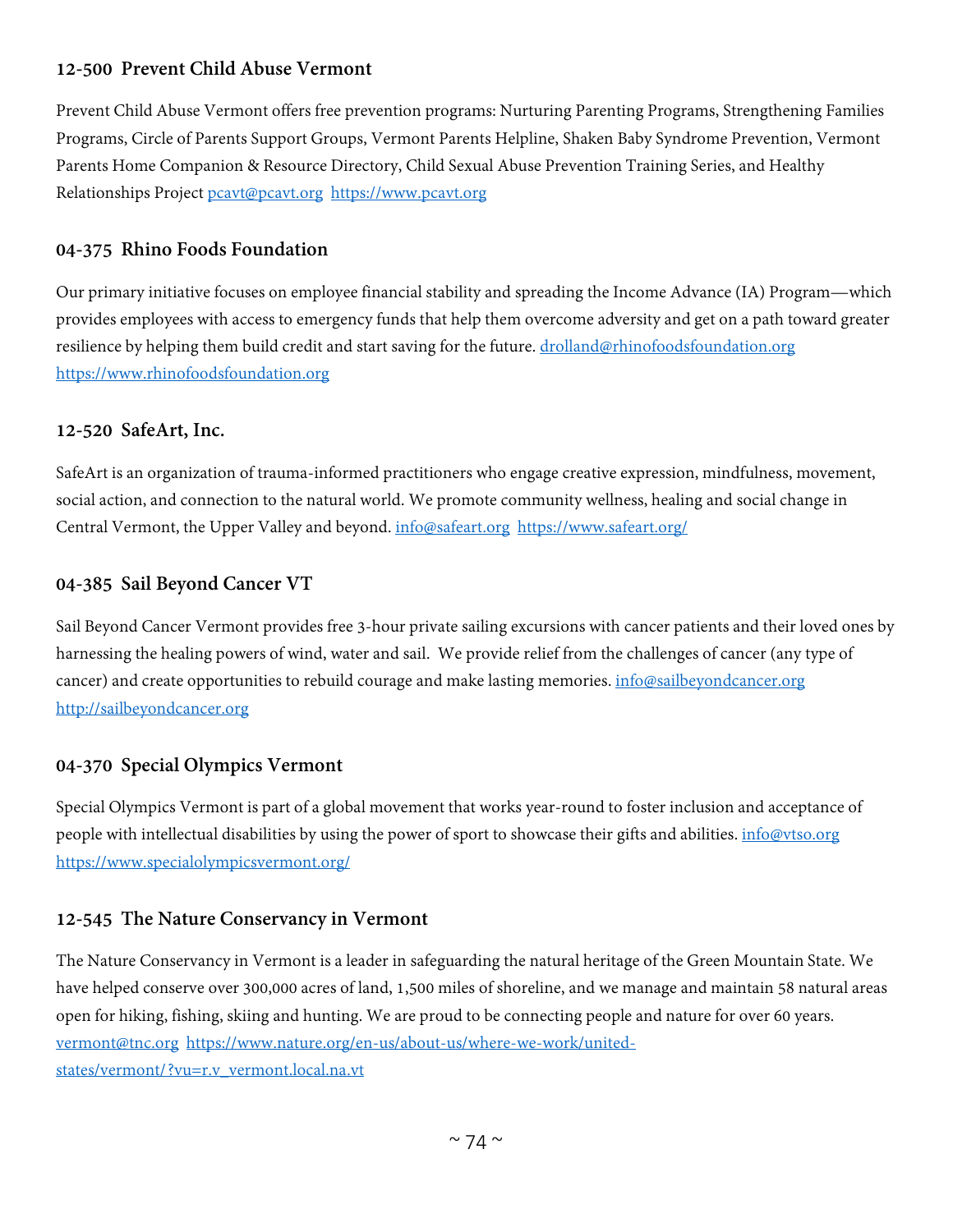# **12-500 Prevent Child Abuse Vermont**

Prevent Child Abuse Vermont offers free prevention programs: Nurturing Parenting Programs, Strengthening Families Programs, Circle of Parents Support Groups, Vermont Parents Helpline, Shaken Baby Syndrome Prevention, Vermont Parents Home Companion & Resource Directory, Child Sexual Abuse Prevention Training Series, and Healthy Relationships Project [pcavt@pcavt.org](mailto:pcavt@pcavt.org) [https://www.pcavt.org](https://www.pcavt.org/)

#### **04-375 Rhino Foods Foundation**

Our primary initiative focuses on employee financial stability and spreading the Income Advance (IA) Program—which provides employees with access to emergency funds that help them overcome adversity and get on a path toward greater resilience by helping them build credit and start saving for the future. [drolland@rhinofoodsfoundation.org](mailto:drolland@rhinofoodsfoundation.org) [https://www.rhinofoodsfoundation.org](https://www.rhinofoodsfoundation.org/)

#### **12-520 SafeArt, Inc.**

SafeArt is an organization of trauma-informed practitioners who engage creative expression, mindfulness, movement, social action, and connection to the natural world. We promote community wellness, healing and social change in Central Vermont, the Upper Valley and beyond. [info@safeart.org](mailto:info@safeart.org) <https://www.safeart.org/>

#### **04-385 Sail Beyond Cancer VT**

Sail Beyond Cancer Vermont provides free 3-hour private sailing excursions with cancer patients and their loved ones by harnessing the healing powers of wind, water and sail. We provide relief from the challenges of cancer (any type of cancer) and create opportunities to rebuild courage and make lasting memories. *info@sailbeyondcancer.org* [http://sailbeyondcancer.org](http://sailbeyondcancer.org/)

# **04-370 Special Olympics Vermont**

Special Olympics Vermont is part of a global movement that works year-round to foster inclusion and acceptance of people with intellectual disabilities by using the power of sport to showcase their gifts and abilities. [info@vtso.org](mailto:info@vtso.org) <https://www.specialolympicsvermont.org/>

# **12-545 The Nature Conservancy in Vermont**

The Nature Conservancy in Vermont is a leader in safeguarding the natural heritage of the Green Mountain State. We have helped conserve over 300,000 acres of land, 1,500 miles of shoreline, and we manage and maintain 58 natural areas open for hiking, fishing, skiing and hunting. We are proud to be connecting people and nature for over 60 years. [vermont@tnc.org](mailto:vermont@tnc.org) [https://www.nature.org/en-us/about-us/where-we-work/united](https://www.nature.org/en-us/about-us/where-we-work/united-states/vermont/?vu=r.v_vermont.local.na.vt)[states/vermont/?vu=r.v\\_vermont.local.na.vt](https://www.nature.org/en-us/about-us/where-we-work/united-states/vermont/?vu=r.v_vermont.local.na.vt)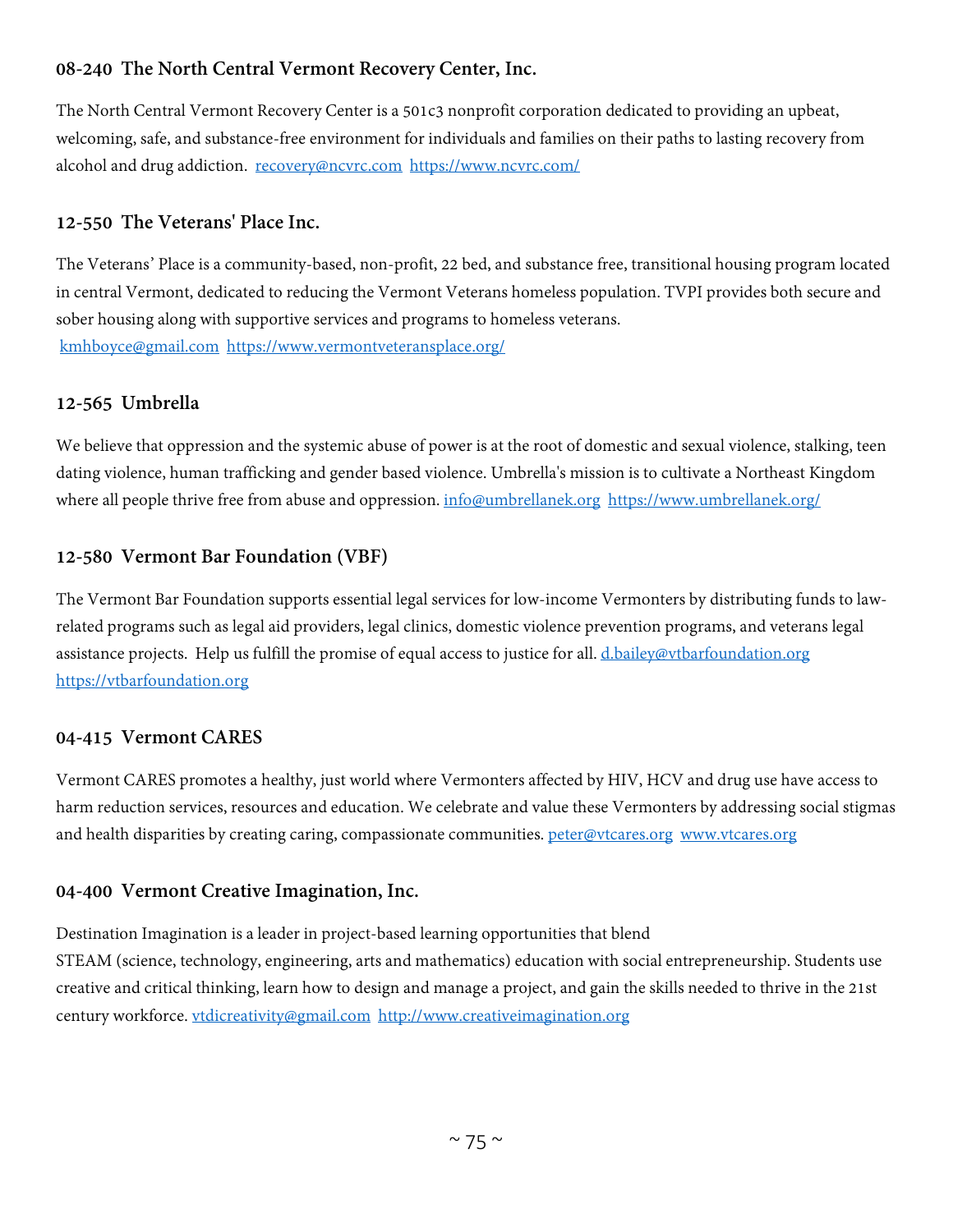# **08-240 The North Central Vermont Recovery Center, Inc.**

The North Central Vermont Recovery Center is a 501c3 nonprofit corporation dedicated to providing an upbeat, welcoming, safe, and substance-free environment for individuals and families on their paths to lasting recovery from alcohol and drug addiction. [recovery@ncvrc.com](mailto:recovery@ncvrc.com) <https://www.ncvrc.com/>

# **12-550 The Veterans' Place Inc.**

The Veterans' Place is a community-based, non-profit, 22 bed, and substance free, transitional housing program located in central Vermont, dedicated to reducing the Vermont Veterans homeless population. TVPI provides both secure and sober housing along with supportive services and programs to homeless veterans. [kmhboyce@gmail.com](mailto:kmhboyce@gmail.com) <https://www.vermontveteransplace.org/>

# **12-565 Umbrella**

We believe that oppression and the systemic abuse of power is at the root of domestic and sexual violence, stalking, teen dating violence, human trafficking and gender based violence. Umbrella's mission is to cultivate a Northeast Kingdom where all people thrive free from abuse and oppression. [info@umbrellanek.org](mailto:info@umbrellanek.org) <https://www.umbrellanek.org/>

# **12-580 Vermont Bar Foundation (VBF)**

The Vermont Bar Foundation supports essential legal services for low-income Vermonters by distributing funds to lawrelated programs such as legal aid providers, legal clinics, domestic violence prevention programs, and veterans legal assistance projects. Help us fulfill the promise of equal access to justice for all. [d.bailey@vtbarfoundation.org](mailto:d.bailey@vtbarfoundation.org) [https://vtbarfoundation.org](https://vtbarfoundation.org/)

# **04-415 Vermont CARES**

Vermont CARES promotes a healthy, just world where Vermonters affected by HIV, HCV and drug use have access to harm reduction services, resources and education. We celebrate and value these Vermonters by addressing social stigmas and health disparities by creating caring, compassionate communities. [peter@vtcares.org](mailto:peter@vtcares.org) [www.vtcares.org](http://www.vtcares.org/)

# **04-400 Vermont Creative Imagination, Inc.**

Destination Imagination is a leader in project-based learning opportunities that blend STEAM (science, technology, engineering, arts and mathematics) education with social entrepreneurship. Students use creative and critical thinking, learn how to design and manage a project, and gain the skills needed to thrive in the 21st century workforce. [vtdicreativity@gmail.com](mailto:vtdicreativity@gmail.com) [http://www.creativeimagination.org](http://www.creativeimagination.org/)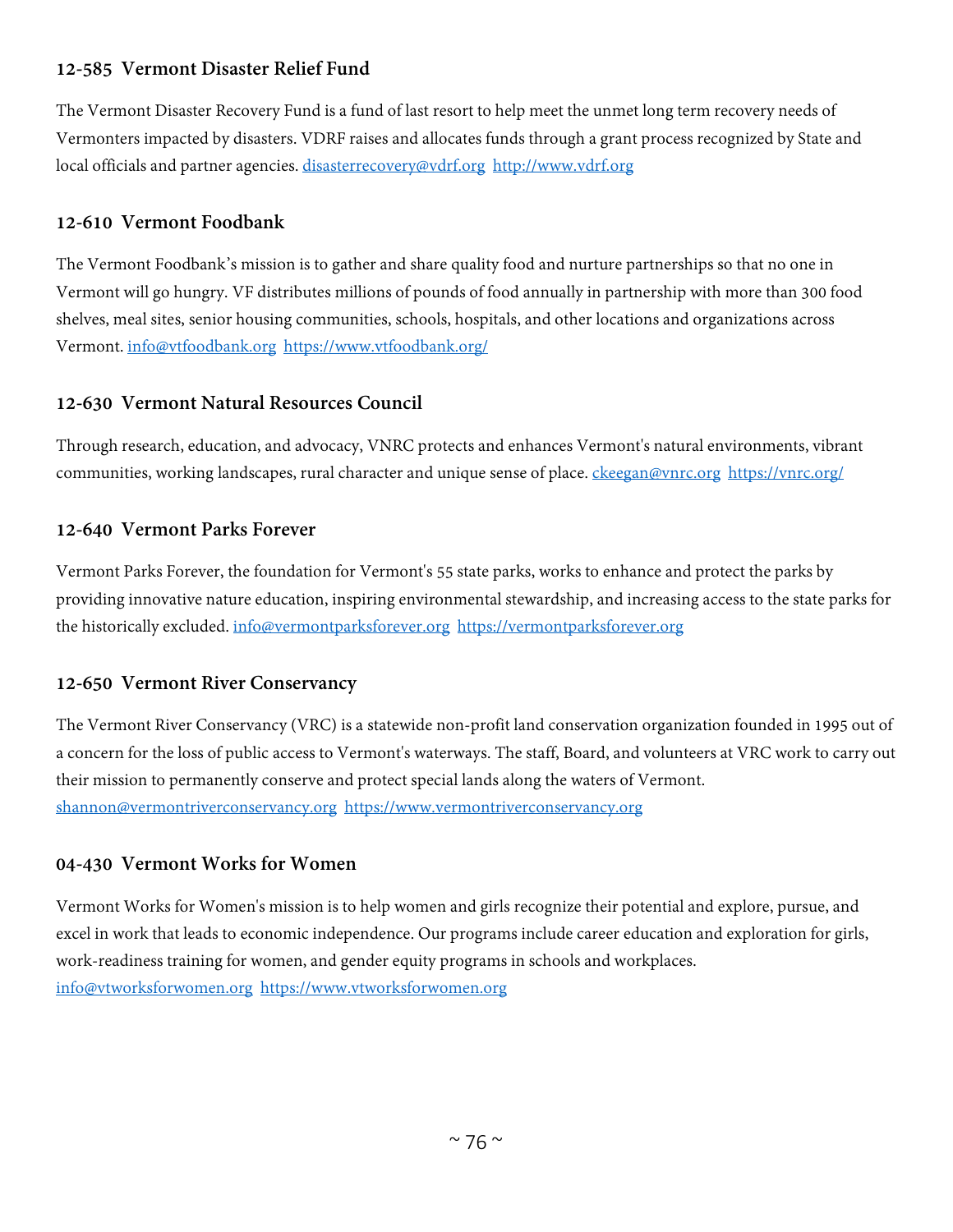# **12-585 Vermont Disaster Relief Fund**

The Vermont Disaster Recovery Fund is a fund of last resort to help meet the unmet long term recovery needs of Vermonters impacted by disasters. VDRF raises and allocates funds through a grant process recognized by State and local officials and partner agencies. [disasterrecovery@vdrf.org](mailto:disasterrecovery@vdrf.org) [http://www.vdrf.org](http://www.vdrf.org/)

# **12-610 Vermont Foodbank**

The Vermont Foodbank's mission is to gather and share quality food and nurture partnerships so that no one in Vermont will go hungry. VF distributes millions of pounds of food annually in partnership with more than 300 food shelves, meal sites, senior housing communities, schools, hospitals, and other locations and organizations across Vermont. [info@vtfoodbank.org](mailto:info@vtfoodbank.org) <https://www.vtfoodbank.org/>

# **12-630 Vermont Natural Resources Council**

Through research, education, and advocacy, VNRC protects and enhances Vermont's natural environments, vibrant communities, working landscapes, rural character and unique sense of place. [ckeegan@vnrc.org](mailto:ckeegan@vnrc.org) <https://vnrc.org/>

# **12-640 Vermont Parks Forever**

Vermont Parks Forever, the foundation for Vermont's 55 state parks, works to enhance and protect the parks by providing innovative nature education, inspiring environmental stewardship, and increasing access to the state parks for the historically excluded. [info@vermontparksforever.org](mailto:info@vermontparksforever.org) [https://vermontparksforever.org](https://vermontparksforever.org/)

# **12-650 Vermont River Conservancy**

The Vermont River Conservancy (VRC) is a statewide non-profit land conservation organization founded in 1995 out of a concern for the loss of public access to Vermont's waterways. The staff, Board, and volunteers at VRC work to carry out their mission to permanently conserve and protect special lands along the waters of Vermont. [shannon@vermontriverconservancy.org](mailto:shannon@vermontriverconservancy.org) [https://www.vermontriverconservancy.org](https://www.vermontriverconservancy.org/)

# **04-430 Vermont Works for Women**

Vermont Works for Women's mission is to help women and girls recognize their potential and explore, pursue, and excel in work that leads to economic independence. Our programs include career education and exploration for girls, work-readiness training for women, and gender equity programs in schools and workplaces. [info@vtworksforwomen.org](mailto:info@vtworksforwomen.org) [https://www.vtworksforwomen.org](https://www.vtworksforwomen.org/)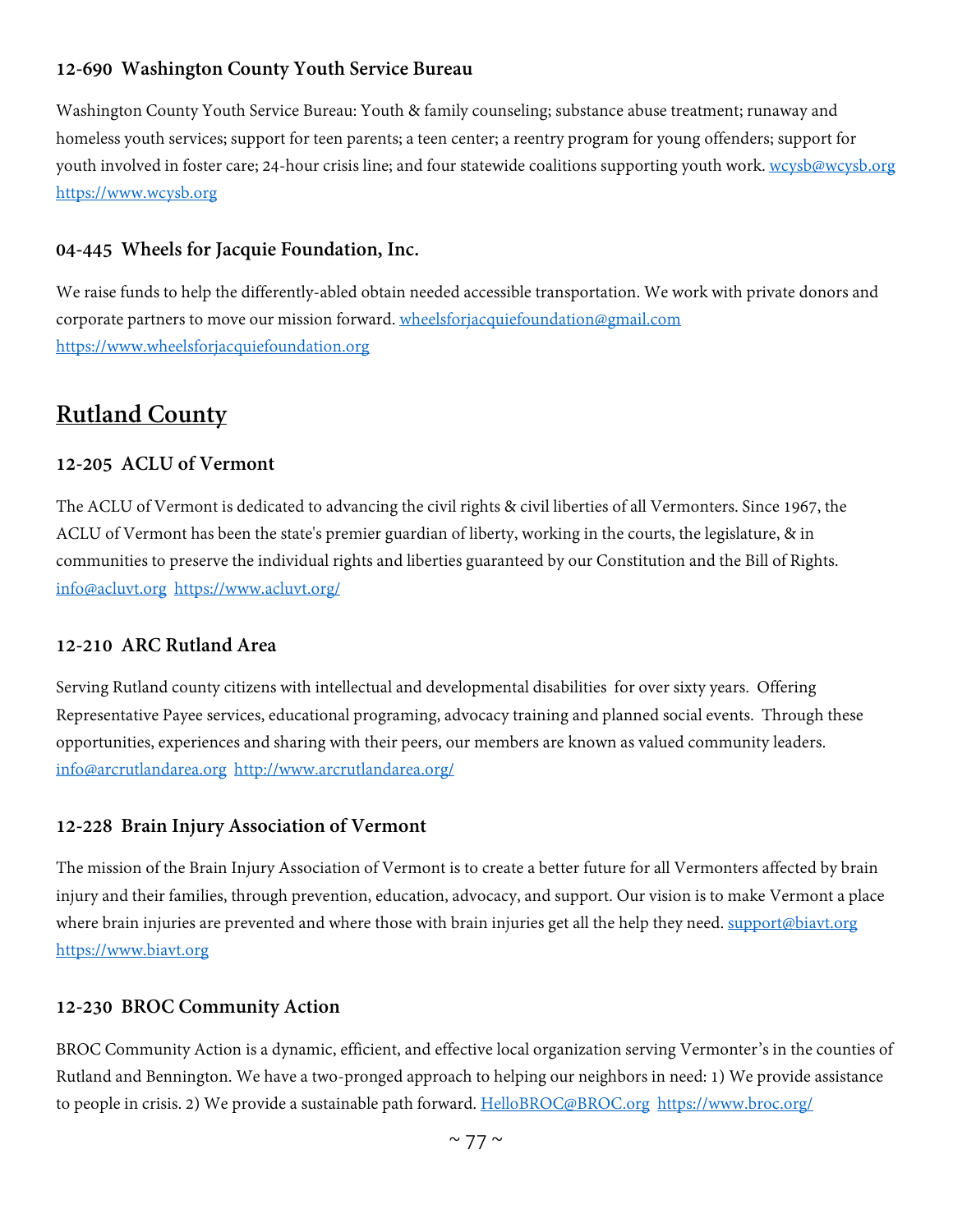# **12-690 Washington County Youth Service Bureau**

Washington County Youth Service Bureau: Youth & family counseling; substance abuse treatment; runaway and homeless youth services; support for teen parents; a teen center; a reentry program for young offenders; support for youth involved in foster care; 24-hour crisis line; and four statewide coalitions supporting youth work. [wcysb@wcysb.org](mailto:wcysb@wcysb.org) [https://www.wcysb.org](https://www.wcysb.org/)

#### **04-445 Wheels for Jacquie Foundation, Inc.**

We raise funds to help the differently-abled obtain needed accessible transportation. We work with private donors and corporate partners to move our mission forward. [wheelsforjacquiefoundation@gmail.com](mailto:wheelsforjacquiefoundation@gmail.com) [https://www.wheelsforjacquiefoundation.org](https://www.wheelsforjacquiefoundation.org/)

# **Rutland County**

#### **12-205 ACLU of Vermont**

The ACLU of Vermont is dedicated to advancing the civil rights & civil liberties of all Vermonters. Since 1967, the ACLU of Vermont has been the state's premier guardian of liberty, working in the courts, the legislature, & in communities to preserve the individual rights and liberties guaranteed by our Constitution and the Bill of Rights. [info@acluvt.org](mailto:info@acluvt.org) <https://www.acluvt.org/>

# **12-210 ARC Rutland Area**

Serving Rutland county citizens with intellectual and developmental disabilities for over sixty years. Offering Representative Payee services, educational programing, advocacy training and planned social events. Through these opportunities, experiences and sharing with their peers, our members are known as valued community leaders. [info@arcrutlandarea.org](mailto:info@arcrutlandarea.org) <http://www.arcrutlandarea.org/>

#### **12-228 Brain Injury Association of Vermont**

The mission of the Brain Injury Association of Vermont is to create a better future for all Vermonters affected by brain injury and their families, through prevention, education, advocacy, and support. Our vision is to make Vermont a place where brain injuries are prevented and where those with brain injuries get all the help they need. [support@biavt.org](mailto:support@biavt.org) [https://www.biavt.org](https://www.biavt.org/)

#### **12-230 BROC Community Action**

BROC Community Action is a dynamic, efficient, and effective local organization serving Vermonter's in the counties of Rutland and Bennington. We have a two-pronged approach to helping our neighbors in need: 1) We provide assistance to people in crisis. 2) We provide a sustainable path forward. [HelloBROC@BROC.org](mailto:HelloBROC@BROC.org) <https://www.broc.org/>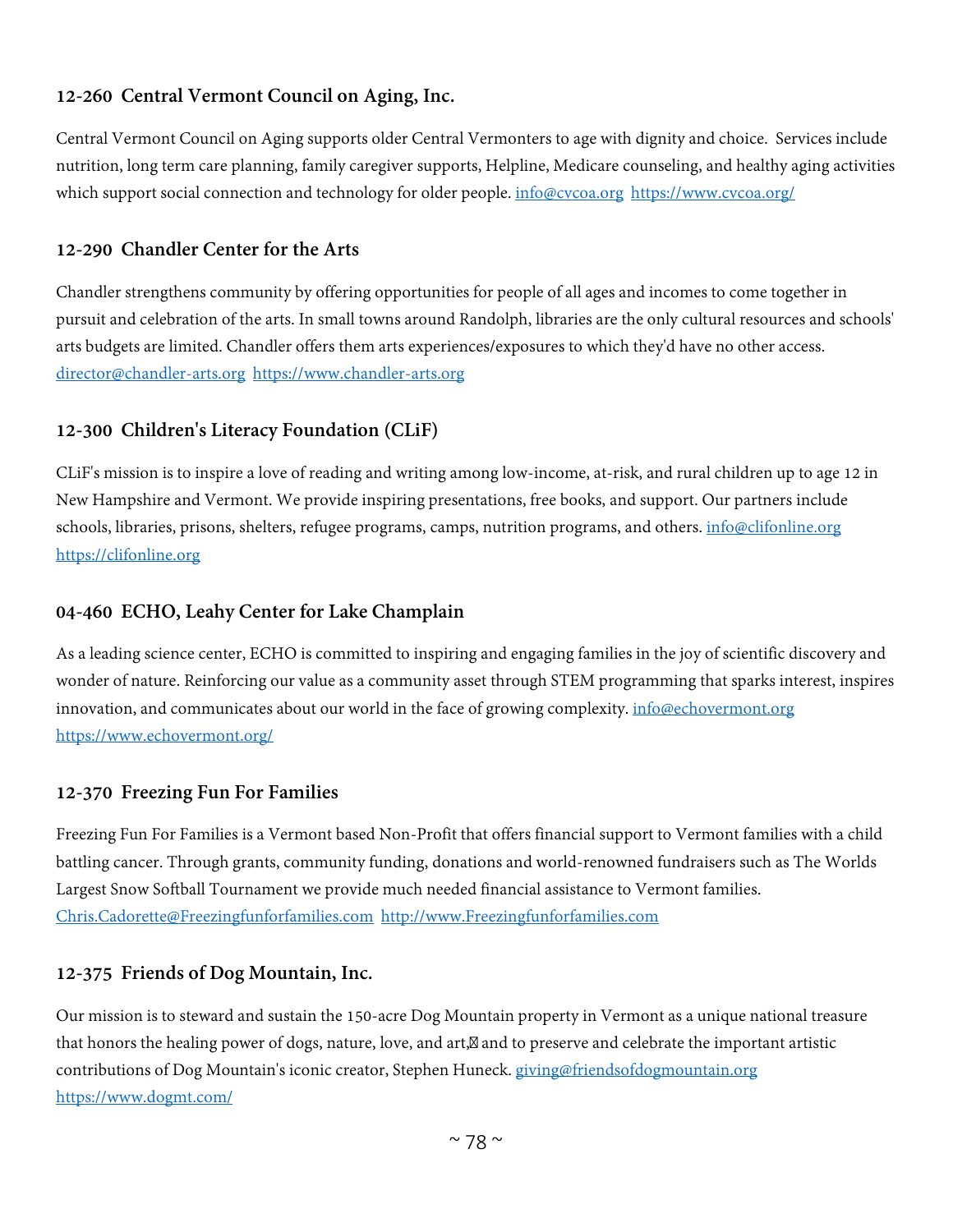# **12-260 Central Vermont Council on Aging, Inc.**

Central Vermont Council on Aging supports older Central Vermonters to age with dignity and choice. Services include nutrition, long term care planning, family caregiver supports, Helpline, Medicare counseling, and healthy aging activities which support social connection and technology for older people. [info@cvcoa.org](mailto:info@cvcoa.org) <https://www.cvcoa.org/>

# **12-290 Chandler Center for the Arts**

Chandler strengthens community by offering opportunities for people of all ages and incomes to come together in pursuit and celebration of the arts. In small towns around Randolph, libraries are the only cultural resources and schools' arts budgets are limited. Chandler offers them arts experiences/exposures to which they'd have no other access. [director@chandler-arts.org](mailto:director@chandler-arts.org) [https://www.chandler-arts.org](https://www.chandler-arts.org/)

# **12-300 Children's Literacy Foundation (CLiF)**

CLiF's mission is to inspire a love of reading and writing among low-income, at-risk, and rural children up to age 12 in New Hampshire and Vermont. We provide inspiring presentations, free books, and support. Our partners include schools, libraries, prisons, shelters, refugee programs, camps, nutrition programs, and others. [info@clifonline.org](mailto:info@clifonline.org) [https://clifonline.org](https://clifonline.org/)

# **04-460 ECHO, Leahy Center for Lake Champlain**

As a leading science center, ECHO is committed to inspiring and engaging families in the joy of scientific discovery and wonder of nature. Reinforcing our value as a community asset through STEM programming that sparks interest, inspires innovation, and communicates about our world in the face of growing complexity. [info@echovermont.org](mailto:info@echovermont.org) <https://www.echovermont.org/>

# **12-370 Freezing Fun For Families**

Freezing Fun For Families is a Vermont based Non-Profit that offers financial support to Vermont families with a child battling cancer. Through grants, community funding, donations and world-renowned fundraisers such as The Worlds Largest Snow Softball Tournament we provide much needed financial assistance to Vermont families. [Chris.Cadorette@Freezingfunforfamilies.com](mailto:Chris.Cadorette@Freezingfunforfamilies.com) [http://www.Freezingfunforfamilies.com](http://www.freezingfunforfamilies.com/)

# **12-375 Friends of Dog Mountain, Inc.**

Our mission is to steward and sustain the 150-acre Dog Mountain property in Vermont as a unique national treasure that honors the healing power of dogs, nature, love, and art, and to preserve and celebrate the important artistic contributions of Dog Mountain's iconic creator, Stephen Huneck. [giving@friendsofdogmountain.org](mailto:giving@friendsofdogmountain.org) <https://www.dogmt.com/>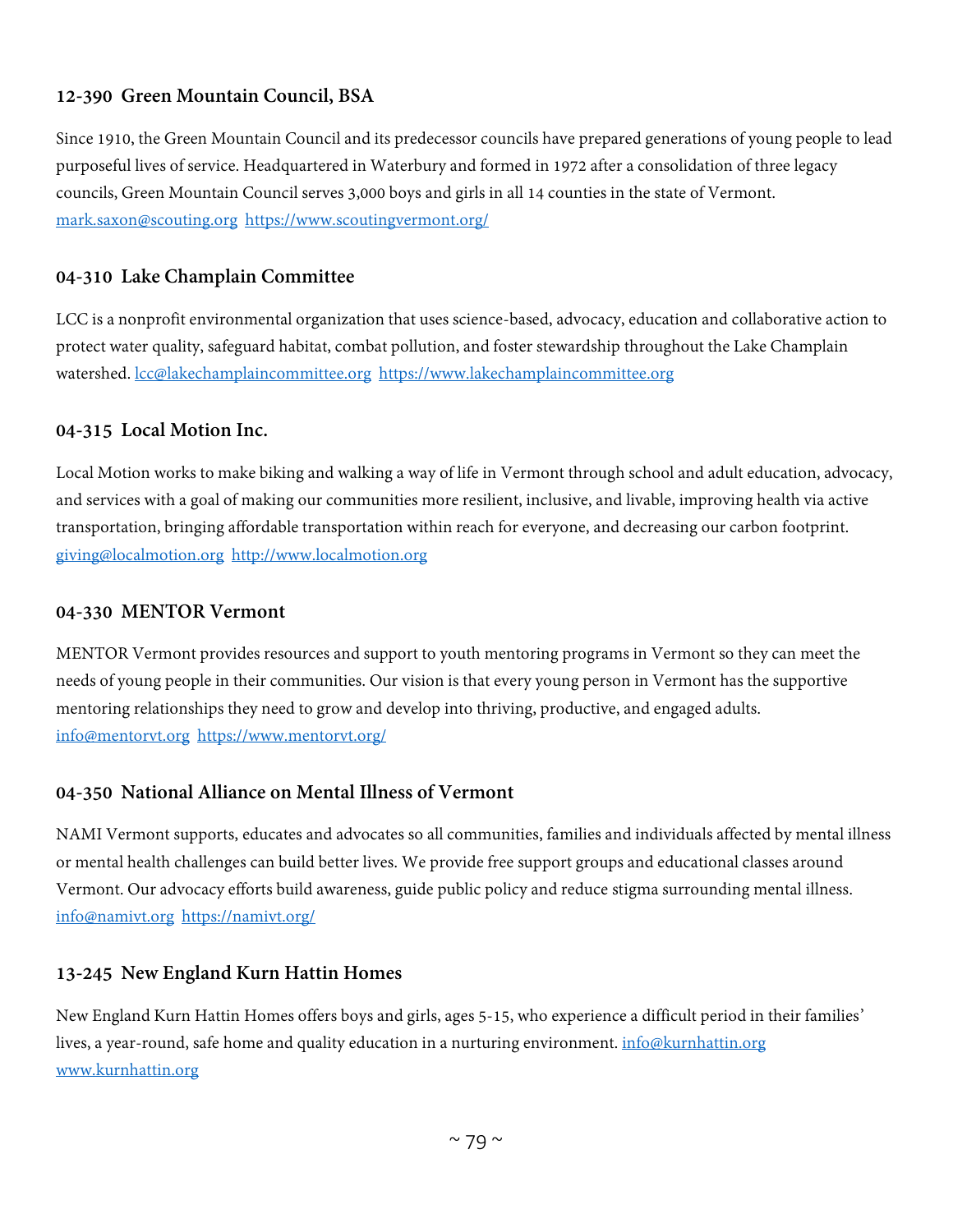# **12-390 Green Mountain Council, BSA**

Since 1910, the Green Mountain Council and its predecessor councils have prepared generations of young people to lead purposeful lives of service. Headquartered in Waterbury and formed in 1972 after a consolidation of three legacy councils, Green Mountain Council serves 3,000 boys and girls in all 14 counties in the state of Vermont. [mark.saxon@scouting.org](mailto:mark.saxon@scouting.org) <https://www.scoutingvermont.org/>

# **04-310 Lake Champlain Committee**

LCC is a nonprofit environmental organization that uses science-based, advocacy, education and collaborative action to protect water quality, safeguard habitat, combat pollution, and foster stewardship throughout the Lake Champlain watershed. [lcc@lakechamplaincommittee.org](mailto:lcc@lakechamplaincommittee.org) [https://www.lakechamplaincommittee.org](https://www.lakechamplaincommittee.org/)

# **04-315 Local Motion Inc.**

Local Motion works to make biking and walking a way of life in Vermont through school and adult education, advocacy, and services with a goal of making our communities more resilient, inclusive, and livable, improving health via active transportation, bringing affordable transportation within reach for everyone, and decreasing our carbon footprint. [giving@localmotion.org](mailto:giving@localmotion.org) [http://www.localmotion.org](http://www.localmotion.org/)

#### **04-330 MENTOR Vermont**

MENTOR Vermont provides resources and support to youth mentoring programs in Vermont so they can meet the needs of young people in their communities. Our vision is that every young person in Vermont has the supportive mentoring relationships they need to grow and develop into thriving, productive, and engaged adults. [info@mentorvt.org](mailto:info@mentorvt.org) <https://www.mentorvt.org/>

# **04-350 National Alliance on Mental Illness of Vermont**

NAMI Vermont supports, educates and advocates so all communities, families and individuals affected by mental illness or mental health challenges can build better lives. We provide free support groups and educational classes around Vermont. Our advocacy efforts build awareness, guide public policy and reduce stigma surrounding mental illness. [info@namivt.org](mailto:info@namivt.org) <https://namivt.org/>

# **13-245 New England Kurn Hattin Homes**

New England Kurn Hattin Homes offers boys and girls, ages 5-15, who experience a difficult period in their families' lives, a year-round, safe home and quality education in a nurturing environment. *[info@kurnhattin.org](mailto:info@kurnhattin.org)* [www.kurnhattin.org](http://www.kurnhattin.org/)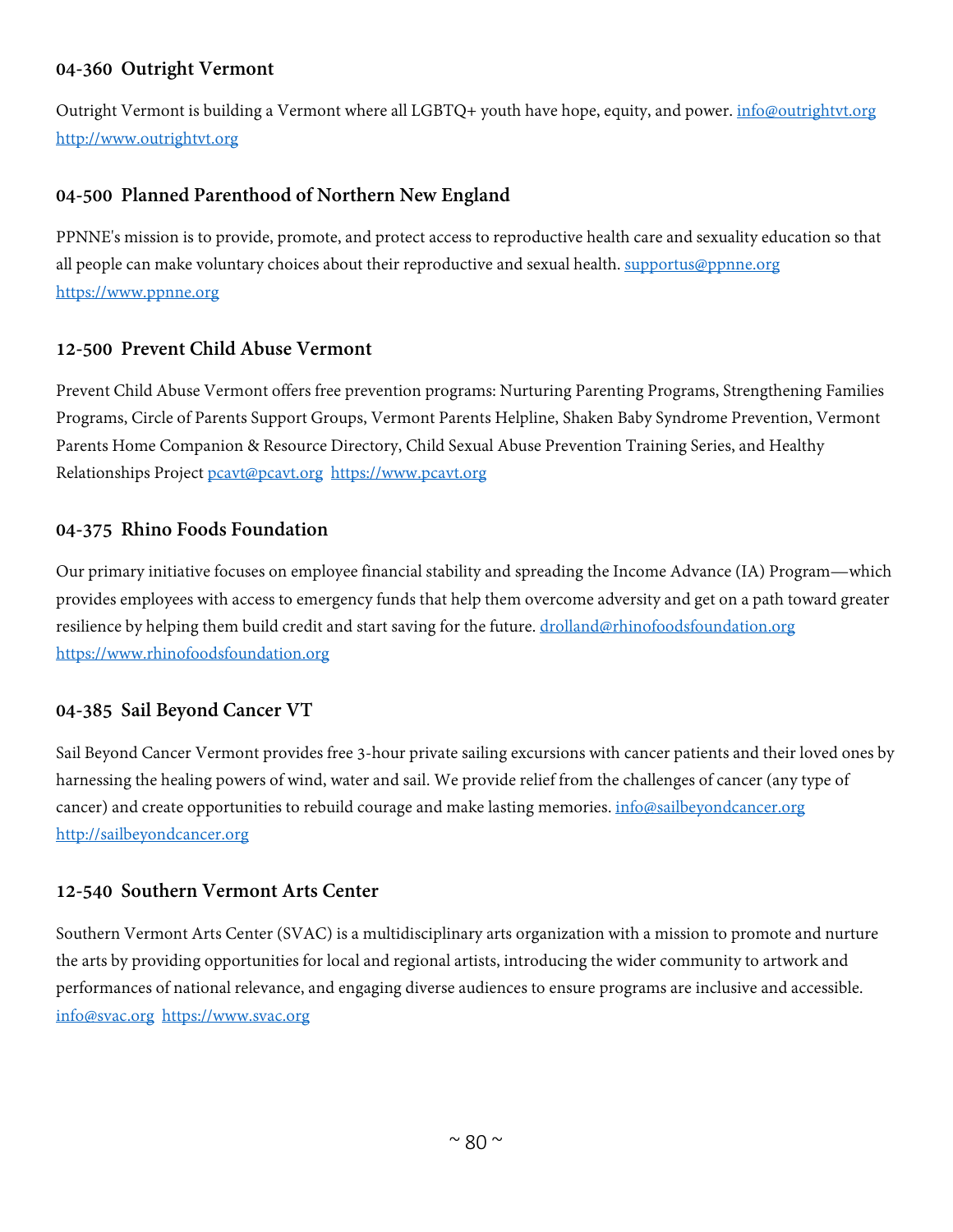# **04-360 Outright Vermont**

Outright Vermont is building a Vermont where all LGBTQ+ youth have hope, equity, and power. *[info@outrightvt.org](mailto:info@outrightvt.org)* [http://www.outrightvt.org](http://www.outrightvt.org/)

# **04-500 Planned Parenthood of Northern New England**

PPNNE's mission is to provide, promote, and protect access to reproductive health care and sexuality education so that all people can make voluntary choices about their reproductive and sexual health. [supportus@ppnne.org](mailto:supportus@ppnne.org) [https://www.ppnne.org](https://www.ppnne.org/)

#### **12-500 Prevent Child Abuse Vermont**

Prevent Child Abuse Vermont offers free prevention programs: Nurturing Parenting Programs, Strengthening Families Programs, Circle of Parents Support Groups, Vermont Parents Helpline, Shaken Baby Syndrome Prevention, Vermont Parents Home Companion & Resource Directory, Child Sexual Abuse Prevention Training Series, and Healthy Relationships Project [pcavt@pcavt.org](mailto:pcavt@pcavt.org) [https://www.pcavt.org](https://www.pcavt.org/)

#### **04-375 Rhino Foods Foundation**

Our primary initiative focuses on employee financial stability and spreading the Income Advance (IA) Program—which provides employees with access to emergency funds that help them overcome adversity and get on a path toward greater resilience by helping them build credit and start saving for the future. [drolland@rhinofoodsfoundation.org](mailto:drolland@rhinofoodsfoundation.org) [https://www.rhinofoodsfoundation.org](https://www.rhinofoodsfoundation.org/)

# **04-385 Sail Beyond Cancer VT**

Sail Beyond Cancer Vermont provides free 3-hour private sailing excursions with cancer patients and their loved ones by harnessing the healing powers of wind, water and sail. We provide relief from the challenges of cancer (any type of cancer) and create opportunities to rebuild courage and make lasting memories. *info@sailbeyondcancer.org* [http://sailbeyondcancer.org](http://sailbeyondcancer.org/)

#### **12-540 Southern Vermont Arts Center**

Southern Vermont Arts Center (SVAC) is a multidisciplinary arts organization with a mission to promote and nurture the arts by providing opportunities for local and regional artists, introducing the wider community to artwork and performances of national relevance, and engaging diverse audiences to ensure programs are inclusive and accessible. [info@svac.org](mailto:info@svac.org) [https://www.svac.org](https://www.svac.org/)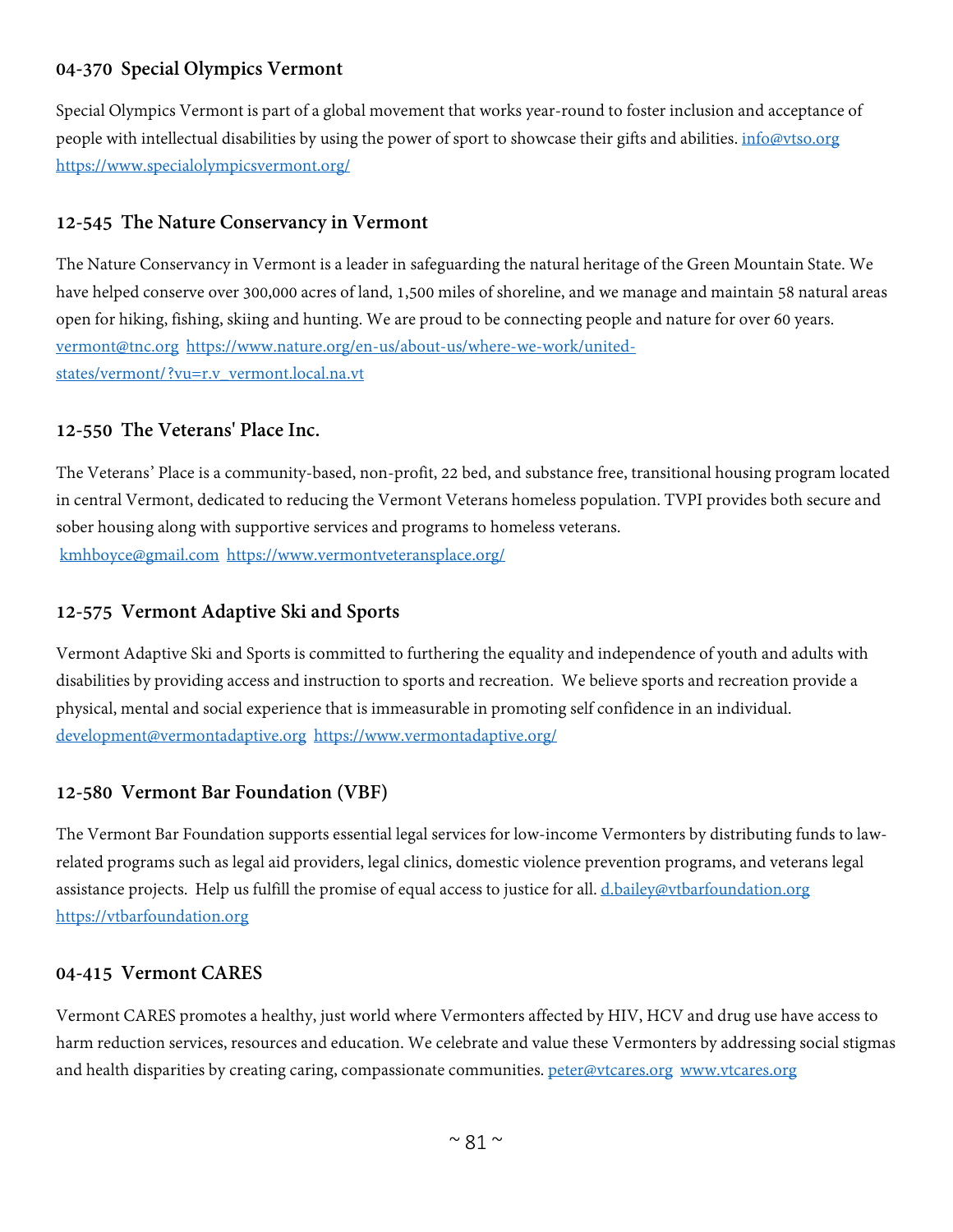# **04-370 Special Olympics Vermont**

Special Olympics Vermont is part of a global movement that works year-round to foster inclusion and acceptance of people with intellectual disabilities by using the power of sport to showcase their gifts and abilities. info@ytso.org <https://www.specialolympicsvermont.org/>

# **12-545 The Nature Conservancy in Vermont**

The Nature Conservancy in Vermont is a leader in safeguarding the natural heritage of the Green Mountain State. We have helped conserve over 300,000 acres of land, 1,500 miles of shoreline, and we manage and maintain 58 natural areas open for hiking, fishing, skiing and hunting. We are proud to be connecting people and nature for over 60 years. [vermont@tnc.org](mailto:vermont@tnc.org) [https://www.nature.org/en-us/about-us/where-we-work/united](https://www.nature.org/en-us/about-us/where-we-work/united-states/vermont/?vu=r.v_vermont.local.na.vt)[states/vermont/?vu=r.v\\_vermont.local.na.vt](https://www.nature.org/en-us/about-us/where-we-work/united-states/vermont/?vu=r.v_vermont.local.na.vt)

# **12-550 The Veterans' Place Inc.**

The Veterans' Place is a community-based, non-profit, 22 bed, and substance free, transitional housing program located in central Vermont, dedicated to reducing the Vermont Veterans homeless population. TVPI provides both secure and sober housing along with supportive services and programs to homeless veterans. [kmhboyce@gmail.com](mailto:kmhboyce@gmail.com) <https://www.vermontveteransplace.org/>

# **12-575 Vermont Adaptive Ski and Sports**

Vermont Adaptive Ski and Sports is committed to furthering the equality and independence of youth and adults with disabilities by providing access and instruction to sports and recreation. We believe sports and recreation provide a physical, mental and social experience that is immeasurable in promoting self confidence in an individual. [development@vermontadaptive.org](mailto:development@vermontadaptive.org) <https://www.vermontadaptive.org/>

# **12-580 Vermont Bar Foundation (VBF)**

The Vermont Bar Foundation supports essential legal services for low-income Vermonters by distributing funds to lawrelated programs such as legal aid providers, legal clinics, domestic violence prevention programs, and veterans legal assistance projects. Help us fulfill the promise of equal access to justice for all. [d.bailey@vtbarfoundation.org](mailto:d.bailey@vtbarfoundation.org) [https://vtbarfoundation.org](https://vtbarfoundation.org/)

# **04-415 Vermont CARES**

Vermont CARES promotes a healthy, just world where Vermonters affected by HIV, HCV and drug use have access to harm reduction services, resources and education. We celebrate and value these Vermonters by addressing social stigmas and health disparities by creating caring, compassionate communities. [peter@vtcares.org](mailto:peter@vtcares.org) [www.vtcares.org](http://www.vtcares.org/)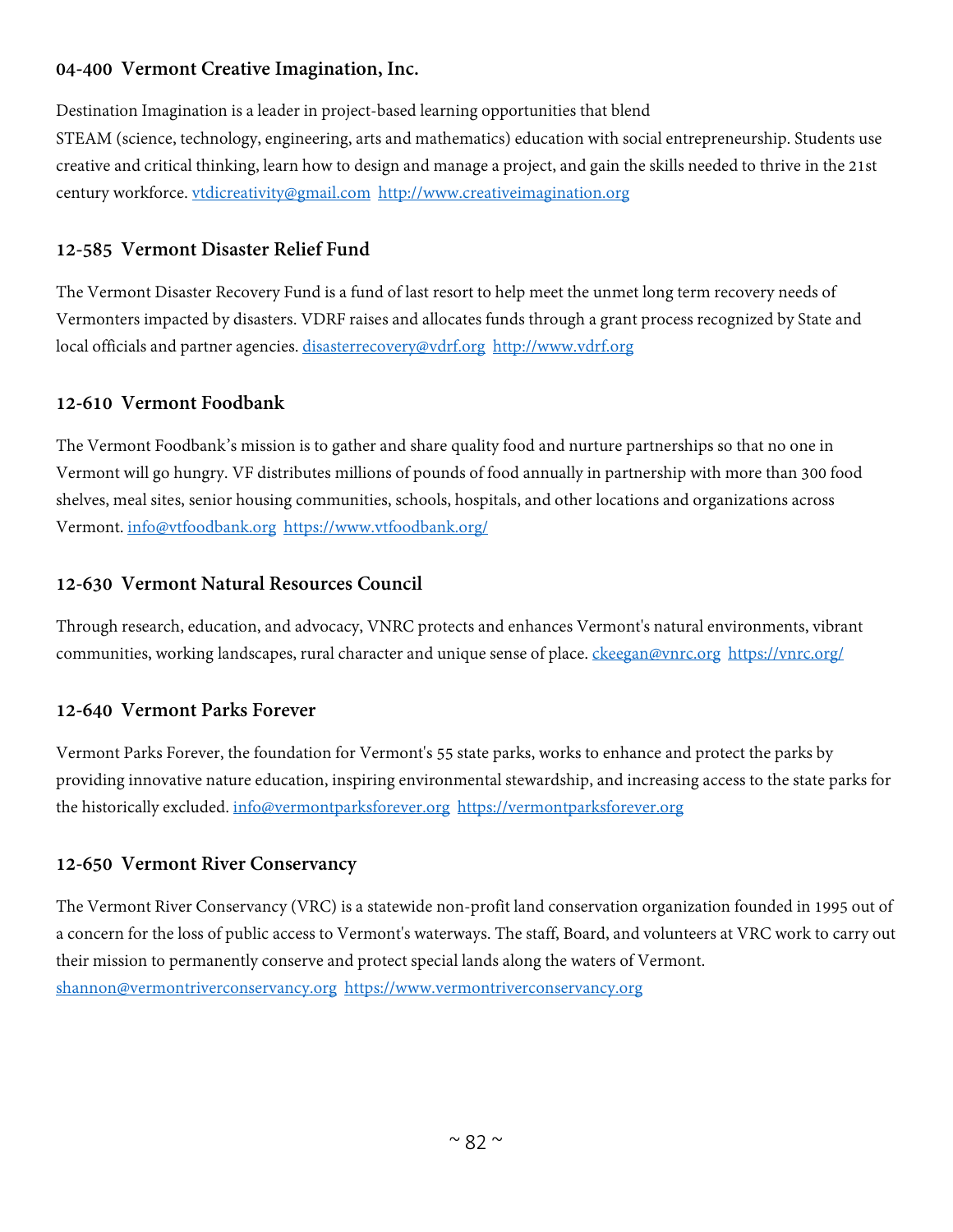# **04-400 Vermont Creative Imagination, Inc.**

Destination Imagination is a leader in project-based learning opportunities that blend STEAM (science, technology, engineering, arts and mathematics) education with social entrepreneurship. Students use creative and critical thinking, learn how to design and manage a project, and gain the skills needed to thrive in the 21st century workforce. [vtdicreativity@gmail.com](mailto:vtdicreativity@gmail.com) [http://www.creativeimagination.org](http://www.creativeimagination.org/) 

# **12-585 Vermont Disaster Relief Fund**

The Vermont Disaster Recovery Fund is a fund of last resort to help meet the unmet long term recovery needs of Vermonters impacted by disasters. VDRF raises and allocates funds through a grant process recognized by State and local officials and partner agencies. [disasterrecovery@vdrf.org](mailto:disasterrecovery@vdrf.org) [http://www.vdrf.org](http://www.vdrf.org/)

# **12-610 Vermont Foodbank**

The Vermont Foodbank's mission is to gather and share quality food and nurture partnerships so that no one in Vermont will go hungry. VF distributes millions of pounds of food annually in partnership with more than 300 food shelves, meal sites, senior housing communities, schools, hospitals, and other locations and organizations across Vermont. [info@vtfoodbank.org](mailto:info@vtfoodbank.org) <https://www.vtfoodbank.org/>

# **12-630 Vermont Natural Resources Council**

Through research, education, and advocacy, VNRC protects and enhances Vermont's natural environments, vibrant communities, working landscapes, rural character and unique sense of place. [ckeegan@vnrc.org](mailto:ckeegan@vnrc.org) <https://vnrc.org/>

# **12-640 Vermont Parks Forever**

Vermont Parks Forever, the foundation for Vermont's 55 state parks, works to enhance and protect the parks by providing innovative nature education, inspiring environmental stewardship, and increasing access to the state parks for the historically excluded. [info@vermontparksforever.org](mailto:info@vermontparksforever.org) [https://vermontparksforever.org](https://vermontparksforever.org/)

# **12-650 Vermont River Conservancy**

The Vermont River Conservancy (VRC) is a statewide non-profit land conservation organization founded in 1995 out of a concern for the loss of public access to Vermont's waterways. The staff, Board, and volunteers at VRC work to carry out their mission to permanently conserve and protect special lands along the waters of Vermont. [shannon@vermontriverconservancy.org](mailto:shannon@vermontriverconservancy.org) [https://www.vermontriverconservancy.org](https://www.vermontriverconservancy.org/)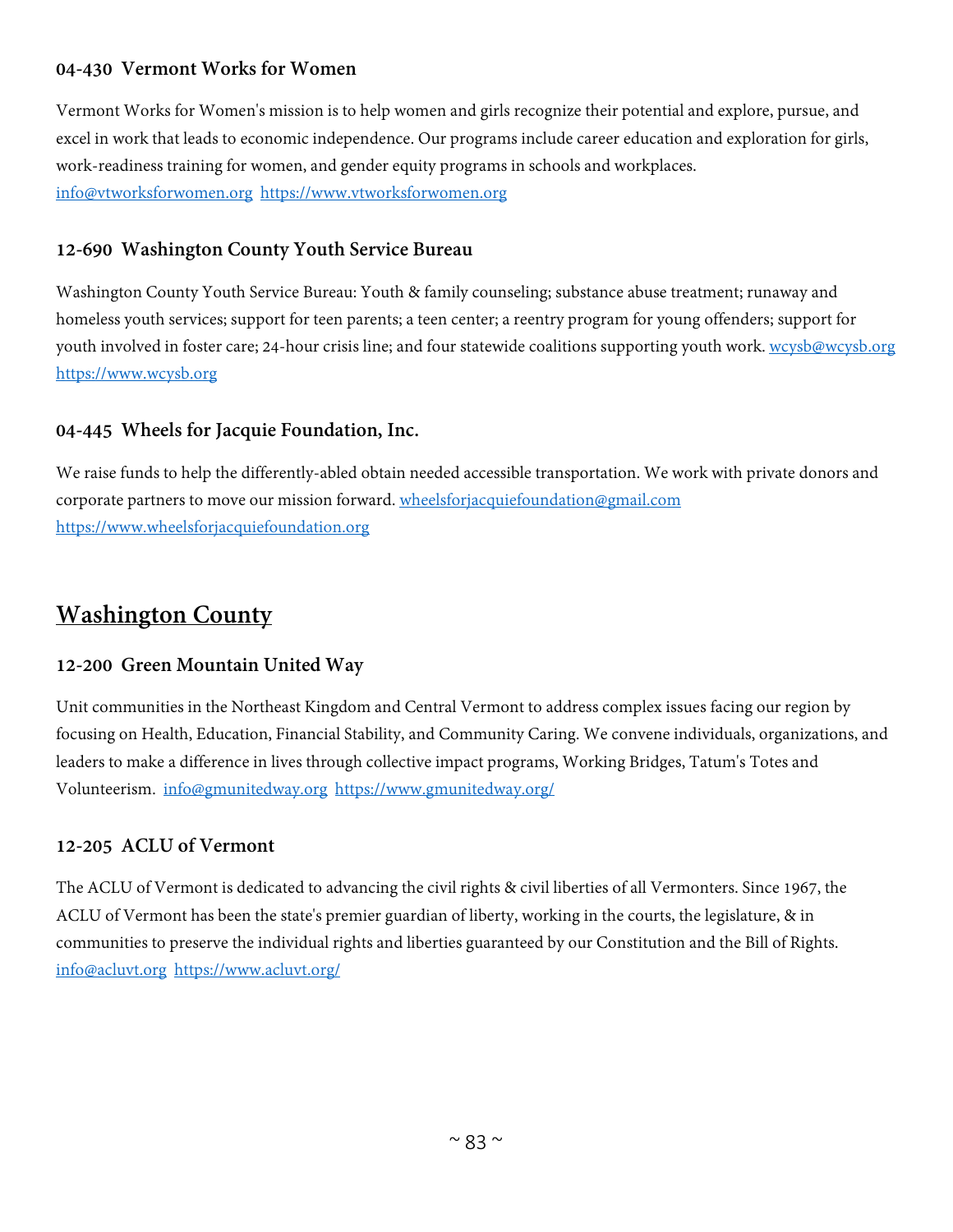# **04-430 Vermont Works for Women**

Vermont Works for Women's mission is to help women and girls recognize their potential and explore, pursue, and excel in work that leads to economic independence. Our programs include career education and exploration for girls, work-readiness training for women, and gender equity programs in schools and workplaces. [info@vtworksforwomen.org](mailto:info@vtworksforwomen.org) [https://www.vtworksforwomen.org](https://www.vtworksforwomen.org/)

# **12-690 Washington County Youth Service Bureau**

Washington County Youth Service Bureau: Youth & family counseling; substance abuse treatment; runaway and homeless youth services; support for teen parents; a teen center; a reentry program for young offenders; support for youth involved in foster care; 24-hour crisis line; and four statewide coalitions supporting youth work. [wcysb@wcysb.org](mailto:wcysb@wcysb.org) [https://www.wcysb.org](https://www.wcysb.org/)

#### **04-445 Wheels for Jacquie Foundation, Inc.**

We raise funds to help the differently-abled obtain needed accessible transportation. We work with private donors and corporate partners to move our mission forward. [wheelsforjacquiefoundation@gmail.com](mailto:wheelsforjacquiefoundation@gmail.com) [https://www.wheelsforjacquiefoundation.org](https://www.wheelsforjacquiefoundation.org/)

# **Washington County**

# **12-200 Green Mountain United Way**

Unit communities in the Northeast Kingdom and Central Vermont to address complex issues facing our region by focusing on Health, Education, Financial Stability, and Community Caring. We convene individuals, organizations, and leaders to make a difference in lives through collective impact programs, Working Bridges, Tatum's Totes and Volunteerism. [info@gmunitedway.org](mailto:info@gmunitedway.org) <https://www.gmunitedway.org/>

# **12-205 ACLU of Vermont**

The ACLU of Vermont is dedicated to advancing the civil rights & civil liberties of all Vermonters. Since 1967, the ACLU of Vermont has been the state's premier guardian of liberty, working in the courts, the legislature, & in communities to preserve the individual rights and liberties guaranteed by our Constitution and the Bill of Rights. [info@acluvt.org](mailto:info@acluvt.org) <https://www.acluvt.org/>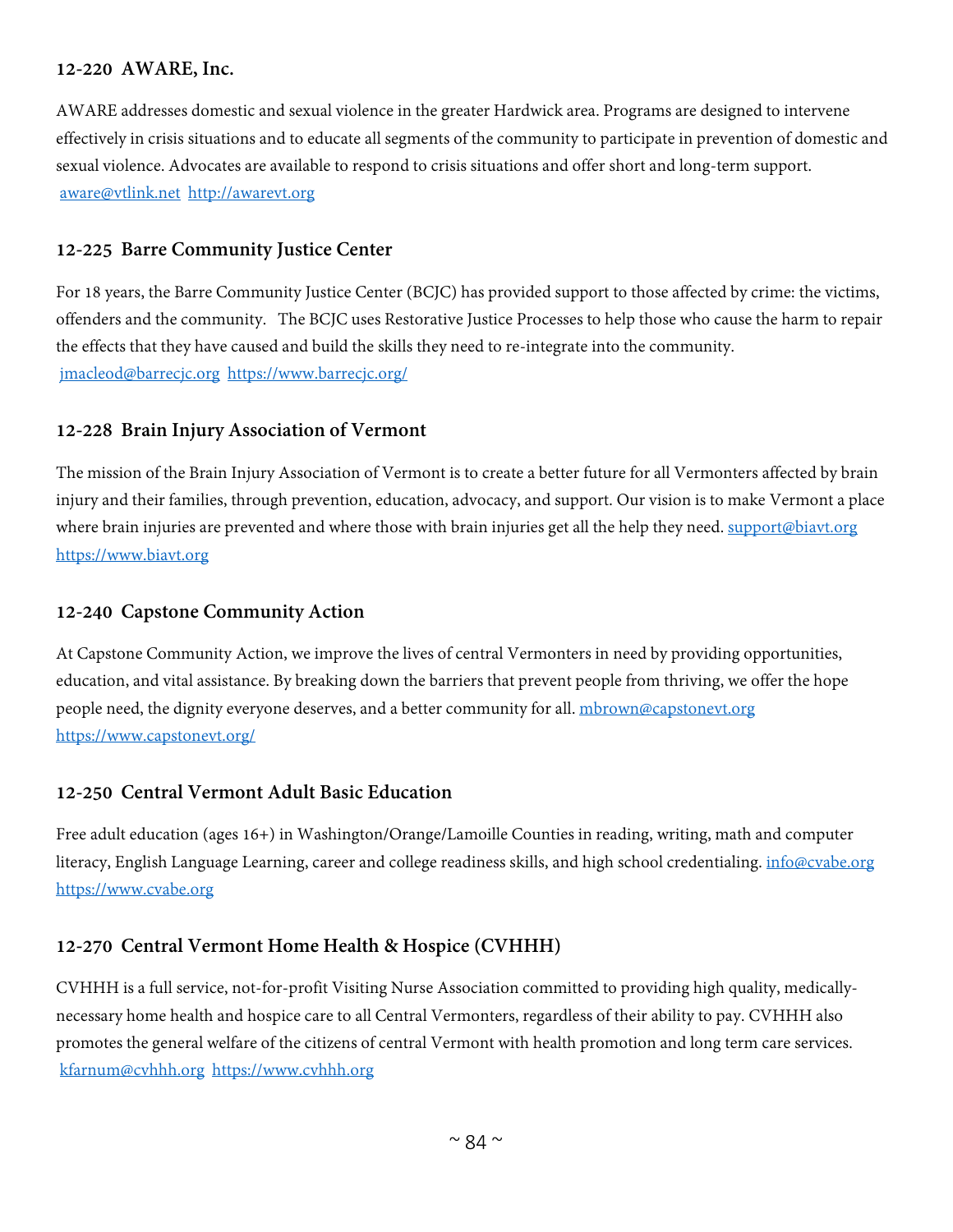#### **12-220 AWARE, Inc.**

AWARE addresses domestic and sexual violence in the greater Hardwick area. Programs are designed to intervene effectively in crisis situations and to educate all segments of the community to participate in prevention of domestic and sexual violence. Advocates are available to respond to crisis situations and offer short and long-term support. [aware@vtlink.net](mailto:aware@vtlink.net) [http://awarevt.org](http://awarevt.org/)

#### **12-225 Barre Community Justice Center**

For 18 years, the Barre Community Justice Center (BCJC) has provided support to those affected by crime: the victims, offenders and the community. The BCJC uses Restorative Justice Processes to help those who cause the harm to repair the effects that they have caused and build the skills they need to re-integrate into the community. [jmacleod@barrecjc.org](mailto:jmacleod@barrecjc.org) <https://www.barrecjc.org/>

#### **12-228 Brain Injury Association of Vermont**

The mission of the Brain Injury Association of Vermont is to create a better future for all Vermonters affected by brain injury and their families, through prevention, education, advocacy, and support. Our vision is to make Vermont a place where brain injuries are prevented and where those with brain injuries get all the help they need. [support@biavt.org](mailto:support@biavt.org) [https://www.biavt.org](https://www.biavt.org/)

#### **12-240 Capstone Community Action**

At Capstone Community Action, we improve the lives of central Vermonters in need by providing opportunities, education, and vital assistance. By breaking down the barriers that prevent people from thriving, we offer the hope people need, the dignity everyone deserves, and a better community for all. [mbrown@capstonevt.org](mailto:mbrown@capstonevt.org) <https://www.capstonevt.org/>

#### **12-250 Central Vermont Adult Basic Education**

Free adult education (ages 16+) in Washington/Orange/Lamoille Counties in reading, writing, math and computer literacy, English Language Learning, career and college readiness skills, and high school credentialing. [info@cvabe.org](mailto:info@cvabe.org) [https://www.cvabe.org](https://www.cvabe.org/)

# **12-270 Central Vermont Home Health & Hospice (CVHHH)**

CVHHH is a full service, not-for-profit Visiting Nurse Association committed to providing high quality, medicallynecessary home health and hospice care to all Central Vermonters, regardless of their ability to pay. CVHHH also promotes the general welfare of the citizens of central Vermont with health promotion and long term care services. [kfarnum@cvhhh.org](mailto:kfarnum@cvhhh.org) [https://www.cvhhh.org](https://www.cvhhh.org/)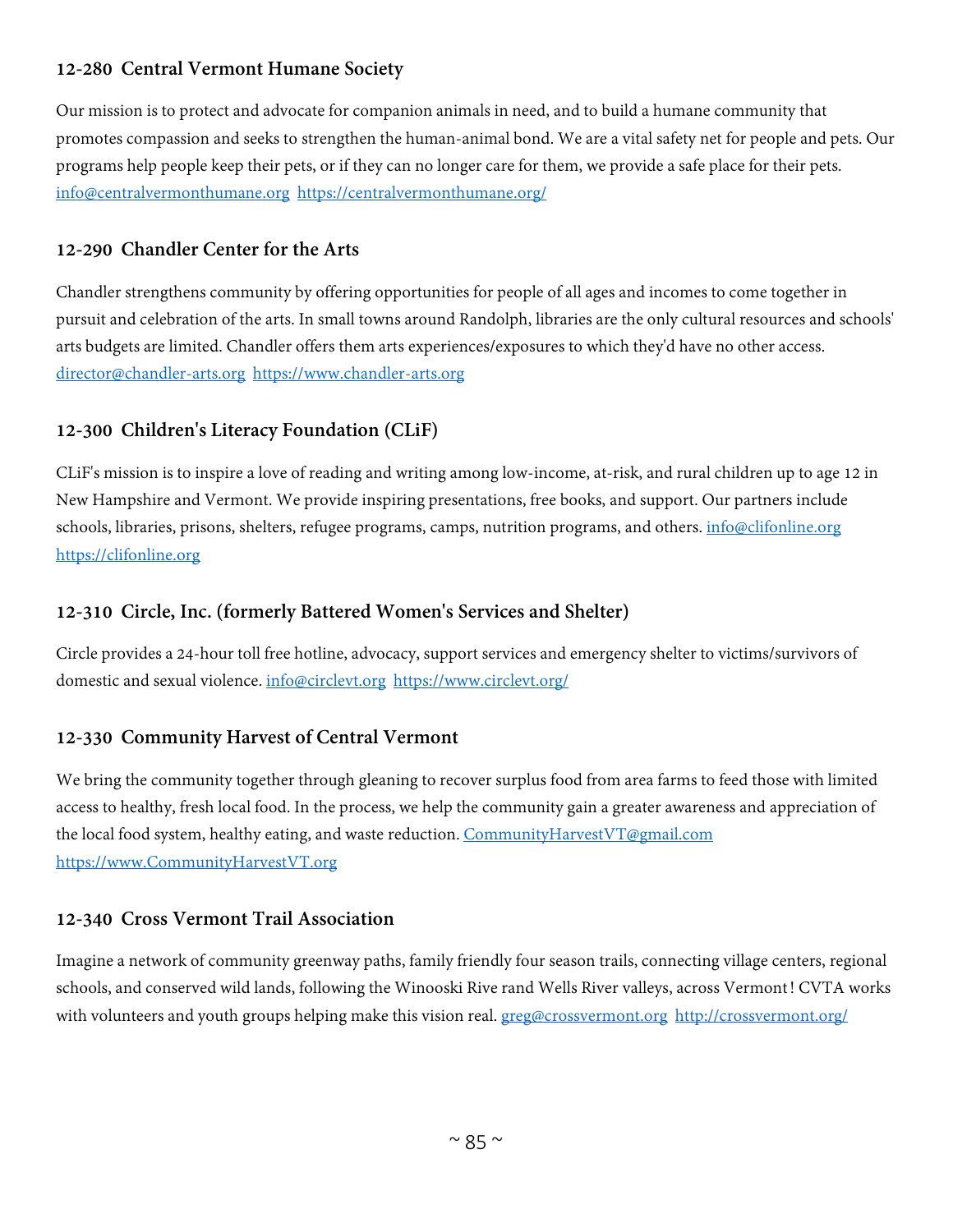# **12-280 Central Vermont Humane Society**

Our mission is to protect and advocate for companion animals in need, and to build a humane community that promotes compassion and seeks to strengthen the human-animal bond. We are a vital safety net for people and pets. Our programs help people keep their pets, or if they can no longer care for them, we provide a safe place for their pets. [info@centralvermonthumane.org](mailto:info@centralvermonthumane.org) <https://centralvermonthumane.org/>

# **12-290 Chandler Center for the Arts**

Chandler strengthens community by offering opportunities for people of all ages and incomes to come together in pursuit and celebration of the arts. In small towns around Randolph, libraries are the only cultural resources and schools' arts budgets are limited. Chandler offers them arts experiences/exposures to which they'd have no other access. [director@chandler-arts.org](mailto:director@chandler-arts.org) [https://www.chandler-arts.org](https://www.chandler-arts.org/)

# **12-300 Children's Literacy Foundation (CLiF)**

CLiF's mission is to inspire a love of reading and writing among low-income, at-risk, and rural children up to age 12 in New Hampshire and Vermont. We provide inspiring presentations, free books, and support. Our partners include schools, libraries, prisons, shelters, refugee programs, camps, nutrition programs, and others. [info@clifonline.org](mailto:info@clifonline.org) [https://clifonline.org](https://clifonline.org/)

# **12-310 Circle, Inc. (formerly Battered Women's Services and Shelter)**

Circle provides a 24-hour toll free hotline, advocacy, support services and emergency shelter to victims/survivors of domestic and sexual violence. [info@circlevt.org](mailto:info@circlevt.org) <https://www.circlevt.org/>

# **12-330 Community Harvest of Central Vermont**

We bring the community together through gleaning to recover surplus food from area farms to feed those with limited access to healthy, fresh local food. In the process, we help the community gain a greater awareness and appreciation of the local food system, healthy eating, and waste reduction. [CommunityHarvestVT@gmail.com](mailto:CommunityHarvestVT@gmail.com) [https://www.CommunityHarvestVT.org](https://www.communityharvestvt.org/)

# **12-340 Cross Vermont Trail Association**

Imagine a network of community greenway paths, family friendly four season trails, connecting village centers, regional schools, and conserved wild lands, following the Winooski Rive rand Wells River valleys, across Vermont! CVTA works with volunteers and youth groups helping make this vision real. [greg@crossvermont.org](mailto:greg@crossvermont.org) <http://crossvermont.org/>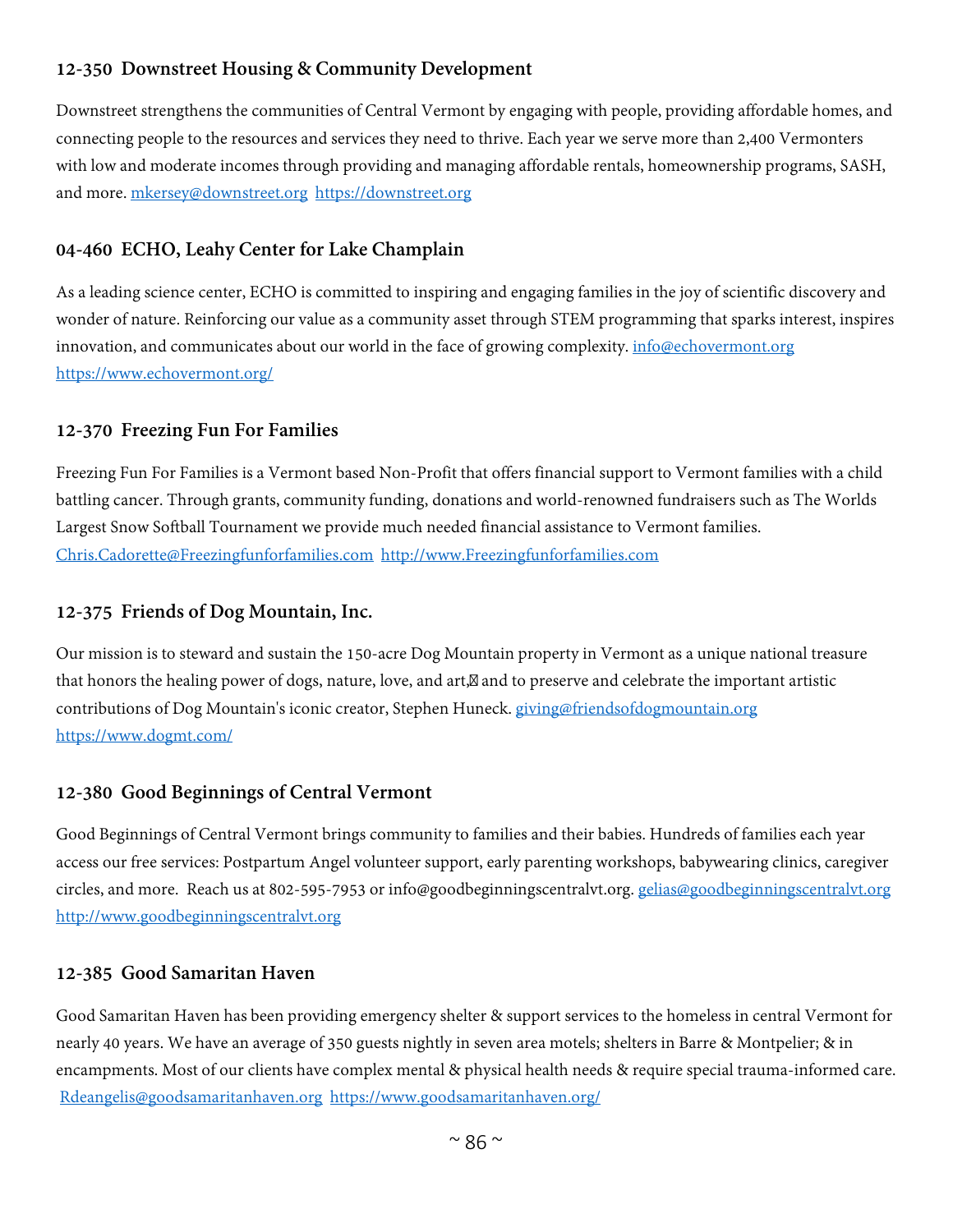# **12-350 Downstreet Housing & Community Development**

Downstreet strengthens the communities of Central Vermont by engaging with people, providing affordable homes, and connecting people to the resources and services they need to thrive. Each year we serve more than 2,400 Vermonters with low and moderate incomes through providing and managing affordable rentals, homeownership programs, SASH, and more. [mkersey@downstreet.org](mailto:mkersey@downstreet.org) [https://downstreet.org](https://downstreet.org/)

# **04-460 ECHO, Leahy Center for Lake Champlain**

As a leading science center, ECHO is committed to inspiring and engaging families in the joy of scientific discovery and wonder of nature. Reinforcing our value as a community asset through STEM programming that sparks interest, inspires innovation, and communicates about our world in the face of growing complexity. [info@echovermont.org](mailto:info@echovermont.org) <https://www.echovermont.org/>

#### **12-370 Freezing Fun For Families**

Freezing Fun For Families is a Vermont based Non-Profit that offers financial support to Vermont families with a child battling cancer. Through grants, community funding, donations and world-renowned fundraisers such as The Worlds Largest Snow Softball Tournament we provide much needed financial assistance to Vermont families. [Chris.Cadorette@Freezingfunforfamilies.com](mailto:Chris.Cadorette@Freezingfunforfamilies.com) [http://www.Freezingfunforfamilies.com](http://www.freezingfunforfamilies.com/)

#### **12-375 Friends of Dog Mountain, Inc.**

Our mission is to steward and sustain the 150-acre Dog Mountain property in Vermont as a unique national treasure that honors the healing power of dogs, nature, love, and art, and to preserve and celebrate the important artistic contributions of Dog Mountain's iconic creator, Stephen Huneck. [giving@friendsofdogmountain.org](mailto:giving@friendsofdogmountain.org) <https://www.dogmt.com/>

# **12-380 Good Beginnings of Central Vermont**

Good Beginnings of Central Vermont brings community to families and their babies. Hundreds of families each year access our free services: Postpartum Angel volunteer support, early parenting workshops, babywearing clinics, caregiver circles, and more. Reach us at 802-595-7953 or info@goodbeginningscentralvt.org. [gelias@goodbeginningscentralvt.org](mailto:gelias@goodbeginningscentralvt.org) [http://www.goodbeginningscentralvt.org](http://www.goodbeginningscentralvt.org/)

#### **12-385 Good Samaritan Haven**

Good Samaritan Haven has been providing emergency shelter & support services to the homeless in central Vermont for nearly 40 years. We have an average of 350 guests nightly in seven area motels; shelters in Barre & Montpelier; & in encampments. Most of our clients have complex mental & physical health needs & require special trauma-informed care. [Rdeangelis@goodsamaritanhaven.org](mailto:Rdeangelis@goodsamaritanhaven.org) <https://www.goodsamaritanhaven.org/>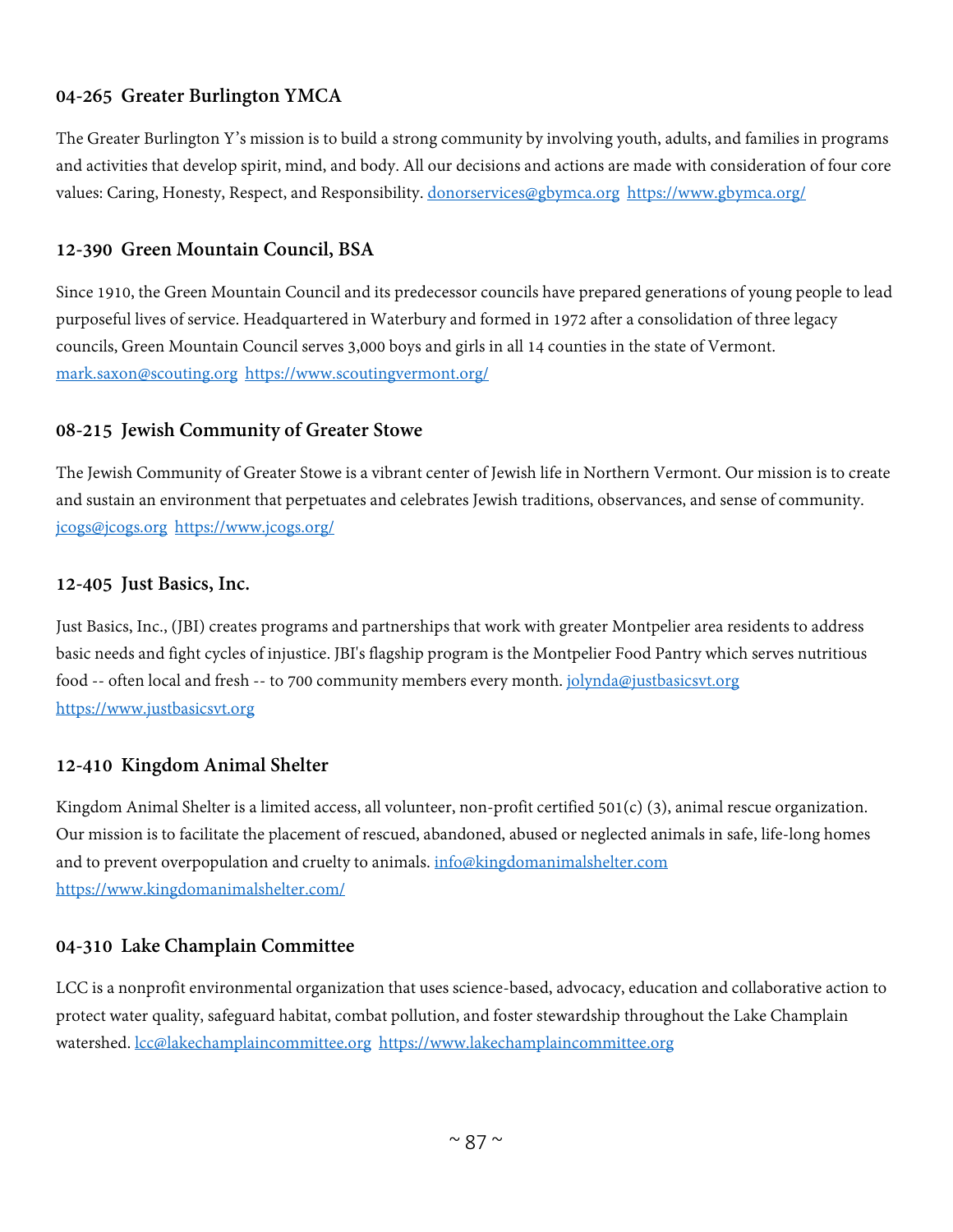# **04-265 Greater Burlington YMCA**

The Greater Burlington Y's mission is to build a strong community by involving youth, adults, and families in programs and activities that develop spirit, mind, and body. All our decisions and actions are made with consideration of four core values: Caring, Honesty, Respect, and Responsibility. [donorservices@gbymca.org](mailto:donorservices@gbymca.org) <https://www.gbymca.org/>

#### **12-390 Green Mountain Council, BSA**

Since 1910, the Green Mountain Council and its predecessor councils have prepared generations of young people to lead purposeful lives of service. Headquartered in Waterbury and formed in 1972 after a consolidation of three legacy councils, Green Mountain Council serves 3,000 boys and girls in all 14 counties in the state of Vermont. [mark.saxon@scouting.org](mailto:mark.saxon@scouting.org) <https://www.scoutingvermont.org/>

#### **08-215 Jewish Community of Greater Stowe**

The Jewish Community of Greater Stowe is a vibrant center of Jewish life in Northern Vermont. Our mission is to create and sustain an environment that perpetuates and celebrates Jewish traditions, observances, and sense of community. [jcogs@jcogs.org](mailto:jcogs@jcogs.org) <https://www.jcogs.org/>

#### **12-405 Just Basics, Inc.**

Just Basics, Inc., (JBI) creates programs and partnerships that work with greater Montpelier area residents to address basic needs and fight cycles of injustice. JBI's flagship program is the Montpelier Food Pantry which serves nutritious food -- often local and fresh -- to 700 community members every month. [jolynda@justbasicsvt.org](mailto:jolynda@justbasicsvt.org) [https://www.justbasicsvt.org](https://www.justbasicsvt.org/)

# **12-410 Kingdom Animal Shelter**

Kingdom Animal Shelter is a limited access, all volunteer, non-profit certified 501(c) (3), animal rescue organization. Our mission is to facilitate the placement of rescued, abandoned, abused or neglected animals in safe, life-long homes and to prevent overpopulation and cruelty to animals. [info@kingdomanimalshelter.com](mailto:info@kingdomanimalshelter.com) <https://www.kingdomanimalshelter.com/>

# **04-310 Lake Champlain Committee**

LCC is a nonprofit environmental organization that uses science-based, advocacy, education and collaborative action to protect water quality, safeguard habitat, combat pollution, and foster stewardship throughout the Lake Champlain watershed. [lcc@lakechamplaincommittee.org](mailto:lcc@lakechamplaincommittee.org) [https://www.lakechamplaincommittee.org](https://www.lakechamplaincommittee.org/)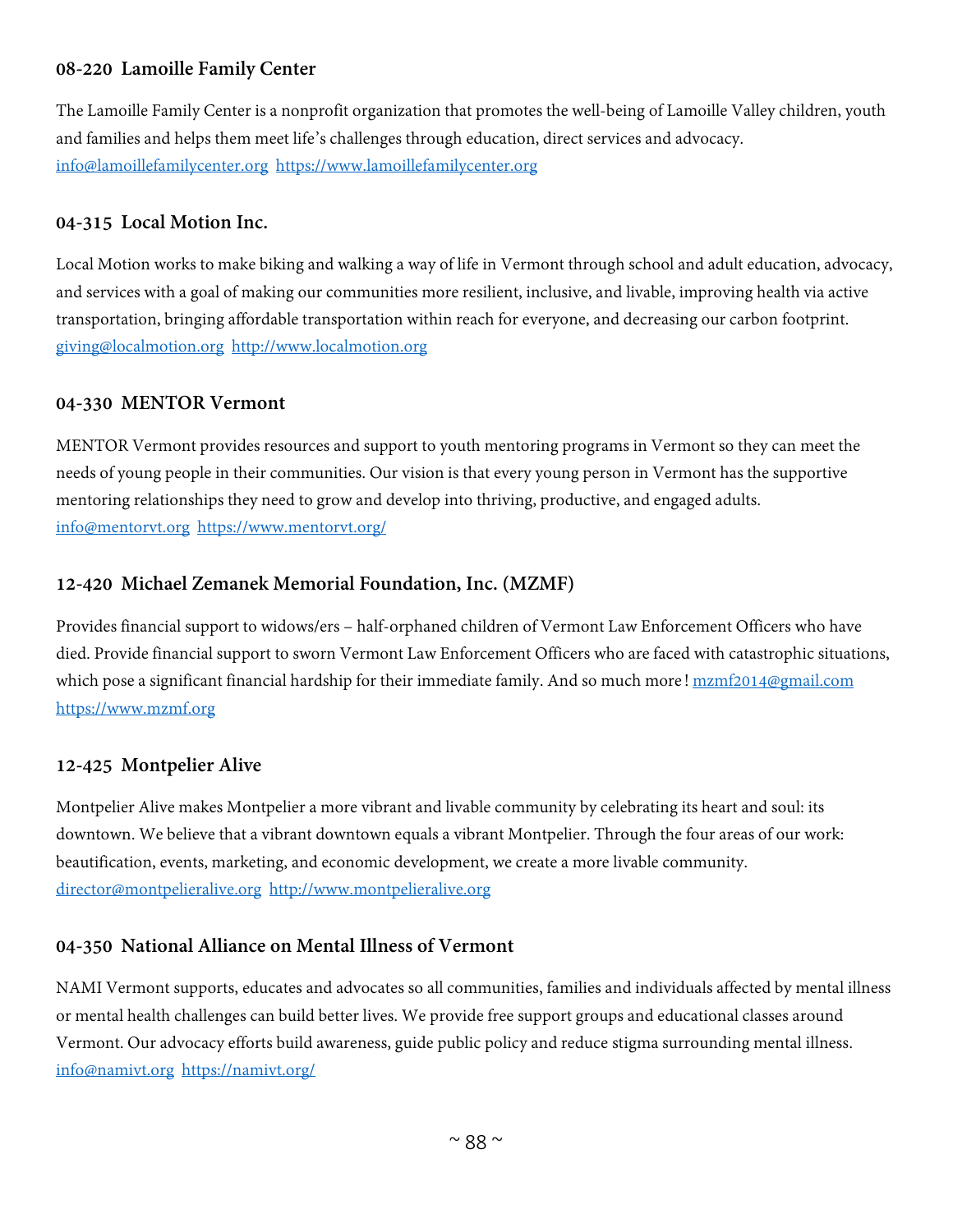# **08-220 Lamoille Family Center**

The Lamoille Family Center is a nonprofit organization that promotes the well-being of Lamoille Valley children, youth and families and helps them meet life's challenges through education, direct services and advocacy. [info@lamoillefamilycenter.org](mailto:info@lamoillefamilycenter.org) [https://www.lamoillefamilycenter.org](https://www.lamoillefamilycenter.org/)

# **04-315 Local Motion Inc.**

Local Motion works to make biking and walking a way of life in Vermont through school and adult education, advocacy, and services with a goal of making our communities more resilient, inclusive, and livable, improving health via active transportation, bringing affordable transportation within reach for everyone, and decreasing our carbon footprint. [giving@localmotion.org](mailto:giving@localmotion.org) [http://www.localmotion.org](http://www.localmotion.org/)

#### **04-330 MENTOR Vermont**

MENTOR Vermont provides resources and support to youth mentoring programs in Vermont so they can meet the needs of young people in their communities. Our vision is that every young person in Vermont has the supportive mentoring relationships they need to grow and develop into thriving, productive, and engaged adults. [info@mentorvt.org](mailto:info@mentorvt.org) <https://www.mentorvt.org/>

# **12-420 Michael Zemanek Memorial Foundation, Inc. (MZMF)**

Provides financial support to widows/ers – half-orphaned children of Vermont Law Enforcement Officers who have died. Provide financial support to sworn Vermont Law Enforcement Officers who are faced with catastrophic situations, which pose a significant financial hardship for their immediate family. And so much more! [mzmf2014@gmail.com](mailto:mzmf2014@gmail.com) [https://www.mzmf.org](https://www.mzmf.org/)

#### **12-425 Montpelier Alive**

Montpelier Alive makes Montpelier a more vibrant and livable community by celebrating its heart and soul: its downtown. We believe that a vibrant downtown equals a vibrant Montpelier. Through the four areas of our work: beautification, events, marketing, and economic development, we create a more livable community. [director@montpelieralive.org](mailto:director@montpelieralive.org) [http://www.montpelieralive.org](http://www.montpelieralive.org/)

# **04-350 National Alliance on Mental Illness of Vermont**

NAMI Vermont supports, educates and advocates so all communities, families and individuals affected by mental illness or mental health challenges can build better lives. We provide free support groups and educational classes around Vermont. Our advocacy efforts build awareness, guide public policy and reduce stigma surrounding mental illness. [info@namivt.org](mailto:info@namivt.org) <https://namivt.org/>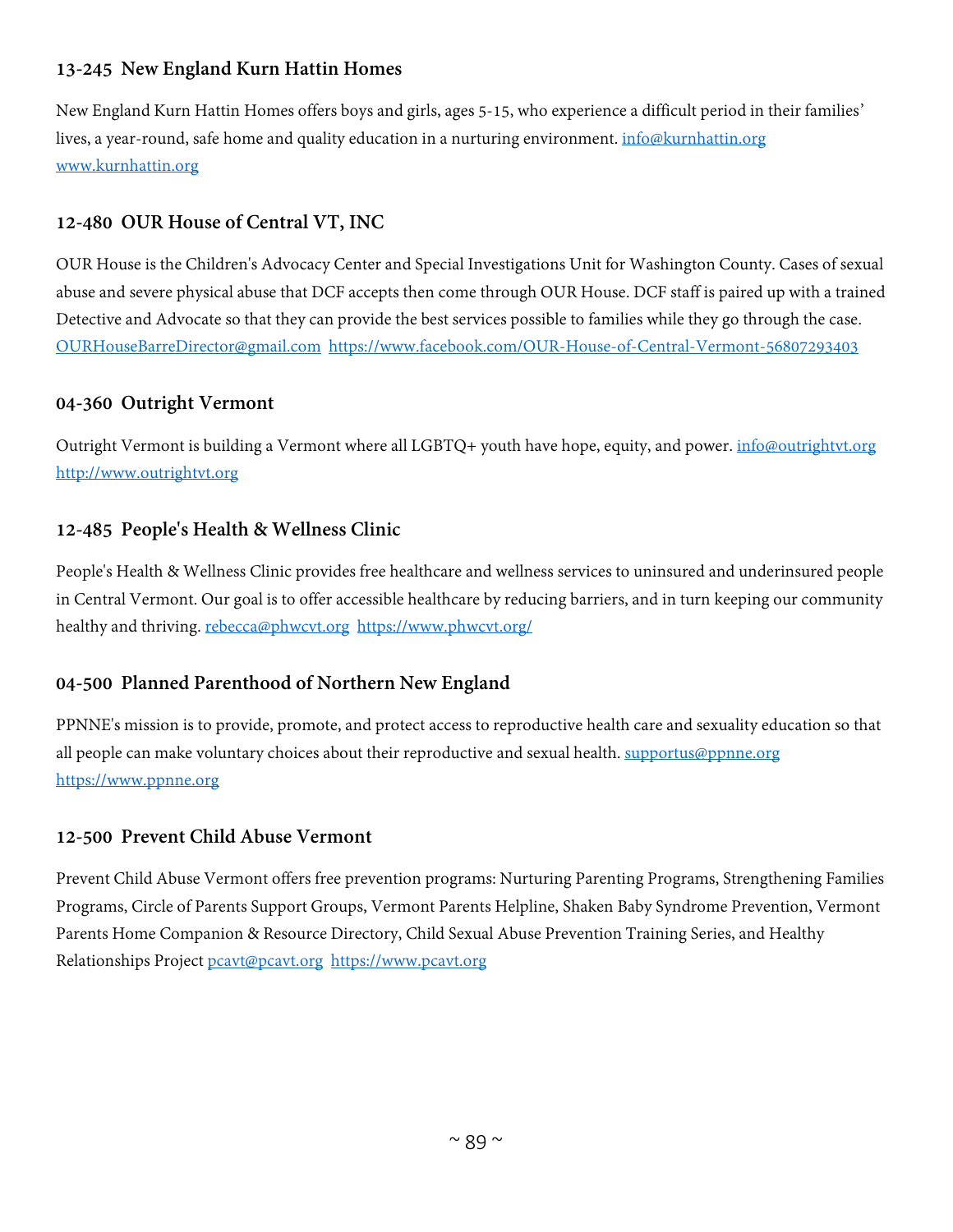# **13-245 New England Kurn Hattin Homes**

New England Kurn Hattin Homes offers boys and girls, ages 5-15, who experience a difficult period in their families' lives, a year-round, safe home and quality education in a nurturing environment. [info@kurnhattin.org](mailto:info@kurnhattin.org) [www.kurnhattin.org](http://www.kurnhattin.org/)

# **12-480 OUR House of Central VT, INC**

OUR House is the Children's Advocacy Center and Special Investigations Unit for Washington County. Cases of sexual abuse and severe physical abuse that DCF accepts then come through OUR House. DCF staff is paired up with a trained Detective and Advocate so that they can provide the best services possible to families while they go through the case. [OURHouseBarreDirector@gmail.com](mailto:OURHouseBarreDirector@gmail.com) <https://www.facebook.com/OUR-House-of-Central-Vermont-56807293403>

# **04-360 Outright Vermont**

Outright Vermont is building a Vermont where all LGBTQ+ youth have hope, equity, and power. *[info@outrightvt.org](mailto:info@outrightvt.org)* [http://www.outrightvt.org](http://www.outrightvt.org/)

# **12-485 People's Health & Wellness Clinic**

People's Health & Wellness Clinic provides free healthcare and wellness services to uninsured and underinsured people in Central Vermont. Our goal is to offer accessible healthcare by reducing barriers, and in turn keeping our community healthy and thriving. [rebecca@phwcvt.org](mailto:rebecca@phwcvt.org) <https://www.phwcvt.org/>

# **04-500 Planned Parenthood of Northern New England**

PPNNE's mission is to provide, promote, and protect access to reproductive health care and sexuality education so that all people can make voluntary choices about their reproductive and sexual health. [supportus@ppnne.org](mailto:supportus@ppnne.org) [https://www.ppnne.org](https://www.ppnne.org/)

# **12-500 Prevent Child Abuse Vermont**

Prevent Child Abuse Vermont offers free prevention programs: Nurturing Parenting Programs, Strengthening Families Programs, Circle of Parents Support Groups, Vermont Parents Helpline, Shaken Baby Syndrome Prevention, Vermont Parents Home Companion & Resource Directory, Child Sexual Abuse Prevention Training Series, and Healthy Relationships Project [pcavt@pcavt.org](mailto:pcavt@pcavt.org) [https://www.pcavt.org](https://www.pcavt.org/)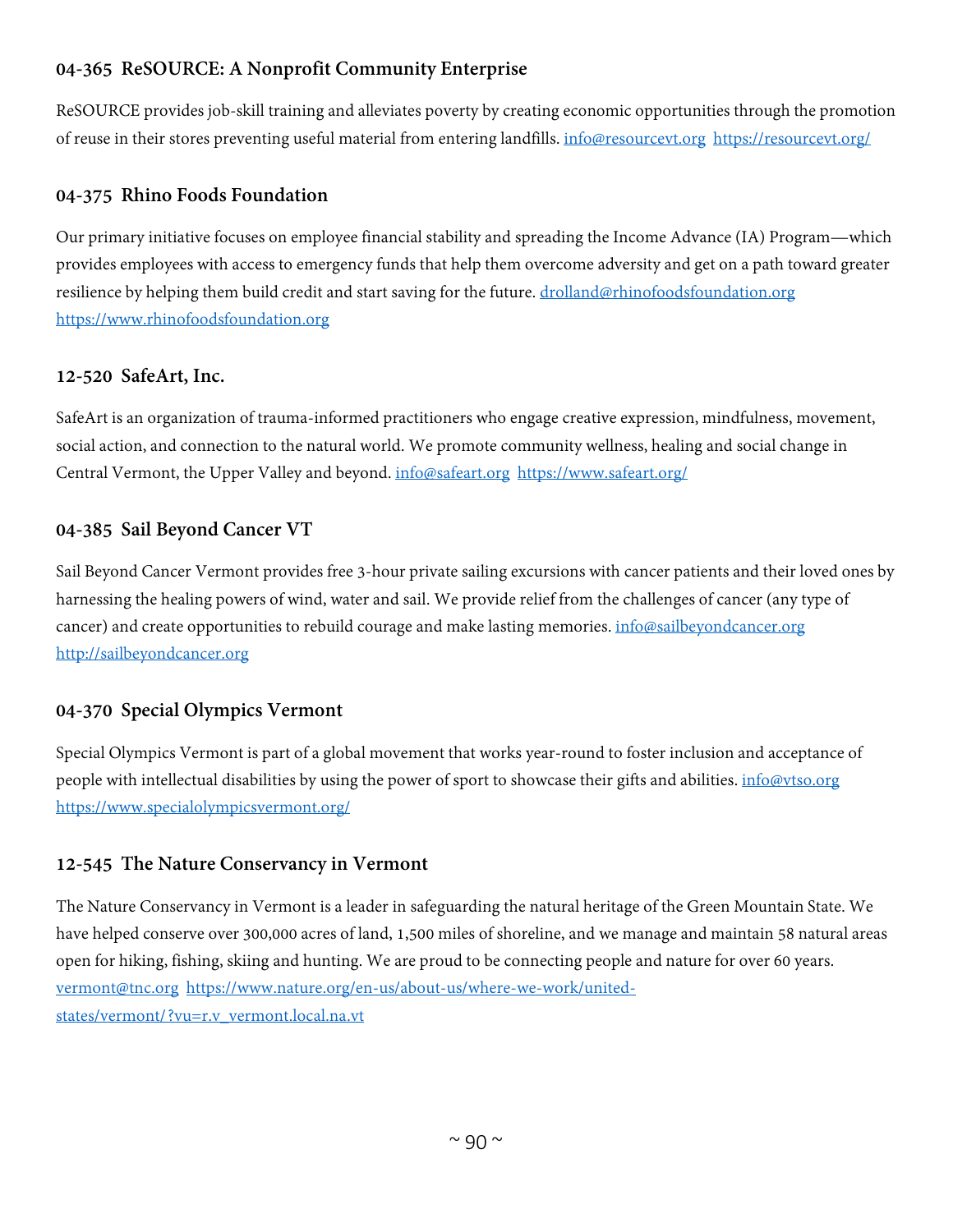# **04-365 ReSOURCE: A Nonprofit Community Enterprise**

ReSOURCE provides job-skill training and alleviates poverty by creating economic opportunities through the promotion of reuse in their stores preventing useful material from entering landfills. [info@resourcevt.org](mailto:info@resourcevt.org) <https://resourcevt.org/>

# **04-375 Rhino Foods Foundation**

Our primary initiative focuses on employee financial stability and spreading the Income Advance (IA) Program—which provides employees with access to emergency funds that help them overcome adversity and get on a path toward greater resilience by helping them build credit and start saving for the future. [drolland@rhinofoodsfoundation.org](mailto:drolland@rhinofoodsfoundation.org) [https://www.rhinofoodsfoundation.org](https://www.rhinofoodsfoundation.org/)

# **12-520 SafeArt, Inc.**

SafeArt is an organization of trauma-informed practitioners who engage creative expression, mindfulness, movement, social action, and connection to the natural world. We promote community wellness, healing and social change in Central Vermont, the Upper Valley and beyond. [info@safeart.org](mailto:info@safeart.org) <https://www.safeart.org/>

# **04-385 Sail Beyond Cancer VT**

Sail Beyond Cancer Vermont provides free 3-hour private sailing excursions with cancer patients and their loved ones by harnessing the healing powers of wind, water and sail. We provide relief from the challenges of cancer (any type of cancer) and create opportunities to rebuild courage and make lasting memories[. info@sailbeyondcancer.org](mailto:info@sailbeyondcancer.org) [http://sailbeyondcancer.org](http://sailbeyondcancer.org/)

# **04-370 Special Olympics Vermont**

Special Olympics Vermont is part of a global movement that works year-round to foster inclusion and acceptance of people with intellectual disabilities by using the power of sport to showcase their gifts and abilities. [info@vtso.org](mailto:info@vtso.org) <https://www.specialolympicsvermont.org/>

# **12-545 The Nature Conservancy in Vermont**

The Nature Conservancy in Vermont is a leader in safeguarding the natural heritage of the Green Mountain State. We have helped conserve over 300,000 acres of land, 1,500 miles of shoreline, and we manage and maintain 58 natural areas open for hiking, fishing, skiing and hunting. We are proud to be connecting people and nature for over 60 years. [vermont@tnc.org](mailto:vermont@tnc.org) [https://www.nature.org/en-us/about-us/where-we-work/united](https://www.nature.org/en-us/about-us/where-we-work/united-states/vermont/?vu=r.v_vermont.local.na.vt)[states/vermont/?vu=r.v\\_vermont.local.na.vt](https://www.nature.org/en-us/about-us/where-we-work/united-states/vermont/?vu=r.v_vermont.local.na.vt)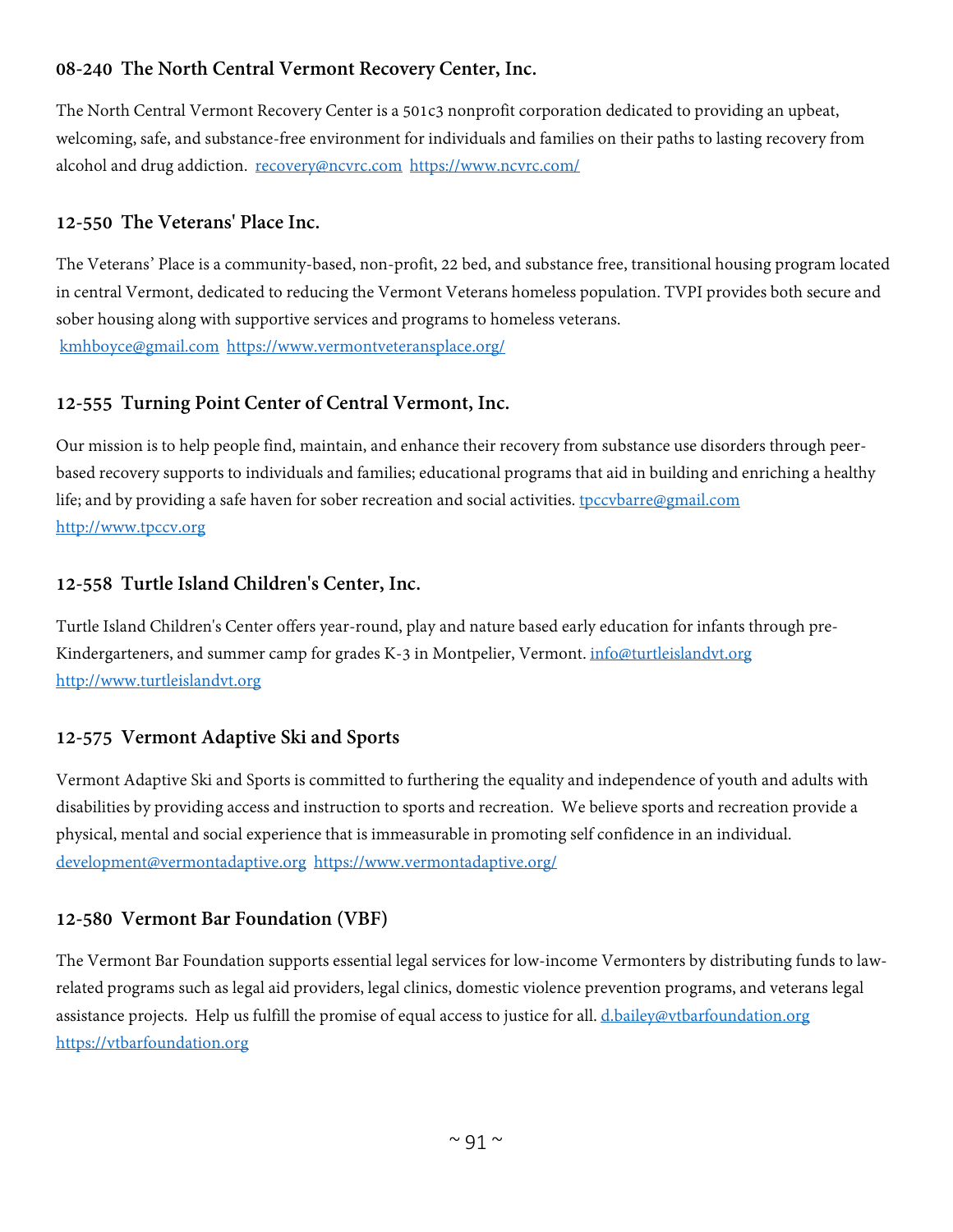# **08-240 The North Central Vermont Recovery Center, Inc.**

The North Central Vermont Recovery Center is a 501c3 nonprofit corporation dedicated to providing an upbeat, welcoming, safe, and substance-free environment for individuals and families on their paths to lasting recovery from alcohol and drug addiction. [recovery@ncvrc.com](mailto:recovery@ncvrc.com) <https://www.ncvrc.com/>

# **12-550 The Veterans' Place Inc.**

The Veterans' Place is a community-based, non-profit, 22 bed, and substance free, transitional housing program located in central Vermont, dedicated to reducing the Vermont Veterans homeless population. TVPI provides both secure and sober housing along with supportive services and programs to homeless veterans. [kmhboyce@gmail.com](mailto:kmhboyce@gmail.com) <https://www.vermontveteransplace.org/>

# **12-555 Turning Point Center of Central Vermont, Inc.**

Our mission is to help people find, maintain, and enhance their recovery from substance use disorders through peerbased recovery supports to individuals and families; educational programs that aid in building and enriching a healthy life; and by providing a safe haven for sober recreation and social activities. [tpccvbarre@gmail.com](mailto:tpccvbarre@gmail.com) [http://www.tpccv.org](http://www.tpccv.org/)

# **12-558 Turtle Island Children's Center, Inc.**

Turtle Island Children's Center offers year-round, play and nature based early education for infants through preKindergarteners, and summer camp for grades K-3 in Montpelier, Vermont. [info@turtleislandvt.org](mailto:info@turtleislandvt.org) [http://www.turtleislandvt.org](http://www.turtleislandvt.org/)

# **12-575 Vermont Adaptive Ski and Sports**

Vermont Adaptive Ski and Sports is committed to furthering the equality and independence of youth and adults with disabilities by providing access and instruction to sports and recreation. We believe sports and recreation provide a physical, mental and social experience that is immeasurable in promoting self confidence in an individual. [development@vermontadaptive.org](mailto:development@vermontadaptive.org) <https://www.vermontadaptive.org/>

# **12-580 Vermont Bar Foundation (VBF)**

The Vermont Bar Foundation supports essential legal services for low-income Vermonters by distributing funds to lawrelated programs such as legal aid providers, legal clinics, domestic violence prevention programs, and veterans legal assistance projects. Help us fulfill the promise of equal access to justice for all. [d.bailey@vtbarfoundation.org](mailto:d.bailey@vtbarfoundation.org) [https://vtbarfoundation.org](https://vtbarfoundation.org/)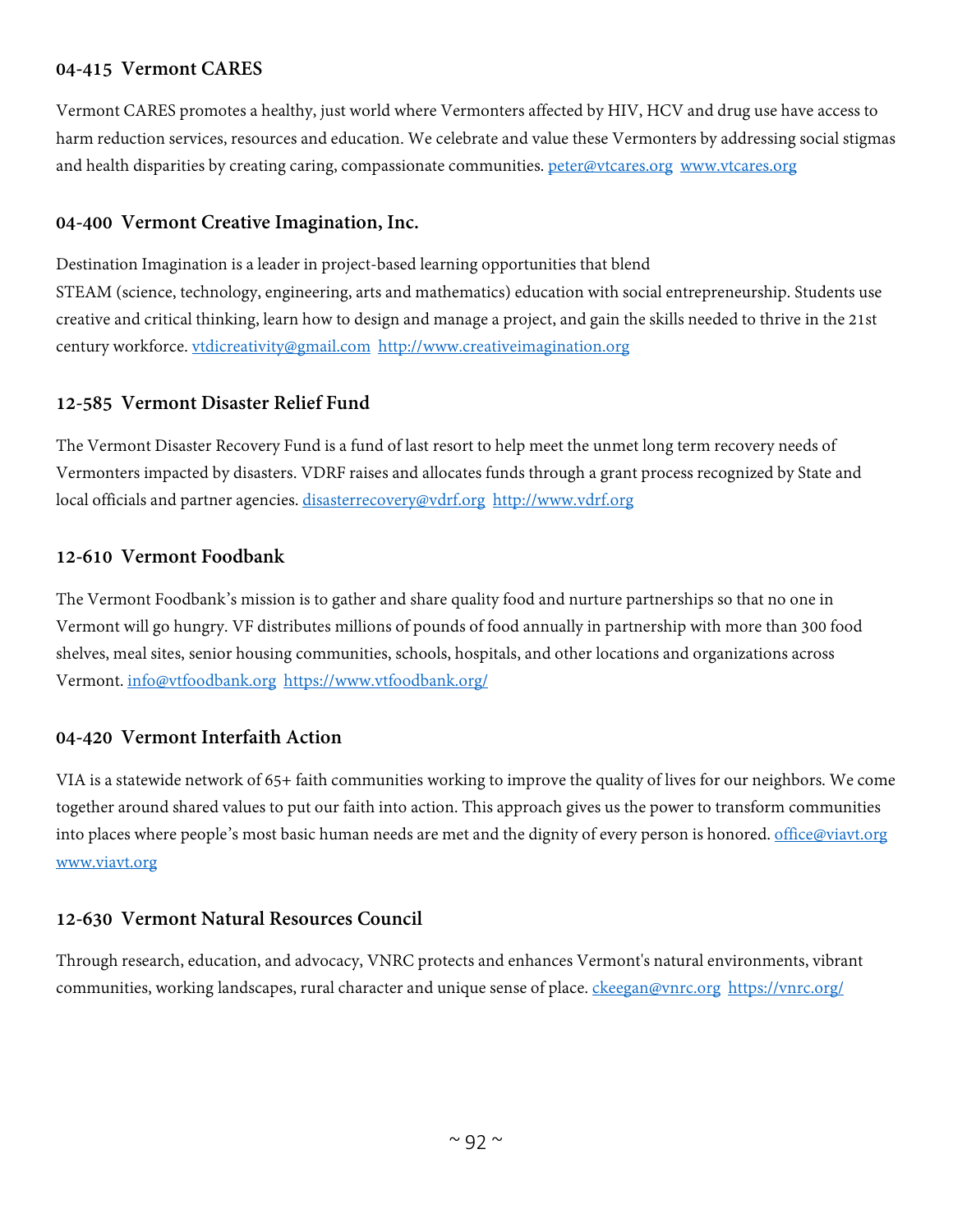# **04-415 Vermont CARES**

Vermont CARES promotes a healthy, just world where Vermonters affected by HIV, HCV and drug use have access to harm reduction services, resources and education. We celebrate and value these Vermonters by addressing social stigmas and health disparities by creating caring, compassionate communities. [peter@vtcares.org](mailto:peter@vtcares.org) [www.vtcares.org](http://www.vtcares.org/)

# **04-400 Vermont Creative Imagination, Inc.**

Destination Imagination is a leader in project-based learning opportunities that blend STEAM (science, technology, engineering, arts and mathematics) education with social entrepreneurship. Students use creative and critical thinking, learn how to design and manage a project, and gain the skills needed to thrive in the 21st century workforce. [vtdicreativity@gmail.com](mailto:vtdicreativity@gmail.com) [http://www.creativeimagination.org](http://www.creativeimagination.org/) 

# **12-585 Vermont Disaster Relief Fund**

The Vermont Disaster Recovery Fund is a fund of last resort to help meet the unmet long term recovery needs of Vermonters impacted by disasters. VDRF raises and allocates funds through a grant process recognized by State and local officials and partner agencies. [disasterrecovery@vdrf.org](mailto:disasterrecovery@vdrf.org) [http://www.vdrf.org](http://www.vdrf.org/)

# **12-610 Vermont Foodbank**

The Vermont Foodbank's mission is to gather and share quality food and nurture partnerships so that no one in Vermont will go hungry. VF distributes millions of pounds of food annually in partnership with more than 300 food shelves, meal sites, senior housing communities, schools, hospitals, and other locations and organizations across Vermont. [info@vtfoodbank.org](mailto:info@vtfoodbank.org) <https://www.vtfoodbank.org/>

# **04-420 Vermont Interfaith Action**

VIA is a statewide network of 65+ faith communities working to improve the quality of lives for our neighbors. We come together around shared values to put our faith into action. This approach gives us the power to transform communities into places where people's most basic human needs are met and the dignity of every person is honored. [office@viavt.org](mailto:office@viavt.org) [www.viavt.org](http://www.viavt.org/)

# **12-630 Vermont Natural Resources Council**

Through research, education, and advocacy, VNRC protects and enhances Vermont's natural environments, vibrant communities, working landscapes, rural character and unique sense of place. [ckeegan@vnrc.org](mailto:ckeegan@vnrc.org) <https://vnrc.org/>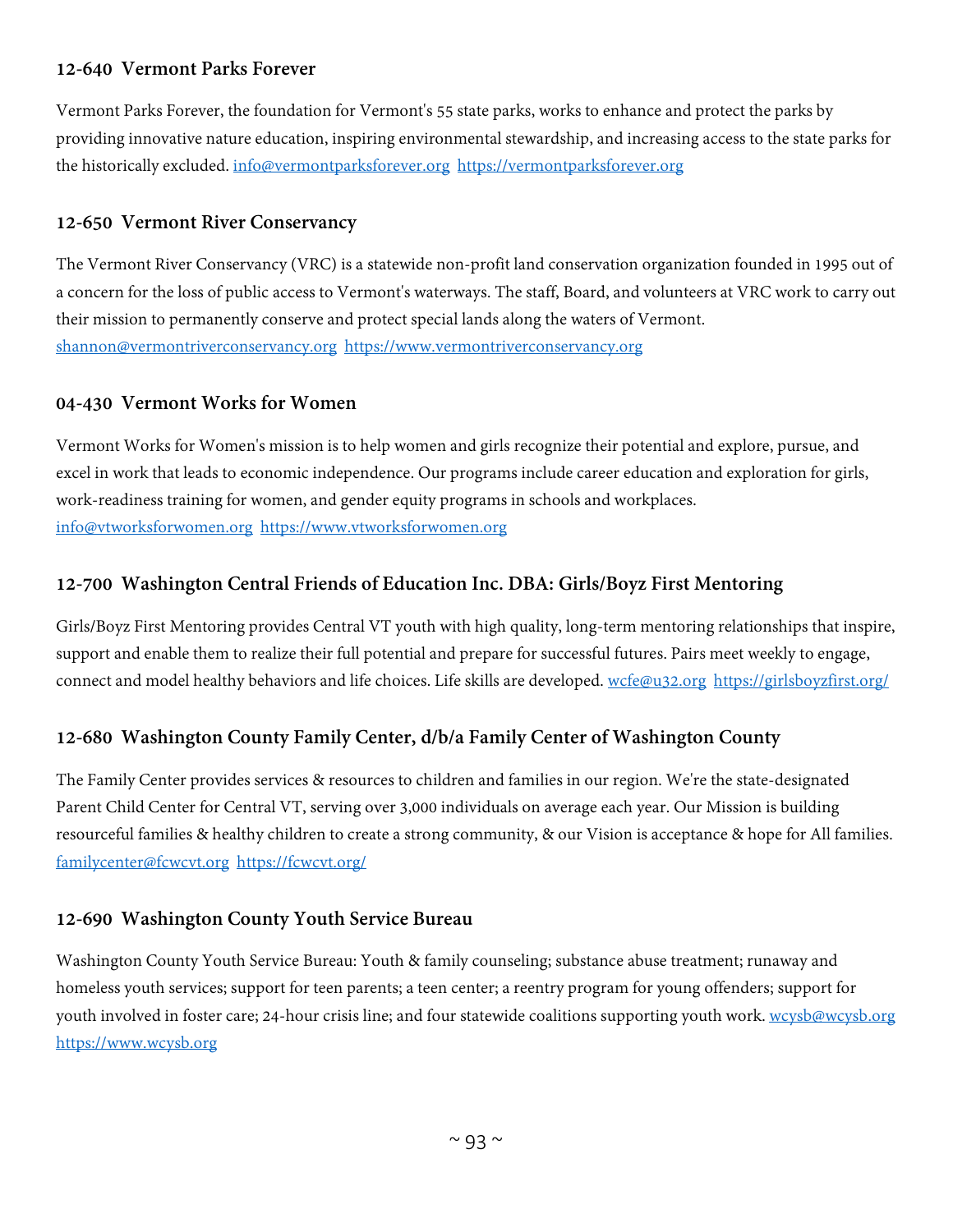# **12-640 Vermont Parks Forever**

Vermont Parks Forever, the foundation for Vermont's 55 state parks, works to enhance and protect the parks by providing innovative nature education, inspiring environmental stewardship, and increasing access to the state parks for the historically excluded. [info@vermontparksforever.org](mailto:info@vermontparksforever.org) [https://vermontparksforever.org](https://vermontparksforever.org/)

# **12-650 Vermont River Conservancy**

The Vermont River Conservancy (VRC) is a statewide non-profit land conservation organization founded in 1995 out of a concern for the loss of public access to Vermont's waterways. The staff, Board, and volunteers at VRC work to carry out their mission to permanently conserve and protect special lands along the waters of Vermont. [shannon@vermontriverconservancy.org](mailto:shannon@vermontriverconservancy.org) [https://www.vermontriverconservancy.org](https://www.vermontriverconservancy.org/)

#### **04-430 Vermont Works for Women**

Vermont Works for Women's mission is to help women and girls recognize their potential and explore, pursue, and excel in work that leads to economic independence. Our programs include career education and exploration for girls, work-readiness training for women, and gender equity programs in schools and workplaces. [info@vtworksforwomen.org](mailto:info@vtworksforwomen.org) [https://www.vtworksforwomen.org](https://www.vtworksforwomen.org/)

# **12-700 Washington Central Friends of Education Inc. DBA: Girls/Boyz First Mentoring**

Girls/Boyz First Mentoring provides Central VT youth with high quality, long-term mentoring relationships that inspire, support and enable them to realize their full potential and prepare for successful futures. Pairs meet weekly to engage, connect and model healthy behaviors and life choices. Life skills are developed. [wcfe@u32.org](mailto:wcfe@u32.org) <https://girlsboyzfirst.org/>

# **12-680 Washington County Family Center, d/b/a Family Center of Washington County**

The Family Center provides services & resources to children and families in our region. We're the state-designated Parent Child Center for Central VT, serving over 3,000 individuals on average each year. Our Mission is building resourceful families & healthy children to create a strong community, & our Vision is acceptance & hope for All families. [familycenter@fcwcvt.org](mailto:familycenter@fcwcvt.org) <https://fcwcvt.org/>

# **12-690 Washington County Youth Service Bureau**

Washington County Youth Service Bureau: Youth & family counseling; substance abuse treatment; runaway and homeless youth services; support for teen parents; a teen center; a reentry program for young offenders; support for youth involved in foster care; 24-hour crisis line; and four statewide coalitions supporting youth work. [wcysb@wcysb.org](mailto:wcysb@wcysb.org) [https://www.wcysb.org](https://www.wcysb.org/)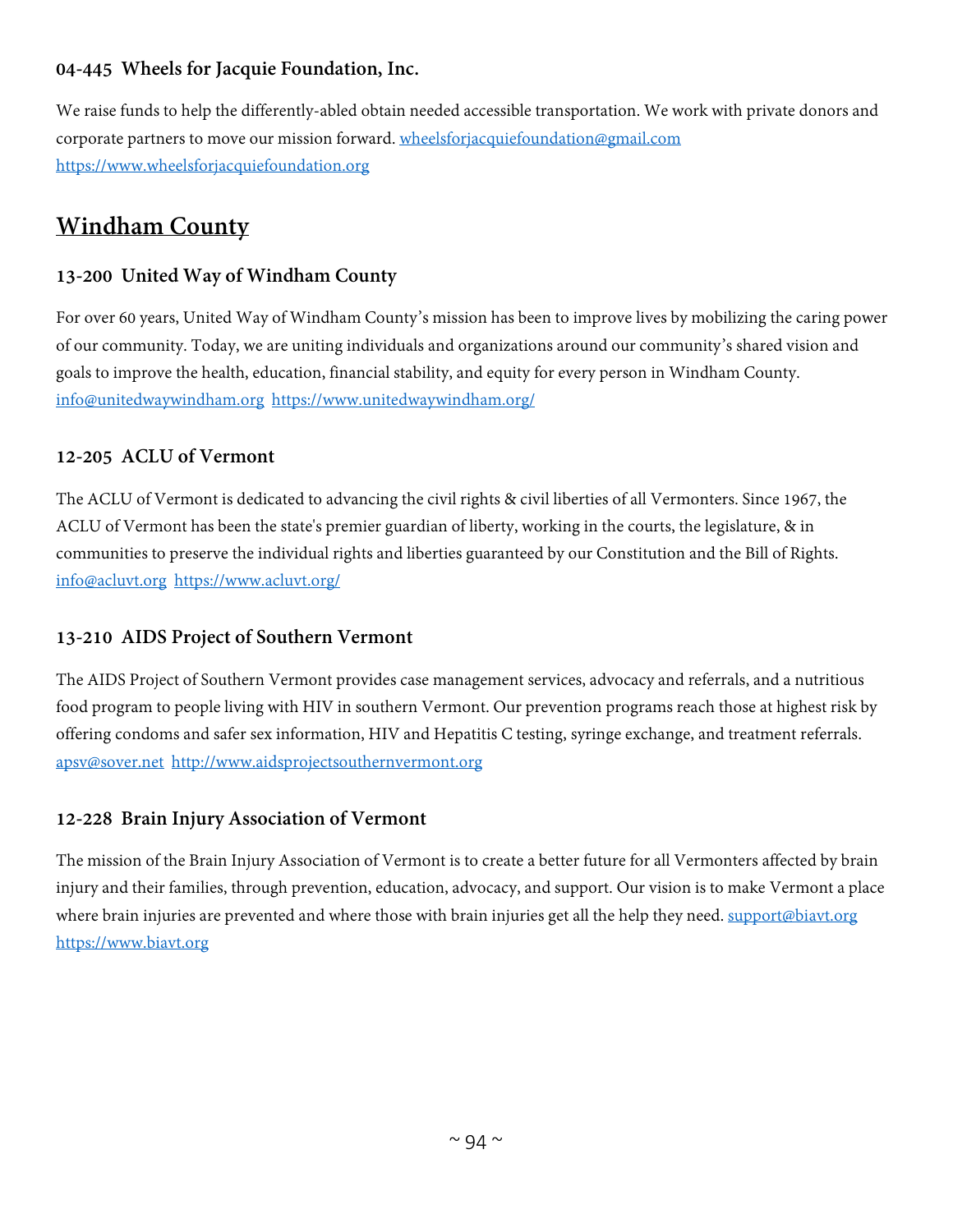# **04-445 Wheels for Jacquie Foundation, Inc.**

We raise funds to help the differently-abled obtain needed accessible transportation. We work with private donors and corporate partners to move our mission forward. [wheelsforjacquiefoundation@gmail.com](mailto:wheelsforjacquiefoundation@gmail.com) [https://www.wheelsforjacquiefoundation.org](https://www.wheelsforjacquiefoundation.org/)

# **Windham County**

# **13-200 United Way of Windham County**

For over 60 years, United Way of Windham County's mission has been to improve lives by mobilizing the caring power of our community. Today, we are uniting individuals and organizations around our community's shared vision and goals to improve the health, education, financial stability, and equity for every person in Windham County. [info@unitedwaywindham.org](mailto:info@unitedwaywindham.org) <https://www.unitedwaywindham.org/>

# **12-205 ACLU of Vermont**

The ACLU of Vermont is dedicated to advancing the civil rights & civil liberties of all Vermonters. Since 1967, the ACLU of Vermont has been the state's premier guardian of liberty, working in the courts, the legislature, & in communities to preserve the individual rights and liberties guaranteed by our Constitution and the Bill of Rights. [info@acluvt.org](mailto:info@acluvt.org) <https://www.acluvt.org/>

# **13-210 AIDS Project of Southern Vermont**

The AIDS Project of Southern Vermont provides case management services, advocacy and referrals, and a nutritious food program to people living with HIV in southern Vermont. Our prevention programs reach those at highest risk by offering condoms and safer sex information, HIV and Hepatitis C testing, syringe exchange, and treatment referrals. [apsv@sover.net](mailto:apsv@sover.net) [http://www.aidsprojectsouthernvermont.org](http://www.aidsprojectsouthernvermont.org/)

# **12-228 Brain Injury Association of Vermont**

The mission of the Brain Injury Association of Vermont is to create a better future for all Vermonters affected by brain injury and their families, through prevention, education, advocacy, and support. Our vision is to make Vermont a place where brain injuries are prevented and where those with brain injuries get all the help they need. [support@biavt.org](mailto:support@biavt.org) [https://www.biavt.org](https://www.biavt.org/)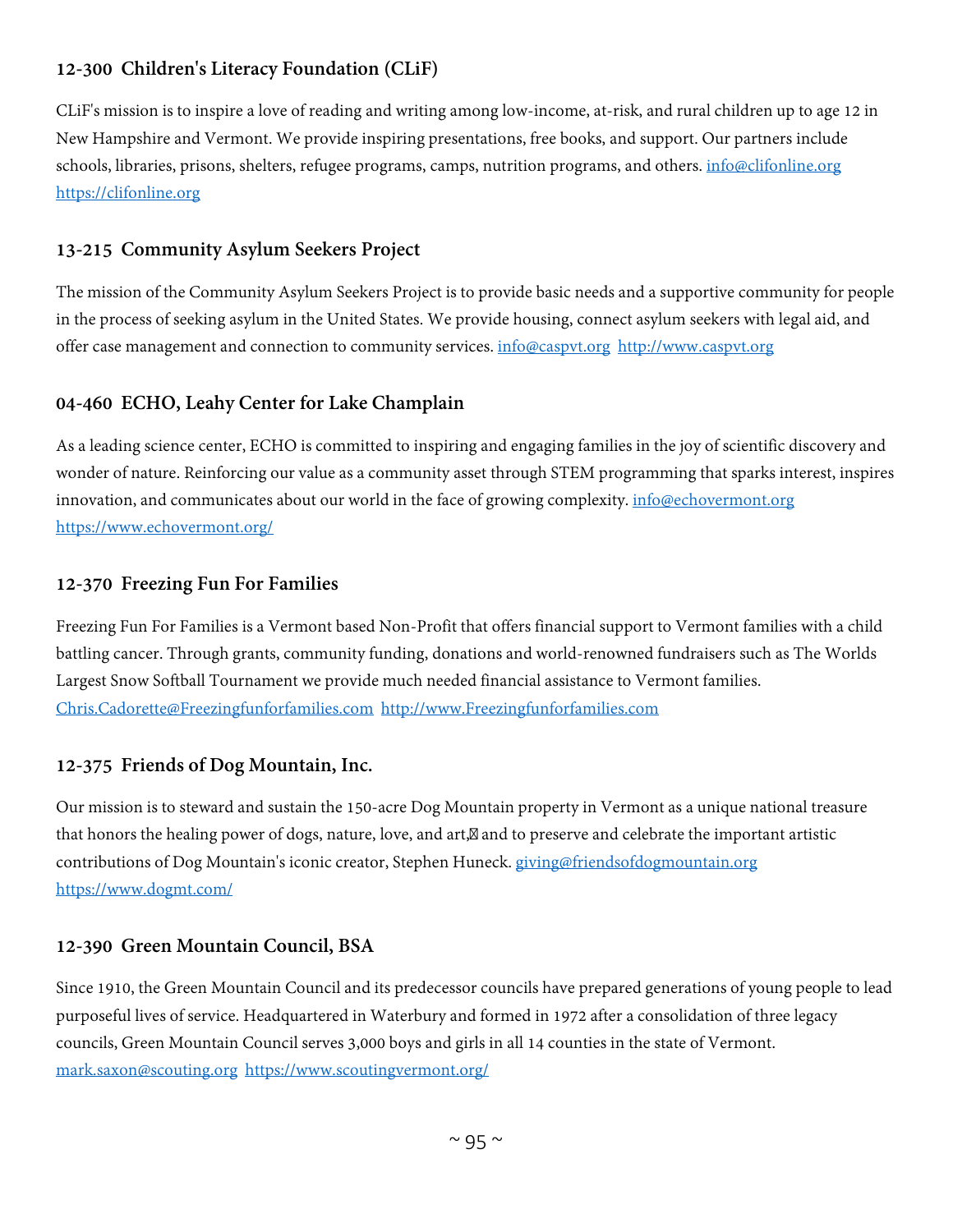# **12-300 Children's Literacy Foundation (CLiF)**

CLiF's mission is to inspire a love of reading and writing among low-income, at-risk, and rural children up to age 12 in New Hampshire and Vermont. We provide inspiring presentations, free books, and support. Our partners include schools, libraries, prisons, shelters, refugee programs, camps, nutrition programs, and others. [info@clifonline.org](mailto:info@clifonline.org) [https://clifonline.org](https://clifonline.org/)

#### **13-215 Community Asylum Seekers Project**

The mission of the Community Asylum Seekers Project is to provide basic needs and a supportive community for people in the process of seeking asylum in the United States. We provide housing, connect asylum seekers with legal aid, and offer case management and connection to community services. [info@caspvt.org](mailto:info@caspvt.org) [http://www.caspvt.org](http://www.caspvt.org/)

# **04-460 ECHO, Leahy Center for Lake Champlain**

As a leading science center, ECHO is committed to inspiring and engaging families in the joy of scientific discovery and wonder of nature. Reinforcing our value as a community asset through STEM programming that sparks interest, inspires innovation, and communicates about our world in the face of growing complexity. [info@echovermont.org](mailto:info@echovermont.org) <https://www.echovermont.org/>

#### **12-370 Freezing Fun For Families**

Freezing Fun For Families is a Vermont based Non-Profit that offers financial support to Vermont families with a child battling cancer. Through grants, community funding, donations and world-renowned fundraisers such as The Worlds Largest Snow Softball Tournament we provide much needed financial assistance to Vermont families. [Chris.Cadorette@Freezingfunforfamilies.com](mailto:Chris.Cadorette@Freezingfunforfamilies.com) [http://www.Freezingfunforfamilies.com](http://www.freezingfunforfamilies.com/)

#### **12-375 Friends of Dog Mountain, Inc.**

Our mission is to steward and sustain the 150-acre Dog Mountain property in Vermont as a unique national treasure that honors the healing power of dogs, nature, love, and art, and to preserve and celebrate the important artistic contributions of Dog Mountain's iconic creator, Stephen Huneck. [giving@friendsofdogmountain.org](mailto:giving@friendsofdogmountain.org) <https://www.dogmt.com/>

# **12-390 Green Mountain Council, BSA**

Since 1910, the Green Mountain Council and its predecessor councils have prepared generations of young people to lead purposeful lives of service. Headquartered in Waterbury and formed in 1972 after a consolidation of three legacy councils, Green Mountain Council serves 3,000 boys and girls in all 14 counties in the state of Vermont. [mark.saxon@scouting.org](mailto:mark.saxon@scouting.org) <https://www.scoutingvermont.org/>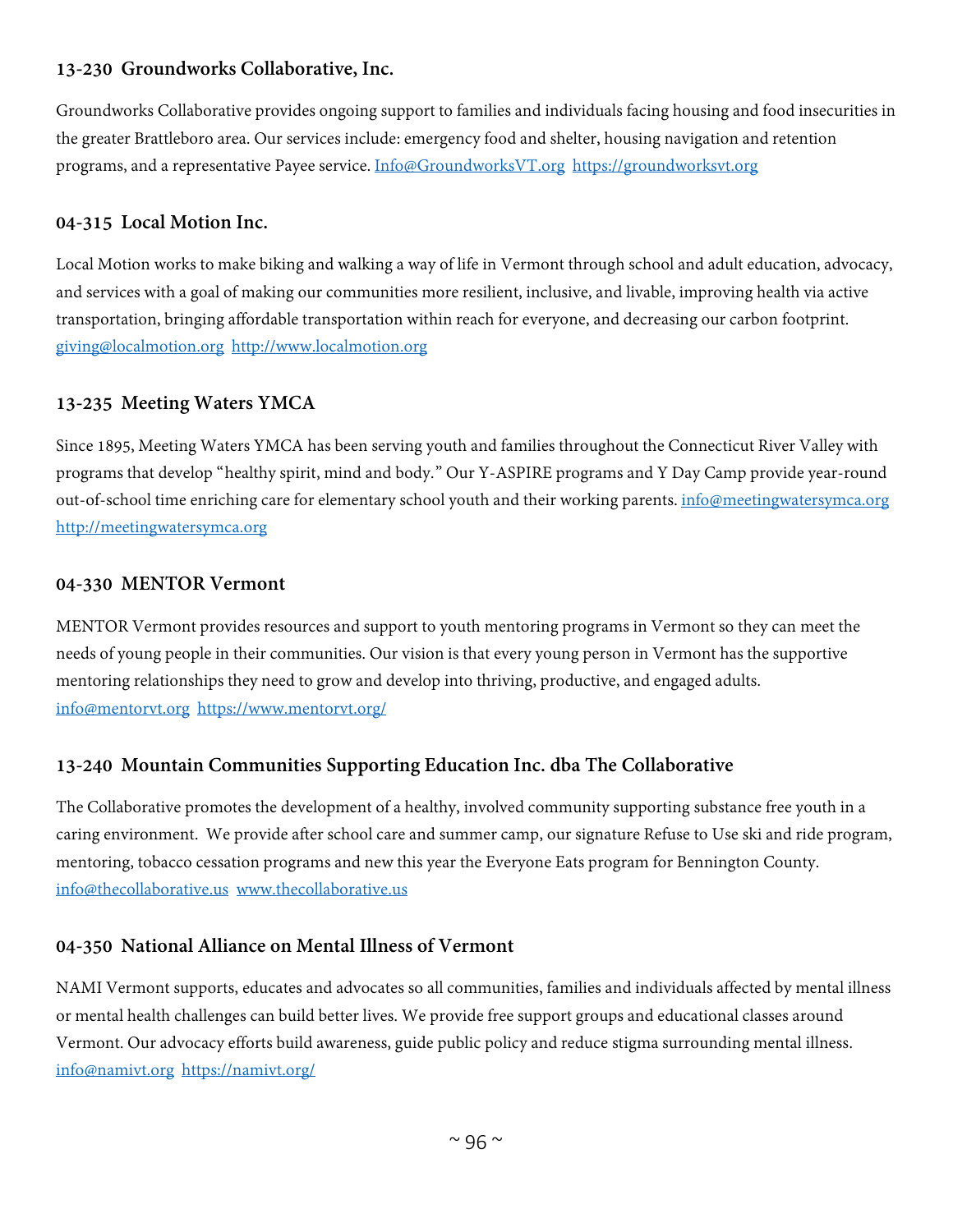# **13-230 Groundworks Collaborative, Inc.**

Groundworks Collaborative provides ongoing support to families and individuals facing housing and food insecurities in the greater Brattleboro area. Our services include: emergency food and shelter, housing navigation and retention programs, and a representative Payee service. [Info@GroundworksVT.org](mailto:Info@GroundworksVT.org) [https://groundworksvt.org](https://groundworksvt.org/)

#### **04-315 Local Motion Inc.**

Local Motion works to make biking and walking a way of life in Vermont through school and adult education, advocacy, and services with a goal of making our communities more resilient, inclusive, and livable, improving health via active transportation, bringing affordable transportation within reach for everyone, and decreasing our carbon footprint. [giving@localmotion.org](mailto:giving@localmotion.org) [http://www.localmotion.org](http://www.localmotion.org/)

#### **13-235 Meeting Waters YMCA**

Since 1895, Meeting Waters YMCA has been serving youth and families throughout the Connecticut River Valley with programs that develop "healthy spirit, mind and body." Our Y-ASPIRE programs and Y Day Camp provide year-round out-of-school time enriching care for elementary school youth and their working parents. [info@meetingwatersymca.org](mailto:info@meetingwatersymca.org) [http://meetingwatersymca.org](http://meetingwatersymca.org/)

#### **04-330 MENTOR Vermont**

MENTOR Vermont provides resources and support to youth mentoring programs in Vermont so they can meet the needs of young people in their communities. Our vision is that every young person in Vermont has the supportive mentoring relationships they need to grow and develop into thriving, productive, and engaged adults. [info@mentorvt.org](mailto:info@mentorvt.org) <https://www.mentorvt.org/>

# **13-240 Mountain Communities Supporting Education Inc. dba The Collaborative**

The Collaborative promotes the development of a healthy, involved community supporting substance free youth in a caring environment. We provide after school care and summer camp, our signature Refuse to Use ski and ride program, mentoring, tobacco cessation programs and new this year the Everyone Eats program for Bennington County. [info@thecollaborative.us](mailto:info@thecollaborative.us) [www.thecollaborative.us](http://www.thecollaborative.us/)

#### **04-350 National Alliance on Mental Illness of Vermont**

NAMI Vermont supports, educates and advocates so all communities, families and individuals affected by mental illness or mental health challenges can build better lives. We provide free support groups and educational classes around Vermont. Our advocacy efforts build awareness, guide public policy and reduce stigma surrounding mental illness. [info@namivt.org](mailto:info@namivt.org) <https://namivt.org/>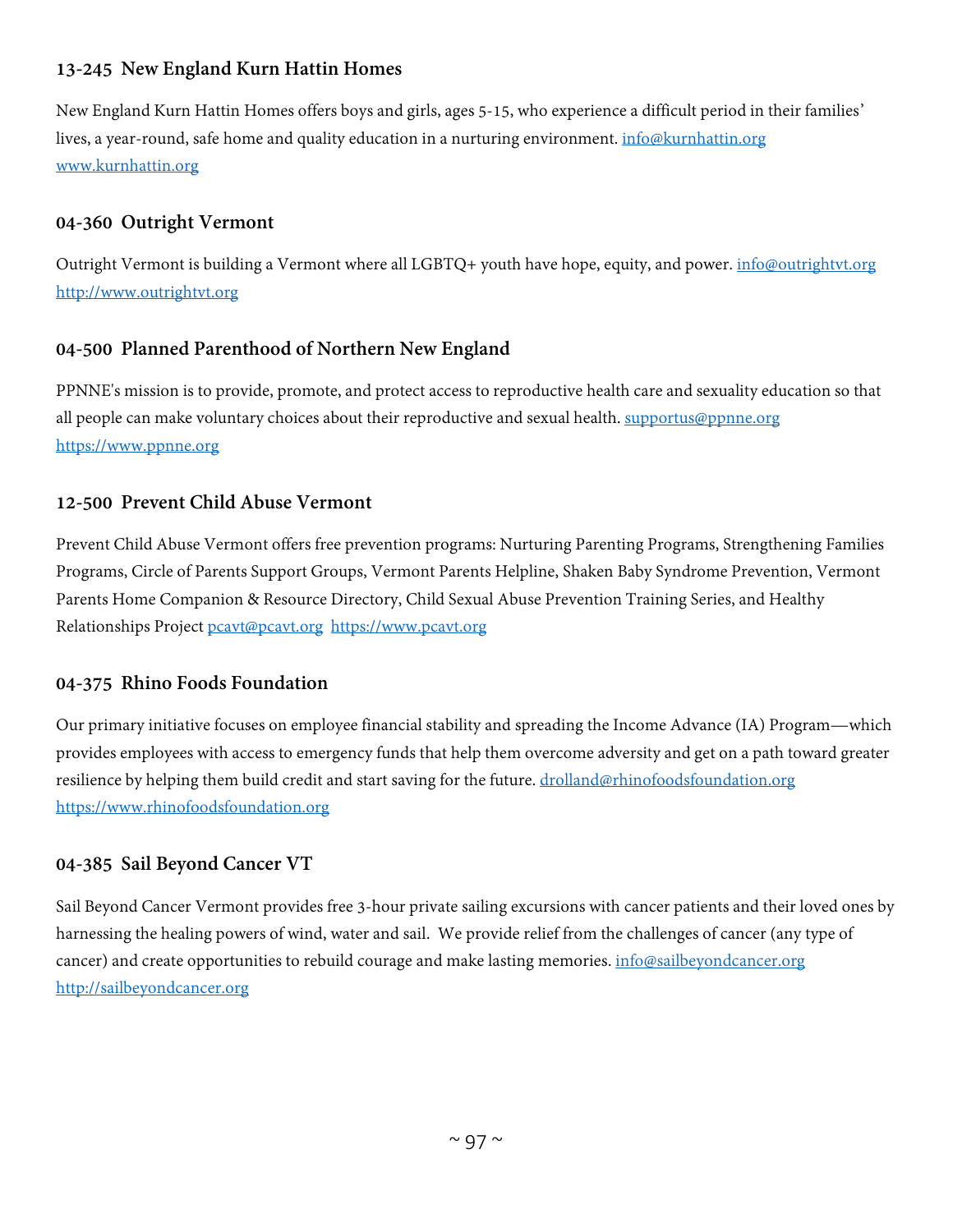# **13-245 New England Kurn Hattin Homes**

New England Kurn Hattin Homes offers boys and girls, ages 5-15, who experience a difficult period in their families' lives, a year-round, safe home and quality education in a nurturing environment. [info@kurnhattin.org](mailto:info@kurnhattin.org) [www.kurnhattin.org](http://www.kurnhattin.org/)

#### **04-360 Outright Vermont**

Outright Vermont is building a Vermont where all LGBTQ+ youth have hope, equity, and power. *[info@outrightvt.org](mailto:info@outrightvt.org)* [http://www.outrightvt.org](http://www.outrightvt.org/)

# **04-500 Planned Parenthood of Northern New England**

PPNNE's mission is to provide, promote, and protect access to reproductive health care and sexuality education so that all people can make voluntary choices about their reproductive and sexual health. [supportus@ppnne.org](mailto:supportus@ppnne.org) [https://www.ppnne.org](https://www.ppnne.org/)

#### **12-500 Prevent Child Abuse Vermont**

Prevent Child Abuse Vermont offers free prevention programs: Nurturing Parenting Programs, Strengthening Families Programs, Circle of Parents Support Groups, Vermont Parents Helpline, Shaken Baby Syndrome Prevention, Vermont Parents Home Companion & Resource Directory, Child Sexual Abuse Prevention Training Series, and Healthy Relationships Project [pcavt@pcavt.org](mailto:pcavt@pcavt.org) [https://www.pcavt.org](https://www.pcavt.org/)

#### **04-375 Rhino Foods Foundation**

Our primary initiative focuses on employee financial stability and spreading the Income Advance (IA) Program—which provides employees with access to emergency funds that help them overcome adversity and get on a path toward greater resilience by helping them build credit and start saving for the future. [drolland@rhinofoodsfoundation.org](mailto:drolland@rhinofoodsfoundation.org) [https://www.rhinofoodsfoundation.org](https://www.rhinofoodsfoundation.org/)

# **04-385 Sail Beyond Cancer VT**

Sail Beyond Cancer Vermont provides free 3-hour private sailing excursions with cancer patients and their loved ones by harnessing the healing powers of wind, water and sail. We provide relief from the challenges of cancer (any type of cancer) and create opportunities to rebuild courage and make lasting memories[. info@sailbeyondcancer.org](mailto:info@sailbeyondcancer.org) [http://sailbeyondcancer.org](http://sailbeyondcancer.org/)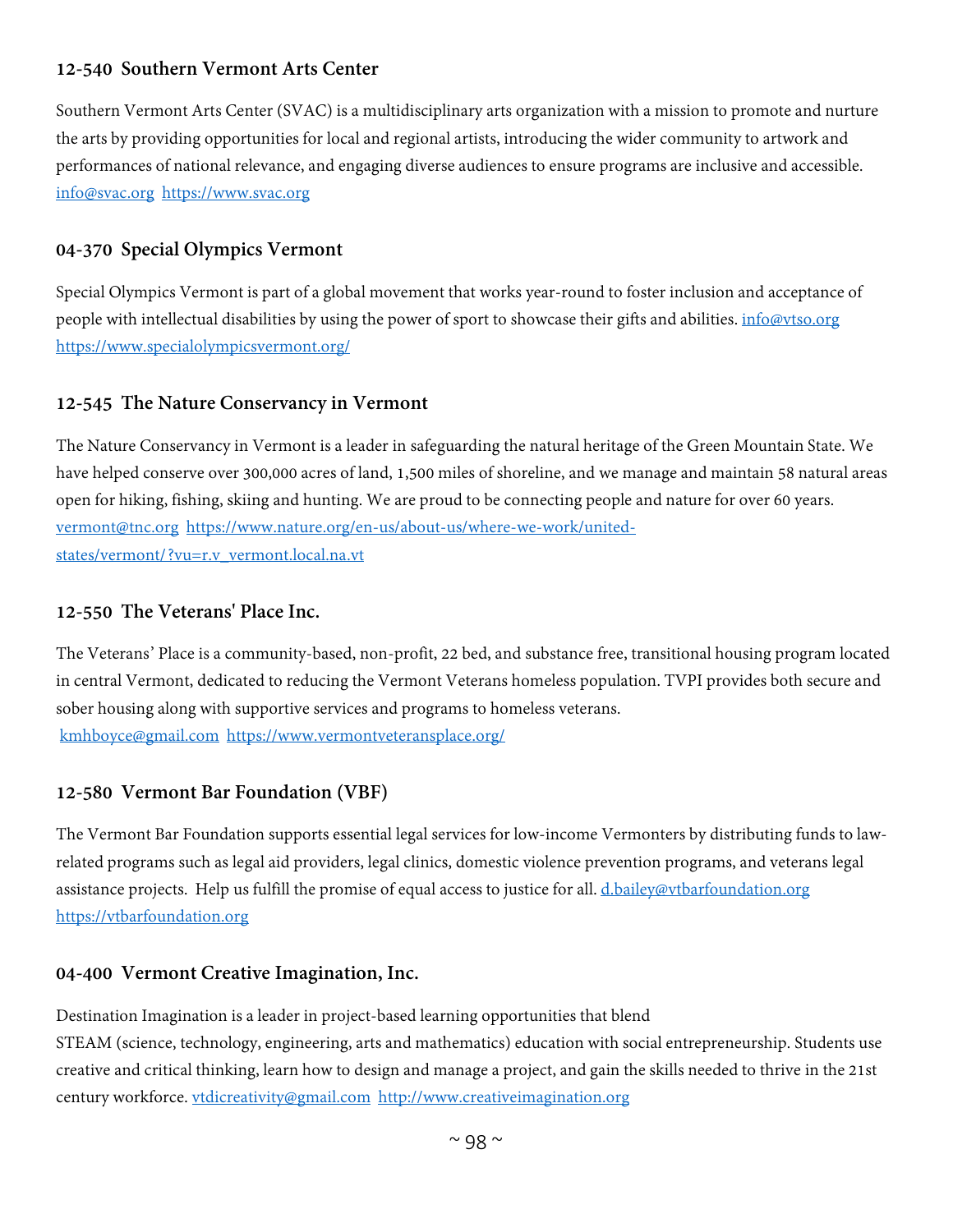# **12-540 Southern Vermont Arts Center**

Southern Vermont Arts Center (SVAC) is a multidisciplinary arts organization with a mission to promote and nurture the arts by providing opportunities for local and regional artists, introducing the wider community to artwork and performances of national relevance, and engaging diverse audiences to ensure programs are inclusive and accessible. [info@svac.org](mailto:info@svac.org) [https://www.svac.org](https://www.svac.org/)

#### **04-370 Special Olympics Vermont**

Special Olympics Vermont is part of a global movement that works year-round to foster inclusion and acceptance of people with intellectual disabilities by using the power of sport to showcase their gifts and abilities. [info@vtso.org](mailto:info@vtso.org) <https://www.specialolympicsvermont.org/>

#### **12-545 The Nature Conservancy in Vermont**

The Nature Conservancy in Vermont is a leader in safeguarding the natural heritage of the Green Mountain State. We have helped conserve over 300,000 acres of land, 1,500 miles of shoreline, and we manage and maintain 58 natural areas open for hiking, fishing, skiing and hunting. We are proud to be connecting people and nature for over 60 years. [vermont@tnc.org](mailto:vermont@tnc.org) [https://www.nature.org/en-us/about-us/where-we-work/united](https://www.nature.org/en-us/about-us/where-we-work/united-states/vermont/?vu=r.v_vermont.local.na.vt)[states/vermont/?vu=r.v\\_vermont.local.na.vt](https://www.nature.org/en-us/about-us/where-we-work/united-states/vermont/?vu=r.v_vermont.local.na.vt)

#### **12-550 The Veterans' Place Inc.**

The Veterans' Place is a community-based, non-profit, 22 bed, and substance free, transitional housing program located in central Vermont, dedicated to reducing the Vermont Veterans homeless population. TVPI provides both secure and sober housing along with supportive services and programs to homeless veterans. [kmhboyce@gmail.com](mailto:kmhboyce@gmail.com) <https://www.vermontveteransplace.org/>

# **12-580 Vermont Bar Foundation (VBF)**

The Vermont Bar Foundation supports essential legal services for low-income Vermonters by distributing funds to lawrelated programs such as legal aid providers, legal clinics, domestic violence prevention programs, and veterans legal assistance projects. Help us fulfill the promise of equal access to justice for all. [d.bailey@vtbarfoundation.org](mailto:d.bailey@vtbarfoundation.org) [https://vtbarfoundation.org](https://vtbarfoundation.org/)

# **04-400 Vermont Creative Imagination, Inc.**

Destination Imagination is a leader in project-based learning opportunities that blend STEAM (science, technology, engineering, arts and mathematics) education with social entrepreneurship. Students use creative and critical thinking, learn how to design and manage a project, and gain the skills needed to thrive in the 21st century workforce. [vtdicreativity@gmail.com](mailto:vtdicreativity@gmail.com) [http://www.creativeimagination.org](http://www.creativeimagination.org/)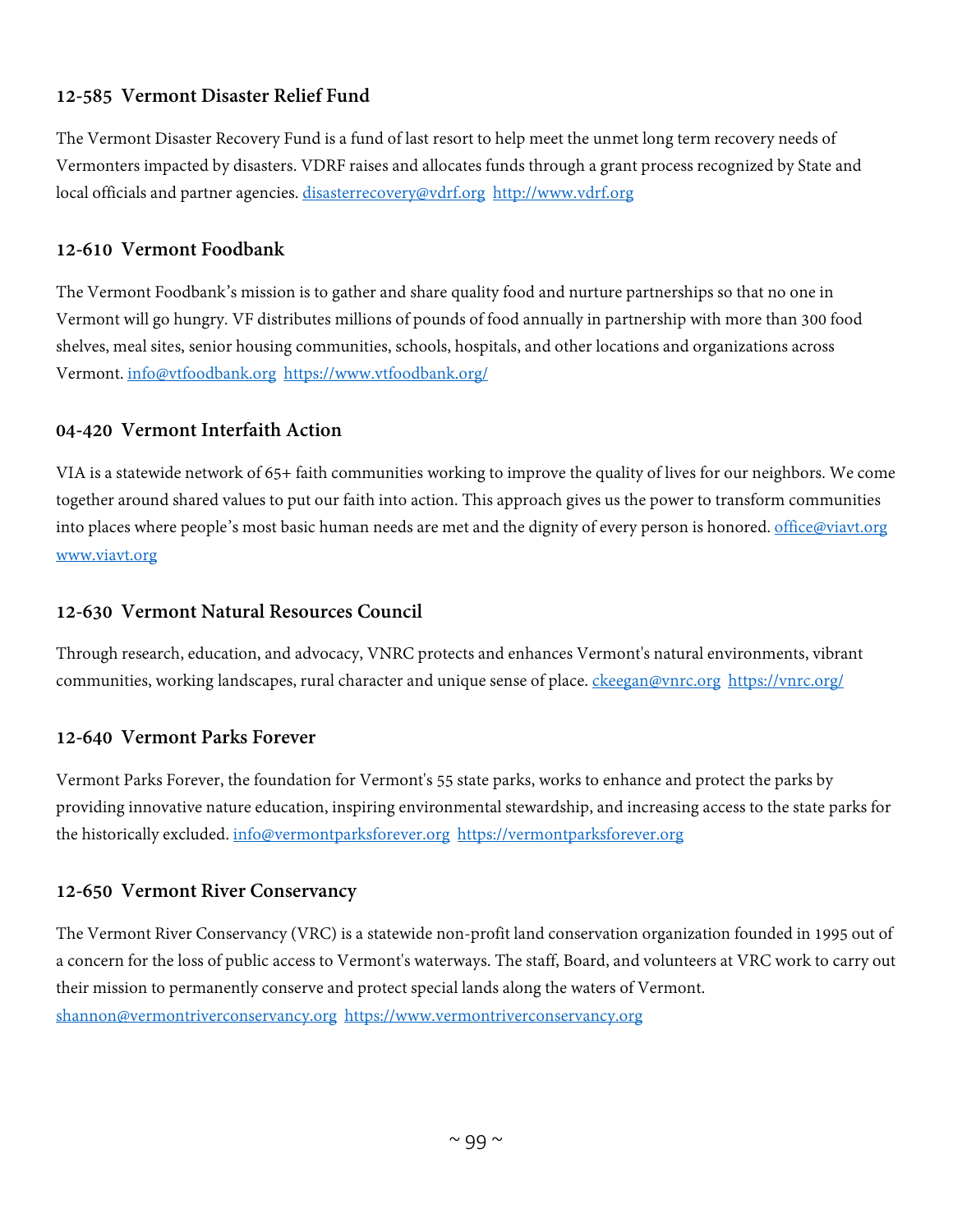# **12-585 Vermont Disaster Relief Fund**

The Vermont Disaster Recovery Fund is a fund of last resort to help meet the unmet long term recovery needs of Vermonters impacted by disasters. VDRF raises and allocates funds through a grant process recognized by State and local officials and partner agencies. [disasterrecovery@vdrf.org](mailto:disasterrecovery@vdrf.org) [http://www.vdrf.org](http://www.vdrf.org/)

# **12-610 Vermont Foodbank**

The Vermont Foodbank's mission is to gather and share quality food and nurture partnerships so that no one in Vermont will go hungry. VF distributes millions of pounds of food annually in partnership with more than 300 food shelves, meal sites, senior housing communities, schools, hospitals, and other locations and organizations across Vermont. [info@vtfoodbank.org](mailto:info@vtfoodbank.org) <https://www.vtfoodbank.org/>

# **04-420 Vermont Interfaith Action**

VIA is a statewide network of 65+ faith communities working to improve the quality of lives for our neighbors. We come together around shared values to put our faith into action. This approach gives us the power to transform communities into places where people's most basic human needs are met and the dignity of every person is honored. [office@viavt.org](mailto:office@viavt.org) [www.viavt.org](http://www.viavt.org/)

# **12-630 Vermont Natural Resources Council**

Through research, education, and advocacy, VNRC protects and enhances Vermont's natural environments, vibrant communities, working landscapes, rural character and unique sense of place. [ckeegan@vnrc.org](mailto:ckeegan@vnrc.org) <https://vnrc.org/>

# **12-640 Vermont Parks Forever**

Vermont Parks Forever, the foundation for Vermont's 55 state parks, works to enhance and protect the parks by providing innovative nature education, inspiring environmental stewardship, and increasing access to the state parks for the historically excluded. [info@vermontparksforever.org](mailto:info@vermontparksforever.org) [https://vermontparksforever.org](https://vermontparksforever.org/)

# **12-650 Vermont River Conservancy**

The Vermont River Conservancy (VRC) is a statewide non-profit land conservation organization founded in 1995 out of a concern for the loss of public access to Vermont's waterways. The staff, Board, and volunteers at VRC work to carry out their mission to permanently conserve and protect special lands along the waters of Vermont. [shannon@vermontriverconservancy.org](mailto:shannon@vermontriverconservancy.org) [https://www.vermontriverconservancy.org](https://www.vermontriverconservancy.org/)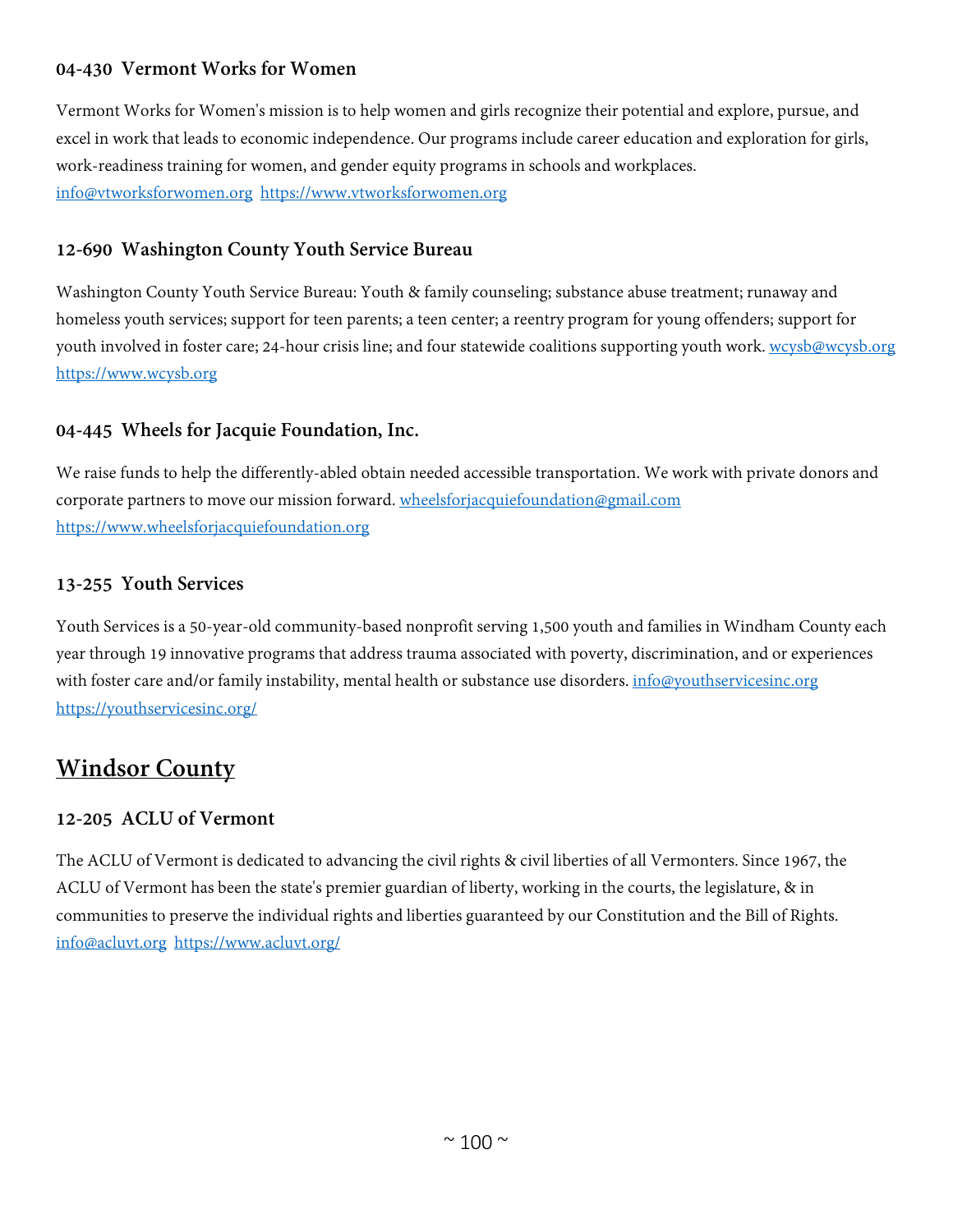# **04-430 Vermont Works for Women**

Vermont Works for Women's mission is to help women and girls recognize their potential and explore, pursue, and excel in work that leads to economic independence. Our programs include career education and exploration for girls, work-readiness training for women, and gender equity programs in schools and workplaces. [info@vtworksforwomen.org](mailto:info@vtworksforwomen.org) [https://www.vtworksforwomen.org](https://www.vtworksforwomen.org/)

# **12-690 Washington County Youth Service Bureau**

Washington County Youth Service Bureau: Youth & family counseling; substance abuse treatment; runaway and homeless youth services; support for teen parents; a teen center; a reentry program for young offenders; support for youth involved in foster care; 24-hour crisis line; and four statewide coalitions supporting youth work. [wcysb@wcysb.org](mailto:wcysb@wcysb.org) [https://www.wcysb.org](https://www.wcysb.org/)

# **04-445 Wheels for Jacquie Foundation, Inc.**

We raise funds to help the differently-abled obtain needed accessible transportation. We work with private donors and corporate partners to move our mission forward. [wheelsforjacquiefoundation@gmail.com](mailto:wheelsforjacquiefoundation@gmail.com) [https://www.wheelsforjacquiefoundation.org](https://www.wheelsforjacquiefoundation.org/)

# **13-255 Youth Services**

Youth Services is a 50-year-old community-based nonprofit serving 1,500 youth and families in Windham County each year through 19 innovative programs that address trauma associated with poverty, discrimination, and or experiences with foster care and/or family instability, mental health or substance use disorders. [info@youthservicesinc.org](mailto:info@youthservicesinc.org) <https://youthservicesinc.org/>

# **Windsor County**

# **12-205 ACLU of Vermont**

The ACLU of Vermont is dedicated to advancing the civil rights & civil liberties of all Vermonters. Since 1967, the ACLU of Vermont has been the state's premier guardian of liberty, working in the courts, the legislature, & in communities to preserve the individual rights and liberties guaranteed by our Constitution and the Bill of Rights. [info@acluvt.org](mailto:info@acluvt.org) <https://www.acluvt.org/>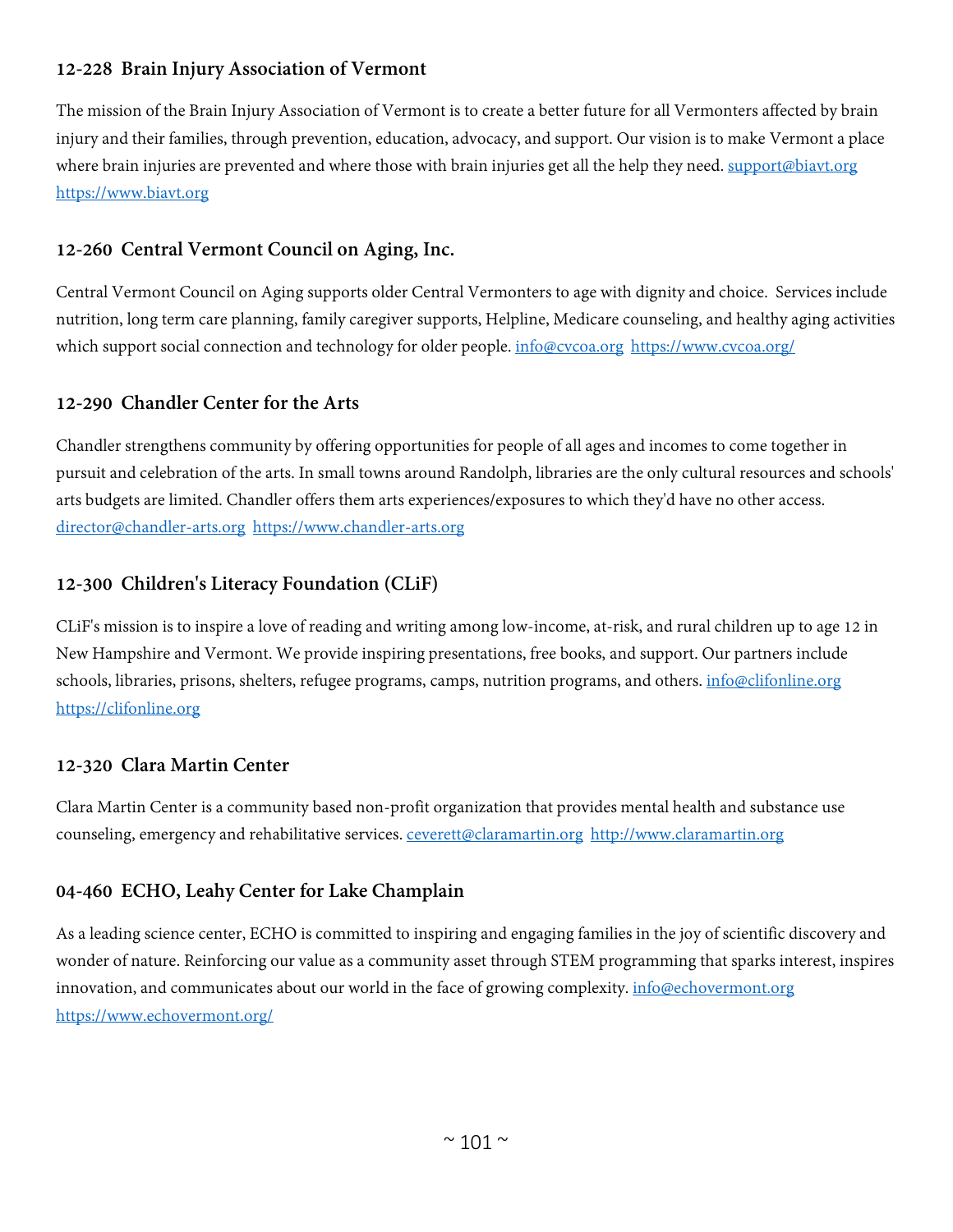# **12-228 Brain Injury Association of Vermont**

The mission of the Brain Injury Association of Vermont is to create a better future for all Vermonters affected by brain injury and their families, through prevention, education, advocacy, and support. Our vision is to make Vermont a place where brain injuries are prevented and where those with brain injuries get all the help they need. [support@biavt.org](mailto:support@biavt.org) [https://www.biavt.org](https://www.biavt.org/)

# **12-260 Central Vermont Council on Aging, Inc.**

Central Vermont Council on Aging supports older Central Vermonters to age with dignity and choice. Services include nutrition, long term care planning, family caregiver supports, Helpline, Medicare counseling, and healthy aging activities which support social connection and technology for older people. [info@cvcoa.org](mailto:info@cvcoa.org) <https://www.cvcoa.org/>

# **12-290 Chandler Center for the Arts**

Chandler strengthens community by offering opportunities for people of all ages and incomes to come together in pursuit and celebration of the arts. In small towns around Randolph, libraries are the only cultural resources and schools' arts budgets are limited. Chandler offers them arts experiences/exposures to which they'd have no other access. [director@chandler-arts.org](mailto:director@chandler-arts.org) [https://www.chandler-arts.org](https://www.chandler-arts.org/)

# **12-300 Children's Literacy Foundation (CLiF)**

CLiF's mission is to inspire a love of reading and writing among low-income, at-risk, and rural children up to age 12 in New Hampshire and Vermont. We provide inspiring presentations, free books, and support. Our partners include schools, libraries, prisons, shelters, refugee programs, camps, nutrition programs, and others. [info@clifonline.org](mailto:info@clifonline.org) [https://clifonline.org](https://clifonline.org/)

# **12-320 Clara Martin Center**

Clara Martin Center is a community based non-profit organization that provides mental health and substance use counseling, emergency and rehabilitative services. ceverett@claramartin.org [http://www.claramartin.org](http://www.claramartin.org/)

# **04-460 ECHO, Leahy Center for Lake Champlain**

As a leading science center, ECHO is committed to inspiring and engaging families in the joy of scientific discovery and wonder of nature. Reinforcing our value as a community asset through STEM programming that sparks interest, inspires innovation, and communicates about our world in the face of growing complexity. *[info@echovermont.org](mailto:info@echovermont.org)* <https://www.echovermont.org/>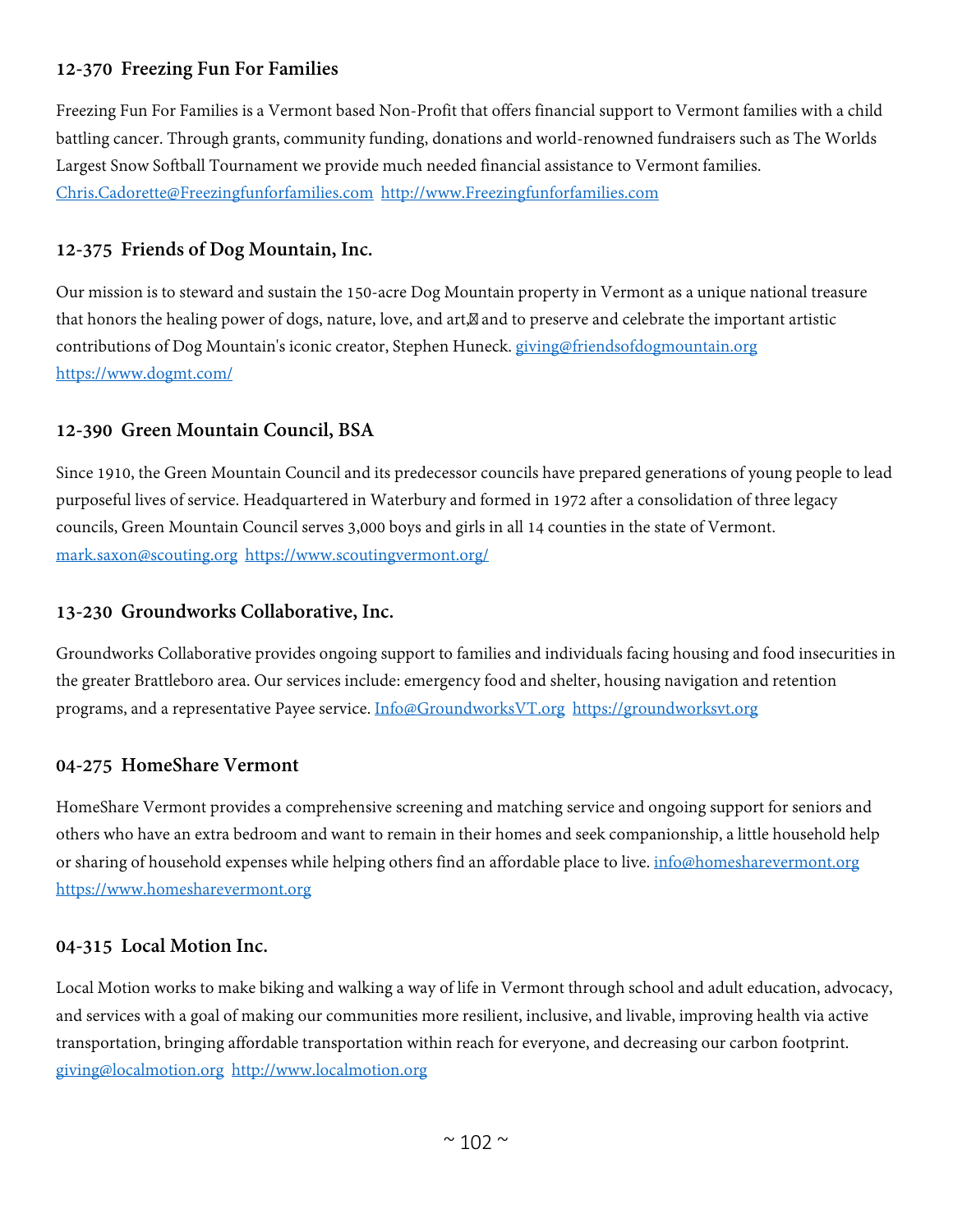# **12-370 Freezing Fun For Families**

Freezing Fun For Families is a Vermont based Non-Profit that offers financial support to Vermont families with a child battling cancer. Through grants, community funding, donations and world-renowned fundraisers such as The Worlds Largest Snow Softball Tournament we provide much needed financial assistance to Vermont families. [Chris.Cadorette@Freezingfunforfamilies.com](mailto:Chris.Cadorette@Freezingfunforfamilies.com) [http://www.Freezingfunforfamilies.com](http://www.freezingfunforfamilies.com/)

#### **12-375 Friends of Dog Mountain, Inc.**

Our mission is to steward and sustain the 150-acre Dog Mountain property in Vermont as a unique national treasure that honors the healing power of dogs, nature, love, and art, and to preserve and celebrate the important artistic contributions of Dog Mountain's iconic creator, Stephen Huneck. [giving@friendsofdogmountain.org](mailto:giving@friendsofdogmountain.org) <https://www.dogmt.com/>

# **12-390 Green Mountain Council, BSA**

Since 1910, the Green Mountain Council and its predecessor councils have prepared generations of young people to lead purposeful lives of service. Headquartered in Waterbury and formed in 1972 after a consolidation of three legacy councils, Green Mountain Council serves 3,000 boys and girls in all 14 counties in the state of Vermont. [mark.saxon@scouting.org](mailto:mark.saxon@scouting.org) <https://www.scoutingvermont.org/>

#### **13-230 Groundworks Collaborative, Inc.**

Groundworks Collaborative provides ongoing support to families and individuals facing housing and food insecurities in the greater Brattleboro area. Our services include: emergency food and shelter, housing navigation and retention programs, and a representative Payee service. [Info@GroundworksVT.org](mailto:Info@GroundworksVT.org) [https://groundworksvt.org](https://groundworksvt.org/)

#### **04-275 HomeShare Vermont**

HomeShare Vermont provides a comprehensive screening and matching service and ongoing support for seniors and others who have an extra bedroom and want to remain in their homes and seek companionship, a little household help or sharing of household expenses while helping others find an affordable place to live. [info@homesharevermont.org](mailto:info@homesharevermont.org) [https://www.homesharevermont.org](https://www.homesharevermont.org/)

#### **04-315 Local Motion Inc.**

Local Motion works to make biking and walking a way of life in Vermont through school and adult education, advocacy, and services with a goal of making our communities more resilient, inclusive, and livable, improving health via active transportation, bringing affordable transportation within reach for everyone, and decreasing our carbon footprint. [giving@localmotion.org](mailto:giving@localmotion.org) [http://www.localmotion.org](http://www.localmotion.org/)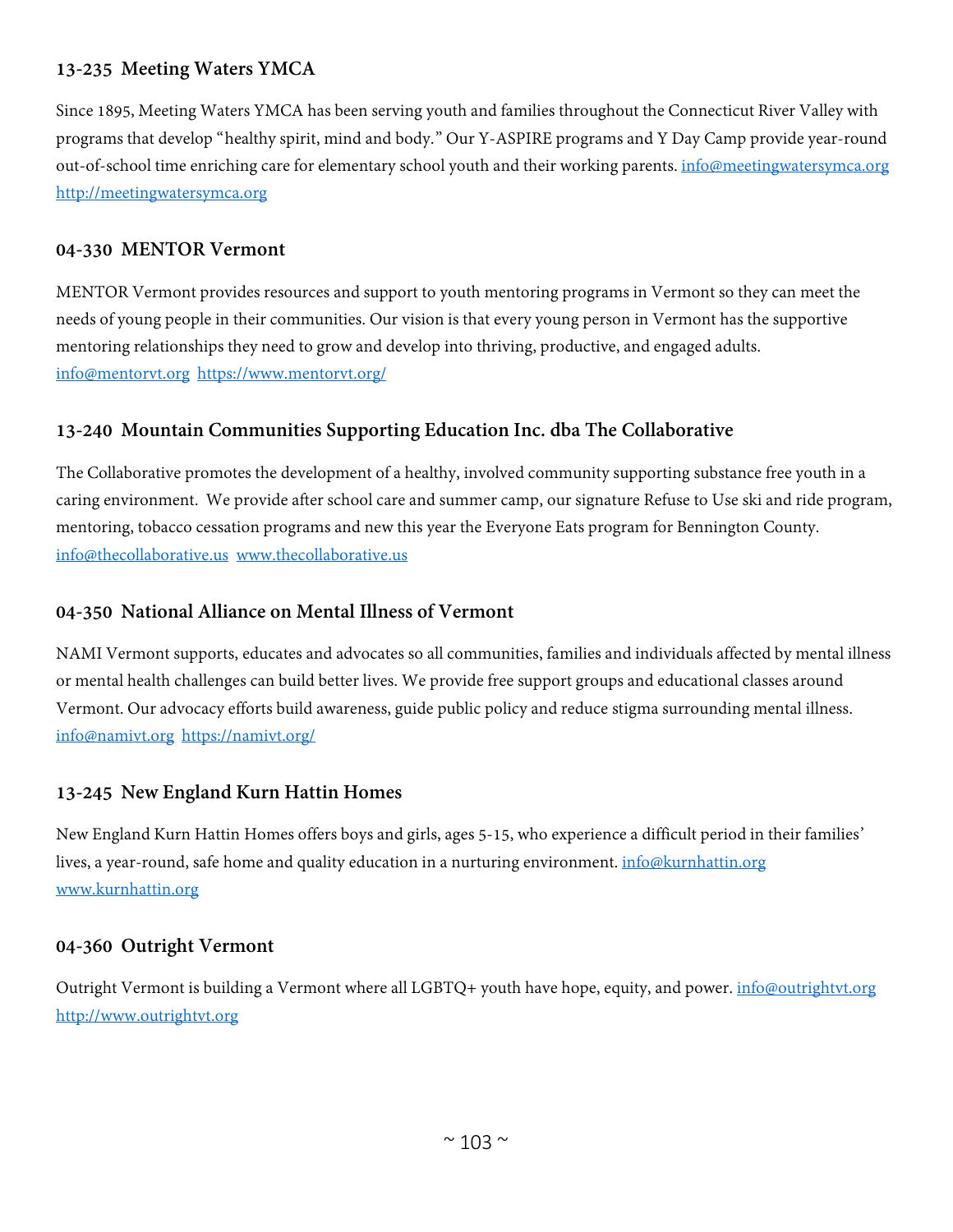# **13-235 Meeting Waters YMCA**

Since 1895, Meeting Waters YMCA has been serving youth and families throughout the Connecticut River Valley with programs that develop "healthy spirit, mind and body." Our Y-ASPIRE programs and Y Day Camp provide year-round out-of-school time enriching care for elementary school youth and their working parents. *[info@meetingwatersymca.org](mailto:info@meetingwatersymca.org)* [http://meetingwatersymca.org](http://meetingwatersymca.org/)

#### **04-330 MENTOR Vermont**

MENTOR Vermont provides resources and support to youth mentoring programs in Vermont so they can meet the needs of young people in their communities. Our vision is that every young person in Vermont has the supportive mentoring relationships they need to grow and develop into thriving, productive, and engaged adults. [info@mentorvt.org](mailto:info@mentorvt.org) <https://www.mentorvt.org/>

# **13-240 Mountain Communities Supporting Education Inc. dba The Collaborative**

The Collaborative promotes the development of a healthy, involved community supporting substance free youth in a caring environment. We provide after school care and summer camp, our signature Refuse to Use ski and ride program, mentoring, tobacco cessation programs and new this year the Everyone Eats program for Bennington County. [info@thecollaborative.us](mailto:info@thecollaborative.us) [www.thecollaborative.us](http://www.thecollaborative.us/)

#### **04-350 National Alliance on Mental Illness of Vermont**

NAMI Vermont supports, educates and advocates so all communities, families and individuals affected by mental illness or mental health challenges can build better lives. We provide free support groups and educational classes around Vermont. Our advocacy efforts build awareness, guide public policy and reduce stigma surrounding mental illness. [info@namivt.org](mailto:info@namivt.org) <https://namivt.org/>

# **13-245 New England Kurn Hattin Homes**

New England Kurn Hattin Homes offers boys and girls, ages 5-15, who experience a difficult period in their families' lives, a year-round, safe home and quality education in a nurturing environment. *[info@kurnhattin.org](mailto:info@kurnhattin.org)* [www.kurnhattin.org](http://www.kurnhattin.org/)

#### **04-360 Outright Vermont**

Outright Vermont is building a Vermont where all LGBTQ+ youth have hope, equity, and power. [info@outrightvt.org](mailto:info@outrightvt.org) [http://www.outrightvt.org](http://www.outrightvt.org/)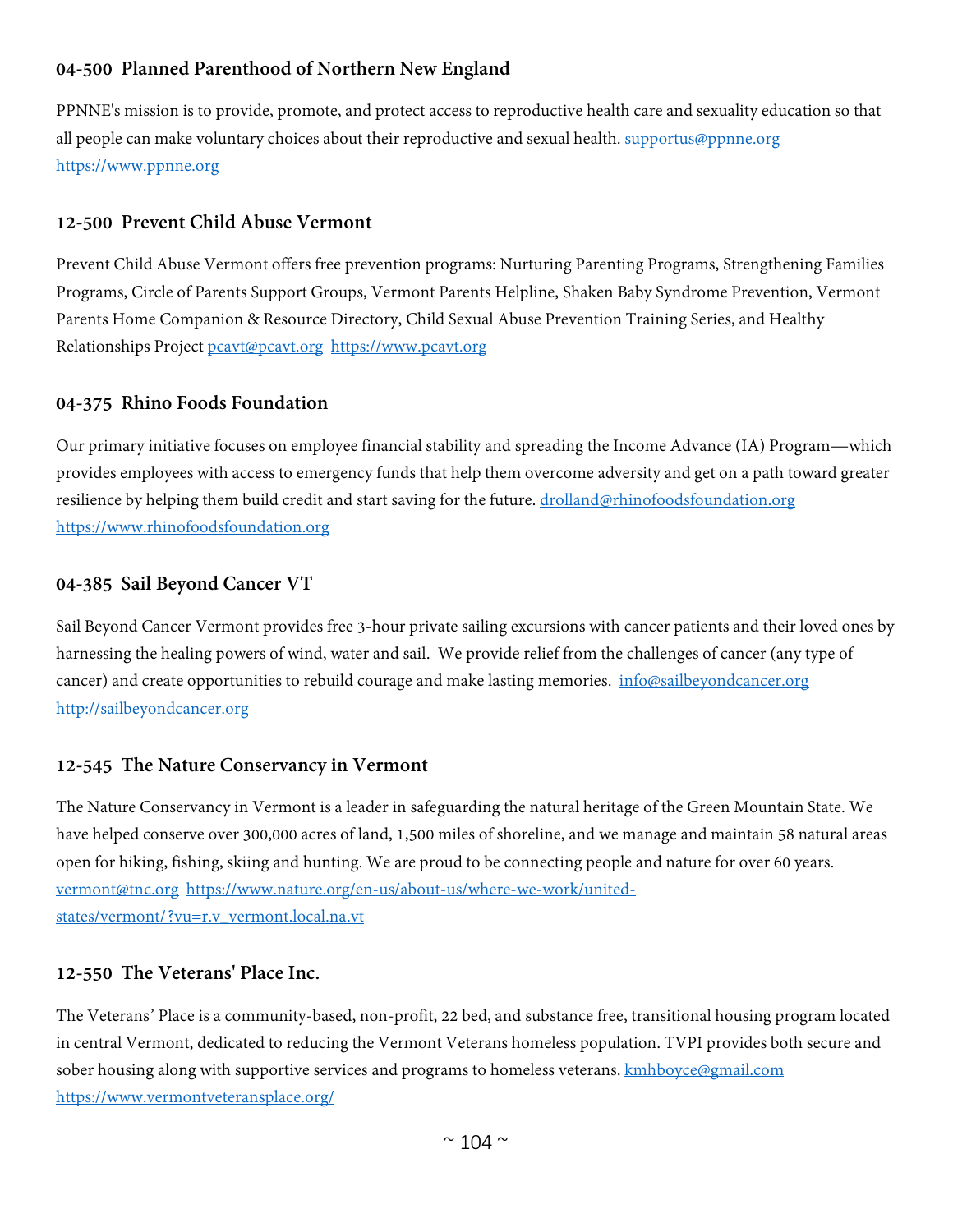# **04-500 Planned Parenthood of Northern New England**

PPNNE's mission is to provide, promote, and protect access to reproductive health care and sexuality education so that all people can make voluntary choices about their reproductive and sexual health. [supportus@ppnne.org](mailto:supportus@ppnne.org) [https://www.ppnne.org](https://www.ppnne.org/)

# **12-500 Prevent Child Abuse Vermont**

Prevent Child Abuse Vermont offers free prevention programs: Nurturing Parenting Programs, Strengthening Families Programs, Circle of Parents Support Groups, Vermont Parents Helpline, Shaken Baby Syndrome Prevention, Vermont Parents Home Companion & Resource Directory, Child Sexual Abuse Prevention Training Series, and Healthy Relationships Project [pcavt@pcavt.org](mailto:pcavt@pcavt.org) [https://www.pcavt.org](https://www.pcavt.org/)

#### **04-375 Rhino Foods Foundation**

Our primary initiative focuses on employee financial stability and spreading the Income Advance (IA) Program—which provides employees with access to emergency funds that help them overcome adversity and get on a path toward greater resilience by helping them build credit and start saving for the future. [drolland@rhinofoodsfoundation.org](mailto:drolland@rhinofoodsfoundation.org) [https://www.rhinofoodsfoundation.org](https://www.rhinofoodsfoundation.org/)

#### **04-385 Sail Beyond Cancer VT**

Sail Beyond Cancer Vermont provides free 3-hour private sailing excursions with cancer patients and their loved ones by harnessing the healing powers of wind, water and sail. We provide relief from the challenges of cancer (any type of cancer) and create opportunities to rebuild courage and make lasting memories. [info@sailbeyondcancer.org](mailto:info@sailbeyondcancer.org) [http://sailbeyondcancer.org](http://sailbeyondcancer.org/)

# **12-545 The Nature Conservancy in Vermont**

The Nature Conservancy in Vermont is a leader in safeguarding the natural heritage of the Green Mountain State. We have helped conserve over 300,000 acres of land, 1,500 miles of shoreline, and we manage and maintain 58 natural areas open for hiking, fishing, skiing and hunting. We are proud to be connecting people and nature for over 60 years. [vermont@tnc.org](mailto:vermont@tnc.org) [https://www.nature.org/en-us/about-us/where-we-work/united](https://www.nature.org/en-us/about-us/where-we-work/united-states/vermont/?vu=r.v_vermont.local.na.vt)[states/vermont/?vu=r.v\\_vermont.local.na.vt](https://www.nature.org/en-us/about-us/where-we-work/united-states/vermont/?vu=r.v_vermont.local.na.vt)

#### **12-550 The Veterans' Place Inc.**

The Veterans' Place is a community-based, non-profit, 22 bed, and substance free, transitional housing program located in central Vermont, dedicated to reducing the Vermont Veterans homeless population. TVPI provides both secure and sober housing along with supportive services and programs to homeless veterans. **kmhboyce@gmail.com** <https://www.vermontveteransplace.org/>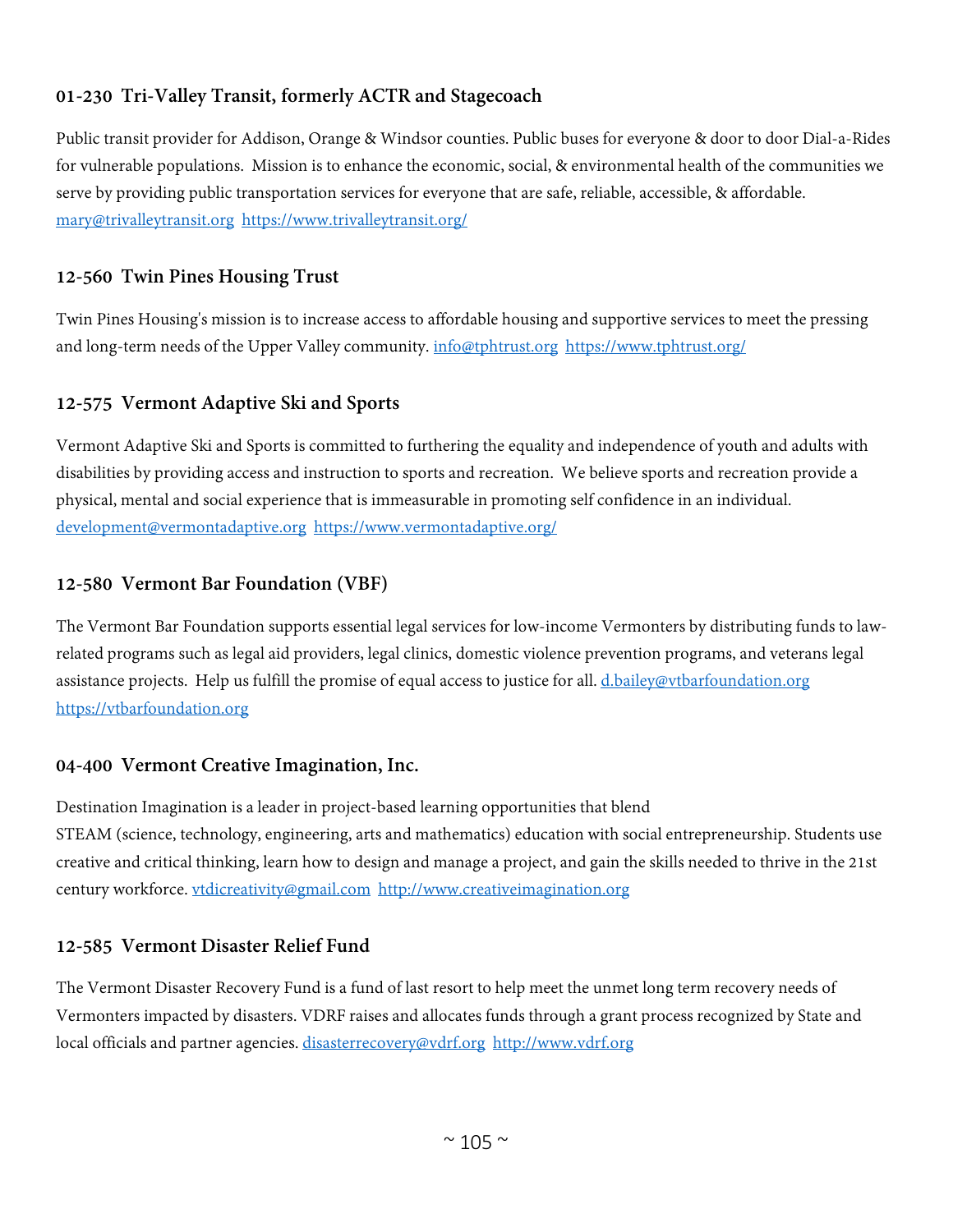# **01-230 Tri-Valley Transit, formerly ACTR and Stagecoach**

Public transit provider for Addison, Orange & Windsor counties. Public buses for everyone & door to door Dial-a-Rides for vulnerable populations. Mission is to enhance the economic, social, & environmental health of the communities we serve by providing public transportation services for everyone that are safe, reliable, accessible, & affordable. mary@trivalleytransit.org https://www.trivalleytransit.org/

# **12-560 Twin Pines Housing Trust**

Twin Pines Housing's mission is to increase access to affordable housing and supportive services to meet the pressing and long-term needs of the Upper Valley community. info@tphtrust.org https://www.tphtrust.org/

# **12-575 Vermont Adaptive Ski and Sports**

Vermont Adaptive Ski and Sports is committed to furthering the equality and independence of youth and adults with disabilities by providing access and instruction to sports and recreation. We believe sports and recreation provide a physical, mental and social experience that is immeasurable in promoting self confidence in an individual. development@vermontadaptive.org https://www.vermontadaptive.org/

# **12-580 Vermont Bar Foundation (VBF)**

The Vermont Bar Foundation supports essential legal services for low-income Vermonters by distributing funds to lawrelated programs such as legal aid providers, legal clinics, domestic violence prevention programs, and veterans legal assistance projects. Help us fulfill the promise of equal access to justice for all. d.bailey@vtbarfoundation.org https://vtbarfoundation.org

# **04-400 Vermont Creative Imagination, Inc.**

Destination Imagination is a leader in project-based learning opportunities that blend STEAM (science, technology, engineering, arts and mathematics) education with social entrepreneurship. Students use creative and critical thinking, learn how to design and manage a project, and gain the skills needed to thrive in the 21st century workforce. vtdicreativity@gmail.com http://www.creativeimagination.org

# **12-585 Vermont Disaster Relief Fund**

The Vermont Disaster Recovery Fund is a fund of last resort to help meet the unmet long term recovery needs of Vermonters impacted by disasters. VDRF raises and allocates funds through a grant process recognized by State and local officials and partner agencies. disasterrecovery@vdrf.org http://www.vdrf.org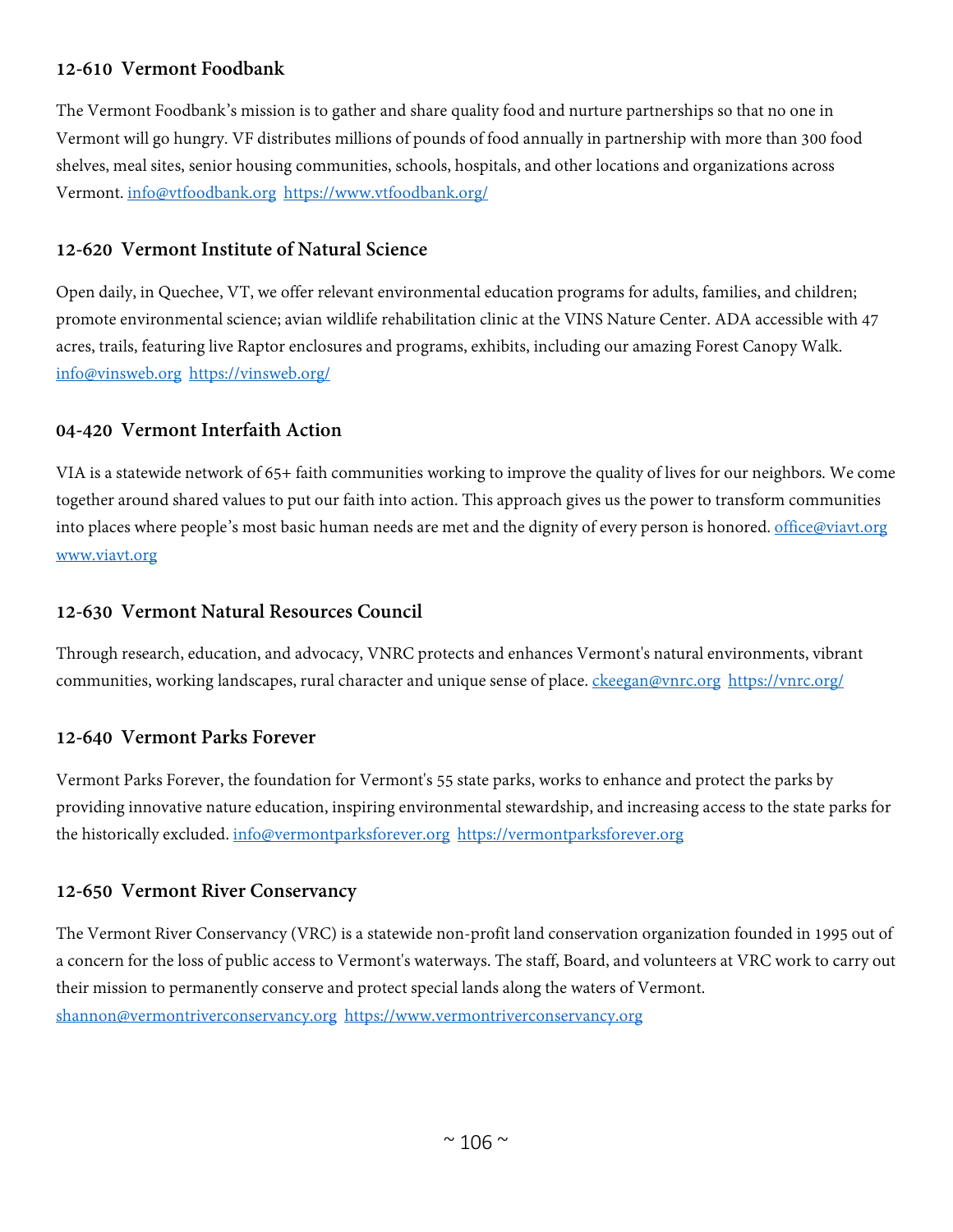# **12-610 Vermont Foodbank**

The Vermont Foodbank's mission is to gather and share quality food and nurture partnerships so that no one in Vermont will go hungry. VF distributes millions of pounds of food annually in partnership with more than 300 food shelves, meal sites, senior housing communities, schools, hospitals, and other locations and organizations across Vermont. info@vtfoodbank.org https://www.vtfoodbank.org/

#### **12-620 Vermont Institute of Natural Science**

Open daily, in Quechee, VT, we offer relevant environmental education programs for adults, families, and children; promote environmental science; avian wildlife rehabilitation clinic at the VINS Nature Center. ADA accessible with 47 acres, trails, featuring live Raptor enclosures and programs, exhibits, including our amazing Forest Canopy Walk. info@vinsweb.org https://vinsweb.org/

#### **04-420 Vermont Interfaith Action**

VIA is a statewide network of 65+ faith communities working to improve the quality of lives for our neighbors. We come together around shared values to put our faith into action. This approach gives us the power to transform communities into places where people's most basic human needs are met and the dignity of every person is honored. office@viavt.org www.viavt.org

#### **12-630 Vermont Natural Resources Council**

Through research, education, and advocacy, VNRC protects and enhances Vermont's natural environments, vibrant communities, working landscapes, rural character and unique sense of place. ckeegan@vnrc.org https://vnrc.org/

# **12-640 Vermont Parks Forever**

Vermont Parks Forever, the foundation for Vermont's 55 state parks, works to enhance and protect the parks by providing innovative nature education, inspiring environmental stewardship, and increasing access to the state parks for the historically excluded. info@vermontparksforever.org https://vermontparksforever.org

# **12-650 Vermont River Conservancy**

The Vermont River Conservancy (VRC) is a statewide non-profit land conservation organization founded in 1995 out of a concern for the loss of public access to Vermont's waterways. The staff, Board, and volunteers at VRC work to carry out their mission to permanently conserve and protect special lands along the waters of Vermont. shannon@vermontriverconservancy.org https://www.vermontriverconservancy.org